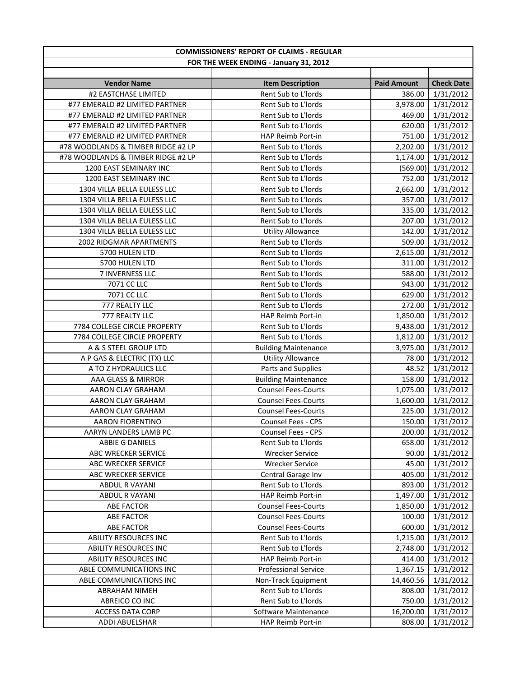| <b>COMMISSIONERS' REPORT OF CLAIMS - REGULAR</b> |                             |                    |                   |
|--------------------------------------------------|-----------------------------|--------------------|-------------------|
| FOR THE WEEK ENDING - January 31, 2012           |                             |                    |                   |
|                                                  |                             |                    |                   |
| <b>Vendor Name</b>                               | <b>Item Description</b>     | <b>Paid Amount</b> | <b>Check Date</b> |
| #2 EASTCHASE LIMITED                             | Rent Sub to L'Iords         | 386.00             | 1/31/2012         |
| #77 EMERALD #2 LIMITED PARTNER                   | Rent Sub to L'Iords         | 3,978.00           | 1/31/2012         |
| #77 EMERALD #2 LIMITED PARTNER                   | Rent Sub to L'Iords         | 469.00             | 1/31/2012         |
| #77 EMERALD #2 LIMITED PARTNER                   | Rent Sub to L'Iords         | 620.00             | 1/31/2012         |
| #77 EMERALD #2 LIMITED PARTNER                   | HAP Reimb Port-in           | 751.00             | 1/31/2012         |
| #78 WOODLANDS & TIMBER RIDGE #2 LP               | Rent Sub to L'Iords         | 2,202.00           | 1/31/2012         |
| #78 WOODLANDS & TIMBER RIDGE #2 LP               | Rent Sub to L'Iords         | 1,174.00           | 1/31/2012         |
| 1200 EAST SEMINARY INC                           | Rent Sub to L'Iords         | (569.00)           | 1/31/2012         |
| 1200 EAST SEMINARY INC                           | Rent Sub to L'Iords         | 752.00             | 1/31/2012         |
| 1304 VILLA BELLA EULESS LLC                      | Rent Sub to L'Iords         | 2,662.00           | 1/31/2012         |
| 1304 VILLA BELLA EULESS LLC                      | Rent Sub to L'Iords         | 357.00             | 1/31/2012         |
| 1304 VILLA BELLA EULESS LLC                      | Rent Sub to L'Iords         | 335.00             | 1/31/2012         |
| 1304 VILLA BELLA EULESS LLC                      | Rent Sub to L'Iords         | 207.00             | 1/31/2012         |
| 1304 VILLA BELLA EULESS LLC                      | <b>Utility Allowance</b>    | 142.00             | 1/31/2012         |
| 2002 RIDGMAR APARTMENTS                          | Rent Sub to L'Iords         | 509.00             | 1/31/2012         |
| 5700 HULEN LTD                                   | Rent Sub to L'Iords         | 2,615.00           | 1/31/2012         |
| 5700 HULEN LTD                                   | Rent Sub to L'Iords         | 311.00             | 1/31/2012         |
| 7 INVERNESS LLC                                  | Rent Sub to L'Iords         | 588.00             | 1/31/2012         |
| 7071 CC LLC                                      | Rent Sub to L'Iords         | 943.00             | 1/31/2012         |
| 7071 CC LLC                                      | Rent Sub to L'Iords         | 629.00             | 1/31/2012         |
| 777 REALTY LLC                                   | Rent Sub to L'Iords         | 272.00             | 1/31/2012         |
| 777 REALTY LLC                                   | HAP Reimb Port-in           | 1,850.00           | 1/31/2012         |
| 7784 COLLEGE CIRCLE PROPERTY                     | Rent Sub to L'Iords         | 9,438.00           | 1/31/2012         |
| 7784 COLLEGE CIRCLE PROPERTY                     | Rent Sub to L'Iords         | 1,812.00           | 1/31/2012         |
| A & S STEEL GROUP LTD                            | <b>Building Maintenance</b> | 3,975.00           | 1/31/2012         |
| A P GAS & ELECTRIC (TX) LLC                      | <b>Utility Allowance</b>    | 78.00              | 1/31/2012         |
| A TO Z HYDRAULICS LLC                            | Parts and Supplies          | 48.52              | 1/31/2012         |
| AAA GLASS & MIRROR                               | <b>Building Maintenance</b> | 158.00             | 1/31/2012         |
| AARON CLAY GRAHAM                                | <b>Counsel Fees-Courts</b>  | 1,075.00           | 1/31/2012         |
| AARON CLAY GRAHAM                                | <b>Counsel Fees-Courts</b>  | 1,600.00           | 1/31/2012         |
| AARON CLAY GRAHAM                                | <b>Counsel Fees-Courts</b>  | 225.00             | 1/31/2012         |
| <b>AARON FIORENTINO</b>                          | Counsel Fees - CPS          | 150.00             | 1/31/2012         |
| AARYN LANDERS LAMB PC                            | Counsel Fees - CPS          | 200.00             | 1/31/2012         |
| <b>ABBIE G DANIELS</b>                           | Rent Sub to L'Iords         | 658.00             | 1/31/2012         |
| ABC WRECKER SERVICE                              | <b>Wrecker Service</b>      | 90.00              | 1/31/2012         |
| ABC WRECKER SERVICE                              | <b>Wrecker Service</b>      | 45.00              | 1/31/2012         |
| ABC WRECKER SERVICE                              | Central Garage Inv          | 405.00             | 1/31/2012         |
| ABDUL R VAYANI                                   | Rent Sub to L'Iords         | 893.00             | 1/31/2012         |
| <b>ABDUL R VAYANI</b>                            | HAP Reimb Port-in           | 1,497.00           | 1/31/2012         |
| ABE FACTOR                                       | <b>Counsel Fees-Courts</b>  | 1,850.00           | 1/31/2012         |
| <b>ABE FACTOR</b>                                | <b>Counsel Fees-Courts</b>  | 100.00             | 1/31/2012         |
| <b>ABE FACTOR</b>                                | <b>Counsel Fees-Courts</b>  | 600.00             | 1/31/2012         |
| <b>ABILITY RESOURCES INC</b>                     | Rent Sub to L'Iords         | 1,215.00           | 1/31/2012         |
| ABILITY RESOURCES INC                            | Rent Sub to L'Iords         | 2,748.00           | 1/31/2012         |
| ABILITY RESOURCES INC                            | HAP Reimb Port-in           | 414.00             | 1/31/2012         |
| ABLE COMMUNICATIONS INC                          | <b>Professional Service</b> | 1,367.15           | 1/31/2012         |
| ABLE COMMUNICATIONS INC                          | Non-Track Equipment         | 14,460.56          | 1/31/2012         |
| ABRAHAM NIMEH                                    | Rent Sub to L'Iords         | 808.00             | 1/31/2012         |
| ABREICO CO INC                                   | Rent Sub to L'Iords         | 750.00             | 1/31/2012         |
| <b>ACCESS DATA CORP</b>                          | Software Maintenance        | 16,200.00          | 1/31/2012         |
| ADDI ABUELSHAR                                   | HAP Reimb Port-in           | 808.00             | 1/31/2012         |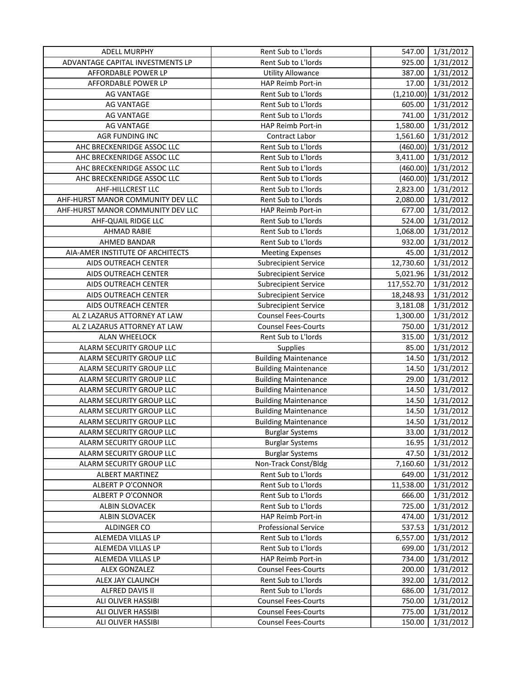| <b>ADELL MURPHY</b>               | Rent Sub to L'Iords         | 547.00     | 1/31/2012 |
|-----------------------------------|-----------------------------|------------|-----------|
| ADVANTAGE CAPITAL INVESTMENTS LP  | Rent Sub to L'Iords         | 925.00     | 1/31/2012 |
| AFFORDABLE POWER LP               | <b>Utility Allowance</b>    | 387.00     | 1/31/2012 |
| AFFORDABLE POWER LP               | HAP Reimb Port-in           | 17.00      | 1/31/2012 |
| <b>AG VANTAGE</b>                 | Rent Sub to L'Iords         | (1,210.00) | 1/31/2012 |
| <b>AG VANTAGE</b>                 | Rent Sub to L'Iords         | 605.00     | 1/31/2012 |
| <b>AG VANTAGE</b>                 | Rent Sub to L'Iords         | 741.00     | 1/31/2012 |
| <b>AG VANTAGE</b>                 | HAP Reimb Port-in           | 1,580.00   | 1/31/2012 |
| AGR FUNDING INC                   | Contract Labor              | 1,561.60   | 1/31/2012 |
| AHC BRECKENRIDGE ASSOC LLC        | Rent Sub to L'Iords         | (460.00)   | 1/31/2012 |
| AHC BRECKENRIDGE ASSOC LLC        | Rent Sub to L'Iords         | 3,411.00   | 1/31/2012 |
| AHC BRECKENRIDGE ASSOC LLC        | Rent Sub to L'Iords         | (460.00)   | 1/31/2012 |
| AHC BRECKENRIDGE ASSOC LLC        | Rent Sub to L'Iords         | (460.00)   | 1/31/2012 |
| AHF-HILLCREST LLC                 | Rent Sub to L'Iords         | 2,823.00   | 1/31/2012 |
| AHF-HURST MANOR COMMUNITY DEV LLC | Rent Sub to L'Iords         | 2,080.00   | 1/31/2012 |
| AHF-HURST MANOR COMMUNITY DEV LLC | HAP Reimb Port-in           | 677.00     | 1/31/2012 |
| AHF-QUAIL RIDGE LLC               | Rent Sub to L'Iords         | 524.00     | 1/31/2012 |
| <b>AHMAD RABIE</b>                | Rent Sub to L'Iords         | 1,068.00   | 1/31/2012 |
| AHMED BANDAR                      | Rent Sub to L'Iords         | 932.00     | 1/31/2012 |
| AIA-AMER INSTITUTE OF ARCHITECTS  | <b>Meeting Expenses</b>     | 45.00      | 1/31/2012 |
| AIDS OUTREACH CENTER              | <b>Subrecipient Service</b> | 12,730.60  | 1/31/2012 |
| AIDS OUTREACH CENTER              | <b>Subrecipient Service</b> | 5,021.96   | 1/31/2012 |
| AIDS OUTREACH CENTER              | <b>Subrecipient Service</b> | 117,552.70 | 1/31/2012 |
| AIDS OUTREACH CENTER              | <b>Subrecipient Service</b> | 18,248.93  | 1/31/2012 |
| AIDS OUTREACH CENTER              | <b>Subrecipient Service</b> | 3,181.08   | 1/31/2012 |
| AL Z LAZARUS ATTORNEY AT LAW      | <b>Counsel Fees-Courts</b>  | 1,300.00   | 1/31/2012 |
| AL Z LAZARUS ATTORNEY AT LAW      | <b>Counsel Fees-Courts</b>  | 750.00     | 1/31/2012 |
| <b>ALAN WHEELOCK</b>              | Rent Sub to L'Iords         | 315.00     | 1/31/2012 |
| ALARM SECURITY GROUP LLC          | Supplies                    | 85.00      | 1/31/2012 |
| ALARM SECURITY GROUP LLC          | <b>Building Maintenance</b> | 14.50      | 1/31/2012 |
| ALARM SECURITY GROUP LLC          | <b>Building Maintenance</b> | 14.50      | 1/31/2012 |
| ALARM SECURITY GROUP LLC          | <b>Building Maintenance</b> | 29.00      | 1/31/2012 |
| ALARM SECURITY GROUP LLC          | <b>Building Maintenance</b> | 14.50      | 1/31/2012 |
| ALARM SECURITY GROUP LLC          | <b>Building Maintenance</b> | 14.50      | 1/31/2012 |
| ALARM SECURITY GROUP LLC          | <b>Building Maintenance</b> | 14.50      | 1/31/2012 |
| ALARM SECURITY GROUP LLC          | <b>Building Maintenance</b> | 14.50      | 1/31/2012 |
| ALARM SECURITY GROUP LLC          | <b>Burglar Systems</b>      | 33.00      | 1/31/2012 |
| ALARM SECURITY GROUP LLC          | <b>Burglar Systems</b>      | 16.95      | 1/31/2012 |
| ALARM SECURITY GROUP LLC          | <b>Burglar Systems</b>      | 47.50      | 1/31/2012 |
| ALARM SECURITY GROUP LLC          | Non-Track Const/Bldg        | 7,160.60   | 1/31/2012 |
| <b>ALBERT MARTINEZ</b>            | Rent Sub to L'Iords         | 649.00     | 1/31/2012 |
| ALBERT P O'CONNOR                 | Rent Sub to L'Iords         | 11,538.00  | 1/31/2012 |
| <b>ALBERT P O'CONNOR</b>          | Rent Sub to L'Iords         | 666.00     | 1/31/2012 |
| ALBIN SLOVACEK                    | Rent Sub to L'Iords         | 725.00     | 1/31/2012 |
| ALBIN SLOVACEK                    | HAP Reimb Port-in           | 474.00     | 1/31/2012 |
| ALDINGER CO                       | <b>Professional Service</b> | 537.53     | 1/31/2012 |
| ALEMEDA VILLAS LP                 | Rent Sub to L'Iords         | 6,557.00   | 1/31/2012 |
| ALEMEDA VILLAS LP                 | Rent Sub to L'Iords         | 699.00     | 1/31/2012 |
| ALEMEDA VILLAS LP                 | HAP Reimb Port-in           | 734.00     | 1/31/2012 |
| ALEX GONZALEZ                     | <b>Counsel Fees-Courts</b>  | 200.00     | 1/31/2012 |
| ALEX JAY CLAUNCH                  | Rent Sub to L'Iords         | 392.00     | 1/31/2012 |
| ALFRED DAVIS II                   | Rent Sub to L'Iords         | 686.00     | 1/31/2012 |
| ALI OLIVER HASSIBI                | <b>Counsel Fees-Courts</b>  | 750.00     | 1/31/2012 |
| ALI OLIVER HASSIBI                | <b>Counsel Fees-Courts</b>  | 775.00     | 1/31/2012 |
| ALI OLIVER HASSIBI                | <b>Counsel Fees-Courts</b>  | 150.00     | 1/31/2012 |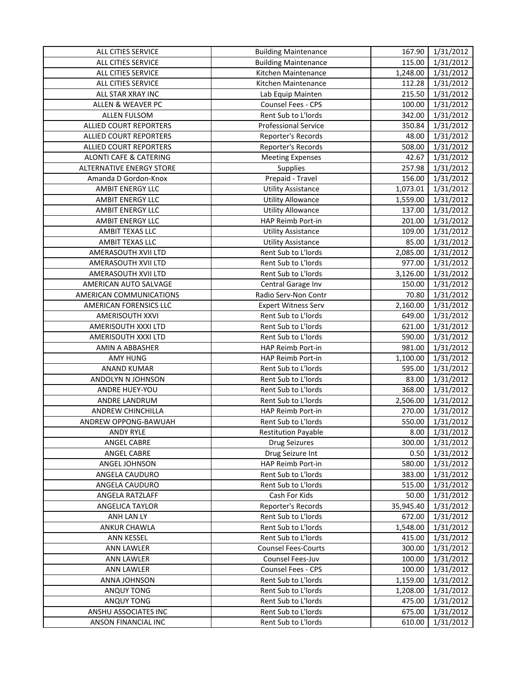| ALL CITIES SERVICE                | <b>Building Maintenance</b> | 167.90    | 1/31/2012 |
|-----------------------------------|-----------------------------|-----------|-----------|
| ALL CITIES SERVICE                | <b>Building Maintenance</b> | 115.00    | 1/31/2012 |
| ALL CITIES SERVICE                | Kitchen Maintenance         | 1,248.00  | 1/31/2012 |
| ALL CITIES SERVICE                | Kitchen Maintenance         | 112.28    | 1/31/2012 |
| ALL STAR XRAY INC                 | Lab Equip Mainten           | 215.50    | 1/31/2012 |
| <b>ALLEN &amp; WEAVER PC</b>      | Counsel Fees - CPS          | 100.00    | 1/31/2012 |
| <b>ALLEN FULSOM</b>               | Rent Sub to L'Iords         | 342.00    | 1/31/2012 |
| ALLIED COURT REPORTERS            | <b>Professional Service</b> | 350.84    | 1/31/2012 |
| ALLIED COURT REPORTERS            | Reporter's Records          | 48.00     | 1/31/2012 |
| ALLIED COURT REPORTERS            | Reporter's Records          | 508.00    | 1/31/2012 |
| <b>ALONTI CAFE &amp; CATERING</b> | <b>Meeting Expenses</b>     | 42.67     | 1/31/2012 |
| <b>ALTERNATIVE ENERGY STORE</b>   | Supplies                    | 257.98    | 1/31/2012 |
| Amanda D Gordon-Knox              | Prepaid - Travel            | 156.00    | 1/31/2012 |
| AMBIT ENERGY LLC                  | <b>Utility Assistance</b>   | 1,073.01  | 1/31/2012 |
| AMBIT ENERGY LLC                  | <b>Utility Allowance</b>    | 1,559.00  | 1/31/2012 |
| AMBIT ENERGY LLC                  | <b>Utility Allowance</b>    | 137.00    | 1/31/2012 |
| AMBIT ENERGY LLC                  | HAP Reimb Port-in           | 201.00    | 1/31/2012 |
| AMBIT TEXAS LLC                   | <b>Utility Assistance</b>   | 109.00    | 1/31/2012 |
| AMBIT TEXAS LLC                   | <b>Utility Assistance</b>   | 85.00     | 1/31/2012 |
| AMERASOUTH XVII LTD               | Rent Sub to L'Iords         | 2,085.00  | 1/31/2012 |
| AMERASOUTH XVII LTD               | Rent Sub to L'Iords         | 977.00    | 1/31/2012 |
| AMERASOUTH XVII LTD               | Rent Sub to L'Iords         | 3,126.00  | 1/31/2012 |
| AMERICAN AUTO SALVAGE             | Central Garage Inv          | 150.00    | 1/31/2012 |
| AMERICAN COMMUNICATIONS           | Radio Serv-Non Contr        | 70.80     | 1/31/2012 |
| AMERICAN FORENSICS LLC            | <b>Expert Witness Serv</b>  | 2,160.00  | 1/31/2012 |
| <b>AMERISOUTH XXVI</b>            | Rent Sub to L'Iords         | 649.00    | 1/31/2012 |
| AMERISOUTH XXXI LTD               | Rent Sub to L'Iords         | 621.00    | 1/31/2012 |
| AMERISOUTH XXXI LTD               | Rent Sub to L'Iords         | 590.00    | 1/31/2012 |
| AMIN A ABBASHER                   | HAP Reimb Port-in           | 981.00    | 1/31/2012 |
| <b>AMY HUNG</b>                   | HAP Reimb Port-in           | 1,100.00  | 1/31/2012 |
| <b>ANAND KUMAR</b>                | Rent Sub to L'Iords         | 595.00    | 1/31/2012 |
| ANDOLYN N JOHNSON                 | Rent Sub to L'Iords         | 83.00     | 1/31/2012 |
| ANDRE HUEY-YOU                    | Rent Sub to L'Iords         | 368.00    | 1/31/2012 |
| ANDRE LANDRUM                     | Rent Sub to L'Iords         | 2,506.00  | 1/31/2012 |
| ANDREW CHINCHILLA                 | HAP Reimb Port-in           | 270.00    | 1/31/2012 |
| ANDREW OPPONG-BAWUAH              | Rent Sub to L'Iords         | 550.00    | 1/31/2012 |
| ANDY RYLE                         | <b>Restitution Payable</b>  | 8.00      | 1/31/2012 |
| ANGEL CABRE                       | <b>Drug Seizures</b>        | 300.00    | 1/31/2012 |
| ANGEL CABRE                       | Drug Seizure Int            | 0.50      | 1/31/2012 |
| ANGEL JOHNSON                     | HAP Reimb Port-in           | 580.00    | 1/31/2012 |
| ANGELA CAUDURO                    | Rent Sub to L'Iords         | 383.00    | 1/31/2012 |
| ANGELA CAUDURO                    | Rent Sub to L'Iords         | 515.00    | 1/31/2012 |
| ANGELA RATZLAFF                   | Cash For Kids               | 50.00     | 1/31/2012 |
| ANGELICA TAYLOR                   | Reporter's Records          | 35,945.40 | 1/31/2012 |
| ANH LAN LY                        | Rent Sub to L'Iords         | 672.00    | 1/31/2012 |
| ANKUR CHAWLA                      | Rent Sub to L'Iords         | 1,548.00  | 1/31/2012 |
| <b>ANN KESSEL</b>                 | Rent Sub to L'Iords         | 415.00    | 1/31/2012 |
| <b>ANN LAWLER</b>                 | <b>Counsel Fees-Courts</b>  | 300.00    | 1/31/2012 |
| <b>ANN LAWLER</b>                 | Counsel Fees-Juv            | 100.00    | 1/31/2012 |
| <b>ANN LAWLER</b>                 | Counsel Fees - CPS          | 100.00    | 1/31/2012 |
| ANNA JOHNSON                      | Rent Sub to L'Iords         | 1,159.00  | 1/31/2012 |
| ANQUY TONG                        | Rent Sub to L'Iords         | 1,208.00  | 1/31/2012 |
| ANQUY TONG                        | Rent Sub to L'Iords         | 475.00    | 1/31/2012 |
| ANSHU ASSOCIATES INC              | Rent Sub to L'Iords         | 675.00    | 1/31/2012 |
| ANSON FINANCIAL INC               | Rent Sub to L'Iords         | 610.00    | 1/31/2012 |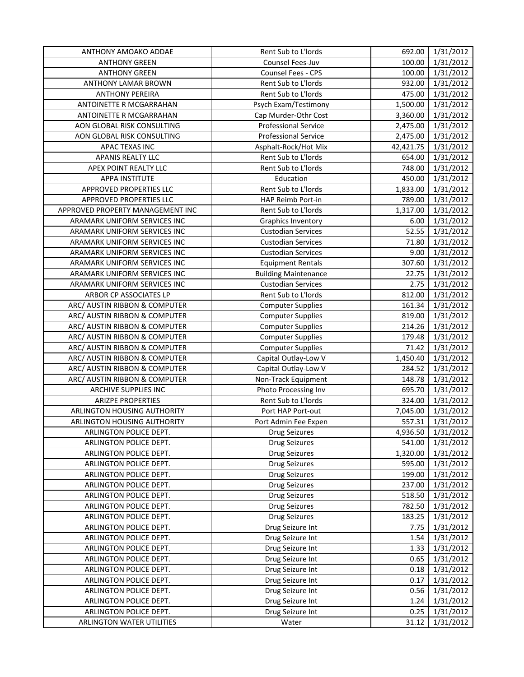| ANTHONY AMOAKO ADDAE             | Rent Sub to L'Iords         | 692.00    | 1/31/2012 |
|----------------------------------|-----------------------------|-----------|-----------|
| <b>ANTHONY GREEN</b>             | Counsel Fees-Juv            | 100.00    | 1/31/2012 |
| <b>ANTHONY GREEN</b>             | Counsel Fees - CPS          | 100.00    | 1/31/2012 |
| ANTHONY LAMAR BROWN              | Rent Sub to L'Iords         | 932.00    | 1/31/2012 |
| <b>ANTHONY PEREIRA</b>           | Rent Sub to L'Iords         | 475.00    | 1/31/2012 |
| ANTOINETTE R MCGARRAHAN          | Psych Exam/Testimony        | 1,500.00  | 1/31/2012 |
| ANTOINETTE R MCGARRAHAN          | Cap Murder-Othr Cost        | 3,360.00  | 1/31/2012 |
| AON GLOBAL RISK CONSULTING       | <b>Professional Service</b> | 2,475.00  | 1/31/2012 |
| AON GLOBAL RISK CONSULTING       | <b>Professional Service</b> | 2,475.00  | 1/31/2012 |
| APAC TEXAS INC                   | Asphalt-Rock/Hot Mix        | 42,421.75 | 1/31/2012 |
| APANIS REALTY LLC                | Rent Sub to L'Iords         | 654.00    | 1/31/2012 |
| APEX POINT REALTY LLC            | Rent Sub to L'Iords         | 748.00    | 1/31/2012 |
| <b>APPA INSTITUTE</b>            | Education                   | 450.00    | 1/31/2012 |
| APPROVED PROPERTIES LLC          | Rent Sub to L'Iords         | 1,833.00  | 1/31/2012 |
| APPROVED PROPERTIES LLC          | HAP Reimb Port-in           | 789.00    | 1/31/2012 |
| APPROVED PROPERTY MANAGEMENT INC | Rent Sub to L'Iords         | 1,317.00  | 1/31/2012 |
| ARAMARK UNIFORM SERVICES INC     | <b>Graphics Inventory</b>   | 6.00      | 1/31/2012 |
| ARAMARK UNIFORM SERVICES INC     | <b>Custodian Services</b>   | 52.55     | 1/31/2012 |
| ARAMARK UNIFORM SERVICES INC     | <b>Custodian Services</b>   | 71.80     | 1/31/2012 |
| ARAMARK UNIFORM SERVICES INC     | <b>Custodian Services</b>   | 9.00      | 1/31/2012 |
| ARAMARK UNIFORM SERVICES INC     | <b>Equipment Rentals</b>    | 307.60    | 1/31/2012 |
| ARAMARK UNIFORM SERVICES INC     | <b>Building Maintenance</b> | 22.75     | 1/31/2012 |
| ARAMARK UNIFORM SERVICES INC     | <b>Custodian Services</b>   | 2.75      | 1/31/2012 |
| ARBOR CP ASSOCIATES LP           | Rent Sub to L'Iords         | 812.00    | 1/31/2012 |
| ARC/ AUSTIN RIBBON & COMPUTER    | <b>Computer Supplies</b>    | 161.34    | 1/31/2012 |
| ARC/ AUSTIN RIBBON & COMPUTER    | <b>Computer Supplies</b>    | 819.00    | 1/31/2012 |
| ARC/ AUSTIN RIBBON & COMPUTER    | <b>Computer Supplies</b>    | 214.26    | 1/31/2012 |
| ARC/ AUSTIN RIBBON & COMPUTER    | <b>Computer Supplies</b>    | 179.48    | 1/31/2012 |
| ARC/ AUSTIN RIBBON & COMPUTER    | <b>Computer Supplies</b>    | 71.42     | 1/31/2012 |
| ARC/ AUSTIN RIBBON & COMPUTER    | Capital Outlay-Low V        | 1,450.40  | 1/31/2012 |
| ARC/ AUSTIN RIBBON & COMPUTER    | Capital Outlay-Low V        | 284.52    | 1/31/2012 |
| ARC/ AUSTIN RIBBON & COMPUTER    | Non-Track Equipment         | 148.78    | 1/31/2012 |
| ARCHIVE SUPPLIES INC             | Photo Processing Inv        | 695.70    | 1/31/2012 |
| ARIZPE PROPERTIES                | Rent Sub to L'Iords         | 324.00    | 1/31/2012 |
| ARLINGTON HOUSING AUTHORITY      | Port HAP Port-out           | 7,045.00  | 1/31/2012 |
| ARLINGTON HOUSING AUTHORITY      | Port Admin Fee Expen        | 557.31    | 1/31/2012 |
| ARLINGTON POLICE DEPT.           | Drug Seizures               | 4,936.50  | 1/31/2012 |
| ARLINGTON POLICE DEPT.           | <b>Drug Seizures</b>        | 541.00    | 1/31/2012 |
| ARLINGTON POLICE DEPT.           | <b>Drug Seizures</b>        | 1,320.00  | 1/31/2012 |
| ARLINGTON POLICE DEPT.           | <b>Drug Seizures</b>        | 595.00    | 1/31/2012 |
| ARLINGTON POLICE DEPT.           | <b>Drug Seizures</b>        | 199.00    | 1/31/2012 |
| ARLINGTON POLICE DEPT.           | <b>Drug Seizures</b>        | 237.00    | 1/31/2012 |
| ARLINGTON POLICE DEPT.           | <b>Drug Seizures</b>        | 518.50    | 1/31/2012 |
| ARLINGTON POLICE DEPT.           | <b>Drug Seizures</b>        | 782.50    | 1/31/2012 |
| ARLINGTON POLICE DEPT.           | <b>Drug Seizures</b>        | 183.25    | 1/31/2012 |
| ARLINGTON POLICE DEPT.           | Drug Seizure Int            | 7.75      | 1/31/2012 |
| ARLINGTON POLICE DEPT.           | Drug Seizure Int            | 1.54      | 1/31/2012 |
| ARLINGTON POLICE DEPT.           | Drug Seizure Int            | 1.33      | 1/31/2012 |
| ARLINGTON POLICE DEPT.           | Drug Seizure Int            | 0.65      | 1/31/2012 |
| ARLINGTON POLICE DEPT.           | Drug Seizure Int            | 0.18      | 1/31/2012 |
| ARLINGTON POLICE DEPT.           | Drug Seizure Int            | 0.17      | 1/31/2012 |
| ARLINGTON POLICE DEPT.           | Drug Seizure Int            | 0.56      | 1/31/2012 |
| ARLINGTON POLICE DEPT.           | Drug Seizure Int            | 1.24      | 1/31/2012 |
| ARLINGTON POLICE DEPT.           | Drug Seizure Int            | 0.25      | 1/31/2012 |
| ARLINGTON WATER UTILITIES        | Water                       | 31.12     | 1/31/2012 |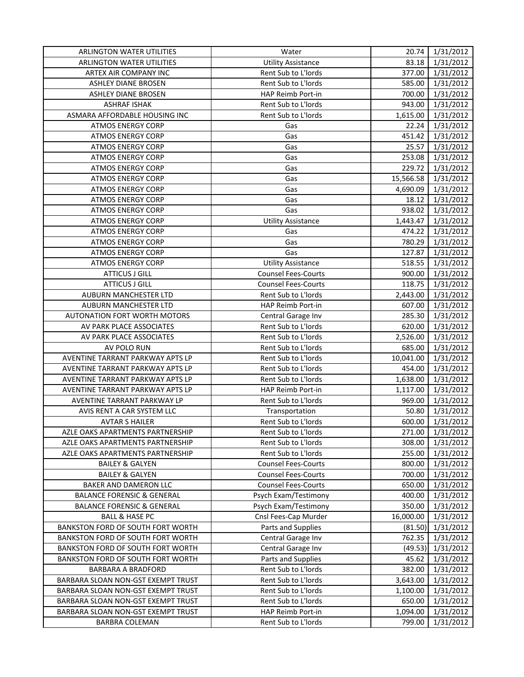| ARLINGTON WATER UTILITIES             | Water                      | 20.74     | 1/31/2012 |
|---------------------------------------|----------------------------|-----------|-----------|
| <b>ARLINGTON WATER UTILITIES</b>      | <b>Utility Assistance</b>  | 83.18     | 1/31/2012 |
| ARTEX AIR COMPANY INC                 | Rent Sub to L'Iords        | 377.00    | 1/31/2012 |
| ASHLEY DIANE BROSEN                   | Rent Sub to L'Iords        | 585.00    | 1/31/2012 |
| ASHLEY DIANE BROSEN                   | HAP Reimb Port-in          | 700.00    | 1/31/2012 |
| <b>ASHRAF ISHAK</b>                   | Rent Sub to L'Iords        | 943.00    | 1/31/2012 |
| ASMARA AFFORDABLE HOUSING INC         | Rent Sub to L'Iords        | 1,615.00  | 1/31/2012 |
| <b>ATMOS ENERGY CORP</b>              | Gas                        | 22.24     | 1/31/2012 |
| <b>ATMOS ENERGY CORP</b>              | Gas                        | 451.42    | 1/31/2012 |
| <b>ATMOS ENERGY CORP</b>              | Gas                        | 25.57     | 1/31/2012 |
| <b>ATMOS ENERGY CORP</b>              | Gas                        | 253.08    | 1/31/2012 |
| <b>ATMOS ENERGY CORP</b>              | Gas                        | 229.72    | 1/31/2012 |
| <b>ATMOS ENERGY CORP</b>              | Gas                        | 15,566.58 | 1/31/2012 |
| <b>ATMOS ENERGY CORP</b>              | Gas                        | 4,690.09  | 1/31/2012 |
| <b>ATMOS ENERGY CORP</b>              | Gas                        | 18.12     | 1/31/2012 |
| <b>ATMOS ENERGY CORP</b>              | Gas                        | 938.02    | 1/31/2012 |
| <b>ATMOS ENERGY CORP</b>              | <b>Utility Assistance</b>  | 1,443.47  | 1/31/2012 |
| <b>ATMOS ENERGY CORP</b>              | Gas                        | 474.22    | 1/31/2012 |
| <b>ATMOS ENERGY CORP</b>              | Gas                        | 780.29    | 1/31/2012 |
| <b>ATMOS ENERGY CORP</b>              | Gas                        | 127.87    | 1/31/2012 |
| <b>ATMOS ENERGY CORP</b>              | <b>Utility Assistance</b>  | 518.55    | 1/31/2012 |
| <b>ATTICUS J GILL</b>                 | <b>Counsel Fees-Courts</b> | 900.00    | 1/31/2012 |
| <b>ATTICUS J GILL</b>                 | <b>Counsel Fees-Courts</b> | 118.75    | 1/31/2012 |
| AUBURN MANCHESTER LTD                 | Rent Sub to L'Iords        | 2,443.00  | 1/31/2012 |
| AUBURN MANCHESTER LTD                 | HAP Reimb Port-in          | 607.00    | 1/31/2012 |
| AUTONATION FORT WORTH MOTORS          | Central Garage Inv         | 285.30    | 1/31/2012 |
| AV PARK PLACE ASSOCIATES              | Rent Sub to L'Iords        | 620.00    | 1/31/2012 |
| AV PARK PLACE ASSOCIATES              | Rent Sub to L'Iords        | 2,526.00  | 1/31/2012 |
| AV POLO RUN                           | Rent Sub to L'Iords        | 685.00    | 1/31/2012 |
| AVENTINE TARRANT PARKWAY APTS LP      | Rent Sub to L'Iords        | 10,041.00 | 1/31/2012 |
| AVENTINE TARRANT PARKWAY APTS LP      | Rent Sub to L'Iords        | 454.00    | 1/31/2012 |
| AVENTINE TARRANT PARKWAY APTS LP      | Rent Sub to L'Iords        | 1,638.00  | 1/31/2012 |
| AVENTINE TARRANT PARKWAY APTS LP      | HAP Reimb Port-in          | 1,117.00  | 1/31/2012 |
| AVENTINE TARRANT PARKWAY LP           | Rent Sub to L'Iords        | 969.00    | 1/31/2012 |
| AVIS RENT A CAR SYSTEM LLC            | Transportation             | 50.80     | 1/31/2012 |
| <b>AVTAR S HAILER</b>                 | Rent Sub to L'Iords        | 600.00    | 1/31/2012 |
| AZLE OAKS APARTMENTS PARTNERSHIP      | Rent Sub to L'Iords        | 271.00    | 1/31/2012 |
| AZLE OAKS APARTMENTS PARTNERSHIP      | Rent Sub to L'Iords        | 308.00    | 1/31/2012 |
| AZLE OAKS APARTMENTS PARTNERSHIP      | Rent Sub to L'Iords        | 255.00    | 1/31/2012 |
| <b>BAILEY &amp; GALYEN</b>            | <b>Counsel Fees-Courts</b> | 800.00    | 1/31/2012 |
| <b>BAILEY &amp; GALYEN</b>            | <b>Counsel Fees-Courts</b> | 700.00    | 1/31/2012 |
| BAKER AND DAMERON LLC                 | <b>Counsel Fees-Courts</b> | 650.00    | 1/31/2012 |
| <b>BALANCE FORENSIC &amp; GENERAL</b> | Psych Exam/Testimony       | 400.00    | 1/31/2012 |
| <b>BALANCE FORENSIC &amp; GENERAL</b> | Psych Exam/Testimony       | 350.00    | 1/31/2012 |
| <b>BALL &amp; HASE PC</b>             | Cnsl Fees-Cap Murder       | 16,000.00 | 1/31/2012 |
| BANKSTON FORD OF SOUTH FORT WORTH     | Parts and Supplies         | (81.50)   | 1/31/2012 |
| BANKSTON FORD OF SOUTH FORT WORTH     | Central Garage Inv         | 762.35    | 1/31/2012 |
| BANKSTON FORD OF SOUTH FORT WORTH     | Central Garage Inv         | (49.53)   | 1/31/2012 |
| BANKSTON FORD OF SOUTH FORT WORTH     | Parts and Supplies         | 45.62     | 1/31/2012 |
| BARBARA A BRADFORD                    | Rent Sub to L'Iords        | 382.00    | 1/31/2012 |
| BARBARA SLOAN NON-GST EXEMPT TRUST    | Rent Sub to L'Iords        | 3,643.00  | 1/31/2012 |
| BARBARA SLOAN NON-GST EXEMPT TRUST    | Rent Sub to L'Iords        | 1,100.00  | 1/31/2012 |
| BARBARA SLOAN NON-GST EXEMPT TRUST    | Rent Sub to L'Iords        | 650.00    | 1/31/2012 |
| BARBARA SLOAN NON-GST EXEMPT TRUST    | HAP Reimb Port-in          | 1,094.00  | 1/31/2012 |
| <b>BARBRA COLEMAN</b>                 | Rent Sub to L'Iords        | 799.00    | 1/31/2012 |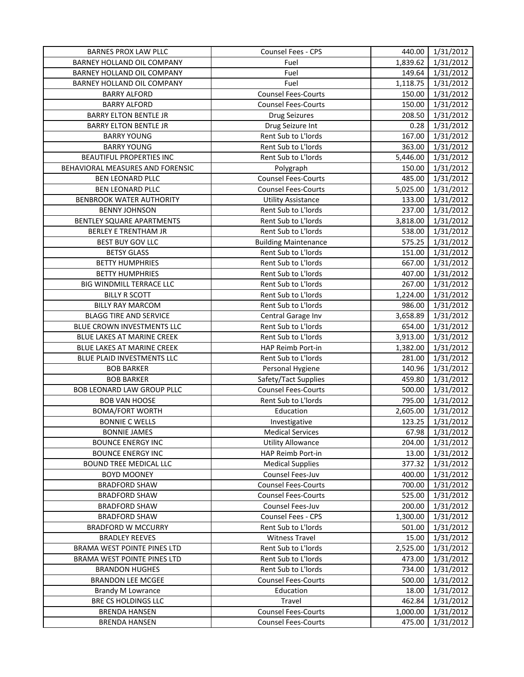| <b>BARNES PROX LAW PLLC</b>        | Counsel Fees - CPS          | 440.00   | 1/31/2012 |
|------------------------------------|-----------------------------|----------|-----------|
| BARNEY HOLLAND OIL COMPANY         | Fuel                        | 1,839.62 | 1/31/2012 |
| BARNEY HOLLAND OIL COMPANY         | Fuel                        | 149.64   | 1/31/2012 |
| BARNEY HOLLAND OIL COMPANY         | Fuel                        | 1,118.75 | 1/31/2012 |
| <b>BARRY ALFORD</b>                | <b>Counsel Fees-Courts</b>  | 150.00   | 1/31/2012 |
| <b>BARRY ALFORD</b>                | <b>Counsel Fees-Courts</b>  | 150.00   | 1/31/2012 |
| <b>BARRY ELTON BENTLE JR</b>       | <b>Drug Seizures</b>        | 208.50   | 1/31/2012 |
| <b>BARRY ELTON BENTLE JR</b>       | Drug Seizure Int            | 0.28     | 1/31/2012 |
| <b>BARRY YOUNG</b>                 | Rent Sub to L'Iords         | 167.00   | 1/31/2012 |
| <b>BARRY YOUNG</b>                 | Rent Sub to L'Iords         | 363.00   | 1/31/2012 |
| BEAUTIFUL PROPERTIES INC           | Rent Sub to L'Iords         | 5,446.00 | 1/31/2012 |
| BEHAVIORAL MEASURES AND FORENSIC   | Polygraph                   | 150.00   | 1/31/2012 |
| <b>BEN LEONARD PLLC</b>            | <b>Counsel Fees-Courts</b>  | 485.00   | 1/31/2012 |
| <b>BEN LEONARD PLLC</b>            | <b>Counsel Fees-Courts</b>  | 5,025.00 | 1/31/2012 |
| <b>BENBROOK WATER AUTHORITY</b>    | <b>Utility Assistance</b>   | 133.00   | 1/31/2012 |
| <b>BENNY JOHNSON</b>               | Rent Sub to L'Iords         | 237.00   | 1/31/2012 |
| BENTLEY SQUARE APARTMENTS          | Rent Sub to L'Iords         | 3,818.00 | 1/31/2012 |
| <b>BERLEY E TRENTHAM JR</b>        | Rent Sub to L'Iords         | 538.00   | 1/31/2012 |
| BEST BUY GOV LLC                   | <b>Building Maintenance</b> | 575.25   | 1/31/2012 |
| <b>BETSY GLASS</b>                 | Rent Sub to L'Iords         | 151.00   | 1/31/2012 |
| <b>BETTY HUMPHRIES</b>             | Rent Sub to L'Iords         | 667.00   | 1/31/2012 |
| <b>BETTY HUMPHRIES</b>             | Rent Sub to L'Iords         | 407.00   | 1/31/2012 |
| BIG WINDMILL TERRACE LLC           | Rent Sub to L'Iords         | 267.00   | 1/31/2012 |
| <b>BILLY R SCOTT</b>               | Rent Sub to L'Iords         | 1,224.00 | 1/31/2012 |
| <b>BILLY RAY MARCOM</b>            | Rent Sub to L'Iords         | 986.00   | 1/31/2012 |
| <b>BLAGG TIRE AND SERVICE</b>      | Central Garage Inv          | 3,658.89 | 1/31/2012 |
| BLUE CROWN INVESTMENTS LLC         | Rent Sub to L'Iords         | 654.00   | 1/31/2012 |
| BLUE LAKES AT MARINE CREEK         | Rent Sub to L'Iords         | 3,913.00 | 1/31/2012 |
| BLUE LAKES AT MARINE CREEK         | HAP Reimb Port-in           | 1,382.00 | 1/31/2012 |
| BLUE PLAID INVESTMENTS LLC         | Rent Sub to L'Iords         | 281.00   | 1/31/2012 |
| <b>BOB BARKER</b>                  | Personal Hygiene            | 140.96   | 1/31/2012 |
| <b>BOB BARKER</b>                  | Safety/Tact Supplies        | 459.80   | 1/31/2012 |
| BOB LEONARD LAW GROUP PLLC         | <b>Counsel Fees-Courts</b>  | 500.00   | 1/31/2012 |
| <b>BOB VAN HOOSE</b>               | Rent Sub to L'Iords         | 795.00   | 1/31/2012 |
| <b>BOMA/FORT WORTH</b>             | Education                   | 2,605.00 | 1/31/2012 |
| <b>BONNIE C WELLS</b>              | Investigative               | 123.25   | 1/31/2012 |
| BONNIE JAMES                       | <b>Medical Services</b>     | 67.98    | 1/31/2012 |
| <b>BOUNCE ENERGY INC</b>           | <b>Utility Allowance</b>    | 204.00   | 1/31/2012 |
| <b>BOUNCE ENERGY INC</b>           | HAP Reimb Port-in           | 13.00    | 1/31/2012 |
| <b>BOUND TREE MEDICAL LLC</b>      | <b>Medical Supplies</b>     | 377.32   | 1/31/2012 |
| <b>BOYD MOONEY</b>                 | Counsel Fees-Juv            | 400.00   | 1/31/2012 |
| <b>BRADFORD SHAW</b>               | <b>Counsel Fees-Courts</b>  | 700.00   | 1/31/2012 |
| <b>BRADFORD SHAW</b>               | <b>Counsel Fees-Courts</b>  | 525.00   | 1/31/2012 |
| <b>BRADFORD SHAW</b>               | Counsel Fees-Juv            | 200.00   | 1/31/2012 |
| <b>BRADFORD SHAW</b>               | <b>Counsel Fees - CPS</b>   | 1,300.00 | 1/31/2012 |
| <b>BRADFORD W MCCURRY</b>          | Rent Sub to L'Iords         | 501.00   | 1/31/2012 |
| <b>BRADLEY REEVES</b>              | <b>Witness Travel</b>       | 15.00    | 1/31/2012 |
| BRAMA WEST POINTE PINES LTD        | Rent Sub to L'Iords         | 2,525.00 | 1/31/2012 |
| <b>BRAMA WEST POINTE PINES LTD</b> | Rent Sub to L'Iords         | 473.00   | 1/31/2012 |
| <b>BRANDON HUGHES</b>              | Rent Sub to L'Iords         | 734.00   | 1/31/2012 |
| <b>BRANDON LEE MCGEE</b>           | <b>Counsel Fees-Courts</b>  | 500.00   | 1/31/2012 |
| <b>Brandy M Lowrance</b>           | Education                   | 18.00    | 1/31/2012 |
| BRE CS HOLDINGS LLC                | Travel                      | 462.84   | 1/31/2012 |
| <b>BRENDA HANSEN</b>               | <b>Counsel Fees-Courts</b>  | 1,000.00 | 1/31/2012 |
| <b>BRENDA HANSEN</b>               | <b>Counsel Fees-Courts</b>  | 475.00   | 1/31/2012 |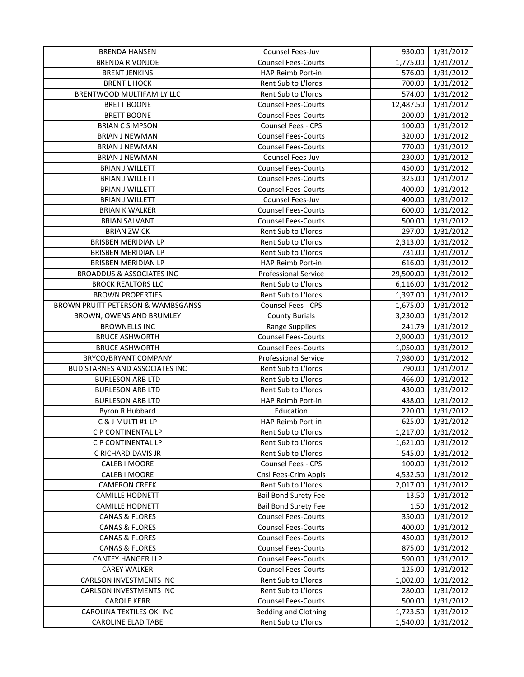| <b>BRENDA HANSEN</b>                 | Counsel Fees-Juv            |           | 930.00 1/31/2012 |
|--------------------------------------|-----------------------------|-----------|------------------|
| <b>BRENDA R VONJOE</b>               | <b>Counsel Fees-Courts</b>  | 1,775.00  | 1/31/2012        |
| <b>BRENT JENKINS</b>                 | HAP Reimb Port-in           | 576.00    | 1/31/2012        |
| <b>BRENT L HOCK</b>                  | Rent Sub to L'Iords         | 700.00    | 1/31/2012        |
| BRENTWOOD MULTIFAMILY LLC            | Rent Sub to L'Iords         | 574.00    | 1/31/2012        |
| <b>BRETT BOONE</b>                   | <b>Counsel Fees-Courts</b>  | 12,487.50 | 1/31/2012        |
| <b>BRETT BOONE</b>                   | <b>Counsel Fees-Courts</b>  | 200.00    | 1/31/2012        |
| <b>BRIAN C SIMPSON</b>               | Counsel Fees - CPS          | 100.00    | 1/31/2012        |
| <b>BRIAN J NEWMAN</b>                | <b>Counsel Fees-Courts</b>  | 320.00    | 1/31/2012        |
| <b>BRIAN J NEWMAN</b>                | <b>Counsel Fees-Courts</b>  | 770.00    | 1/31/2012        |
| <b>BRIAN J NEWMAN</b>                | Counsel Fees-Juv            | 230.00    | 1/31/2012        |
| <b>BRIAN J WILLETT</b>               | <b>Counsel Fees-Courts</b>  | 450.00    | 1/31/2012        |
| <b>BRIAN J WILLETT</b>               | <b>Counsel Fees-Courts</b>  | 325.00    | 1/31/2012        |
| <b>BRIAN J WILLETT</b>               | <b>Counsel Fees-Courts</b>  | 400.00    | 1/31/2012        |
| <b>BRIAN J WILLETT</b>               | Counsel Fees-Juv            | 400.00    | 1/31/2012        |
| <b>BRIAN K WALKER</b>                | <b>Counsel Fees-Courts</b>  | 600.00    | 1/31/2012        |
| <b>BRIAN SALVANT</b>                 | <b>Counsel Fees-Courts</b>  | 500.00    | 1/31/2012        |
| <b>BRIAN ZWICK</b>                   | Rent Sub to L'Iords         | 297.00    | 1/31/2012        |
| <b>BRISBEN MERIDIAN LP</b>           | Rent Sub to L'Iords         | 2,313.00  | 1/31/2012        |
| BRISBEN MERIDIAN LP                  | Rent Sub to L'Iords         | 731.00    | 1/31/2012        |
| BRISBEN MERIDIAN LP                  | HAP Reimb Port-in           | 616.00    | 1/31/2012        |
| <b>BROADDUS &amp; ASSOCIATES INC</b> | <b>Professional Service</b> | 29,500.00 | 1/31/2012        |
| <b>BROCK REALTORS LLC</b>            | Rent Sub to L'Iords         | 6,116.00  | 1/31/2012        |
| <b>BROWN PROPERTIES</b>              | Rent Sub to L'Iords         | 1,397.00  | 1/31/2012        |
| BROWN PRUITT PETERSON & WAMBSGANSS   | Counsel Fees - CPS          | 1,675.00  | 1/31/2012        |
| BROWN, OWENS AND BRUMLEY             | <b>County Burials</b>       | 3,230.00  | 1/31/2012        |
| <b>BROWNELLS INC</b>                 | Range Supplies              | 241.79    | 1/31/2012        |
| <b>BRUCE ASHWORTH</b>                | <b>Counsel Fees-Courts</b>  | 2,900.00  | 1/31/2012        |
| <b>BRUCE ASHWORTH</b>                | <b>Counsel Fees-Courts</b>  | 1,050.00  | 1/31/2012        |
| BRYCO/BRYANT COMPANY                 | <b>Professional Service</b> | 7,980.00  | 1/31/2012        |
| BUD STARNES AND ASSOCIATES INC       | Rent Sub to L'Iords         | 790.00    | 1/31/2012        |
| <b>BURLESON ARB LTD</b>              | Rent Sub to L'Iords         | 466.00    | 1/31/2012        |
| <b>BURLESON ARB LTD</b>              | Rent Sub to L'Iords         | 430.00    | 1/31/2012        |
| <b>BURLESON ARB LTD</b>              | HAP Reimb Port-in           | 438.00    | 1/31/2012        |
| Byron R Hubbard                      | Education                   | 220.00    | 1/31/2012        |
| C & J MULTI #1 LP                    | HAP Reimb Port-in           | 625.00    | 1/31/2012        |
| C P CONTINENTAL LP                   | Rent Sub to L'Iords         | 1,217.00  | 1/31/2012        |
| C P CONTINENTAL LP                   | Rent Sub to L'Iords         | 1,621.00  | 1/31/2012        |
| C RICHARD DAVIS JR                   | Rent Sub to L'Iords         | 545.00    | 1/31/2012        |
| CALEB I MOORE                        | Counsel Fees - CPS          | 100.00    | 1/31/2012        |
| CALEB I MOORE                        | Cnsl Fees-Crim Appls        | 4,532.50  | 1/31/2012        |
| <b>CAMERON CREEK</b>                 | Rent Sub to L'Iords         | 2,017.00  | 1/31/2012        |
| <b>CAMILLE HODNETT</b>               | <b>Bail Bond Surety Fee</b> | 13.50     | 1/31/2012        |
| <b>CAMILLE HODNETT</b>               | <b>Bail Bond Surety Fee</b> | 1.50      | 1/31/2012        |
| <b>CANAS &amp; FLORES</b>            | <b>Counsel Fees-Courts</b>  | 350.00    | 1/31/2012        |
| <b>CANAS &amp; FLORES</b>            | <b>Counsel Fees-Courts</b>  | 400.00    | 1/31/2012        |
| <b>CANAS &amp; FLORES</b>            | <b>Counsel Fees-Courts</b>  | 450.00    | 1/31/2012        |
| <b>CANAS &amp; FLORES</b>            | <b>Counsel Fees-Courts</b>  | 875.00    | 1/31/2012        |
| <b>CANTEY HANGER LLP</b>             | <b>Counsel Fees-Courts</b>  | 590.00    | 1/31/2012        |
| <b>CAREY WALKER</b>                  | <b>Counsel Fees-Courts</b>  | 125.00    | 1/31/2012        |
| CARLSON INVESTMENTS INC              | Rent Sub to L'Iords         | 1,002.00  | 1/31/2012        |
| CARLSON INVESTMENTS INC              | Rent Sub to L'Iords         | 280.00    | 1/31/2012        |
| <b>CAROLE KERR</b>                   | <b>Counsel Fees-Courts</b>  | 500.00    | 1/31/2012        |
| CAROLINA TEXTILES OKI INC            | <b>Bedding and Clothing</b> | 1,723.50  | 1/31/2012        |
| <b>CAROLINE ELAD TABE</b>            | Rent Sub to L'Iords         | 1,540.00  | 1/31/2012        |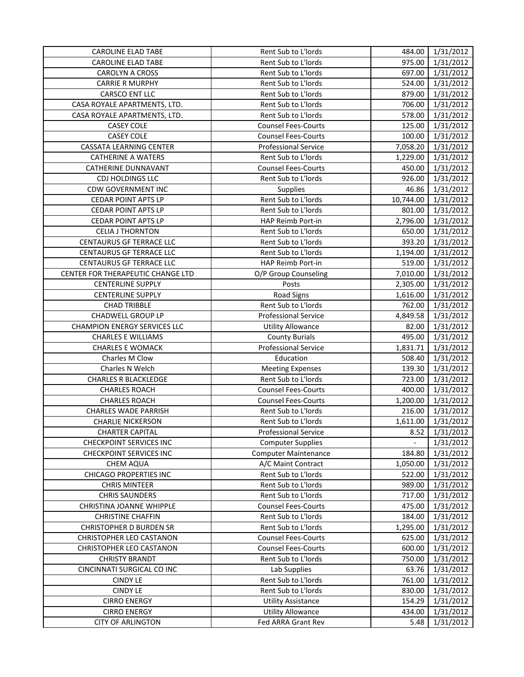| <b>CAROLINE ELAD TABE</b>           | Rent Sub to L'Iords         | 484.00    | 1/31/2012 |
|-------------------------------------|-----------------------------|-----------|-----------|
| <b>CAROLINE ELAD TABE</b>           | Rent Sub to L'Iords         | 975.00    | 1/31/2012 |
| CAROLYN A CROSS                     | Rent Sub to L'Iords         | 697.00    | 1/31/2012 |
| <b>CARRIE R MURPHY</b>              | Rent Sub to L'Iords         | 524.00    | 1/31/2012 |
| CARSCO ENT LLC                      | Rent Sub to L'Iords         | 879.00    | 1/31/2012 |
| CASA ROYALE APARTMENTS, LTD.        | Rent Sub to L'Iords         | 706.00    | 1/31/2012 |
| CASA ROYALE APARTMENTS, LTD.        | Rent Sub to L'Iords         | 578.00    | 1/31/2012 |
| <b>CASEY COLE</b>                   | <b>Counsel Fees-Courts</b>  | 125.00    | 1/31/2012 |
| <b>CASEY COLE</b>                   | <b>Counsel Fees-Courts</b>  | 100.00    | 1/31/2012 |
| <b>CASSATA LEARNING CENTER</b>      | <b>Professional Service</b> | 7,058.20  | 1/31/2012 |
| <b>CATHERINE A WATERS</b>           | Rent Sub to L'Iords         | 1,229.00  | 1/31/2012 |
| <b>CATHERINE DUNNAVANT</b>          | <b>Counsel Fees-Courts</b>  | 450.00    | 1/31/2012 |
| <b>CDJ HOLDINGS LLC</b>             | Rent Sub to L'Iords         | 926.00    | 1/31/2012 |
| <b>CDW GOVERNMENT INC</b>           | Supplies                    | 46.86     | 1/31/2012 |
| <b>CEDAR POINT APTS LP</b>          | Rent Sub to L'Iords         | 10,744.00 | 1/31/2012 |
| <b>CEDAR POINT APTS LP</b>          | Rent Sub to L'Iords         | 801.00    | 1/31/2012 |
| <b>CEDAR POINT APTS LP</b>          | HAP Reimb Port-in           | 2,796.00  | 1/31/2012 |
| <b>CELIA J THORNTON</b>             | Rent Sub to L'Iords         | 650.00    | 1/31/2012 |
| <b>CENTAURUS GF TERRACE LLC</b>     | Rent Sub to L'Iords         | 393.20    | 1/31/2012 |
| CENTAURUS GF TERRACE LLC            | Rent Sub to L'Iords         | 1,194.00  | 1/31/2012 |
| <b>CENTAURUS GF TERRACE LLC</b>     | HAP Reimb Port-in           | 519.00    | 1/31/2012 |
| CENTER FOR THERAPEUTIC CHANGE LTD   | O/P Group Counseling        | 7,010.00  | 1/31/2012 |
| <b>CENTERLINE SUPPLY</b>            | Posts                       | 2,305.00  | 1/31/2012 |
| <b>CENTERLINE SUPPLY</b>            | Road Signs                  | 1,616.00  | 1/31/2012 |
| <b>CHAD TRIBBLE</b>                 | Rent Sub to L'Iords         | 762.00    | 1/31/2012 |
| CHADWELL GROUP LP                   | <b>Professional Service</b> | 4,849.58  | 1/31/2012 |
| <b>CHAMPION ENERGY SERVICES LLC</b> | <b>Utility Allowance</b>    | 82.00     | 1/31/2012 |
| <b>CHARLES E WILLIAMS</b>           | <b>County Burials</b>       | 495.00    | 1/31/2012 |
| <b>CHARLES E WOMACK</b>             | <b>Professional Service</b> | 1,831.71  | 1/31/2012 |
| Charles M Clow                      | Education                   | 508.40    | 1/31/2012 |
| Charles N Welch                     | <b>Meeting Expenses</b>     | 139.30    | 1/31/2012 |
| <b>CHARLES R BLACKLEDGE</b>         | Rent Sub to L'Iords         | 723.00    | 1/31/2012 |
| <b>CHARLES ROACH</b>                | <b>Counsel Fees-Courts</b>  | 400.00    | 1/31/2012 |
| <b>CHARLES ROACH</b>                | <b>Counsel Fees-Courts</b>  | 1,200.00  | 1/31/2012 |
| <b>CHARLES WADE PARRISH</b>         | Rent Sub to L'Iords         | 216.00    | 1/31/2012 |
| <b>CHARLIE NICKERSON</b>            | Rent Sub to L'Iords         | 1,611.00  | 1/31/2012 |
| <b>CHARTER CAPITAL</b>              | Professional Service        | $8.52$    | 1/31/2012 |
| <b>CHECKPOINT SERVICES INC</b>      | <b>Computer Supplies</b>    |           | 1/31/2012 |
| <b>CHECKPOINT SERVICES INC</b>      | <b>Computer Maintenance</b> | 184.80    | 1/31/2012 |
| <b>CHEM AQUA</b>                    | A/C Maint Contract          | 1,050.00  | 1/31/2012 |
| <b>CHICAGO PROPERTIES INC</b>       | Rent Sub to L'Iords         | 522.00    | 1/31/2012 |
| <b>CHRIS MINTEER</b>                | Rent Sub to L'Iords         | 989.00    | 1/31/2012 |
| <b>CHRIS SAUNDERS</b>               | Rent Sub to L'Iords         | 717.00    | 1/31/2012 |
| <b>CHRISTINA JOANNE WHIPPLE</b>     | <b>Counsel Fees-Courts</b>  | 475.00    | 1/31/2012 |
| <b>CHRISTINE CHAFFIN</b>            | Rent Sub to L'Iords         | 184.00    | 1/31/2012 |
| <b>CHRISTOPHER D BURDEN SR</b>      | Rent Sub to L'Iords         | 1,295.00  | 1/31/2012 |
| <b>CHRISTOPHER LEO CASTANON</b>     | <b>Counsel Fees-Courts</b>  | 625.00    | 1/31/2012 |
| CHRISTOPHER LEO CASTANON            | <b>Counsel Fees-Courts</b>  | 600.00    | 1/31/2012 |
| <b>CHRISTY BRANDT</b>               | Rent Sub to L'Iords         | 750.00    | 1/31/2012 |
| CINCINNATI SURGICAL CO INC          | Lab Supplies                | 63.76     | 1/31/2012 |
| <b>CINDY LE</b>                     | Rent Sub to L'Iords         | 761.00    | 1/31/2012 |
| <b>CINDY LE</b>                     | Rent Sub to L'Iords         | 830.00    | 1/31/2012 |
| <b>CIRRO ENERGY</b>                 | <b>Utility Assistance</b>   | 154.29    | 1/31/2012 |
| <b>CIRRO ENERGY</b>                 | <b>Utility Allowance</b>    | 434.00    | 1/31/2012 |
| <b>CITY OF ARLINGTON</b>            | Fed ARRA Grant Rev          | 5.48      | 1/31/2012 |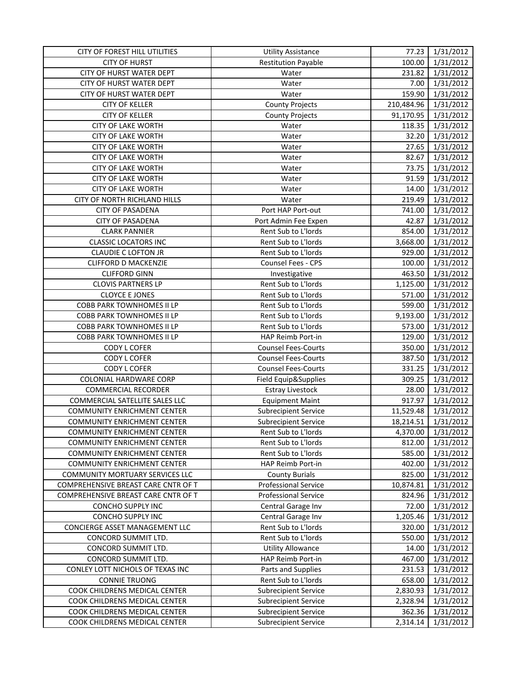| CITY OF FOREST HILL UTILITIES       | <b>Utility Assistance</b>   | 77.23      | 1/31/2012 |
|-------------------------------------|-----------------------------|------------|-----------|
| <b>CITY OF HURST</b>                | <b>Restitution Payable</b>  | 100.00     | 1/31/2012 |
| CITY OF HURST WATER DEPT            | Water                       | 231.82     | 1/31/2012 |
| CITY OF HURST WATER DEPT            | Water                       | 7.00       | 1/31/2012 |
| CITY OF HURST WATER DEPT            | Water                       | 159.90     | 1/31/2012 |
| <b>CITY OF KELLER</b>               | <b>County Projects</b>      | 210,484.96 | 1/31/2012 |
| <b>CITY OF KELLER</b>               | <b>County Projects</b>      | 91,170.95  | 1/31/2012 |
| <b>CITY OF LAKE WORTH</b>           | Water                       | 118.35     | 1/31/2012 |
| <b>CITY OF LAKE WORTH</b>           | Water                       | 32.20      | 1/31/2012 |
| <b>CITY OF LAKE WORTH</b>           | Water                       | 27.65      | 1/31/2012 |
| <b>CITY OF LAKE WORTH</b>           | Water                       | 82.67      | 1/31/2012 |
| <b>CITY OF LAKE WORTH</b>           | Water                       | 73.75      | 1/31/2012 |
| <b>CITY OF LAKE WORTH</b>           | Water                       | 91.59      | 1/31/2012 |
| <b>CITY OF LAKE WORTH</b>           | Water                       | 14.00      | 1/31/2012 |
| CITY OF NORTH RICHLAND HILLS        | Water                       | 219.49     | 1/31/2012 |
| <b>CITY OF PASADENA</b>             | Port HAP Port-out           | 741.00     | 1/31/2012 |
| <b>CITY OF PASADENA</b>             | Port Admin Fee Expen        | 42.87      | 1/31/2012 |
| <b>CLARK PANNIER</b>                | Rent Sub to L'Iords         | 854.00     | 1/31/2012 |
| <b>CLASSIC LOCATORS INC</b>         | Rent Sub to L'Iords         | 3,668.00   | 1/31/2012 |
| <b>CLAUDIE C LOFTON JR</b>          | Rent Sub to L'Iords         | 929.00     | 1/31/2012 |
| <b>CLIFFORD D MACKENZIE</b>         | Counsel Fees - CPS          | 100.00     | 1/31/2012 |
| <b>CLIFFORD GINN</b>                | Investigative               | 463.50     | 1/31/2012 |
| <b>CLOVIS PARTNERS LP</b>           | Rent Sub to L'Iords         | 1,125.00   | 1/31/2012 |
| <b>CLOYCE E JONES</b>               | Rent Sub to L'Iords         | 571.00     | 1/31/2012 |
| COBB PARK TOWNHOMES II LP           | Rent Sub to L'Iords         | 599.00     | 1/31/2012 |
| COBB PARK TOWNHOMES II LP           | Rent Sub to L'Iords         | 9,193.00   | 1/31/2012 |
| COBB PARK TOWNHOMES II LP           | Rent Sub to L'Iords         | 573.00     | 1/31/2012 |
| COBB PARK TOWNHOMES II LP           | HAP Reimb Port-in           | 129.00     | 1/31/2012 |
| CODY L COFER                        | <b>Counsel Fees-Courts</b>  | 350.00     | 1/31/2012 |
| CODY L COFER                        | <b>Counsel Fees-Courts</b>  | 387.50     | 1/31/2012 |
| CODY L COFER                        | <b>Counsel Fees-Courts</b>  | 331.25     | 1/31/2012 |
| COLONIAL HARDWARE CORP              | Field Equip&Supplies        | 309.25     | 1/31/2012 |
| <b>COMMERCIAL RECORDER</b>          | <b>Estray Livestock</b>     | 28.00      | 1/31/2012 |
| COMMERCIAL SATELLITE SALES LLC      | <b>Equipment Maint</b>      | 917.97     | 1/31/2012 |
| <b>COMMUNITY ENRICHMENT CENTER</b>  | <b>Subrecipient Service</b> | 11,529.48  | 1/31/2012 |
| <b>COMMUNITY ENRICHMENT CENTER</b>  | <b>Subrecipient Service</b> | 18,214.51  | 1/31/2012 |
| <b>COMMUNITY ENRICHMENT CENTER</b>  | Rent Sub to L'Iords         | 4,370.00   | 1/31/2012 |
| <b>COMMUNITY ENRICHMENT CENTER</b>  | Rent Sub to L'Iords         | 812.00     | 1/31/2012 |
| <b>COMMUNITY ENRICHMENT CENTER</b>  | Rent Sub to L'Iords         | 585.00     | 1/31/2012 |
| <b>COMMUNITY ENRICHMENT CENTER</b>  | HAP Reimb Port-in           | 402.00     | 1/31/2012 |
| COMMUNITY MORTUARY SERVICES LLC     | <b>County Burials</b>       | 825.00     | 1/31/2012 |
| COMPREHENSIVE BREAST CARE CNTR OF T | <b>Professional Service</b> | 10,874.81  | 1/31/2012 |
| COMPREHENSIVE BREAST CARE CNTR OF T | <b>Professional Service</b> | 824.96     | 1/31/2012 |
| <b>CONCHO SUPPLY INC</b>            | Central Garage Inv          | 72.00      | 1/31/2012 |
| CONCHO SUPPLY INC                   | Central Garage Inv          | 1,205.46   | 1/31/2012 |
| CONCIERGE ASSET MANAGEMENT LLC      | Rent Sub to L'Iords         | 320.00     | 1/31/2012 |
| CONCORD SUMMIT LTD.                 | Rent Sub to L'Iords         | 550.00     | 1/31/2012 |
| CONCORD SUMMIT LTD.                 | <b>Utility Allowance</b>    | 14.00      | 1/31/2012 |
| CONCORD SUMMIT LTD.                 | HAP Reimb Port-in           | 467.00     | 1/31/2012 |
| CONLEY LOTT NICHOLS OF TEXAS INC    | Parts and Supplies          | 231.53     | 1/31/2012 |
| <b>CONNIE TRUONG</b>                | Rent Sub to L'Iords         | 658.00     | 1/31/2012 |
| COOK CHILDRENS MEDICAL CENTER       | <b>Subrecipient Service</b> | 2,830.93   | 1/31/2012 |
| COOK CHILDRENS MEDICAL CENTER       | <b>Subrecipient Service</b> | 2,328.94   | 1/31/2012 |
| COOK CHILDRENS MEDICAL CENTER       | <b>Subrecipient Service</b> | 362.36     | 1/31/2012 |
| COOK CHILDRENS MEDICAL CENTER       | <b>Subrecipient Service</b> | 2,314.14   | 1/31/2012 |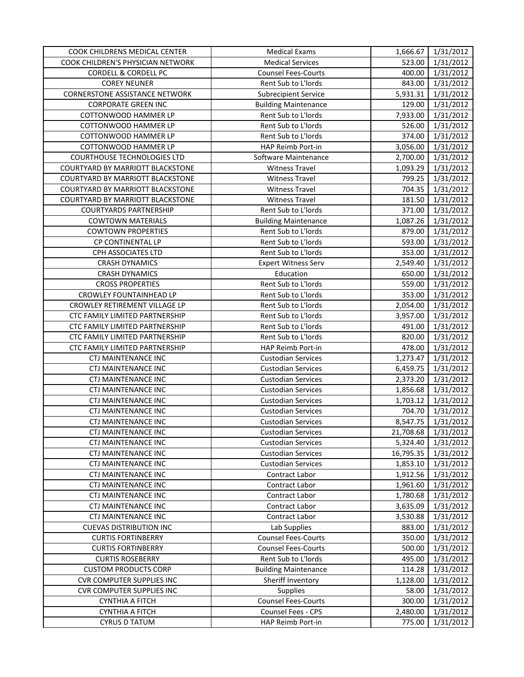| COOK CHILDRENS MEDICAL CENTER         | <b>Medical Exams</b>        | 1,666.67  | 1/31/2012 |
|---------------------------------------|-----------------------------|-----------|-----------|
| COOK CHILDREN'S PHYSICIAN NETWORK     | <b>Medical Services</b>     | 523.00    | 1/31/2012 |
| <b>CORDELL &amp; CORDELL PC</b>       | <b>Counsel Fees-Courts</b>  | 400.00    | 1/31/2012 |
| <b>COREY NEUNER</b>                   | Rent Sub to L'Iords         | 843.00    | 1/31/2012 |
| <b>CORNERSTONE ASSISTANCE NETWORK</b> | <b>Subrecipient Service</b> | 5,931.31  | 1/31/2012 |
| <b>CORPORATE GREEN INC</b>            | <b>Building Maintenance</b> | 129.00    | 1/31/2012 |
| COTTONWOOD HAMMER LP                  | Rent Sub to L'Iords         | 7,933.00  | 1/31/2012 |
| COTTONWOOD HAMMER LP                  | Rent Sub to L'Iords         | 526.00    | 1/31/2012 |
| COTTONWOOD HAMMER LP                  | Rent Sub to L'Iords         | 374.00    | 1/31/2012 |
| COTTONWOOD HAMMER LP                  | HAP Reimb Port-in           | 3,056.00  | 1/31/2012 |
| COURTHOUSE TECHNOLOGIES LTD           | Software Maintenance        | 2,700.00  | 1/31/2012 |
| COURTYARD BY MARRIOTT BLACKSTONE      | <b>Witness Travel</b>       | 1,093.29  | 1/31/2012 |
| COURTYARD BY MARRIOTT BLACKSTONE      | <b>Witness Travel</b>       | 799.25    | 1/31/2012 |
| COURTYARD BY MARRIOTT BLACKSTONE      | <b>Witness Travel</b>       | 704.35    | 1/31/2012 |
| COURTYARD BY MARRIOTT BLACKSTONE      | <b>Witness Travel</b>       | 181.50    | 1/31/2012 |
| <b>COURTYARDS PARTNERSHIP</b>         | Rent Sub to L'Iords         | 371.00    | 1/31/2012 |
| <b>COWTOWN MATERIALS</b>              | <b>Building Maintenance</b> | 1,087.26  | 1/31/2012 |
| <b>COWTOWN PROPERTIES</b>             | Rent Sub to L'Iords         | 879.00    | 1/31/2012 |
| CP CONTINENTAL LP                     | Rent Sub to L'Iords         | 593.00    | 1/31/2012 |
| CPH ASSOCIATES LTD                    | Rent Sub to L'Iords         | 353.00    | 1/31/2012 |
| <b>CRASH DYNAMICS</b>                 | <b>Expert Witness Serv</b>  | 2,549.40  | 1/31/2012 |
| <b>CRASH DYNAMICS</b>                 | Education                   | 650.00    | 1/31/2012 |
| <b>CROSS PROPERTIES</b>               | Rent Sub to L'Iords         | 559.00    | 1/31/2012 |
| CROWLEY FOUNTAINHEAD LP               | Rent Sub to L'Iords         | 353.00    | 1/31/2012 |
| CROWLEY RETIREMENT VILLAGE LP         | Rent Sub to L'Iords         | 2,054.00  | 1/31/2012 |
| CTC FAMILY LIMITED PARTNERSHIP        | Rent Sub to L'Iords         | 3,957.00  | 1/31/2012 |
| CTC FAMILY LIMITED PARTNERSHIP        | Rent Sub to L'Iords         | 491.00    | 1/31/2012 |
| CTC FAMILY LIMITED PARTNERSHIP        | Rent Sub to L'Iords         | 820.00    | 1/31/2012 |
| CTC FAMILY LIMITED PARTNERSHIP        | HAP Reimb Port-in           | 478.00    | 1/31/2012 |
| CTJ MAINTENANCE INC                   | <b>Custodian Services</b>   | 1,273.47  | 1/31/2012 |
| CTJ MAINTENANCE INC                   | <b>Custodian Services</b>   | 6,459.75  | 1/31/2012 |
| CTJ MAINTENANCE INC                   | <b>Custodian Services</b>   | 2,373.20  | 1/31/2012 |
| <b>CTJ MAINTENANCE INC</b>            | <b>Custodian Services</b>   | 1,856.68  | 1/31/2012 |
| CTJ MAINTENANCE INC                   | <b>Custodian Services</b>   | 1,703.12  | 1/31/2012 |
| CTJ MAINTENANCE INC                   | <b>Custodian Services</b>   | 704.70    | 1/31/2012 |
| <b>CTJ MAINTENANCE INC</b>            | <b>Custodian Services</b>   | 8,547.75  | 1/31/2012 |
| CTJ MAINTENANCE INC                   | <b>Custodian Services</b>   | 21,708.68 | 1/31/2012 |
| CTJ MAINTENANCE INC                   | <b>Custodian Services</b>   | 5,324.40  | 1/31/2012 |
| <b>CTJ MAINTENANCE INC</b>            | <b>Custodian Services</b>   | 16,795.35 | 1/31/2012 |
| <b>CTJ MAINTENANCE INC</b>            | <b>Custodian Services</b>   | 1,853.10  | 1/31/2012 |
| <b>CTJ MAINTENANCE INC</b>            | Contract Labor              | 1,912.56  | 1/31/2012 |
| <b>CTJ MAINTENANCE INC</b>            | Contract Labor              | 1,961.60  | 1/31/2012 |
| <b>CTJ MAINTENANCE INC</b>            | Contract Labor              | 1,780.68  | 1/31/2012 |
| <b>CTJ MAINTENANCE INC</b>            | Contract Labor              | 3,635.09  | 1/31/2012 |
| CTJ MAINTENANCE INC                   | Contract Labor              | 3,530.88  | 1/31/2012 |
| <b>CUEVAS DISTRIBUTION INC</b>        | Lab Supplies                | 883.00    | 1/31/2012 |
| <b>CURTIS FORTINBERRY</b>             | <b>Counsel Fees-Courts</b>  | 350.00    | 1/31/2012 |
| <b>CURTIS FORTINBERRY</b>             | <b>Counsel Fees-Courts</b>  | 500.00    | 1/31/2012 |
| <b>CURTIS ROSEBERRY</b>               | Rent Sub to L'Iords         | 495.00    | 1/31/2012 |
| <b>CUSTOM PRODUCTS CORP</b>           | <b>Building Maintenance</b> | 114.28    | 1/31/2012 |
| <b>CVR COMPUTER SUPPLIES INC</b>      | Sheriff Inventory           | 1,128.00  | 1/31/2012 |
| <b>CVR COMPUTER SUPPLIES INC</b>      | <b>Supplies</b>             | 58.00     | 1/31/2012 |
| <b>CYNTHIA A FITCH</b>                | <b>Counsel Fees-Courts</b>  | 300.00    | 1/31/2012 |
| <b>CYNTHIA A FITCH</b>                | Counsel Fees - CPS          | 2,480.00  | 1/31/2012 |
| <b>CYRUS D TATUM</b>                  | HAP Reimb Port-in           | 775.00    | 1/31/2012 |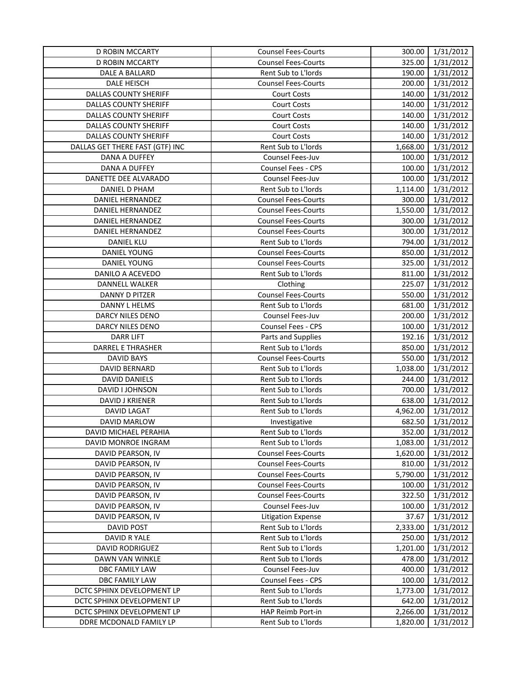| D ROBIN MCCARTY                 | <b>Counsel Fees-Courts</b> | 300.00   | 1/31/2012 |
|---------------------------------|----------------------------|----------|-----------|
| D ROBIN MCCARTY                 | <b>Counsel Fees-Courts</b> | 325.00   | 1/31/2012 |
| DALE A BALLARD                  | Rent Sub to L'Iords        | 190.00   | 1/31/2012 |
| DALE HEISCH                     | <b>Counsel Fees-Courts</b> | 200.00   | 1/31/2012 |
| DALLAS COUNTY SHERIFF           | Court Costs                | 140.00   | 1/31/2012 |
| <b>DALLAS COUNTY SHERIFF</b>    | Court Costs                | 140.00   | 1/31/2012 |
| DALLAS COUNTY SHERIFF           | Court Costs                | 140.00   | 1/31/2012 |
| <b>DALLAS COUNTY SHERIFF</b>    | <b>Court Costs</b>         | 140.00   | 1/31/2012 |
| <b>DALLAS COUNTY SHERIFF</b>    | Court Costs                | 140.00   | 1/31/2012 |
| DALLAS GET THERE FAST (GTF) INC | Rent Sub to L'Iords        | 1,668.00 | 1/31/2012 |
| DANA A DUFFEY                   | Counsel Fees-Juv           | 100.00   | 1/31/2012 |
| DANA A DUFFEY                   | Counsel Fees - CPS         | 100.00   | 1/31/2012 |
| DANETTE DEE ALVARADO            | Counsel Fees-Juv           | 100.00   | 1/31/2012 |
| DANIEL D PHAM                   | Rent Sub to L'Iords        | 1,114.00 | 1/31/2012 |
| DANIEL HERNANDEZ                | <b>Counsel Fees-Courts</b> | 300.00   | 1/31/2012 |
| DANIEL HERNANDEZ                | <b>Counsel Fees-Courts</b> | 1,550.00 | 1/31/2012 |
| DANIEL HERNANDEZ                | <b>Counsel Fees-Courts</b> | 300.00   | 1/31/2012 |
| DANIEL HERNANDEZ                | <b>Counsel Fees-Courts</b> | 300.00   | 1/31/2012 |
| <b>DANIEL KLU</b>               | Rent Sub to L'Iords        | 794.00   | 1/31/2012 |
| DANIEL YOUNG                    | <b>Counsel Fees-Courts</b> | 850.00   | 1/31/2012 |
| DANIEL YOUNG                    | <b>Counsel Fees-Courts</b> | 325.00   | 1/31/2012 |
| DANILO A ACEVEDO                | Rent Sub to L'Iords        | 811.00   | 1/31/2012 |
| DANNELL WALKER                  | Clothing                   | 225.07   | 1/31/2012 |
| DANNY D PITZER                  | <b>Counsel Fees-Courts</b> | 550.00   | 1/31/2012 |
| DANNY L HELMS                   | Rent Sub to L'Iords        | 681.00   | 1/31/2012 |
| DARCY NILES DENO                | Counsel Fees-Juv           | 200.00   | 1/31/2012 |
| DARCY NILES DENO                | Counsel Fees - CPS         | 100.00   | 1/31/2012 |
| <b>DARR LIFT</b>                | Parts and Supplies         | 192.16   | 1/31/2012 |
| DARREL E THRASHER               | Rent Sub to L'Iords        | 850.00   | 1/31/2012 |
| <b>DAVID BAYS</b>               | <b>Counsel Fees-Courts</b> | 550.00   | 1/31/2012 |
| DAVID BERNARD                   | Rent Sub to L'Iords        | 1,038.00 | 1/31/2012 |
| DAVID DANIELS                   | Rent Sub to L'Iords        | 244.00   | 1/31/2012 |
| DAVID I JOHNSON                 | Rent Sub to L'Iords        | 700.00   | 1/31/2012 |
| DAVID J KRIENER                 | Rent Sub to L'Iords        | 638.00   | 1/31/2012 |
| <b>DAVID LAGAT</b>              | Rent Sub to L'Iords        | 4,962.00 | 1/31/2012 |
| DAVID MARLOW                    | Investigative              | 682.50   | 1/31/2012 |
| DAVID MICHAEL PERAHIA           | Rent Sub to L'Iords        | 352.00   | 1/31/2012 |
| DAVID MONROE INGRAM             | Rent Sub to L'Iords        | 1,083.00 | 1/31/2012 |
| DAVID PEARSON, IV               | <b>Counsel Fees-Courts</b> | 1,620.00 | 1/31/2012 |
| DAVID PEARSON, IV               | <b>Counsel Fees-Courts</b> | 810.00   | 1/31/2012 |
| DAVID PEARSON, IV               | <b>Counsel Fees-Courts</b> | 5,790.00 | 1/31/2012 |
| DAVID PEARSON, IV               | <b>Counsel Fees-Courts</b> | 100.00   | 1/31/2012 |
| DAVID PEARSON, IV               | <b>Counsel Fees-Courts</b> | 322.50   | 1/31/2012 |
| DAVID PEARSON, IV               | Counsel Fees-Juv           | 100.00   | 1/31/2012 |
| DAVID PEARSON, IV               | <b>Litigation Expense</b>  | 37.67    | 1/31/2012 |
| <b>DAVID POST</b>               | Rent Sub to L'Iords        | 2,333.00 | 1/31/2012 |
| DAVID R YALE                    | Rent Sub to L'Iords        | 250.00   | 1/31/2012 |
| <b>DAVID RODRIGUEZ</b>          | Rent Sub to L'Iords        | 1,201.00 | 1/31/2012 |
| DAWN VAN WINKLE                 | Rent Sub to L'Iords        | 478.00   | 1/31/2012 |
| DBC FAMILY LAW                  | Counsel Fees-Juv           | 400.00   | 1/31/2012 |
| DBC FAMILY LAW                  | Counsel Fees - CPS         | 100.00   | 1/31/2012 |
| DCTC SPHINX DEVELOPMENT LP      | Rent Sub to L'Iords        | 1,773.00 | 1/31/2012 |
| DCTC SPHINX DEVELOPMENT LP      | Rent Sub to L'Iords        | 642.00   | 1/31/2012 |
| DCTC SPHINX DEVELOPMENT LP      | HAP Reimb Port-in          | 2,266.00 | 1/31/2012 |
| DDRE MCDONALD FAMILY LP         | Rent Sub to L'Iords        | 1,820.00 | 1/31/2012 |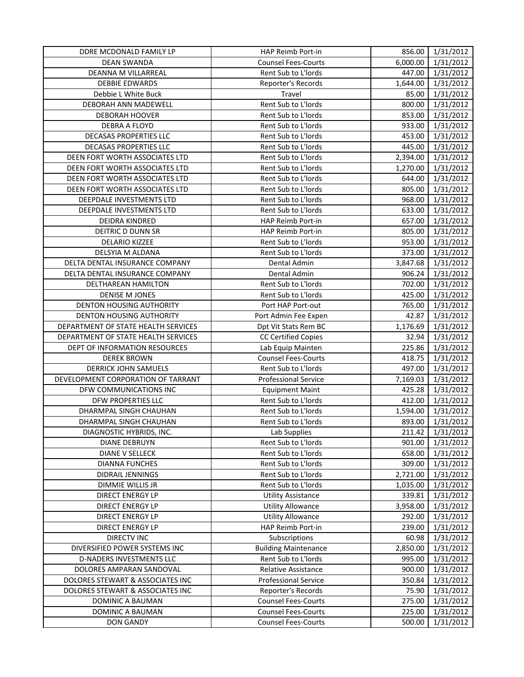| DDRE MCDONALD FAMILY LP             | HAP Reimb Port-in           |          | 856.00 1/31/2012 |
|-------------------------------------|-----------------------------|----------|------------------|
| DEAN SWANDA                         | <b>Counsel Fees-Courts</b>  | 6,000.00 | 1/31/2012        |
| DEANNA M VILLARREAL                 | Rent Sub to L'Iords         | 447.00   | 1/31/2012        |
| <b>DEBBIE EDWARDS</b>               | Reporter's Records          | 1,644.00 | 1/31/2012        |
| Debbie L White Buck                 | Travel                      | 85.00    | 1/31/2012        |
| DEBORAH ANN MADEWELL                | Rent Sub to L'Iords         | 800.00   | 1/31/2012        |
| <b>DEBORAH HOOVER</b>               | Rent Sub to L'Iords         | 853.00   | 1/31/2012        |
| DEBRA A FLOYD                       | Rent Sub to L'Iords         | 933.00   | 1/31/2012        |
| DECASAS PROPERTIES LLC              | Rent Sub to L'Iords         | 453.00   | 1/31/2012        |
| DECASAS PROPERTIES LLC              | Rent Sub to L'Iords         | 445.00   | 1/31/2012        |
| DEEN FORT WORTH ASSOCIATES LTD      | Rent Sub to L'Iords         | 2,394.00 | 1/31/2012        |
| DEEN FORT WORTH ASSOCIATES LTD      | Rent Sub to L'Iords         | 1,270.00 | 1/31/2012        |
| DEEN FORT WORTH ASSOCIATES LTD      | Rent Sub to L'Iords         | 644.00   | 1/31/2012        |
| DEEN FORT WORTH ASSOCIATES LTD      | Rent Sub to L'Iords         | 805.00   | 1/31/2012        |
| DEEPDALE INVESTMENTS LTD            | Rent Sub to L'Iords         | 968.00   | 1/31/2012        |
| DEEPDALE INVESTMENTS LTD            | Rent Sub to L'Iords         | 633.00   | 1/31/2012        |
| DEIDRA KINDRED                      | <b>HAP Reimb Port-in</b>    | 657.00   | 1/31/2012        |
| DEITRIC D DUNN SR                   | <b>HAP Reimb Port-in</b>    | 805.00   | 1/31/2012        |
| DELARIO KIZZEE                      | Rent Sub to L'Iords         | 953.00   | 1/31/2012        |
| DELSYIA M ALDANA                    | Rent Sub to L'Iords         | 373.00   | 1/31/2012        |
| DELTA DENTAL INSURANCE COMPANY      | Dental Admin                | 3,847.68 | 1/31/2012        |
| DELTA DENTAL INSURANCE COMPANY      | Dental Admin                | 906.24   | 1/31/2012        |
| DELTHAREAN HAMILTON                 | Rent Sub to L'Iords         | 702.00   | 1/31/2012        |
| <b>DENISE M JONES</b>               | Rent Sub to L'Iords         | 425.00   | 1/31/2012        |
| <b>DENTON HOUSING AUTHORITY</b>     | Port HAP Port-out           | 765.00   | 1/31/2012        |
| <b>DENTON HOUSING AUTHORITY</b>     | Port Admin Fee Expen        | 42.87    | 1/31/2012        |
| DEPARTMENT OF STATE HEALTH SERVICES | Dpt Vit Stats Rem BC        | 1,176.69 | 1/31/2012        |
| DEPARTMENT OF STATE HEALTH SERVICES | <b>CC Certified Copies</b>  | 32.94    | 1/31/2012        |
| DEPT OF INFORMATION RESOURCES       | Lab Equip Mainten           | 225.86   | 1/31/2012        |
| <b>DEREK BROWN</b>                  | <b>Counsel Fees-Courts</b>  | 418.75   | 1/31/2012        |
| <b>DERRICK JOHN SAMUELS</b>         | Rent Sub to L'Iords         | 497.00   | 1/31/2012        |
| DEVELOPMENT CORPORATION OF TARRANT  | <b>Professional Service</b> | 7,169.03 | 1/31/2012        |
| DFW COMMUNICATIONS INC              | <b>Equipment Maint</b>      | 425.28   | 1/31/2012        |
| DFW PROPERTIES LLC                  | Rent Sub to L'Iords         | 412.00   | 1/31/2012        |
| DHARMPAL SINGH CHAUHAN              | Rent Sub to L'Iords         | 1,594.00 | 1/31/2012        |
| DHARMPAL SINGH CHAUHAN              | Rent Sub to L'Iords         | 893.00   | 1/31/2012        |
| DIAGNOSTIC HYBRIDS, INC.            | Lab Supplies                | 211.42   | 1/31/2012        |
| <b>DIANE DEBRUYN</b>                | Rent Sub to L'Iords         | 901.00   | 1/31/2012        |
| <b>DIANE V SELLECK</b>              | Rent Sub to L'Iords         | 658.00   | 1/31/2012        |
| <b>DIANNA FUNCHES</b>               | Rent Sub to L'Iords         | 309.00   | 1/31/2012        |
| DIDRAIL JENNINGS                    | Rent Sub to L'Iords         | 2,721.00 | 1/31/2012        |
| DIMMIE WILLIS JR                    | Rent Sub to L'Iords         | 1,035.00 | 1/31/2012        |
| <b>DIRECT ENERGY LP</b>             | <b>Utility Assistance</b>   | 339.81   | 1/31/2012        |
| <b>DIRECT ENERGY LP</b>             | <b>Utility Allowance</b>    | 3,958.00 | 1/31/2012        |
| <b>DIRECT ENERGY LP</b>             | <b>Utility Allowance</b>    | 292.00   | 1/31/2012        |
| DIRECT ENERGY LP                    | HAP Reimb Port-in           | 239.00   | 1/31/2012        |
| <b>DIRECTV INC</b>                  | Subscriptions               | 60.98    | 1/31/2012        |
| DIVERSIFIED POWER SYSTEMS INC       | <b>Building Maintenance</b> | 2,850.00 | 1/31/2012        |
| D-NADERS INVESTMENTS LLC            | Rent Sub to L'Iords         | 995.00   | 1/31/2012        |
| DOLORES AMPARAN SANDOVAL            | Relative Assistance         | 900.00   | 1/31/2012        |
| DOLORES STEWART & ASSOCIATES INC    | <b>Professional Service</b> | 350.84   | 1/31/2012        |
| DOLORES STEWART & ASSOCIATES INC    | Reporter's Records          | 75.90    | 1/31/2012        |
| DOMINIC A BAUMAN                    | <b>Counsel Fees-Courts</b>  | 275.00   | 1/31/2012        |
| DOMINIC A BAUMAN                    | <b>Counsel Fees-Courts</b>  | 225.00   | 1/31/2012        |
| DON GANDY                           | <b>Counsel Fees-Courts</b>  | 500.00   | 1/31/2012        |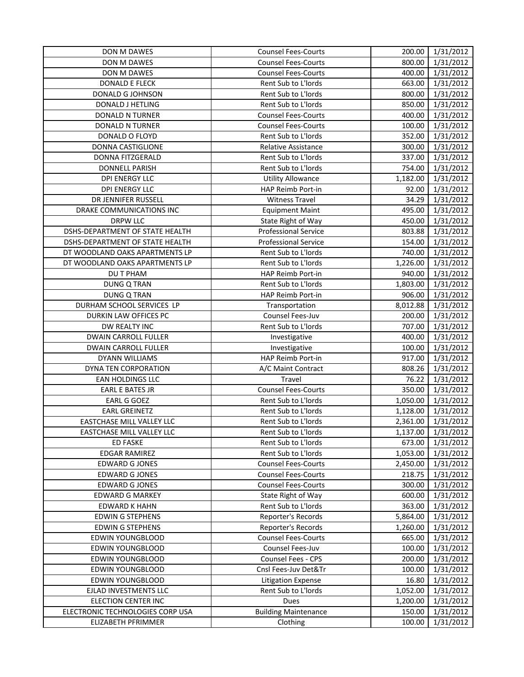| DON M DAWES                      | <b>Counsel Fees-Courts</b>  | 200.00   | 1/31/2012 |
|----------------------------------|-----------------------------|----------|-----------|
| <b>DON M DAWES</b>               | <b>Counsel Fees-Courts</b>  | 800.00   | 1/31/2012 |
| DON M DAWES                      | <b>Counsel Fees-Courts</b>  | 400.00   | 1/31/2012 |
| DONALD E FLECK                   | Rent Sub to L'Iords         | 663.00   | 1/31/2012 |
| DONALD G JOHNSON                 | Rent Sub to L'Iords         | 800.00   | 1/31/2012 |
| DONALD J HETLING                 | Rent Sub to L'Iords         | 850.00   | 1/31/2012 |
| DONALD N TURNER                  | <b>Counsel Fees-Courts</b>  | 400.00   | 1/31/2012 |
| DONALD N TURNER                  | <b>Counsel Fees-Courts</b>  | 100.00   | 1/31/2012 |
| DONALD O FLOYD                   | Rent Sub to L'Iords         | 352.00   | 1/31/2012 |
| DONNA CASTIGLIONE                | <b>Relative Assistance</b>  | 300.00   | 1/31/2012 |
| DONNA FITZGERALD                 | Rent Sub to L'Iords         | 337.00   | 1/31/2012 |
| <b>DONNELL PARISH</b>            | Rent Sub to L'Iords         | 754.00   | 1/31/2012 |
| DPI ENERGY LLC                   | <b>Utility Allowance</b>    | 1,182.00 | 1/31/2012 |
| <b>DPI ENERGY LLC</b>            | HAP Reimb Port-in           | 92.00    | 1/31/2012 |
| DR JENNIFER RUSSELL              | <b>Witness Travel</b>       | 34.29    | 1/31/2012 |
| DRAKE COMMUNICATIONS INC         | <b>Equipment Maint</b>      | 495.00   | 1/31/2012 |
| DRPW LLC                         | State Right of Way          | 450.00   | 1/31/2012 |
| DSHS-DEPARTMENT OF STATE HEALTH  | <b>Professional Service</b> | 803.88   | 1/31/2012 |
| DSHS-DEPARTMENT OF STATE HEALTH  | <b>Professional Service</b> | 154.00   | 1/31/2012 |
| DT WOODLAND OAKS APARTMENTS LP   | Rent Sub to L'Iords         | 740.00   | 1/31/2012 |
| DT WOODLAND OAKS APARTMENTS LP   | Rent Sub to L'Iords         | 1,226.00 | 1/31/2012 |
| DU T PHAM                        | HAP Reimb Port-in           | 940.00   | 1/31/2012 |
| DUNG Q TRAN                      | Rent Sub to L'Iords         | 1,803.00 | 1/31/2012 |
| <b>DUNG Q TRAN</b>               | HAP Reimb Port-in           | 906.00   | 1/31/2012 |
| DURHAM SCHOOL SERVICES LP        | Transportation              | 8,012.88 | 1/31/2012 |
| DURKIN LAW OFFICES PC            | Counsel Fees-Juv            | 200.00   | 1/31/2012 |
| DW REALTY INC                    | Rent Sub to L'Iords         | 707.00   | 1/31/2012 |
| DWAIN CARROLL FULLER             | Investigative               | 400.00   | 1/31/2012 |
| DWAIN CARROLL FULLER             | Investigative               | 100.00   | 1/31/2012 |
| DYANN WILLIAMS                   | HAP Reimb Port-in           | 917.00   | 1/31/2012 |
| DYNA TEN CORPORATION             | A/C Maint Contract          | 808.26   | 1/31/2012 |
| <b>EAN HOLDINGS LLC</b>          | <b>Travel</b>               | 76.22    | 1/31/2012 |
| <b>EARL E BATES JR</b>           | <b>Counsel Fees-Courts</b>  | 350.00   | 1/31/2012 |
| EARL G GOEZ                      | Rent Sub to L'Iords         | 1,050.00 | 1/31/2012 |
| <b>EARL GREINETZ</b>             | Rent Sub to L'Iords         | 1,128.00 | 1/31/2012 |
| EASTCHASE MILL VALLEY LLC        | Rent Sub to L'Iords         | 2,361.00 | 1/31/2012 |
| EASTCHASE MILL VALLEY LLC        | Rent Sub to L'Iords         | 1,137.00 | 1/31/2012 |
| <b>ED FASKE</b>                  | Rent Sub to L'Iords         | 673.00   | 1/31/2012 |
| <b>EDGAR RAMIREZ</b>             | Rent Sub to L'Iords         | 1,053.00 | 1/31/2012 |
| <b>EDWARD G JONES</b>            | <b>Counsel Fees-Courts</b>  | 2,450.00 | 1/31/2012 |
| <b>EDWARD G JONES</b>            | <b>Counsel Fees-Courts</b>  | 218.75   | 1/31/2012 |
| <b>EDWARD G JONES</b>            | <b>Counsel Fees-Courts</b>  | 300.00   | 1/31/2012 |
| <b>EDWARD G MARKEY</b>           | State Right of Way          | 600.00   | 1/31/2012 |
| <b>EDWARD K HAHN</b>             | Rent Sub to L'Iords         | 363.00   | 1/31/2012 |
| <b>EDWIN G STEPHENS</b>          | Reporter's Records          | 5,864.00 | 1/31/2012 |
| <b>EDWIN G STEPHENS</b>          | Reporter's Records          | 1,260.00 | 1/31/2012 |
| <b>EDWIN YOUNGBLOOD</b>          | <b>Counsel Fees-Courts</b>  | 665.00   | 1/31/2012 |
| <b>EDWIN YOUNGBLOOD</b>          | Counsel Fees-Juv            | 100.00   | 1/31/2012 |
| EDWIN YOUNGBLOOD                 | Counsel Fees - CPS          | 200.00   | 1/31/2012 |
| EDWIN YOUNGBLOOD                 | Cnsl Fees-Juv Det&Tr        | 100.00   | 1/31/2012 |
| EDWIN YOUNGBLOOD                 | <b>Litigation Expense</b>   | 16.80    | 1/31/2012 |
| EJLAD INVESTMENTS LLC            | Rent Sub to L'Iords         | 1,052.00 | 1/31/2012 |
| ELECTION CENTER INC              | Dues                        | 1,200.00 | 1/31/2012 |
| ELECTRONIC TECHNOLOGIES CORP USA | <b>Building Maintenance</b> | 150.00   | 1/31/2012 |
| ELIZABETH PFRIMMER               | Clothing                    | 100.00   | 1/31/2012 |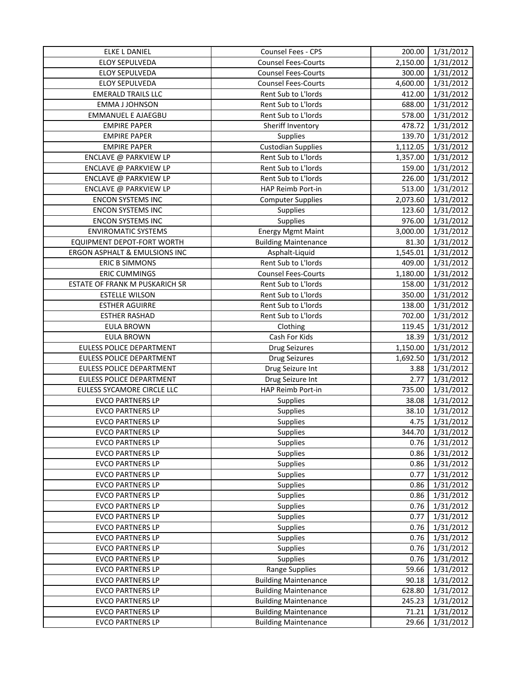| <b>ELKE L DANIEL</b>           | Counsel Fees - CPS          | 200.00   | 1/31/2012 |
|--------------------------------|-----------------------------|----------|-----------|
| ELOY SEPULVEDA                 | <b>Counsel Fees-Courts</b>  | 2,150.00 | 1/31/2012 |
| ELOY SEPULVEDA                 | <b>Counsel Fees-Courts</b>  | 300.00   | 1/31/2012 |
| <b>ELOY SEPULVEDA</b>          | <b>Counsel Fees-Courts</b>  | 4,600.00 | 1/31/2012 |
| <b>EMERALD TRAILS LLC</b>      | Rent Sub to L'Iords         | 412.00   | 1/31/2012 |
| <b>EMMA J JOHNSON</b>          | Rent Sub to L'Iords         | 688.00   | 1/31/2012 |
| <b>EMMANUEL E AJAEGBU</b>      | Rent Sub to L'Iords         | 578.00   | 1/31/2012 |
| <b>EMPIRE PAPER</b>            | Sheriff Inventory           | 478.72   | 1/31/2012 |
| <b>EMPIRE PAPER</b>            | Supplies                    | 139.70   | 1/31/2012 |
| <b>EMPIRE PAPER</b>            | <b>Custodian Supplies</b>   | 1,112.05 | 1/31/2012 |
| ENCLAVE @ PARKVIEW LP          | Rent Sub to L'Iords         | 1,357.00 | 1/31/2012 |
| ENCLAVE @ PARKVIEW LP          | Rent Sub to L'Iords         | 159.00   | 1/31/2012 |
| ENCLAVE @ PARKVIEW LP          | Rent Sub to L'Iords         | 226.00   | 1/31/2012 |
| ENCLAVE @ PARKVIEW LP          | HAP Reimb Port-in           | 513.00   | 1/31/2012 |
| <b>ENCON SYSTEMS INC</b>       | <b>Computer Supplies</b>    | 2,073.60 | 1/31/2012 |
| <b>ENCON SYSTEMS INC</b>       | Supplies                    | 123.60   | 1/31/2012 |
| <b>ENCON SYSTEMS INC</b>       | Supplies                    | 976.00   | 1/31/2012 |
| <b>ENVIROMATIC SYSTEMS</b>     | <b>Energy Mgmt Maint</b>    | 3,000.00 | 1/31/2012 |
| EQUIPMENT DEPOT-FORT WORTH     | <b>Building Maintenance</b> | 81.30    | 1/31/2012 |
| ERGON ASPHALT & EMULSIONS INC  | Asphalt-Liquid              | 1,545.01 | 1/31/2012 |
| <b>ERIC B SIMMONS</b>          | Rent Sub to L'Iords         | 409.00   | 1/31/2012 |
| <b>ERIC CUMMINGS</b>           | <b>Counsel Fees-Courts</b>  | 1,180.00 | 1/31/2012 |
| ESTATE OF FRANK M PUSKARICH SR | Rent Sub to L'Iords         | 158.00   | 1/31/2012 |
| <b>ESTELLE WILSON</b>          | Rent Sub to L'Iords         | 350.00   | 1/31/2012 |
| <b>ESTHER AGUIRRE</b>          | Rent Sub to L'Iords         | 138.00   | 1/31/2012 |
| <b>ESTHER RASHAD</b>           | Rent Sub to L'Iords         | 702.00   | 1/31/2012 |
| <b>EULA BROWN</b>              | Clothing                    | 119.45   | 1/31/2012 |
| <b>EULA BROWN</b>              | Cash For Kids               | 18.39    | 1/31/2012 |
| EULESS POLICE DEPARTMENT       | <b>Drug Seizures</b>        | 1,150.00 | 1/31/2012 |
| EULESS POLICE DEPARTMENT       | <b>Drug Seizures</b>        | 1,692.50 | 1/31/2012 |
| EULESS POLICE DEPARTMENT       | Drug Seizure Int            | 3.88     | 1/31/2012 |
| EULESS POLICE DEPARTMENT       | Drug Seizure Int            | 2.77     | 1/31/2012 |
| EULESS SYCAMORE CIRCLE LLC     | HAP Reimb Port-in           | 735.00   | 1/31/2012 |
| <b>EVCO PARTNERS LP</b>        | Supplies                    | 38.08    | 1/31/2012 |
| <b>EVCO PARTNERS LP</b>        | Supplies                    | 38.10    | 1/31/2012 |
| <b>EVCO PARTNERS LP</b>        | Supplies                    | 4.75     | 1/31/2012 |
| <b>EVCO PARTNERS LP</b>        | <b>Supplies</b>             | 344.70   | 1/31/2012 |
| <b>EVCO PARTNERS LP</b>        | <b>Supplies</b>             | 0.76     | 1/31/2012 |
| <b>EVCO PARTNERS LP</b>        | Supplies                    | 0.86     | 1/31/2012 |
| <b>EVCO PARTNERS LP</b>        | <b>Supplies</b>             | 0.86     | 1/31/2012 |
| <b>EVCO PARTNERS LP</b>        | <b>Supplies</b>             | 0.77     | 1/31/2012 |
| <b>EVCO PARTNERS LP</b>        | <b>Supplies</b>             | 0.86     | 1/31/2012 |
| <b>EVCO PARTNERS LP</b>        | <b>Supplies</b>             | 0.86     | 1/31/2012 |
| <b>EVCO PARTNERS LP</b>        | <b>Supplies</b>             | 0.76     | 1/31/2012 |
| <b>EVCO PARTNERS LP</b>        | <b>Supplies</b>             | 0.77     | 1/31/2012 |
| <b>EVCO PARTNERS LP</b>        | <b>Supplies</b>             | 0.76     | 1/31/2012 |
| <b>EVCO PARTNERS LP</b>        | Supplies                    | 0.76     | 1/31/2012 |
| <b>EVCO PARTNERS LP</b>        | Supplies                    | 0.76     | 1/31/2012 |
| <b>EVCO PARTNERS LP</b>        | Supplies                    | 0.76     | 1/31/2012 |
| <b>EVCO PARTNERS LP</b>        | Range Supplies              | 59.66    | 1/31/2012 |
| <b>EVCO PARTNERS LP</b>        | <b>Building Maintenance</b> | 90.18    | 1/31/2012 |
| <b>EVCO PARTNERS LP</b>        | <b>Building Maintenance</b> | 628.80   | 1/31/2012 |
| <b>EVCO PARTNERS LP</b>        | <b>Building Maintenance</b> | 245.23   | 1/31/2012 |
| <b>EVCO PARTNERS LP</b>        | <b>Building Maintenance</b> | 71.21    | 1/31/2012 |
| <b>EVCO PARTNERS LP</b>        | <b>Building Maintenance</b> | 29.66    | 1/31/2012 |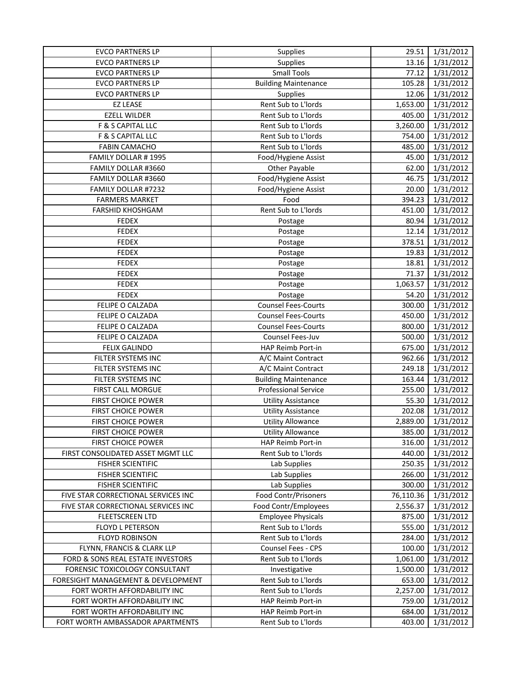| <b>EVCO PARTNERS LP</b>             | Supplies                    | 29.51     | 1/31/2012 |
|-------------------------------------|-----------------------------|-----------|-----------|
| <b>EVCO PARTNERS LP</b>             | Supplies                    | 13.16     | 1/31/2012 |
| <b>EVCO PARTNERS LP</b>             | <b>Small Tools</b>          | 77.12     | 1/31/2012 |
| <b>EVCO PARTNERS LP</b>             | <b>Building Maintenance</b> | 105.28    | 1/31/2012 |
| <b>EVCO PARTNERS LP</b>             | <b>Supplies</b>             | 12.06     | 1/31/2012 |
| <b>EZ LEASE</b>                     | Rent Sub to L'Iords         | 1,653.00  | 1/31/2012 |
| <b>EZELL WILDER</b>                 | Rent Sub to L'Iords         | 405.00    | 1/31/2012 |
| F & S CAPITAL LLC                   | Rent Sub to L'Iords         | 3,260.00  | 1/31/2012 |
| F & S CAPITAL LLC                   | Rent Sub to L'Iords         | 754.00    | 1/31/2012 |
| <b>FABIN CAMACHO</b>                | Rent Sub to L'Iords         | 485.00    | 1/31/2012 |
| FAMILY DOLLAR #1995                 | Food/Hygiene Assist         | 45.00     | 1/31/2012 |
| FAMILY DOLLAR #3660                 | Other Payable               | 62.00     | 1/31/2012 |
| FAMILY DOLLAR #3660                 | Food/Hygiene Assist         | 46.75     | 1/31/2012 |
| FAMILY DOLLAR #7232                 | Food/Hygiene Assist         | 20.00     | 1/31/2012 |
| <b>FARMERS MARKET</b>               | Food                        | 394.23    | 1/31/2012 |
| FARSHID KHOSHGAM                    | Rent Sub to L'Iords         | 451.00    | 1/31/2012 |
| <b>FEDEX</b>                        | Postage                     | 80.94     | 1/31/2012 |
| <b>FEDEX</b>                        | Postage                     | 12.14     | 1/31/2012 |
| <b>FEDEX</b>                        | Postage                     | 378.51    | 1/31/2012 |
| <b>FEDEX</b>                        | Postage                     | 19.83     | 1/31/2012 |
| <b>FEDEX</b>                        | Postage                     | 18.81     | 1/31/2012 |
| <b>FEDEX</b>                        | Postage                     | 71.37     | 1/31/2012 |
| <b>FEDEX</b>                        | Postage                     | 1,063.57  | 1/31/2012 |
| <b>FEDEX</b>                        | Postage                     | 54.20     | 1/31/2012 |
| FELIPE O CALZADA                    | <b>Counsel Fees-Courts</b>  | 300.00    | 1/31/2012 |
| FELIPE O CALZADA                    | <b>Counsel Fees-Courts</b>  | 450.00    | 1/31/2012 |
| FELIPE O CALZADA                    | <b>Counsel Fees-Courts</b>  | 800.00    | 1/31/2012 |
| FELIPE O CALZADA                    | Counsel Fees-Juv            | 500.00    | 1/31/2012 |
| <b>FELIX GALINDO</b>                | HAP Reimb Port-in           | 675.00    | 1/31/2012 |
| FILTER SYSTEMS INC                  | A/C Maint Contract          | 962.66    | 1/31/2012 |
| FILTER SYSTEMS INC                  | A/C Maint Contract          | 249.18    | 1/31/2012 |
| FILTER SYSTEMS INC                  | <b>Building Maintenance</b> | 163.44    | 1/31/2012 |
| <b>FIRST CALL MORGUE</b>            | <b>Professional Service</b> | 255.00    | 1/31/2012 |
| <b>FIRST CHOICE POWER</b>           | <b>Utility Assistance</b>   | 55.30     | 1/31/2012 |
| FIRST CHOICE POWER                  | <b>Utility Assistance</b>   | 202.08    | 1/31/2012 |
| <b>FIRST CHOICE POWER</b>           | <b>Utility Allowance</b>    | 2,889.00  | 1/31/2012 |
| <b>FIRST CHOICE POWER</b>           | <b>Utility Allowance</b>    | 385.00    | 1/31/2012 |
| <b>FIRST CHOICE POWER</b>           | HAP Reimb Port-in           | 316.00    | 1/31/2012 |
| FIRST CONSOLIDATED ASSET MGMT LLC   | Rent Sub to L'Iords         | 440.00    | 1/31/2012 |
| <b>FISHER SCIENTIFIC</b>            | Lab Supplies                | 250.35    | 1/31/2012 |
| <b>FISHER SCIENTIFIC</b>            | Lab Supplies                | 266.00    | 1/31/2012 |
| <b>FISHER SCIENTIFIC</b>            | Lab Supplies                | 300.00    | 1/31/2012 |
| FIVE STAR CORRECTIONAL SERVICES INC | <b>Food Contr/Prisoners</b> | 76,110.36 | 1/31/2012 |
| FIVE STAR CORRECTIONAL SERVICES INC | Food Contr/Employees        | 2,556.37  | 1/31/2012 |
| <b>FLEETSCREEN LTD</b>              | <b>Employee Physicals</b>   | 875.00    | 1/31/2012 |
| <b>FLOYD L PETERSON</b>             | Rent Sub to L'Iords         | 555.00    | 1/31/2012 |
| <b>FLOYD ROBINSON</b>               | Rent Sub to L'Iords         | 284.00    | 1/31/2012 |
| FLYNN, FRANCIS & CLARK LLP          | Counsel Fees - CPS          | 100.00    | 1/31/2012 |
| FORD & SONS REAL ESTATE INVESTORS   | Rent Sub to L'Iords         | 1,061.00  | 1/31/2012 |
| FORENSIC TOXICOLOGY CONSULTANT      | Investigative               | 1,500.00  | 1/31/2012 |
| FORESIGHT MANAGEMENT & DEVELOPMENT  | Rent Sub to L'Iords         | 653.00    | 1/31/2012 |
| FORT WORTH AFFORDABILITY INC        | Rent Sub to L'Iords         | 2,257.00  | 1/31/2012 |
| FORT WORTH AFFORDABILITY INC        | HAP Reimb Port-in           | 759.00    | 1/31/2012 |
| FORT WORTH AFFORDABILITY INC        | HAP Reimb Port-in           | 684.00    | 1/31/2012 |
| FORT WORTH AMBASSADOR APARTMENTS    | Rent Sub to L'Iords         | 403.00    | 1/31/2012 |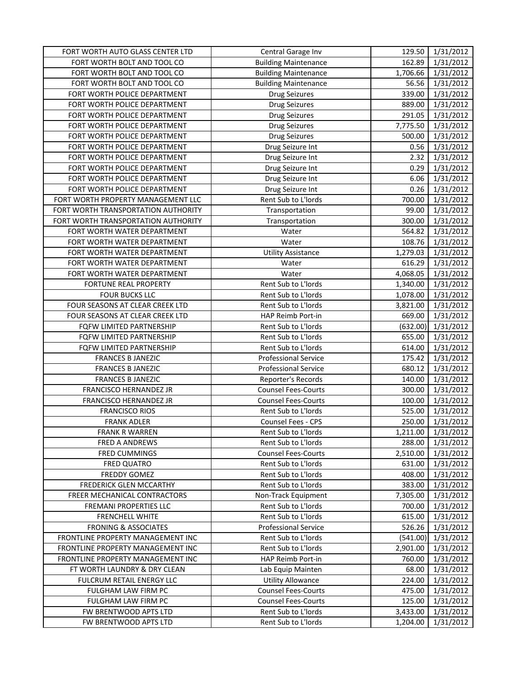| FORT WORTH AUTO GLASS CENTER LTD                 | Central Garage Inv                                | 129.50             | 1/31/2012              |
|--------------------------------------------------|---------------------------------------------------|--------------------|------------------------|
| FORT WORTH BOLT AND TOOL CO                      | <b>Building Maintenance</b>                       | 162.89             | 1/31/2012              |
| FORT WORTH BOLT AND TOOL CO                      | <b>Building Maintenance</b>                       | 1,706.66           | 1/31/2012              |
| FORT WORTH BOLT AND TOOL CO                      | <b>Building Maintenance</b>                       | 56.56              | 1/31/2012              |
| FORT WORTH POLICE DEPARTMENT                     | <b>Drug Seizures</b>                              | 339.00             | 1/31/2012              |
| FORT WORTH POLICE DEPARTMENT                     | Drug Seizures                                     | 889.00             | 1/31/2012              |
| FORT WORTH POLICE DEPARTMENT                     | <b>Drug Seizures</b>                              | 291.05             | 1/31/2012              |
| FORT WORTH POLICE DEPARTMENT                     | <b>Drug Seizures</b>                              | 7,775.50           | 1/31/2012              |
| FORT WORTH POLICE DEPARTMENT                     | <b>Drug Seizures</b>                              | 500.00             | 1/31/2012              |
| FORT WORTH POLICE DEPARTMENT                     | Drug Seizure Int                                  | 0.56               | 1/31/2012              |
| FORT WORTH POLICE DEPARTMENT                     | Drug Seizure Int                                  | 2.32               | 1/31/2012              |
| FORT WORTH POLICE DEPARTMENT                     | Drug Seizure Int                                  | 0.29               | 1/31/2012              |
| FORT WORTH POLICE DEPARTMENT                     | Drug Seizure Int                                  | 6.06               | 1/31/2012              |
| FORT WORTH POLICE DEPARTMENT                     | Drug Seizure Int                                  | 0.26               | 1/31/2012              |
| FORT WORTH PROPERTY MANAGEMENT LLC               | Rent Sub to L'Iords                               | 700.00             | 1/31/2012              |
| FORT WORTH TRANSPORTATION AUTHORITY              | Transportation                                    | 99.00              | 1/31/2012              |
| FORT WORTH TRANSPORTATION AUTHORITY              | Transportation                                    | 300.00             | 1/31/2012              |
| FORT WORTH WATER DEPARTMENT                      | Water                                             | 564.82             | 1/31/2012              |
| FORT WORTH WATER DEPARTMENT                      | Water                                             | 108.76             | 1/31/2012              |
| FORT WORTH WATER DEPARTMENT                      | <b>Utility Assistance</b>                         | 1,279.03           | 1/31/2012              |
| FORT WORTH WATER DEPARTMENT                      | Water                                             | 616.29             | 1/31/2012              |
| FORT WORTH WATER DEPARTMENT                      | Water                                             | 4,068.05           | 1/31/2012              |
| FORTUNE REAL PROPERTY                            | Rent Sub to L'Iords                               | 1,340.00           | 1/31/2012              |
| <b>FOUR BUCKS LLC</b>                            | Rent Sub to L'Iords                               | 1,078.00           | 1/31/2012              |
| FOUR SEASONS AT CLEAR CREEK LTD                  | Rent Sub to L'Iords                               | 3,821.00           | 1/31/2012              |
| FOUR SEASONS AT CLEAR CREEK LTD                  | HAP Reimb Port-in                                 | 669.00             | 1/31/2012              |
| FQFW LIMITED PARTNERSHIP                         | Rent Sub to L'Iords                               | (632.00)           | 1/31/2012              |
| FQFW LIMITED PARTNERSHIP                         | Rent Sub to L'Iords                               | 655.00             | 1/31/2012              |
| FQFW LIMITED PARTNERSHIP                         | Rent Sub to L'Iords                               | 614.00             | 1/31/2012              |
| <b>FRANCES B JANEZIC</b>                         | <b>Professional Service</b>                       | 175.42             | 1/31/2012              |
| <b>FRANCES B JANEZIC</b>                         | <b>Professional Service</b>                       | 680.12             | 1/31/2012              |
| <b>FRANCES B JANEZIC</b>                         | Reporter's Records                                | 140.00             | 1/31/2012              |
| FRANCISCO HERNANDEZ JR                           | <b>Counsel Fees-Courts</b>                        | 300.00             | 1/31/2012              |
| FRANCISCO HERNANDEZ JR                           | <b>Counsel Fees-Courts</b>                        | 100.00             | 1/31/2012              |
| <b>FRANCISCO RIOS</b>                            | Rent Sub to L'Iords                               | 525.00             | 1/31/2012              |
| <b>FRANK ADLER</b>                               | Counsel Fees - CPS                                | 250.00             | 1/31/2012              |
| <b>FRANK R WARREN</b>                            | Rent Sub to L'Iords                               | 1,211.00           | 1/31/2012              |
| <b>FRED A ANDREWS</b>                            | Rent Sub to L'Iords                               | 288.00             | 1/31/2012              |
| <b>FRED CUMMINGS</b>                             | <b>Counsel Fees-Courts</b>                        | 2,510.00           | 1/31/2012              |
| FRED QUATRO                                      | Rent Sub to L'Iords                               | 631.00             | 1/31/2012              |
| FREDDY GOMEZ                                     | Rent Sub to L'Iords                               | 408.00             | 1/31/2012              |
| <b>FREDERICK GLEN MCCARTHY</b>                   | Rent Sub to L'Iords                               | 383.00             | 1/31/2012              |
| FREER MECHANICAL CONTRACTORS                     | Non-Track Equipment                               | 7,305.00           | 1/31/2012              |
| <b>FREMANI PROPERTIES LLC</b>                    | Rent Sub to L'Iords                               | 700.00             | 1/31/2012              |
| <b>FRENCHELL WHITE</b>                           | Rent Sub to L'Iords                               | 615.00             | 1/31/2012              |
| <b>FRONING &amp; ASSOCIATES</b>                  | <b>Professional Service</b>                       | 526.26             | 1/31/2012              |
| FRONTLINE PROPERTY MANAGEMENT INC                | Rent Sub to L'Iords                               | (541.00)           | 1/31/2012              |
| FRONTLINE PROPERTY MANAGEMENT INC                | Rent Sub to L'Iords                               | 2,901.00           | 1/31/2012              |
| FRONTLINE PROPERTY MANAGEMENT INC                | HAP Reimb Port-in                                 | 760.00             | 1/31/2012              |
| FT WORTH LAUNDRY & DRY CLEAN                     | Lab Equip Mainten<br><b>Utility Allowance</b>     | 68.00              | 1/31/2012              |
| FULCRUM RETAIL ENERGY LLC<br>FULGHAM LAW FIRM PC | <b>Counsel Fees-Courts</b>                        | 224.00             | 1/31/2012              |
|                                                  |                                                   | 475.00             | 1/31/2012              |
| FULGHAM LAW FIRM PC<br>FW BRENTWOOD APTS LTD     | <b>Counsel Fees-Courts</b><br>Rent Sub to L'Iords | 125.00<br>3,433.00 | 1/31/2012<br>1/31/2012 |
| FW BRENTWOOD APTS LTD                            | Rent Sub to L'Iords                               | 1,204.00           | 1/31/2012              |
|                                                  |                                                   |                    |                        |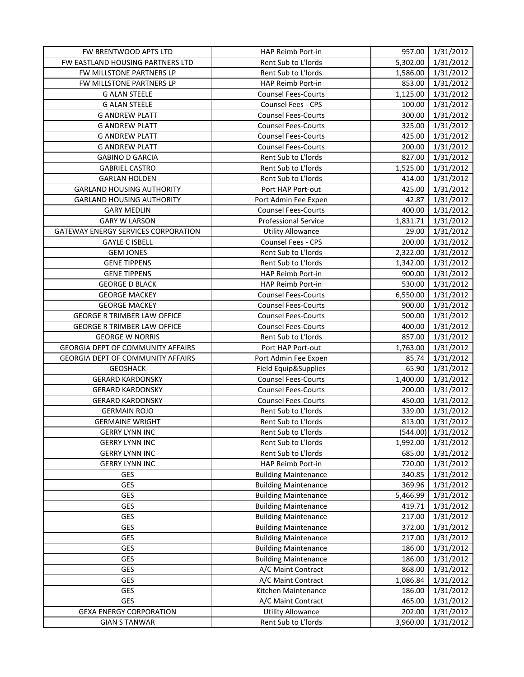| FW BRENTWOOD APTS LTD                   | HAP Reimb Port-in           |          | 957.00 1/31/2012 |
|-----------------------------------------|-----------------------------|----------|------------------|
| <b>FW EASTLAND HOUSING PARTNERS LTD</b> | Rent Sub to L'Iords         | 5,302.00 | 1/31/2012        |
| FW MILLSTONE PARTNERS LP                | Rent Sub to L'Iords         | 1,586.00 | 1/31/2012        |
| FW MILLSTONE PARTNERS LP                | HAP Reimb Port-in           | 853.00   | 1/31/2012        |
| <b>G ALAN STEELE</b>                    | <b>Counsel Fees-Courts</b>  | 1,125.00 | 1/31/2012        |
| <b>G ALAN STEELE</b>                    | Counsel Fees - CPS          | 100.00   | 1/31/2012        |
| <b>G ANDREW PLATT</b>                   | <b>Counsel Fees-Courts</b>  | 300.00   | 1/31/2012        |
| <b>G ANDREW PLATT</b>                   | <b>Counsel Fees-Courts</b>  | 325.00   | 1/31/2012        |
| <b>G ANDREW PLATT</b>                   | <b>Counsel Fees-Courts</b>  | 425.00   | 1/31/2012        |
| <b>G ANDREW PLATT</b>                   | <b>Counsel Fees-Courts</b>  | 200.00   | 1/31/2012        |
| <b>GABINO D GARCIA</b>                  | Rent Sub to L'Iords         | 827.00   | 1/31/2012        |
| <b>GABRIEL CASTRO</b>                   | Rent Sub to L'Iords         | 1,525.00 | 1/31/2012        |
| <b>GARLAN HOLDEN</b>                    | Rent Sub to L'Iords         | 414.00   | 1/31/2012        |
| <b>GARLAND HOUSING AUTHORITY</b>        | Port HAP Port-out           | 425.00   | 1/31/2012        |
| <b>GARLAND HOUSING AUTHORITY</b>        | Port Admin Fee Expen        | 42.87    | 1/31/2012        |
| <b>GARY MEDLIN</b>                      | <b>Counsel Fees-Courts</b>  | 400.00   | 1/31/2012        |
| <b>GARY W LARSON</b>                    | <b>Professional Service</b> | 1,831.71 | 1/31/2012        |
| GATEWAY ENERGY SERVICES CORPORATION     | <b>Utility Allowance</b>    | 29.00    | 1/31/2012        |
| <b>GAYLE C ISBELL</b>                   | Counsel Fees - CPS          | 200.00   | 1/31/2012        |
| <b>GEM JONES</b>                        | Rent Sub to L'Iords         | 2,322.00 | 1/31/2012        |
| <b>GENE TIPPENS</b>                     | Rent Sub to L'Iords         | 1,342.00 | 1/31/2012        |
| <b>GENE TIPPENS</b>                     | HAP Reimb Port-in           | 900.00   | 1/31/2012        |
| <b>GEORGE D BLACK</b>                   | HAP Reimb Port-in           | 530.00   | 1/31/2012        |
| <b>GEORGE MACKEY</b>                    | <b>Counsel Fees-Courts</b>  | 6,550.00 | 1/31/2012        |
| <b>GEORGE MACKEY</b>                    | <b>Counsel Fees-Courts</b>  | 900.00   | 1/31/2012        |
| <b>GEORGE R TRIMBER LAW OFFICE</b>      | <b>Counsel Fees-Courts</b>  | 500.00   | 1/31/2012        |
| <b>GEORGE R TRIMBER LAW OFFICE</b>      | <b>Counsel Fees-Courts</b>  | 400.00   | 1/31/2012        |
| <b>GEORGE W NORRIS</b>                  | Rent Sub to L'Iords         | 857.00   | 1/31/2012        |
| GEORGIA DEPT OF COMMUNITY AFFAIRS       | Port HAP Port-out           | 1,763.00 | 1/31/2012        |
| GEORGIA DEPT OF COMMUNITY AFFAIRS       | Port Admin Fee Expen        | 85.74    | 1/31/2012        |
| <b>GEOSHACK</b>                         | Field Equip&Supplies        | 65.90    | 1/31/2012        |
| <b>GERARD KARDONSKY</b>                 | <b>Counsel Fees-Courts</b>  | 1,400.00 | 1/31/2012        |
| <b>GERARD KARDONSKY</b>                 | <b>Counsel Fees-Courts</b>  | 200.00   | 1/31/2012        |
| <b>GERARD KARDONSKY</b>                 | <b>Counsel Fees-Courts</b>  | 450.00   | 1/31/2012        |
| <b>GERMAIN ROJO</b>                     | Rent Sub to L'Iords         | 339.00   | 1/31/2012        |
| <b>GERMAINE WRIGHT</b>                  | Rent Sub to L'Iords         | 813.00   | 1/31/2012        |
| <b>GERRY LYNN INC</b>                   | Rent Sub to L'Iords         | (544.00) | 1/31/2012        |
| <b>GERRY LYNN INC</b>                   | Rent Sub to L'Iords         | 1,992.00 | 1/31/2012        |
| <b>GERRY LYNN INC</b>                   | Rent Sub to L'Iords         | 685.00   | 1/31/2012        |
| <b>GERRY LYNN INC</b>                   | HAP Reimb Port-in           | 720.00   | 1/31/2012        |
| GES                                     | <b>Building Maintenance</b> | 340.85   | 1/31/2012        |
| GES                                     | <b>Building Maintenance</b> | 369.96   | 1/31/2012        |
| GES                                     | <b>Building Maintenance</b> | 5,466.99 | 1/31/2012        |
| GES                                     | <b>Building Maintenance</b> | 419.71   | 1/31/2012        |
| GES                                     | <b>Building Maintenance</b> | 217.00   | 1/31/2012        |
| GES                                     | <b>Building Maintenance</b> | 372.00   | 1/31/2012        |
| GES                                     | <b>Building Maintenance</b> | 217.00   | 1/31/2012        |
| GES                                     | <b>Building Maintenance</b> | 186.00   | 1/31/2012        |
| GES                                     | <b>Building Maintenance</b> | 186.00   | 1/31/2012        |
| GES                                     | A/C Maint Contract          | 868.00   | 1/31/2012        |
| GES                                     | A/C Maint Contract          | 1,086.84 | 1/31/2012        |
| GES                                     | Kitchen Maintenance         | 186.00   | 1/31/2012        |
| <b>GES</b>                              | A/C Maint Contract          | 465.00   | 1/31/2012        |
| <b>GEXA ENERGY CORPORATION</b>          | <b>Utility Allowance</b>    | 202.00   | 1/31/2012        |
| <b>GIAN S TANWAR</b>                    | Rent Sub to L'Iords         | 3,960.00 | 1/31/2012        |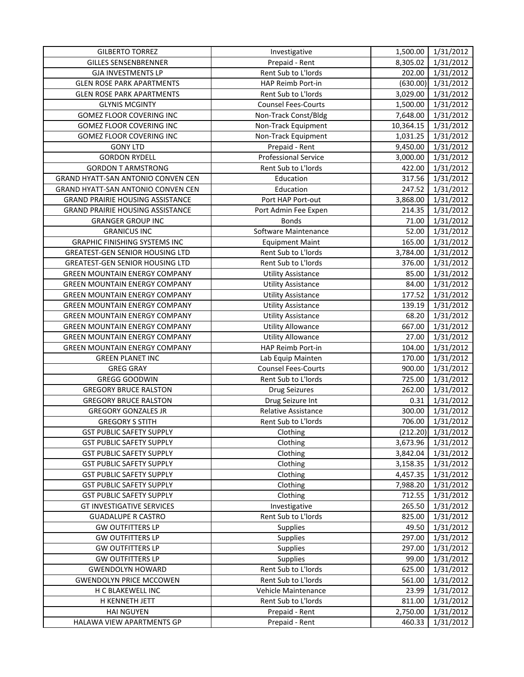| <b>GILBERTO TORREZ</b>                  | Investigative               |           | 1,500.00 1/31/2012   |
|-----------------------------------------|-----------------------------|-----------|----------------------|
| <b>GILLES SENSENBRENNER</b>             | Prepaid - Rent              | 8,305.02  | 1/31/2012            |
| <b>GJA INVESTMENTS LP</b>               | Rent Sub to L'Iords         | 202.00    | 1/31/2012            |
| <b>GLEN ROSE PARK APARTMENTS</b>        | HAP Reimb Port-in           | (630.00)  | 1/31/2012            |
| <b>GLEN ROSE PARK APARTMENTS</b>        | Rent Sub to L'Iords         | 3,029.00  | 1/31/2012            |
| <b>GLYNIS MCGINTY</b>                   | <b>Counsel Fees-Courts</b>  | 1,500.00  | 1/31/2012            |
| GOMEZ FLOOR COVERING INC                | Non-Track Const/Bldg        | 7,648.00  | 1/31/2012            |
| GOMEZ FLOOR COVERING INC                | Non-Track Equipment         | 10,364.15 | 1/31/2012            |
| GOMEZ FLOOR COVERING INC                | Non-Track Equipment         | 1,031.25  | 1/31/2012            |
| <b>GONY LTD</b>                         | Prepaid - Rent              | 9,450.00  | 1/31/2012            |
| <b>GORDON RYDELL</b>                    | <b>Professional Service</b> | 3,000.00  | 1/31/2012            |
| <b>GORDON T ARMSTRONG</b>               | Rent Sub to L'Iords         | 422.00    | 1/31/2012            |
| GRAND HYATT-SAN ANTONIO CONVEN CEN      | Education                   | 317.56    | 1/31/2012            |
| GRAND HYATT-SAN ANTONIO CONVEN CEN      | Education                   | 247.52    | 1/31/2012            |
| <b>GRAND PRAIRIE HOUSING ASSISTANCE</b> | Port HAP Port-out           | 3,868.00  | 1/31/2012            |
| <b>GRAND PRAIRIE HOUSING ASSISTANCE</b> | Port Admin Fee Expen        | 214.35    | 1/31/2012            |
| <b>GRANGER GROUP INC</b>                | <b>Bonds</b>                | 71.00     | 1/31/2012            |
| <b>GRANICUS INC</b>                     | Software Maintenance        | 52.00     | 1/31/2012            |
| <b>GRAPHIC FINISHING SYSTEMS INC</b>    | <b>Equipment Maint</b>      | 165.00    | 1/31/2012            |
| <b>GREATEST-GEN SENIOR HOUSING LTD</b>  | Rent Sub to L'Iords         | 3,784.00  | 1/31/2012            |
| <b>GREATEST-GEN SENIOR HOUSING LTD</b>  | Rent Sub to L'Iords         | 376.00    | 1/31/2012            |
| <b>GREEN MOUNTAIN ENERGY COMPANY</b>    | <b>Utility Assistance</b>   | 85.00     | 1/31/2012            |
| <b>GREEN MOUNTAIN ENERGY COMPANY</b>    | <b>Utility Assistance</b>   | 84.00     | 1/31/2012            |
| <b>GREEN MOUNTAIN ENERGY COMPANY</b>    | <b>Utility Assistance</b>   | 177.52    | 1/31/2012            |
| <b>GREEN MOUNTAIN ENERGY COMPANY</b>    | <b>Utility Assistance</b>   | 139.19    | 1/31/2012            |
| <b>GREEN MOUNTAIN ENERGY COMPANY</b>    | <b>Utility Assistance</b>   | 68.20     | 1/31/2012            |
| <b>GREEN MOUNTAIN ENERGY COMPANY</b>    | <b>Utility Allowance</b>    | 667.00    | 1/31/2012            |
| <b>GREEN MOUNTAIN ENERGY COMPANY</b>    | <b>Utility Allowance</b>    | 27.00     | 1/31/2012            |
| <b>GREEN MOUNTAIN ENERGY COMPANY</b>    | HAP Reimb Port-in           | 104.00    | 1/31/2012            |
| <b>GREEN PLANET INC</b>                 | Lab Equip Mainten           | 170.00    | 1/31/2012            |
| <b>GREG GRAY</b>                        | <b>Counsel Fees-Courts</b>  | 900.00    | 1/31/2012            |
| <b>GREGG GOODWIN</b>                    | Rent Sub to L'Iords         | 725.00    | 1/31/2012            |
| <b>GREGORY BRUCE RALSTON</b>            | <b>Drug Seizures</b>        | 262.00    | 1/31/2012            |
| <b>GREGORY BRUCE RALSTON</b>            | Drug Seizure Int            | 0.31      | 1/31/2012            |
| <b>GREGORY GONZALES JR</b>              | <b>Relative Assistance</b>  | 300.00    | 1/31/2012            |
| <b>GREGORY S STITH</b>                  | Rent Sub to L'Iords         | 706.00    | 1/31/2012            |
| <b>GST PUBLIC SAFETY SUPPLY</b>         | Clothing                    |           | $(212.20)$ 1/31/2012 |
| <b>GST PUBLIC SAFETY SUPPLY</b>         | Clothing                    | 3,673.96  | 1/31/2012            |
| <b>GST PUBLIC SAFETY SUPPLY</b>         | Clothing                    | 3,842.04  | 1/31/2012            |
| <b>GST PUBLIC SAFETY SUPPLY</b>         | Clothing                    | 3,158.35  | 1/31/2012            |
| <b>GST PUBLIC SAFETY SUPPLY</b>         | Clothing                    | 4,457.35  | 1/31/2012            |
| <b>GST PUBLIC SAFETY SUPPLY</b>         | Clothing                    | 7,988.20  | 1/31/2012            |
| <b>GST PUBLIC SAFETY SUPPLY</b>         | Clothing                    | 712.55    | 1/31/2012            |
| <b>GT INVESTIGATIVE SERVICES</b>        | Investigative               | 265.50    | 1/31/2012            |
| <b>GUADALUPE R CASTRO</b>               | Rent Sub to L'Iords         | 825.00    | 1/31/2012            |
| <b>GW OUTFITTERS LP</b>                 | Supplies                    | 49.50     | 1/31/2012            |
| <b>GW OUTFITTERS LP</b>                 | Supplies                    | 297.00    | 1/31/2012            |
| <b>GW OUTFITTERS LP</b>                 | Supplies                    | 297.00    | 1/31/2012            |
| <b>GW OUTFITTERS LP</b>                 | <b>Supplies</b>             | 99.00     | 1/31/2012            |
| <b>GWENDOLYN HOWARD</b>                 | Rent Sub to L'Iords         | 625.00    | 1/31/2012            |
| <b>GWENDOLYN PRICE MCCOWEN</b>          | Rent Sub to L'Iords         | 561.00    | 1/31/2012            |
| H C BLAKEWELL INC                       | Vehicle Maintenance         | 23.99     | 1/31/2012            |
| H KENNETH JETT                          | Rent Sub to L'Iords         | 811.00    | 1/31/2012            |
| <b>HAI NGUYEN</b>                       | Prepaid - Rent              | 2,750.00  | 1/31/2012            |
| HALAWA VIEW APARTMENTS GP               | Prepaid - Rent              | 460.33    | 1/31/2012            |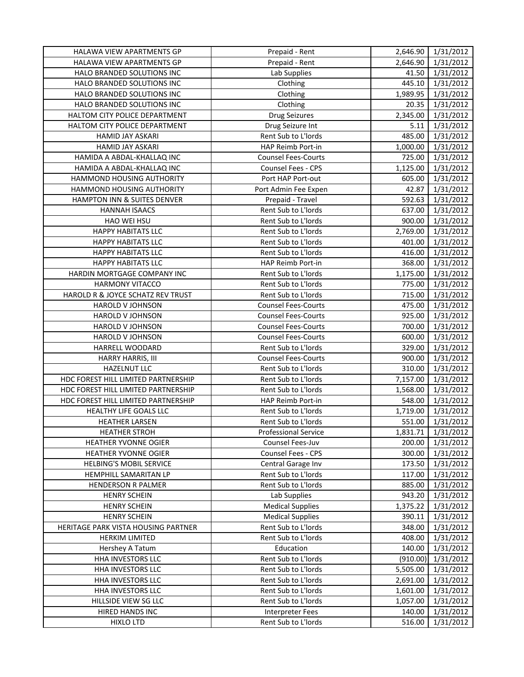| HALAWA VIEW APARTMENTS GP           | Prepaid - Rent              |          | 2,646.90 1/31/2012 |
|-------------------------------------|-----------------------------|----------|--------------------|
| HALAWA VIEW APARTMENTS GP           | Prepaid - Rent              | 2,646.90 | 1/31/2012          |
| HALO BRANDED SOLUTIONS INC          | Lab Supplies                | 41.50    | 1/31/2012          |
| HALO BRANDED SOLUTIONS INC          | Clothing                    | 445.10   | 1/31/2012          |
| HALO BRANDED SOLUTIONS INC          | Clothing                    | 1,989.95 | 1/31/2012          |
| HALO BRANDED SOLUTIONS INC          | Clothing                    | 20.35    | 1/31/2012          |
| HALTOM CITY POLICE DEPARTMENT       | <b>Drug Seizures</b>        | 2,345.00 | 1/31/2012          |
| HALTOM CITY POLICE DEPARTMENT       | Drug Seizure Int            | 5.11     | 1/31/2012          |
| HAMID JAY ASKARI                    | Rent Sub to L'Iords         | 485.00   | 1/31/2012          |
| HAMID JAY ASKARI                    | HAP Reimb Port-in           | 1,000.00 | 1/31/2012          |
| HAMIDA A ABDAL-KHALLAQ INC          | <b>Counsel Fees-Courts</b>  | 725.00   | 1/31/2012          |
| HAMIDA A ABDAL-KHALLAQ INC          | Counsel Fees - CPS          | 1,125.00 | 1/31/2012          |
| HAMMOND HOUSING AUTHORITY           | Port HAP Port-out           | 605.00   | 1/31/2012          |
| HAMMOND HOUSING AUTHORITY           | Port Admin Fee Expen        | 42.87    | 1/31/2012          |
| HAMPTON INN & SUITES DENVER         | Prepaid - Travel            | 592.63   | 1/31/2012          |
| <b>HANNAH ISAACS</b>                | Rent Sub to L'Iords         | 637.00   | 1/31/2012          |
| HAO WEI HSU                         | Rent Sub to L'Iords         | 900.00   | 1/31/2012          |
| <b>HAPPY HABITATS LLC</b>           | Rent Sub to L'Iords         | 2,769.00 | 1/31/2012          |
| <b>HAPPY HABITATS LLC</b>           | Rent Sub to L'Iords         | 401.00   | 1/31/2012          |
| <b>HAPPY HABITATS LLC</b>           | Rent Sub to L'Iords         | 416.00   | 1/31/2012          |
| <b>HAPPY HABITATS LLC</b>           | HAP Reimb Port-in           | 368.00   | 1/31/2012          |
| HARDIN MORTGAGE COMPANY INC         | Rent Sub to L'Iords         | 1,175.00 | 1/31/2012          |
| <b>HARMONY VITACCO</b>              | Rent Sub to L'Iords         | 775.00   | 1/31/2012          |
| HAROLD R & JOYCE SCHATZ REV TRUST   | Rent Sub to L'Iords         | 715.00   | 1/31/2012          |
| HAROLD V JOHNSON                    | <b>Counsel Fees-Courts</b>  | 475.00   | 1/31/2012          |
| HAROLD V JOHNSON                    | <b>Counsel Fees-Courts</b>  | 925.00   | 1/31/2012          |
| HAROLD V JOHNSON                    | <b>Counsel Fees-Courts</b>  | 700.00   | 1/31/2012          |
| HAROLD V JOHNSON                    | <b>Counsel Fees-Courts</b>  | 600.00   | 1/31/2012          |
| HARRELL WOODARD                     | Rent Sub to L'Iords         | 329.00   | 1/31/2012          |
| HARRY HARRIS, III                   | <b>Counsel Fees-Courts</b>  | 900.00   | 1/31/2012          |
| <b>HAZELNUT LLC</b>                 | Rent Sub to L'Iords         | 310.00   | 1/31/2012          |
| HDC FOREST HILL LIMITED PARTNERSHIP | Rent Sub to L'Iords         | 7,157.00 | 1/31/2012          |
| HDC FOREST HILL LIMITED PARTNERSHIP | Rent Sub to L'Iords         | 1,568.00 | 1/31/2012          |
| HDC FOREST HILL LIMITED PARTNERSHIP | HAP Reimb Port-in           | 548.00   | 1/31/2012          |
| HEALTHY LIFE GOALS LLC              | Rent Sub to L'Iords         | 1,719.00 | 1/31/2012          |
| <b>HEATHER LARSEN</b>               | Rent Sub to L'Iords         | 551.00   | 1/31/2012          |
| <b>HEATHER STROH</b>                | <b>Professional Service</b> | 1,831.71 | 1/31/2012          |
| HEATHER YVONNE OGIER                | Counsel Fees-Juv            | 200.00   | 1/31/2012          |
| HEATHER YVONNE OGIER                | Counsel Fees - CPS          | 300.00   | 1/31/2012          |
| <b>HELBING'S MOBIL SERVICE</b>      | Central Garage Inv          | 173.50   | 1/31/2012          |
| HEMPHILL SAMARITAN LP               | Rent Sub to L'Iords         | 117.00   | 1/31/2012          |
| <b>HENDERSON R PALMER</b>           | Rent Sub to L'Iords         | 885.00   | 1/31/2012          |
| <b>HENRY SCHEIN</b>                 | Lab Supplies                | 943.20   | 1/31/2012          |
| <b>HENRY SCHEIN</b>                 | <b>Medical Supplies</b>     | 1,375.22 | 1/31/2012          |
| <b>HENRY SCHEIN</b>                 | <b>Medical Supplies</b>     | 390.11   | 1/31/2012          |
| HERITAGE PARK VISTA HOUSING PARTNER | Rent Sub to L'Iords         | 348.00   | 1/31/2012          |
| <b>HERKIM LIMITED</b>               | Rent Sub to L'Iords         | 408.00   | 1/31/2012          |
| Hershey A Tatum                     | Education                   | 140.00   | 1/31/2012          |
| HHA INVESTORS LLC                   | Rent Sub to L'Iords         | (910.00) | 1/31/2012          |
| HHA INVESTORS LLC                   | Rent Sub to L'Iords         | 5,505.00 | 1/31/2012          |
| HHA INVESTORS LLC                   | Rent Sub to L'Iords         | 2,691.00 | 1/31/2012          |
| HHA INVESTORS LLC                   | Rent Sub to L'Iords         | 1,601.00 | 1/31/2012          |
| HILLSIDE VIEW SG LLC                | Rent Sub to L'Iords         | 1,057.00 | 1/31/2012          |
| HIRED HANDS INC                     | Interpreter Fees            | 140.00   | 1/31/2012          |
| <b>HIXLO LTD</b>                    | Rent Sub to L'Iords         | 516.00   | 1/31/2012          |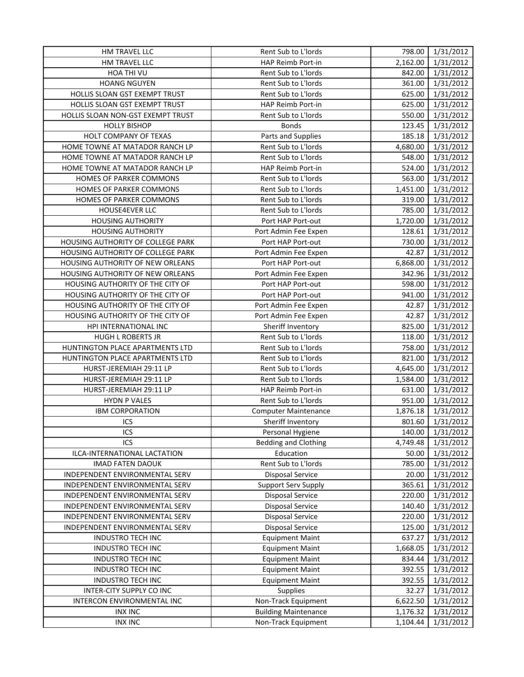| HM TRAVEL LLC                            | <b>Rent Sub to L'Iords</b>  | 798.00   | 1/31/2012 |
|------------------------------------------|-----------------------------|----------|-----------|
| HM TRAVEL LLC                            | HAP Reimb Port-in           | 2,162.00 | 1/31/2012 |
| HOA THI VU                               | Rent Sub to L'Iords         | 842.00   | 1/31/2012 |
| <b>HOANG NGUYEN</b>                      | Rent Sub to L'Iords         | 361.00   | 1/31/2012 |
| HOLLIS SLOAN GST EXEMPT TRUST            | Rent Sub to L'Iords         | 625.00   | 1/31/2012 |
| HOLLIS SLOAN GST EXEMPT TRUST            | HAP Reimb Port-in           | 625.00   | 1/31/2012 |
| HOLLIS SLOAN NON-GST EXEMPT TRUST        | Rent Sub to L'Iords         | 550.00   | 1/31/2012 |
| <b>HOLLY BISHOP</b>                      | <b>Bonds</b>                | 123.45   | 1/31/2012 |
| HOLT COMPANY OF TEXAS                    | Parts and Supplies          | 185.18   | 1/31/2012 |
| HOME TOWNE AT MATADOR RANCH LP           | Rent Sub to L'Iords         | 4,680.00 | 1/31/2012 |
| HOME TOWNE AT MATADOR RANCH LP           | Rent Sub to L'Iords         | 548.00   | 1/31/2012 |
| HOME TOWNE AT MATADOR RANCH LP           | HAP Reimb Port-in           | 524.00   | 1/31/2012 |
| HOMES OF PARKER COMMONS                  | Rent Sub to L'Iords         | 563.00   | 1/31/2012 |
| HOMES OF PARKER COMMONS                  | Rent Sub to L'Iords         | 1,451.00 | 1/31/2012 |
| HOMES OF PARKER COMMONS                  | Rent Sub to L'Iords         | 319.00   | 1/31/2012 |
| HOUSE4EVER LLC                           | Rent Sub to L'Iords         | 785.00   | 1/31/2012 |
| <b>HOUSING AUTHORITY</b>                 | Port HAP Port-out           | 1,720.00 | 1/31/2012 |
| <b>HOUSING AUTHORITY</b>                 | Port Admin Fee Expen        | 128.61   | 1/31/2012 |
| HOUSING AUTHORITY OF COLLEGE PARK        | Port HAP Port-out           | 730.00   | 1/31/2012 |
| <b>HOUSING AUTHORITY OF COLLEGE PARK</b> | Port Admin Fee Expen        | 42.87    | 1/31/2012 |
| HOUSING AUTHORITY OF NEW ORLEANS         | Port HAP Port-out           | 6,868.00 | 1/31/2012 |
| HOUSING AUTHORITY OF NEW ORLEANS         | Port Admin Fee Expen        | 342.96   | 1/31/2012 |
| HOUSING AUTHORITY OF THE CITY OF         | Port HAP Port-out           | 598.00   | 1/31/2012 |
| HOUSING AUTHORITY OF THE CITY OF         | Port HAP Port-out           | 941.00   | 1/31/2012 |
| HOUSING AUTHORITY OF THE CITY OF         | Port Admin Fee Expen        | 42.87    | 1/31/2012 |
| HOUSING AUTHORITY OF THE CITY OF         | Port Admin Fee Expen        | 42.87    | 1/31/2012 |
| HPI INTERNATIONAL INC                    | Sheriff Inventory           | 825.00   | 1/31/2012 |
| <b>HUGH L ROBERTS JR</b>                 | Rent Sub to L'Iords         | 118.00   | 1/31/2012 |
| HUNTINGTON PLACE APARTMENTS LTD          | Rent Sub to L'Iords         | 758.00   | 1/31/2012 |
| HUNTINGTON PLACE APARTMENTS LTD          | Rent Sub to L'Iords         | 821.00   | 1/31/2012 |
| HURST-JEREMIAH 29:11 LP                  | Rent Sub to L'Iords         | 4,645.00 | 1/31/2012 |
| HURST-JEREMIAH 29:11 LP                  | Rent Sub to L'Iords         | 1,584.00 | 1/31/2012 |
| HURST-JEREMIAH 29:11 LP                  | <b>HAP Reimb Port-in</b>    | 631.00   | 1/31/2012 |
| <b>HYDN P VALES</b>                      | Rent Sub to L'Iords         | 951.00   | 1/31/2012 |
| <b>IBM CORPORATION</b>                   | <b>Computer Maintenance</b> | 1,876.18 | 1/31/2012 |
| ICS                                      | Sheriff Inventory           | 801.60   | 1/31/2012 |
| ICS                                      | Personal Hygiene            | 140.00   | 1/31/2012 |
| ICS                                      | <b>Bedding and Clothing</b> | 4,749.48 | 1/31/2012 |
| ILCA-INTERNATIONAL LACTATION             | Education                   | 50.00    | 1/31/2012 |
| <b>IMAD FATEN DAOUK</b>                  | Rent Sub to L'Iords         | 785.00   | 1/31/2012 |
| INDEPENDENT ENVIRONMENTAL SERV           | <b>Disposal Service</b>     | 20.00    | 1/31/2012 |
| INDEPENDENT ENVIRONMENTAL SERV           | <b>Support Serv Supply</b>  | 365.61   | 1/31/2012 |
| INDEPENDENT ENVIRONMENTAL SERV           | <b>Disposal Service</b>     | 220.00   | 1/31/2012 |
| INDEPENDENT ENVIRONMENTAL SERV           | <b>Disposal Service</b>     | 140.40   | 1/31/2012 |
| INDEPENDENT ENVIRONMENTAL SERV           | <b>Disposal Service</b>     | 220.00   | 1/31/2012 |
| INDEPENDENT ENVIRONMENTAL SERV           | <b>Disposal Service</b>     | 125.00   | 1/31/2012 |
| <b>INDUSTRO TECH INC</b>                 | <b>Equipment Maint</b>      | 637.27   | 1/31/2012 |
| <b>INDUSTRO TECH INC</b>                 | <b>Equipment Maint</b>      | 1,668.05 | 1/31/2012 |
| <b>INDUSTRO TECH INC</b>                 | <b>Equipment Maint</b>      | 834.44   | 1/31/2012 |
| <b>INDUSTRO TECH INC</b>                 | <b>Equipment Maint</b>      | 392.55   | 1/31/2012 |
| <b>INDUSTRO TECH INC</b>                 | <b>Equipment Maint</b>      | 392.55   | 1/31/2012 |
| INTER-CITY SUPPLY CO INC                 | <b>Supplies</b>             | 32.27    | 1/31/2012 |
| INTERCON ENVIRONMENTAL INC               | Non-Track Equipment         | 6,622.50 | 1/31/2012 |
| <b>INX INC</b>                           | <b>Building Maintenance</b> | 1,176.32 | 1/31/2012 |
| <b>INX INC</b>                           | Non-Track Equipment         | 1,104.44 | 1/31/2012 |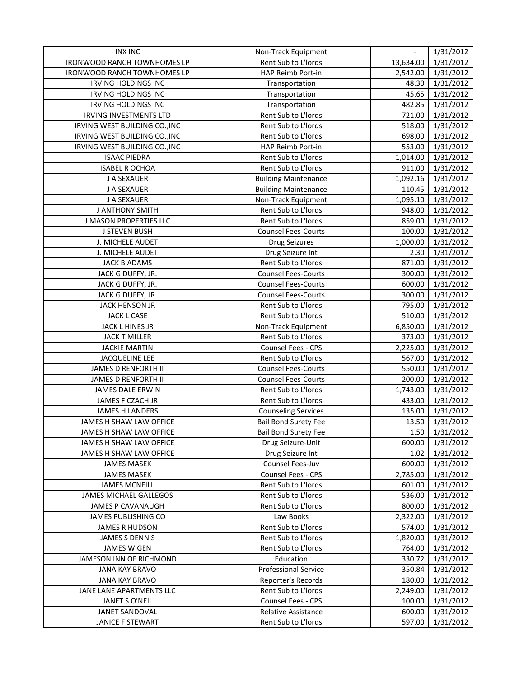| <b>INX INC</b>                | Non-Track Equipment         | $\blacksquare$ | 1/31/2012 |
|-------------------------------|-----------------------------|----------------|-----------|
| IRONWOOD RANCH TOWNHOMES LP   | Rent Sub to L'Iords         | 13,634.00      | 1/31/2012 |
| IRONWOOD RANCH TOWNHOMES LP   | HAP Reimb Port-in           | 2,542.00       | 1/31/2012 |
| IRVING HOLDINGS INC           | Transportation              | 48.30          | 1/31/2012 |
| <b>IRVING HOLDINGS INC</b>    | Transportation              | 45.65          | 1/31/2012 |
| <b>IRVING HOLDINGS INC</b>    | Transportation              | 482.85         | 1/31/2012 |
| <b>IRVING INVESTMENTS LTD</b> | Rent Sub to L'Iords         | 721.00         | 1/31/2012 |
| IRVING WEST BUILDING CO., INC | Rent Sub to L'Iords         | 518.00         | 1/31/2012 |
| IRVING WEST BUILDING CO., INC | Rent Sub to L'Iords         | 698.00         | 1/31/2012 |
| IRVING WEST BUILDING CO., INC | HAP Reimb Port-in           | 553.00         | 1/31/2012 |
| <b>ISAAC PIEDRA</b>           | Rent Sub to L'Iords         | 1,014.00       | 1/31/2012 |
| <b>ISABEL R OCHOA</b>         | Rent Sub to L'Iords         | 911.00         | 1/31/2012 |
| J A SEXAUER                   | <b>Building Maintenance</b> | 1,092.16       | 1/31/2012 |
| J A SEXAUER                   | <b>Building Maintenance</b> | 110.45         | 1/31/2012 |
| J A SEXAUER                   | Non-Track Equipment         | 1,095.10       | 1/31/2012 |
| <b>J ANTHONY SMITH</b>        | Rent Sub to L'Iords         | 948.00         | 1/31/2012 |
| <b>J MASON PROPERTIES LLC</b> | Rent Sub to L'Iords         | 859.00         | 1/31/2012 |
| <b>J STEVEN BUSH</b>          | <b>Counsel Fees-Courts</b>  | 100.00         | 1/31/2012 |
| J. MICHELE AUDET              | Drug Seizures               | 1,000.00       | 1/31/2012 |
| J. MICHELE AUDET              | Drug Seizure Int            | 2.30           | 1/31/2012 |
| <b>JACK B ADAMS</b>           | Rent Sub to L'Iords         | 871.00         | 1/31/2012 |
| JACK G DUFFY, JR.             | <b>Counsel Fees-Courts</b>  | 300.00         | 1/31/2012 |
| JACK G DUFFY, JR.             | <b>Counsel Fees-Courts</b>  | 600.00         | 1/31/2012 |
| JACK G DUFFY, JR.             | <b>Counsel Fees-Courts</b>  | 300.00         | 1/31/2012 |
| <b>JACK HENSON JR</b>         | Rent Sub to L'Iords         | 795.00         | 1/31/2012 |
| JACK L CASE                   | Rent Sub to L'Iords         | 510.00         | 1/31/2012 |
| JACK L HINES JR               | Non-Track Equipment         | 6,850.00       | 1/31/2012 |
| <b>JACK T MILLER</b>          | Rent Sub to L'Iords         | 373.00         | 1/31/2012 |
| <b>JACKIE MARTIN</b>          | Counsel Fees - CPS          | 2,225.00       | 1/31/2012 |
| <b>JACQUELINE LEE</b>         | Rent Sub to L'Iords         | 567.00         | 1/31/2012 |
| JAMES D RENFORTH II           | <b>Counsel Fees-Courts</b>  | 550.00         | 1/31/2012 |
| JAMES D RENFORTH II           | <b>Counsel Fees-Courts</b>  | 200.00         | 1/31/2012 |
| <b>JAMES DALE ERWIN</b>       | Rent Sub to L'Iords         | 1,743.00       | 1/31/2012 |
| JAMES F CZACH JR              | Rent Sub to L'Iords         | 433.00         | 1/31/2012 |
| <b>JAMES H LANDERS</b>        | <b>Counseling Services</b>  | 135.00         | 1/31/2012 |
| JAMES H SHAW LAW OFFICE       | <b>Bail Bond Surety Fee</b> | 13.50          | 1/31/2012 |
| JAMES H SHAW LAW OFFICE       | <b>Bail Bond Surety Fee</b> | 1.50           | 1/31/2012 |
| JAMES H SHAW LAW OFFICE       | Drug Seizure-Unit           | 600.00         | 1/31/2012 |
| JAMES H SHAW LAW OFFICE       | Drug Seizure Int            | 1.02           | 1/31/2012 |
| <b>JAMES MASEK</b>            | Counsel Fees-Juv            | 600.00         | 1/31/2012 |
| <b>JAMES MASEK</b>            | Counsel Fees - CPS          | 2,785.00       | 1/31/2012 |
| <b>JAMES MCNEILL</b>          | Rent Sub to L'Iords         | 601.00         | 1/31/2012 |
| <b>JAMES MICHAEL GALLEGOS</b> | Rent Sub to L'Iords         | 536.00         | 1/31/2012 |
| <b>JAMES P CAVANAUGH</b>      | Rent Sub to L'Iords         | 800.00         | 1/31/2012 |
| JAMES PUBLISHING CO           | Law Books                   | 2,322.00       | 1/31/2012 |
| <b>JAMES R HUDSON</b>         | Rent Sub to L'Iords         | 574.00         | 1/31/2012 |
| <b>JAMES S DENNIS</b>         | Rent Sub to L'Iords         | 1,820.00       | 1/31/2012 |
| <b>JAMES WIGEN</b>            | Rent Sub to L'Iords         | 764.00         | 1/31/2012 |
| JAMESON INN OF RICHMOND       | Education                   | 330.72         | 1/31/2012 |
| <b>JANA KAY BRAVO</b>         | <b>Professional Service</b> | 350.84         | 1/31/2012 |
| <b>JANA KAY BRAVO</b>         | Reporter's Records          | 180.00         | 1/31/2012 |
| JANE LANE APARTMENTS LLC      | Rent Sub to L'Iords         | 2,249.00       | 1/31/2012 |
| JANET S O'NEIL                | Counsel Fees - CPS          | 100.00         | 1/31/2012 |
| JANET SANDOVAL                | Relative Assistance         | 600.00         | 1/31/2012 |
| JANICE F STEWART              | Rent Sub to L'Iords         | 597.00         | 1/31/2012 |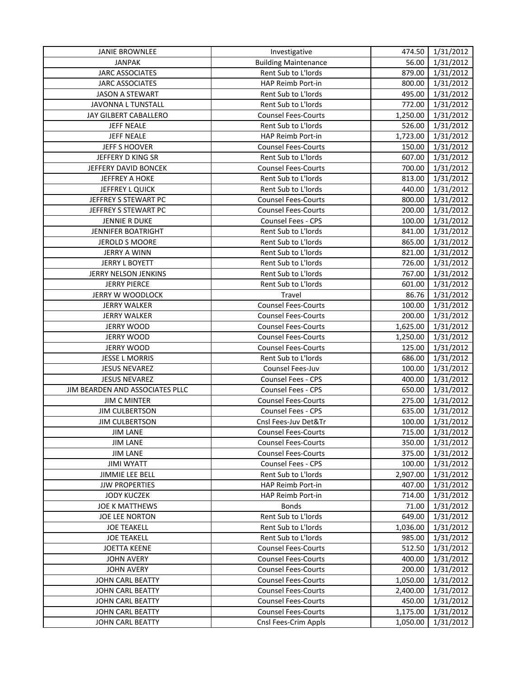| <b>JANIE BROWNLEE</b>           | Investigative               | 474.50             | 1/31/2012 |
|---------------------------------|-----------------------------|--------------------|-----------|
| <b>JANPAK</b>                   | <b>Building Maintenance</b> | 56.00              | 1/31/2012 |
| <b>JARC ASSOCIATES</b>          | Rent Sub to L'Iords         | 879.00             | 1/31/2012 |
| <b>JARC ASSOCIATES</b>          | HAP Reimb Port-in           | 800.00             | 1/31/2012 |
| <b>JASON A STEWART</b>          | Rent Sub to L'Iords         | 495.00             | 1/31/2012 |
| JAVONNA L TUNSTALL              | Rent Sub to L'Iords         | 772.00             | 1/31/2012 |
| JAY GILBERT CABALLERO           | <b>Counsel Fees-Courts</b>  | 1,250.00           | 1/31/2012 |
| <b>JEFF NEALE</b>               | Rent Sub to L'Iords         | 526.00             | 1/31/2012 |
| <b>JEFF NEALE</b>               | HAP Reimb Port-in           | 1,723.00           | 1/31/2012 |
| <b>JEFF S HOOVER</b>            | <b>Counsel Fees-Courts</b>  | 150.00             | 1/31/2012 |
| JEFFERY D KING SR               | Rent Sub to L'Iords         | 607.00             | 1/31/2012 |
| JEFFERY DAVID BONCEK            | <b>Counsel Fees-Courts</b>  | 700.00             | 1/31/2012 |
| <b>JEFFREY A HOKE</b>           | Rent Sub to L'Iords         | 813.00             | 1/31/2012 |
| JEFFREY L QUICK                 | Rent Sub to L'Iords         | 440.00             | 1/31/2012 |
| JEFFREY S STEWART PC            | <b>Counsel Fees-Courts</b>  | 800.00             | 1/31/2012 |
| JEFFREY S STEWART PC            | <b>Counsel Fees-Courts</b>  | 200.00             | 1/31/2012 |
| <b>JENNIE R DUKE</b>            | Counsel Fees - CPS          | 100.00             | 1/31/2012 |
| <b>JENNIFER BOATRIGHT</b>       | Rent Sub to L'Iords         | 841.00             | 1/31/2012 |
| <b>JEROLD S MOORE</b>           | Rent Sub to L'Iords         | 865.00             | 1/31/2012 |
| <b>JERRY A WINN</b>             | Rent Sub to L'Iords         | 821.00             | 1/31/2012 |
| <b>JERRY L BOYETT</b>           | Rent Sub to L'Iords         | 726.00             | 1/31/2012 |
| JERRY NELSON JENKINS            | Rent Sub to L'Iords         | 767.00             | 1/31/2012 |
| <b>JERRY PIERCE</b>             | Rent Sub to L'Iords         | 601.00             | 1/31/2012 |
| JERRY W WOODLOCK                | Travel                      | 86.76              | 1/31/2012 |
| <b>JERRY WALKER</b>             | <b>Counsel Fees-Courts</b>  | 100.00             | 1/31/2012 |
| <b>JERRY WALKER</b>             | <b>Counsel Fees-Courts</b>  | 200.00             | 1/31/2012 |
| <b>JERRY WOOD</b>               | <b>Counsel Fees-Courts</b>  | 1,625.00           | 1/31/2012 |
| <b>JERRY WOOD</b>               | <b>Counsel Fees-Courts</b>  | 1,250.00           | 1/31/2012 |
| <b>JERRY WOOD</b>               | <b>Counsel Fees-Courts</b>  | 125.00             | 1/31/2012 |
| <b>JESSE L MORRIS</b>           | Rent Sub to L'Iords         | 686.00             | 1/31/2012 |
| <b>JESUS NEVAREZ</b>            | Counsel Fees-Juv            | 100.00             | 1/31/2012 |
| <b>JESUS NEVAREZ</b>            | Counsel Fees - CPS          | 400.00             | 1/31/2012 |
| JIM BEARDEN AND ASSOCIATES PLLC | Counsel Fees - CPS          | 650.00             | 1/31/2012 |
| <b>JIM C MINTER</b>             | <b>Counsel Fees-Courts</b>  | 275.00             | 1/31/2012 |
| <b>JIM CULBERTSON</b>           | Counsel Fees - CPS          | 635.00             | 1/31/2012 |
| <b>JIM CULBERTSON</b>           | Cnsl Fees-Juv Det&Tr        | 100.00             | 1/31/2012 |
| JIM LANE                        | <b>Counsel Fees-Courts</b>  | 715.00 I           | 1/31/2012 |
| <b>JIM LANE</b>                 | <b>Counsel Fees-Courts</b>  | 350.00             | 1/31/2012 |
| <b>JIM LANE</b>                 | <b>Counsel Fees-Courts</b>  | 375.00             | 1/31/2012 |
| <b>JIMI WYATT</b>               | Counsel Fees - CPS          | 100.00             | 1/31/2012 |
| <b>JIMMIE LEE BELL</b>          | Rent Sub to L'Iords         | 2,907.00           | 1/31/2012 |
| <b>JJW PROPERTIES</b>           | HAP Reimb Port-in           |                    |           |
| <b>JODY KUCZEK</b>              | <b>HAP Reimb Port-in</b>    | 407.00             | 1/31/2012 |
| <b>JOE K MATTHEWS</b>           | <b>Bonds</b>                | 714.00             | 1/31/2012 |
| <b>JOE LEE NORTON</b>           | Rent Sub to L'Iords         | 71.00              | 1/31/2012 |
|                                 |                             | 649.00<br>1,036.00 | 1/31/2012 |
| <b>JOE TEAKELL</b>              | Rent Sub to L'Iords         |                    | 1/31/2012 |
| <b>JOE TEAKELL</b>              | Rent Sub to L'Iords         | 985.00             | 1/31/2012 |
| <b>JOETTA KEENE</b>             | <b>Counsel Fees-Courts</b>  | 512.50             | 1/31/2012 |
| <b>JOHN AVERY</b>               | <b>Counsel Fees-Courts</b>  | 400.00             | 1/31/2012 |
| <b>JOHN AVERY</b>               | <b>Counsel Fees-Courts</b>  | 200.00             | 1/31/2012 |
| JOHN CARL BEATTY                | <b>Counsel Fees-Courts</b>  | 1,050.00           | 1/31/2012 |
| JOHN CARL BEATTY                | <b>Counsel Fees-Courts</b>  | 2,400.00           | 1/31/2012 |
| JOHN CARL BEATTY                | <b>Counsel Fees-Courts</b>  | 450.00             | 1/31/2012 |
| JOHN CARL BEATTY                | <b>Counsel Fees-Courts</b>  | 1,175.00           | 1/31/2012 |
| JOHN CARL BEATTY                | Cnsl Fees-Crim Appls        | 1,050.00           | 1/31/2012 |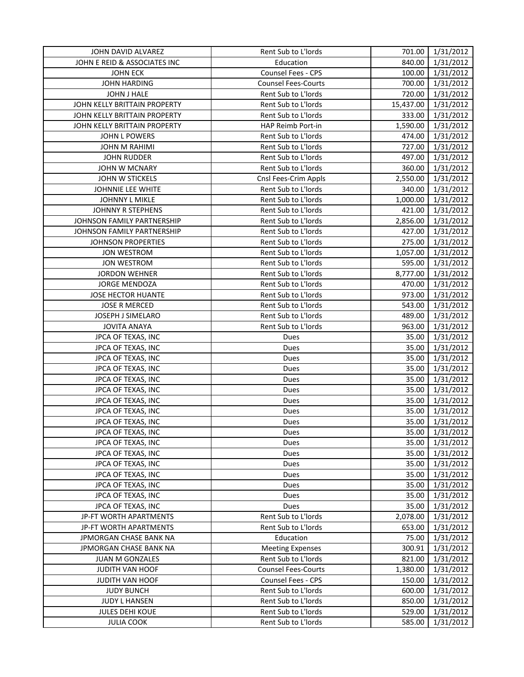| JOHN DAVID ALVAREZ           | Rent Sub to L'Iords        | 701.00    | 1/31/2012 |
|------------------------------|----------------------------|-----------|-----------|
| JOHN E REID & ASSOCIATES INC | Education                  | 840.00    | 1/31/2012 |
| <b>JOHN ECK</b>              | Counsel Fees - CPS         | 100.00    | 1/31/2012 |
| <b>JOHN HARDING</b>          | <b>Counsel Fees-Courts</b> | 700.00    | 1/31/2012 |
| JOHN J HALE                  | Rent Sub to L'Iords        | 720.00    | 1/31/2012 |
| JOHN KELLY BRITTAIN PROPERTY | Rent Sub to L'Iords        | 15,437.00 | 1/31/2012 |
| JOHN KELLY BRITTAIN PROPERTY | Rent Sub to L'Iords        | 333.00    | 1/31/2012 |
| JOHN KELLY BRITTAIN PROPERTY | HAP Reimb Port-in          | 1,590.00  | 1/31/2012 |
| JOHN L POWERS                | Rent Sub to L'Iords        | 474.00    | 1/31/2012 |
| <b>JOHN M RAHIMI</b>         | Rent Sub to L'Iords        | 727.00    | 1/31/2012 |
| <b>JOHN RUDDER</b>           | Rent Sub to L'Iords        | 497.00    | 1/31/2012 |
| JOHN W MCNARY                | Rent Sub to L'Iords        | 360.00    | 1/31/2012 |
| JOHN W STICKELS              | Cnsl Fees-Crim Appls       | 2,550.00  | 1/31/2012 |
| JOHNNIE LEE WHITE            | Rent Sub to L'Iords        | 340.00    | 1/31/2012 |
| JOHNNY L MIKLE               | Rent Sub to L'Iords        | 1,000.00  | 1/31/2012 |
| <b>JOHNNY R STEPHENS</b>     | Rent Sub to L'Iords        | 421.00    | 1/31/2012 |
| JOHNSON FAMILY PARTNERSHIP   | Rent Sub to L'Iords        | 2,856.00  | 1/31/2012 |
| JOHNSON FAMILY PARTNERSHIP   | Rent Sub to L'Iords        | 427.00    | 1/31/2012 |
| <b>JOHNSON PROPERTIES</b>    | Rent Sub to L'Iords        | 275.00    | 1/31/2012 |
| <b>JON WESTROM</b>           | Rent Sub to L'Iords        | 1,057.00  | 1/31/2012 |
| <b>JON WESTROM</b>           | Rent Sub to L'Iords        | 595.00    | 1/31/2012 |
| <b>JORDON WEHNER</b>         | Rent Sub to L'Iords        | 8,777.00  | 1/31/2012 |
| JORGE MENDOZA                | Rent Sub to L'Iords        | 470.00    | 1/31/2012 |
| <b>JOSE HECTOR HUANTE</b>    | Rent Sub to L'Iords        | 973.00    | 1/31/2012 |
| <b>JOSE R MERCED</b>         | Rent Sub to L'Iords        | 543.00    | 1/31/2012 |
| JOSEPH J SIMELARO            | Rent Sub to L'Iords        | 489.00    | 1/31/2012 |
| <b>JOVITA ANAYA</b>          | Rent Sub to L'Iords        | 963.00    | 1/31/2012 |
| JPCA OF TEXAS, INC           | Dues                       | 35.00     | 1/31/2012 |
| JPCA OF TEXAS, INC           | Dues                       | 35.00     | 1/31/2012 |
| JPCA OF TEXAS, INC           | Dues                       | 35.00     | 1/31/2012 |
| JPCA OF TEXAS, INC           | Dues                       | 35.00     | 1/31/2012 |
| JPCA OF TEXAS, INC           | Dues                       | 35.00     | 1/31/2012 |
| JPCA OF TEXAS, INC           | Dues                       | 35.00     | 1/31/2012 |
| JPCA OF TEXAS, INC           | Dues                       | 35.00     | 1/31/2012 |
| JPCA OF TEXAS, INC           | Dues                       | 35.00     | 1/31/2012 |
| JPCA OF TEXAS, INC           | Dues                       | 35.00     | 1/31/2012 |
| JPCA OF TEXAS, INC           | Dues                       | 35.00     | 1/31/2012 |
| JPCA OF TEXAS, INC           | Dues                       | 35.00     | 1/31/2012 |
| JPCA OF TEXAS, INC           | Dues                       | 35.00     | 1/31/2012 |
| JPCA OF TEXAS, INC           | Dues                       | 35.00     | 1/31/2012 |
| JPCA OF TEXAS, INC           | Dues                       | 35.00     | 1/31/2012 |
| JPCA OF TEXAS, INC           | Dues                       | 35.00     | 1/31/2012 |
| JPCA OF TEXAS, INC           | Dues                       | 35.00     | 1/31/2012 |
| JPCA OF TEXAS, INC           | Dues                       | 35.00     | 1/31/2012 |
| JP-FT WORTH APARTMENTS       | Rent Sub to L'Iords        | 2,078.00  | 1/31/2012 |
| JP-FT WORTH APARTMENTS       | Rent Sub to L'Iords        | 653.00    | 1/31/2012 |
| JPMORGAN CHASE BANK NA       | Education                  | 75.00     | 1/31/2012 |
| JPMORGAN CHASE BANK NA       | <b>Meeting Expenses</b>    | 300.91    | 1/31/2012 |
| <b>JUAN M GONZALES</b>       | Rent Sub to L'Iords        | 821.00    | 1/31/2012 |
| JUDITH VAN HOOF              | <b>Counsel Fees-Courts</b> | 1,380.00  | 1/31/2012 |
| JUDITH VAN HOOF              | Counsel Fees - CPS         | 150.00    | 1/31/2012 |
| <b>JUDY BUNCH</b>            | Rent Sub to L'Iords        | 600.00    | 1/31/2012 |
| <b>JUDY L HANSEN</b>         | Rent Sub to L'Iords        | 850.00    | 1/31/2012 |
| <b>JULES DEHI KOUE</b>       | Rent Sub to L'Iords        | 529.00    | 1/31/2012 |
| <b>JULIA COOK</b>            | Rent Sub to L'Iords        | 585.00    | 1/31/2012 |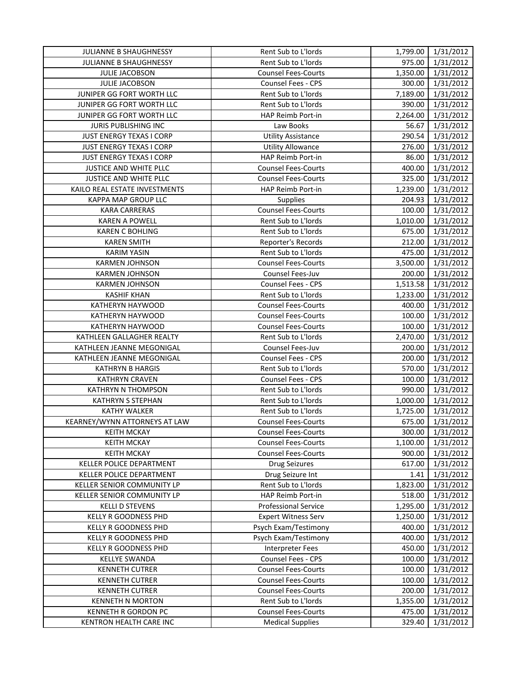| JULIANNE B SHAUGHNESSY          | Rent Sub to L'Iords         |          | 1,799.00 1/31/2012 |
|---------------------------------|-----------------------------|----------|--------------------|
| JULIANNE B SHAUGHNESSY          | Rent Sub to L'Iords         | 975.00   | 1/31/2012          |
| JULIE JACOBSON                  | <b>Counsel Fees-Courts</b>  | 1,350.00 | 1/31/2012          |
| JULIE JACOBSON                  | Counsel Fees - CPS          | 300.00   | 1/31/2012          |
| JUNIPER GG FORT WORTH LLC       | Rent Sub to L'Iords         | 7,189.00 | 1/31/2012          |
| JUNIPER GG FORT WORTH LLC       | Rent Sub to L'Iords         | 390.00   | 1/31/2012          |
| JUNIPER GG FORT WORTH LLC       | HAP Reimb Port-in           | 2,264.00 | 1/31/2012          |
| JURIS PUBLISHING INC            | Law Books                   | 56.67    | 1/31/2012          |
| <b>JUST ENERGY TEXAS I CORP</b> | <b>Utility Assistance</b>   | 290.54   | 1/31/2012          |
| JUST ENERGY TEXAS I CORP        | <b>Utility Allowance</b>    | 276.00   | 1/31/2012          |
| <b>JUST ENERGY TEXAS I CORP</b> | HAP Reimb Port-in           | 86.00    | 1/31/2012          |
| JUSTICE AND WHITE PLLC          | <b>Counsel Fees-Courts</b>  | 400.00   | 1/31/2012          |
| JUSTICE AND WHITE PLLC          | <b>Counsel Fees-Courts</b>  | 325.00   | 1/31/2012          |
| KAILO REAL ESTATE INVESTMENTS   | HAP Reimb Port-in           | 1,239.00 | 1/31/2012          |
| KAPPA MAP GROUP LLC             | <b>Supplies</b>             | 204.93   | 1/31/2012          |
| <b>KARA CARRERAS</b>            | <b>Counsel Fees-Courts</b>  | 100.00   | 1/31/2012          |
| <b>KAREN A POWELL</b>           | Rent Sub to L'Iords         | 1,010.00 | 1/31/2012          |
| <b>KAREN C BOHLING</b>          | Rent Sub to L'Iords         | 675.00   | 1/31/2012          |
| <b>KAREN SMITH</b>              | Reporter's Records          | 212.00   | 1/31/2012          |
| <b>KARIM YASIN</b>              | Rent Sub to L'Iords         | 475.00   | 1/31/2012          |
| <b>KARMEN JOHNSON</b>           | <b>Counsel Fees-Courts</b>  | 3,500.00 | 1/31/2012          |
| <b>KARMEN JOHNSON</b>           | Counsel Fees-Juv            | 200.00   | 1/31/2012          |
| <b>KARMEN JOHNSON</b>           | Counsel Fees - CPS          | 1,513.58 | 1/31/2012          |
| <b>KASHIF KHAN</b>              | Rent Sub to L'Iords         | 1,233.00 | 1/31/2012          |
| KATHERYN HAYWOOD                | <b>Counsel Fees-Courts</b>  | 400.00   | 1/31/2012          |
| KATHERYN HAYWOOD                | <b>Counsel Fees-Courts</b>  | 100.00   | 1/31/2012          |
| KATHERYN HAYWOOD                | <b>Counsel Fees-Courts</b>  | 100.00   | 1/31/2012          |
| KATHLEEN GALLAGHER REALTY       | Rent Sub to L'Iords         | 2,470.00 | 1/31/2012          |
| KATHLEEN JEANNE MEGONIGAL       | Counsel Fees-Juv            | 200.00   | 1/31/2012          |
| KATHLEEN JEANNE MEGONIGAL       | Counsel Fees - CPS          | 200.00   | 1/31/2012          |
| <b>KATHRYN B HARGIS</b>         | Rent Sub to L'Iords         | 570.00   | 1/31/2012          |
| <b>KATHRYN CRAVEN</b>           | Counsel Fees - CPS          | 100.00   | 1/31/2012          |
| <b>KATHRYN N THOMPSON</b>       | Rent Sub to L'Iords         | 990.00   | 1/31/2012          |
| <b>KATHRYN S STEPHAN</b>        | Rent Sub to L'Iords         | 1,000.00 | 1/31/2012          |
| <b>KATHY WALKER</b>             | Rent Sub to L'Iords         | 1,725.00 | 1/31/2012          |
| KEARNEY/WYNN ATTORNEYS AT LAW   | <b>Counsel Fees-Courts</b>  | 675.00   | 1/31/2012          |
| <b>KEITH MCKAY</b>              | <b>Counsel Fees-Courts</b>  | 300.00   | 1/31/2012          |
| <b>KEITH MCKAY</b>              | <b>Counsel Fees-Courts</b>  | 1,100.00 | 1/31/2012          |
| <b>KEITH MCKAY</b>              | <b>Counsel Fees-Courts</b>  | 900.00   | 1/31/2012          |
| KELLER POLICE DEPARTMENT        | <b>Drug Seizures</b>        | 617.00   | 1/31/2012          |
| KELLER POLICE DEPARTMENT        | Drug Seizure Int            | 1.41     | 1/31/2012          |
| KELLER SENIOR COMMUNITY LP      | Rent Sub to L'Iords         | 1,823.00 | 1/31/2012          |
| KELLER SENIOR COMMUNITY LP      | HAP Reimb Port-in           | 518.00   | 1/31/2012          |
| <b>KELLI D STEVENS</b>          | <b>Professional Service</b> | 1,295.00 | 1/31/2012          |
| <b>KELLY R GOODNESS PHD</b>     | <b>Expert Witness Serv</b>  | 1,250.00 | 1/31/2012          |
| KELLY R GOODNESS PHD            | Psych Exam/Testimony        | 400.00   | 1/31/2012          |
| <b>KELLY R GOODNESS PHD</b>     | Psych Exam/Testimony        | 400.00   | 1/31/2012          |
| <b>KELLY R GOODNESS PHD</b>     | Interpreter Fees            | 450.00   | 1/31/2012          |
| <b>KELLYE SWANDA</b>            | Counsel Fees - CPS          | 100.00   | 1/31/2012          |
| <b>KENNETH CUTRER</b>           | <b>Counsel Fees-Courts</b>  | 100.00   | 1/31/2012          |
| <b>KENNETH CUTRER</b>           | <b>Counsel Fees-Courts</b>  | 100.00   | 1/31/2012          |
| <b>KENNETH CUTRER</b>           | <b>Counsel Fees-Courts</b>  | 200.00   | 1/31/2012          |
| <b>KENNETH N MORTON</b>         | Rent Sub to L'Iords         | 1,355.00 | 1/31/2012          |
| KENNETH R GORDON PC             | <b>Counsel Fees-Courts</b>  | 475.00   | 1/31/2012          |
| KENTRON HEALTH CARE INC         | <b>Medical Supplies</b>     | 329.40   | 1/31/2012          |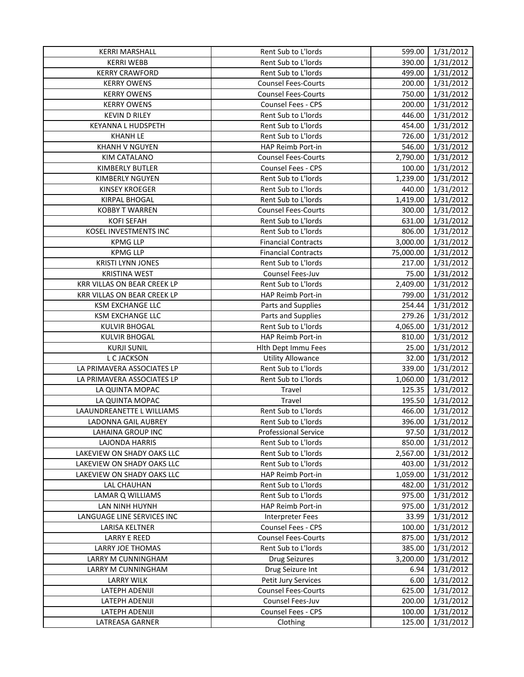| <b>KERRI MARSHALL</b>              | Rent Sub to L'Iords         | 599.00    | 1/31/2012 |
|------------------------------------|-----------------------------|-----------|-----------|
| <b>KERRI WEBB</b>                  | Rent Sub to L'Iords         | 390.00    | 1/31/2012 |
| <b>KERRY CRAWFORD</b>              | Rent Sub to L'Iords         | 499.00    | 1/31/2012 |
| <b>KERRY OWENS</b>                 | <b>Counsel Fees-Courts</b>  | 200.00    | 1/31/2012 |
| <b>KERRY OWENS</b>                 | <b>Counsel Fees-Courts</b>  | 750.00    | 1/31/2012 |
| <b>KERRY OWENS</b>                 | Counsel Fees - CPS          | 200.00    | 1/31/2012 |
| <b>KEVIN D RILEY</b>               | Rent Sub to L'Iords         | 446.00    | 1/31/2012 |
| KEYANNA L HUDSPETH                 | Rent Sub to L'Iords         | 454.00    | 1/31/2012 |
| <b>KHANH LE</b>                    | Rent Sub to L'Iords         | 726.00    | 1/31/2012 |
| <b>KHANH V NGUYEN</b>              | <b>HAP Reimb Port-in</b>    | 546.00    | 1/31/2012 |
| KIM CATALANO                       | <b>Counsel Fees-Courts</b>  | 2,790.00  | 1/31/2012 |
| KIMBERLY BUTLER                    | Counsel Fees - CPS          | 100.00    | 1/31/2012 |
| <b>KIMBERLY NGUYEN</b>             | Rent Sub to L'Iords         | 1,239.00  | 1/31/2012 |
| <b>KINSEY KROEGER</b>              | Rent Sub to L'Iords         | 440.00    | 1/31/2012 |
| <b>KIRPAL BHOGAL</b>               | Rent Sub to L'Iords         | 1,419.00  | 1/31/2012 |
| <b>KOBBY T WARREN</b>              | <b>Counsel Fees-Courts</b>  | 300.00    | 1/31/2012 |
| <b>KOFI SEFAH</b>                  | Rent Sub to L'Iords         | 631.00    | 1/31/2012 |
| KOSEL INVESTMENTS INC              | Rent Sub to L'Iords         | 806.00    | 1/31/2012 |
| <b>KPMG LLP</b>                    | <b>Financial Contracts</b>  | 3,000.00  | 1/31/2012 |
| <b>KPMG LLP</b>                    | <b>Financial Contracts</b>  | 75,000.00 | 1/31/2012 |
| <b>KRISTI LYNN JONES</b>           | Rent Sub to L'Iords         | 217.00    | 1/31/2012 |
| <b>KRISTINA WEST</b>               | Counsel Fees-Juv            | 75.00     | 1/31/2012 |
| <b>KRR VILLAS ON BEAR CREEK LP</b> | Rent Sub to L'Iords         | 2,409.00  | 1/31/2012 |
| <b>KRR VILLAS ON BEAR CREEK LP</b> | HAP Reimb Port-in           | 799.00    | 1/31/2012 |
| KSM EXCHANGE LLC                   | Parts and Supplies          | 254.44    | 1/31/2012 |
| KSM EXCHANGE LLC                   | Parts and Supplies          | 279.26    | 1/31/2012 |
| <b>KULVIR BHOGAL</b>               | Rent Sub to L'Iords         | 4,065.00  | 1/31/2012 |
| <b>KULVIR BHOGAL</b>               | HAP Reimb Port-in           | 810.00    | 1/31/2012 |
| <b>KURJI SUNIL</b>                 | Hith Dept Immu Fees         | 25.00     | 1/31/2012 |
| L C JACKSON                        | <b>Utility Allowance</b>    | 32.00     | 1/31/2012 |
| LA PRIMAVERA ASSOCIATES LP         | Rent Sub to L'Iords         | 339.00    | 1/31/2012 |
| LA PRIMAVERA ASSOCIATES LP         | Rent Sub to L'Iords         | 1,060.00  | 1/31/2012 |
| LA QUINTA MOPAC                    | Travel                      | 125.35    | 1/31/2012 |
| LA QUINTA MOPAC                    | Travel                      | 195.50    | 1/31/2012 |
| LAAUNDREANETTE L WILLIAMS          | Rent Sub to L'Iords         | 466.00    | 1/31/2012 |
| LADONNA GAIL AUBREY                | Rent Sub to L'Iords         | 396.00    | 1/31/2012 |
| LAHAINA GROUP INC                  | <b>Professional Service</b> | 97.50     | 1/31/2012 |
| LAJONDA HARRIS                     | Rent Sub to L'Iords         | 850.00    | 1/31/2012 |
| LAKEVIEW ON SHADY OAKS LLC         | Rent Sub to L'Iords         | 2,567.00  | 1/31/2012 |
| LAKEVIEW ON SHADY OAKS LLC         | Rent Sub to L'Iords         | 403.00    | 1/31/2012 |
| LAKEVIEW ON SHADY OAKS LLC         | HAP Reimb Port-in           | 1,059.00  | 1/31/2012 |
| <b>LAL CHAUHAN</b>                 | Rent Sub to L'Iords         | 482.00    | 1/31/2012 |
| LAMAR Q WILLIAMS                   | Rent Sub to L'Iords         | 975.00    | 1/31/2012 |
| LAN NINH HUYNH                     | HAP Reimb Port-in           | 975.00    | 1/31/2012 |
| LANGUAGE LINE SERVICES INC         | <b>Interpreter Fees</b>     | 33.99     | 1/31/2012 |
| LARISA KELTNER                     | Counsel Fees - CPS          | 100.00    | 1/31/2012 |
| <b>LARRY E REED</b>                | <b>Counsel Fees-Courts</b>  | 875.00    | 1/31/2012 |
| LARRY JOE THOMAS                   | Rent Sub to L'Iords         | 385.00    | 1/31/2012 |
| LARRY M CUNNINGHAM                 | <b>Drug Seizures</b>        | 3,200.00  | 1/31/2012 |
| LARRY M CUNNINGHAM                 | Drug Seizure Int            | 6.94      | 1/31/2012 |
| <b>LARRY WILK</b>                  | Petit Jury Services         | 6.00      | 1/31/2012 |
| LATEPH ADENIJI                     | <b>Counsel Fees-Courts</b>  | 625.00    | 1/31/2012 |
| LATEPH ADENIJI                     | Counsel Fees-Juv            | 200.00    | 1/31/2012 |
| LATEPH ADENIJI                     | Counsel Fees - CPS          | 100.00    | 1/31/2012 |
| LATREASA GARNER                    | Clothing                    | 125.00    | 1/31/2012 |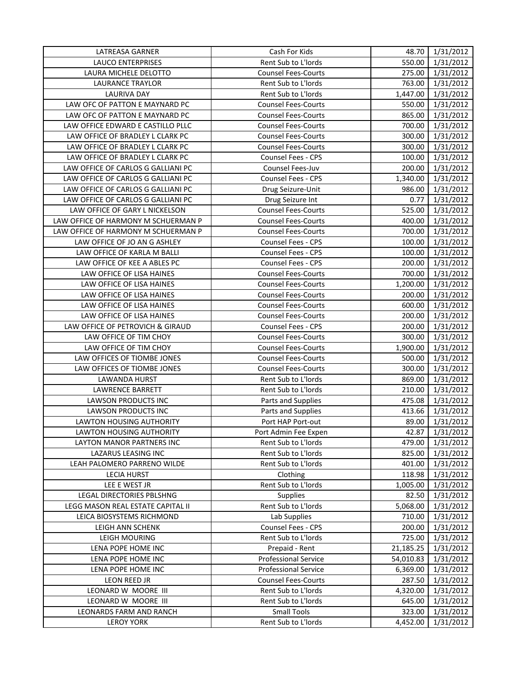| LATREASA GARNER                     | Cash For Kids               | 48.70     | 1/31/2012 |
|-------------------------------------|-----------------------------|-----------|-----------|
| <b>LAUCO ENTERPRISES</b>            | Rent Sub to L'Iords         | 550.00    | 1/31/2012 |
| LAURA MICHELE DELOTTO               | <b>Counsel Fees-Courts</b>  | 275.00    | 1/31/2012 |
| <b>LAURANCE TRAYLOR</b>             | Rent Sub to L'Iords         | 763.00    | 1/31/2012 |
| <b>LAURIVA DAY</b>                  | Rent Sub to L'Iords         | 1,447.00  | 1/31/2012 |
| LAW OFC OF PATTON E MAYNARD PC      | <b>Counsel Fees-Courts</b>  | 550.00    | 1/31/2012 |
| LAW OFC OF PATTON E MAYNARD PC      | <b>Counsel Fees-Courts</b>  | 865.00    | 1/31/2012 |
| LAW OFFICE EDWARD E CASTILLO PLLC   | <b>Counsel Fees-Courts</b>  | 700.00    | 1/31/2012 |
| LAW OFFICE OF BRADLEY L CLARK PC    | <b>Counsel Fees-Courts</b>  | 300.00    | 1/31/2012 |
| LAW OFFICE OF BRADLEY L CLARK PC    | <b>Counsel Fees-Courts</b>  | 300.00    | 1/31/2012 |
| LAW OFFICE OF BRADLEY L CLARK PC    | Counsel Fees - CPS          | 100.00    | 1/31/2012 |
| LAW OFFICE OF CARLOS G GALLIANI PC  | Counsel Fees-Juv            | 200.00    | 1/31/2012 |
| LAW OFFICE OF CARLOS G GALLIANI PC  | Counsel Fees - CPS          | 1,340.00  | 1/31/2012 |
| LAW OFFICE OF CARLOS G GALLIANI PC  | Drug Seizure-Unit           | 986.00    | 1/31/2012 |
| LAW OFFICE OF CARLOS G GALLIANI PC  | Drug Seizure Int            | 0.77      | 1/31/2012 |
| LAW OFFICE OF GARY L NICKELSON      | <b>Counsel Fees-Courts</b>  | 525.00    | 1/31/2012 |
| LAW OFFICE OF HARMONY M SCHUERMAN P | <b>Counsel Fees-Courts</b>  | 400.00    | 1/31/2012 |
| LAW OFFICE OF HARMONY M SCHUERMAN P | <b>Counsel Fees-Courts</b>  | 700.00    | 1/31/2012 |
| LAW OFFICE OF JO AN G ASHLEY        | Counsel Fees - CPS          | 100.00    | 1/31/2012 |
| LAW OFFICE OF KARLA M BALLI         | Counsel Fees - CPS          | 100.00    | 1/31/2012 |
| LAW OFFICE OF KEE A ABLES PC        | Counsel Fees - CPS          | 200.00    | 1/31/2012 |
| LAW OFFICE OF LISA HAINES           | <b>Counsel Fees-Courts</b>  | 700.00    | 1/31/2012 |
| LAW OFFICE OF LISA HAINES           | <b>Counsel Fees-Courts</b>  | 1,200.00  | 1/31/2012 |
| LAW OFFICE OF LISA HAINES           | <b>Counsel Fees-Courts</b>  | 200.00    | 1/31/2012 |
| LAW OFFICE OF LISA HAINES           | <b>Counsel Fees-Courts</b>  | 600.00    | 1/31/2012 |
| LAW OFFICE OF LISA HAINES           | <b>Counsel Fees-Courts</b>  | 200.00    | 1/31/2012 |
| LAW OFFICE OF PETROVICH & GIRAUD    | Counsel Fees - CPS          | 200.00    | 1/31/2012 |
| LAW OFFICE OF TIM CHOY              | <b>Counsel Fees-Courts</b>  | 300.00    | 1/31/2012 |
| LAW OFFICE OF TIM CHOY              | <b>Counsel Fees-Courts</b>  | 1,900.00  | 1/31/2012 |
| LAW OFFICES OF TIOMBE JONES         | <b>Counsel Fees-Courts</b>  | 500.00    | 1/31/2012 |
| LAW OFFICES OF TIOMBE JONES         | <b>Counsel Fees-Courts</b>  | 300.00    | 1/31/2012 |
| LAWANDA HURST                       | Rent Sub to L'Iords         | 869.00    | 1/31/2012 |
| LAWRENCE BARRETT                    | Rent Sub to L'Iords         | 210.00    | 1/31/2012 |
| <b>LAWSON PRODUCTS INC</b>          | Parts and Supplies          | 475.08    | 1/31/2012 |
| LAWSON PRODUCTS INC                 | Parts and Supplies          | 413.66    | 1/31/2012 |
| <b>LAWTON HOUSING AUTHORITY</b>     | Port HAP Port-out           | 89.00     | 1/31/2012 |
| LAWTON HOUSING AUTHORITY            | Port Admin Fee Expen        | 42.87     | 1/31/2012 |
| LAYTON MANOR PARTNERS INC           | Rent Sub to L'Iords         | 479.00    | 1/31/2012 |
| LAZARUS LEASING INC                 | Rent Sub to L'Iords         | 825.00    | 1/31/2012 |
| LEAH PALOMERO PARRENO WILDE         | Rent Sub to L'Iords         | 401.00    | 1/31/2012 |
| <b>LECIA HURST</b>                  | Clothing                    | 118.98    | 1/31/2012 |
| LEE E WEST JR                       | Rent Sub to L'Iords         | 1,005.00  | 1/31/2012 |
| LEGAL DIRECTORIES PBLSHNG           | <b>Supplies</b>             | 82.50     | 1/31/2012 |
| LEGG MASON REAL ESTATE CAPITAL II   | Rent Sub to L'Iords         | 5,068.00  | 1/31/2012 |
| LEICA BIOSYSTEMS RICHMOND           | Lab Supplies                | 710.00    | 1/31/2012 |
| LEIGH ANN SCHENK                    | Counsel Fees - CPS          | 200.00    | 1/31/2012 |
| <b>LEIGH MOURING</b>                | Rent Sub to L'Iords         | 725.00    | 1/31/2012 |
| LENA POPE HOME INC                  | Prepaid - Rent              | 21,185.25 | 1/31/2012 |
| LENA POPE HOME INC                  | <b>Professional Service</b> | 54,010.83 | 1/31/2012 |
| LENA POPE HOME INC                  | <b>Professional Service</b> | 6,369.00  | 1/31/2012 |
| LEON REED JR                        | <b>Counsel Fees-Courts</b>  | 287.50    | 1/31/2012 |
| LEONARD W MOORE III                 | Rent Sub to L'Iords         | 4,320.00  | 1/31/2012 |
| LEONARD W MOORE III                 | Rent Sub to L'Iords         | 645.00    | 1/31/2012 |
| LEONARDS FARM AND RANCH             | <b>Small Tools</b>          | 323.00    | 1/31/2012 |
| <b>LEROY YORK</b>                   | Rent Sub to L'Iords         | 4,452.00  | 1/31/2012 |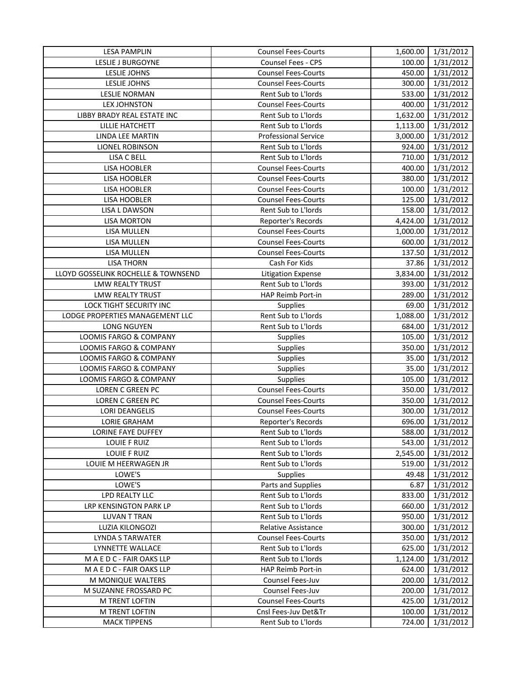| <b>LESA PAMPLIN</b>                 | <b>Counsel Fees-Courts</b>  | 1,600.00 | 1/31/2012 |
|-------------------------------------|-----------------------------|----------|-----------|
| LESLIE J BURGOYNE                   | <b>Counsel Fees - CPS</b>   | 100.00   | 1/31/2012 |
| LESLIE JOHNS                        | <b>Counsel Fees-Courts</b>  | 450.00   | 1/31/2012 |
| LESLIE JOHNS                        | <b>Counsel Fees-Courts</b>  | 300.00   | 1/31/2012 |
| <b>LESLIE NORMAN</b>                | Rent Sub to L'Iords         | 533.00   | 1/31/2012 |
| <b>LEX JOHNSTON</b>                 | <b>Counsel Fees-Courts</b>  | 400.00   | 1/31/2012 |
| LIBBY BRADY REAL ESTATE INC         | Rent Sub to L'Iords         | 1,632.00 | 1/31/2012 |
| LILLIE HATCHETT                     | Rent Sub to L'Iords         | 1,113.00 | 1/31/2012 |
| LINDA LEE MARTIN                    | <b>Professional Service</b> | 3,000.00 | 1/31/2012 |
| LIONEL ROBINSON                     | Rent Sub to L'Iords         | 924.00   | 1/31/2012 |
| LISA C BELL                         | Rent Sub to L'Iords         | 710.00   | 1/31/2012 |
| <b>LISA HOOBLER</b>                 | <b>Counsel Fees-Courts</b>  | 400.00   | 1/31/2012 |
| LISA HOOBLER                        | <b>Counsel Fees-Courts</b>  | 380.00   | 1/31/2012 |
| <b>LISA HOOBLER</b>                 | <b>Counsel Fees-Courts</b>  | 100.00   | 1/31/2012 |
| LISA HOOBLER                        | <b>Counsel Fees-Courts</b>  | 125.00   | 1/31/2012 |
| <b>LISA L DAWSON</b>                | Rent Sub to L'Iords         | 158.00   | 1/31/2012 |
| <b>LISA MORTON</b>                  | Reporter's Records          | 4,424.00 | 1/31/2012 |
| LISA MULLEN                         | <b>Counsel Fees-Courts</b>  | 1,000.00 | 1/31/2012 |
| LISA MULLEN                         | <b>Counsel Fees-Courts</b>  | 600.00   | 1/31/2012 |
| LISA MULLEN                         | <b>Counsel Fees-Courts</b>  | 137.50   | 1/31/2012 |
| <b>LISA THORN</b>                   | Cash For Kids               | 37.86    | 1/31/2012 |
| LLOYD GOSSELINK ROCHELLE & TOWNSEND | <b>Litigation Expense</b>   | 3,834.00 | 1/31/2012 |
| <b>LMW REALTY TRUST</b>             | Rent Sub to L'Iords         | 393.00   | 1/31/2012 |
| <b>LMW REALTY TRUST</b>             | HAP Reimb Port-in           | 289.00   | 1/31/2012 |
| LOCK TIGHT SECURITY INC             | <b>Supplies</b>             | 69.00    | 1/31/2012 |
| LODGE PROPERTIES MANAGEMENT LLC     | Rent Sub to L'Iords         | 1,088.00 | 1/31/2012 |
| <b>LONG NGUYEN</b>                  | Rent Sub to L'Iords         | 684.00   | 1/31/2012 |
| LOOMIS FARGO & COMPANY              | <b>Supplies</b>             | 105.00   | 1/31/2012 |
| LOOMIS FARGO & COMPANY              | <b>Supplies</b>             | 350.00   | 1/31/2012 |
| LOOMIS FARGO & COMPANY              | <b>Supplies</b>             | 35.00    | 1/31/2012 |
| LOOMIS FARGO & COMPANY              | <b>Supplies</b>             | 35.00    | 1/31/2012 |
| LOOMIS FARGO & COMPANY              | Supplies                    | 105.00   | 1/31/2012 |
| LOREN C GREEN PC                    | <b>Counsel Fees-Courts</b>  | 350.00   | 1/31/2012 |
| <b>LOREN C GREEN PC</b>             | <b>Counsel Fees-Courts</b>  | 350.00   | 1/31/2012 |
| <b>LORI DEANGELIS</b>               | <b>Counsel Fees-Courts</b>  | 300.00   | 1/31/2012 |
| <b>LORIE GRAHAM</b>                 | Reporter's Records          | 696.00   | 1/31/2012 |
| LORINE FAYE DUFFEY                  | Rent Sub to L'Iords         | 588.00   | 1/31/2012 |
| LOUIE F RUIZ                        | Rent Sub to L'Iords         | 543.00   | 1/31/2012 |
| <b>LOUIE F RUIZ</b>                 | Rent Sub to L'Iords         | 2,545.00 | 1/31/2012 |
| LOUIE M HEERWAGEN JR                | Rent Sub to L'Iords         | 519.00   | 1/31/2012 |
| LOWE'S                              | Supplies                    | 49.48    | 1/31/2012 |
| LOWE'S                              | Parts and Supplies          | 6.87     | 1/31/2012 |
| LPD REALTY LLC                      | Rent Sub to L'Iords         | 833.00   | 1/31/2012 |
| LRP KENSINGTON PARK LP              | Rent Sub to L'Iords         | 660.00   | 1/31/2012 |
| <b>LUVAN T TRAN</b>                 | Rent Sub to L'Iords         | 950.00   | 1/31/2012 |
| LUZIA KILONGOZI                     | <b>Relative Assistance</b>  | 300.00   | 1/31/2012 |
| <b>LYNDA S TARWATER</b>             | <b>Counsel Fees-Courts</b>  | 350.00   | 1/31/2012 |
| LYNNETTE WALLACE                    | Rent Sub to L'Iords         | 625.00   | 1/31/2012 |
| MAEDC-FAIR OAKS LLP                 | Rent Sub to L'Iords         | 1,124.00 | 1/31/2012 |
| M A E D C - FAIR OAKS LLP           | HAP Reimb Port-in           | 624.00   | 1/31/2012 |
| M MONIQUE WALTERS                   | Counsel Fees-Juv            | 200.00   | 1/31/2012 |
| M SUZANNE FROSSARD PC               | Counsel Fees-Juv            | 200.00   | 1/31/2012 |
| M TRENT LOFTIN                      | <b>Counsel Fees-Courts</b>  | 425.00   | 1/31/2012 |
| M TRENT LOFTIN                      | Cnsl Fees-Juv Det&Tr        | 100.00   | 1/31/2012 |
| <b>MACK TIPPENS</b>                 | Rent Sub to L'Iords         | 724.00   | 1/31/2012 |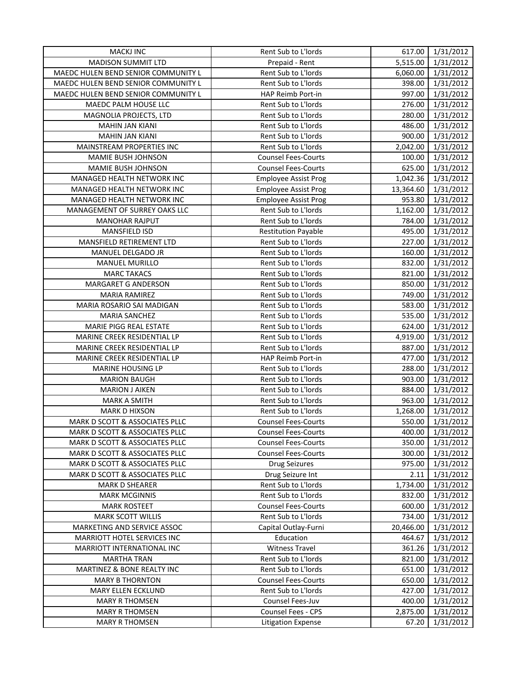| <b>MACKJ INC</b>                    | Rent Sub to L'Iords         | 617.00    | 1/31/2012 |
|-------------------------------------|-----------------------------|-----------|-----------|
| <b>MADISON SUMMIT LTD</b>           | Prepaid - Rent              | 5,515.00  | 1/31/2012 |
| MAEDC HULEN BEND SENIOR COMMUNITY L | Rent Sub to L'Iords         | 6,060.00  | 1/31/2012 |
| MAEDC HULEN BEND SENIOR COMMUNITY L | Rent Sub to L'Iords         | 398.00    | 1/31/2012 |
| MAEDC HULEN BEND SENIOR COMMUNITY L | HAP Reimb Port-in           | 997.00    | 1/31/2012 |
| MAEDC PALM HOUSE LLC                | Rent Sub to L'Iords         | 276.00    | 1/31/2012 |
| MAGNOLIA PROJECTS, LTD              | Rent Sub to L'Iords         | 280.00    | 1/31/2012 |
| <b>MAHIN JAN KIANI</b>              | Rent Sub to L'Iords         | 486.00    | 1/31/2012 |
| <b>MAHIN JAN KIANI</b>              | Rent Sub to L'Iords         | 900.00    | 1/31/2012 |
| MAINSTREAM PROPERTIES INC           | Rent Sub to L'Iords         | 2,042.00  | 1/31/2012 |
| MAMIE BUSH JOHNSON                  | <b>Counsel Fees-Courts</b>  | 100.00    | 1/31/2012 |
| MAMIE BUSH JOHNSON                  | <b>Counsel Fees-Courts</b>  | 625.00    | 1/31/2012 |
| MANAGED HEALTH NETWORK INC          | <b>Employee Assist Prog</b> | 1,042.36  | 1/31/2012 |
| MANAGED HEALTH NETWORK INC          | <b>Employee Assist Prog</b> | 13,364.60 | 1/31/2012 |
| MANAGED HEALTH NETWORK INC          | <b>Employee Assist Prog</b> | 953.80    | 1/31/2012 |
| MANAGEMENT OF SURREY OAKS LLC       | Rent Sub to L'Iords         | 1,162.00  | 1/31/2012 |
| <b>MANOHAR RAJPUT</b>               | Rent Sub to L'Iords         | 784.00    | 1/31/2012 |
| MANSFIELD ISD                       | <b>Restitution Payable</b>  | 495.00    | 1/31/2012 |
| MANSFIELD RETIREMENT LTD            | Rent Sub to L'Iords         | 227.00    | 1/31/2012 |
| MANUEL DELGADO JR                   | Rent Sub to L'Iords         | 160.00    | 1/31/2012 |
| <b>MANUEL MURILLO</b>               | Rent Sub to L'Iords         | 832.00    | 1/31/2012 |
| <b>MARC TAKACS</b>                  | Rent Sub to L'Iords         | 821.00    | 1/31/2012 |
| MARGARET G ANDERSON                 | Rent Sub to L'Iords         | 850.00    | 1/31/2012 |
| <b>MARIA RAMIREZ</b>                | Rent Sub to L'Iords         | 749.00    | 1/31/2012 |
| MARIA ROSARIO SAI MADIGAN           | Rent Sub to L'Iords         | 583.00    | 1/31/2012 |
| MARIA SANCHEZ                       | Rent Sub to L'Iords         | 535.00    | 1/31/2012 |
| MARIE PIGG REAL ESTATE              | Rent Sub to L'Iords         | 624.00    | 1/31/2012 |
| MARINE CREEK RESIDENTIAL LP         | Rent Sub to L'Iords         | 4,919.00  | 1/31/2012 |
| MARINE CREEK RESIDENTIAL LP         | Rent Sub to L'Iords         | 887.00    | 1/31/2012 |
| MARINE CREEK RESIDENTIAL LP         | HAP Reimb Port-in           | 477.00    | 1/31/2012 |
| MARINE HOUSING LP                   | Rent Sub to L'Iords         | 288.00    | 1/31/2012 |
| <b>MARION BAUGH</b>                 | Rent Sub to L'Iords         | 903.00    | 1/31/2012 |
| <b>MARION J AIKEN</b>               | Rent Sub to L'Iords         | 884.00    | 1/31/2012 |
| <b>MARK A SMITH</b>                 | Rent Sub to L'Iords         | 963.00    | 1/31/2012 |
| <b>MARK D HIXSON</b>                | Rent Sub to L'Iords         | 1,268.00  | 1/31/2012 |
| MARK D SCOTT & ASSOCIATES PLLC      | <b>Counsel Fees-Courts</b>  | 550.00    | 1/31/2012 |
| MARK D SCOTT & ASSOCIATES PLLC      | <b>Counsel Fees-Courts</b>  | 400.00    | 1/31/2012 |
| MARK D SCOTT & ASSOCIATES PLLC      | <b>Counsel Fees-Courts</b>  | 350.00    | 1/31/2012 |
| MARK D SCOTT & ASSOCIATES PLLC      | <b>Counsel Fees-Courts</b>  | 300.00    | 1/31/2012 |
| MARK D SCOTT & ASSOCIATES PLLC      | <b>Drug Seizures</b>        | 975.00    | 1/31/2012 |
| MARK D SCOTT & ASSOCIATES PLLC      | Drug Seizure Int            | 2.11      | 1/31/2012 |
| <b>MARK D SHEARER</b>               | Rent Sub to L'Iords         | 1,734.00  | 1/31/2012 |
| <b>MARK MCGINNIS</b>                | Rent Sub to L'Iords         | 832.00    | 1/31/2012 |
| <b>MARK ROSTEET</b>                 | <b>Counsel Fees-Courts</b>  | 600.00    | 1/31/2012 |
| <b>MARK SCOTT WILLIS</b>            | Rent Sub to L'Iords         | 734.00    | 1/31/2012 |
| MARKETING AND SERVICE ASSOC         | Capital Outlay-Furni        | 20,466.00 | 1/31/2012 |
| MARRIOTT HOTEL SERVICES INC         | Education                   | 464.67    | 1/31/2012 |
| MARRIOTT INTERNATIONAL INC          | Witness Travel              | 361.26    | 1/31/2012 |
| <b>MARTHA TRAN</b>                  | Rent Sub to L'Iords         | 821.00    | 1/31/2012 |
| MARTINEZ & BONE REALTY INC          | Rent Sub to L'Iords         | 651.00    | 1/31/2012 |
| <b>MARY B THORNTON</b>              | <b>Counsel Fees-Courts</b>  | 650.00    | 1/31/2012 |
| MARY ELLEN ECKLUND                  | Rent Sub to L'Iords         | 427.00    | 1/31/2012 |
| <b>MARY R THOMSEN</b>               | Counsel Fees-Juv            | 400.00    | 1/31/2012 |
| <b>MARY R THOMSEN</b>               | Counsel Fees - CPS          | 2,875.00  | 1/31/2012 |
| <b>MARY R THOMSEN</b>               | <b>Litigation Expense</b>   | 67.20     | 1/31/2012 |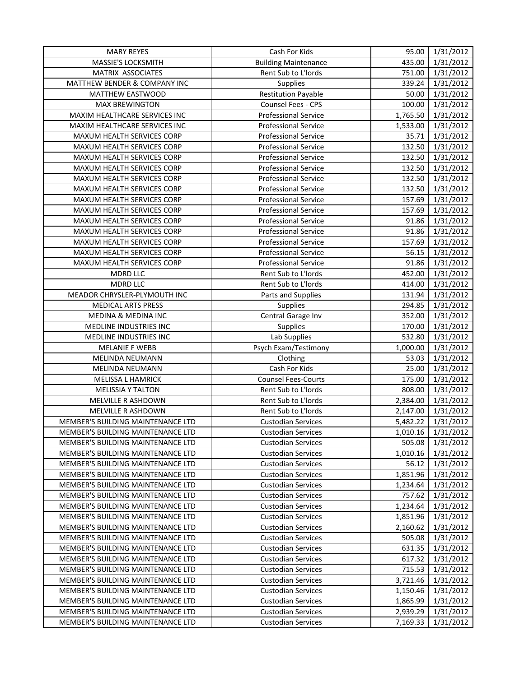| <b>MARY REYES</b>                        | Cash For Kids               | 95.00    | 1/31/2012           |
|------------------------------------------|-----------------------------|----------|---------------------|
| MASSIE'S LOCKSMITH                       | <b>Building Maintenance</b> | 435.00   | 1/31/2012           |
| MATRIX ASSOCIATES                        | Rent Sub to L'Iords         | 751.00   | 1/31/2012           |
| MATTHEW BENDER & COMPANY INC             | Supplies                    | 339.24   | 1/31/2012           |
| MATTHEW EASTWOOD                         | <b>Restitution Payable</b>  | 50.00    | 1/31/2012           |
| <b>MAX BREWINGTON</b>                    | Counsel Fees - CPS          | 100.00   | 1/31/2012           |
| MAXIM HEALTHCARE SERVICES INC            | <b>Professional Service</b> | 1,765.50 | $\frac{1}{31}/2012$ |
| MAXIM HEALTHCARE SERVICES INC            | <b>Professional Service</b> | 1,533.00 | 1/31/2012           |
| MAXUM HEALTH SERVICES CORP               | <b>Professional Service</b> | 35.71    | 1/31/2012           |
| MAXUM HEALTH SERVICES CORP               | <b>Professional Service</b> | 132.50   | 1/31/2012           |
| MAXUM HEALTH SERVICES CORP               | <b>Professional Service</b> | 132.50   | 1/31/2012           |
| MAXUM HEALTH SERVICES CORP               | <b>Professional Service</b> | 132.50   | 1/31/2012           |
| MAXUM HEALTH SERVICES CORP               | <b>Professional Service</b> | 132.50   | 1/31/2012           |
| MAXUM HEALTH SERVICES CORP               | <b>Professional Service</b> | 132.50   | 1/31/2012           |
| MAXUM HEALTH SERVICES CORP               | <b>Professional Service</b> | 157.69   | 1/31/2012           |
| MAXUM HEALTH SERVICES CORP               | <b>Professional Service</b> | 157.69   | 1/31/2012           |
| MAXUM HEALTH SERVICES CORP               | <b>Professional Service</b> | 91.86    | 1/31/2012           |
| MAXUM HEALTH SERVICES CORP               | <b>Professional Service</b> | 91.86    | 1/31/2012           |
| MAXUM HEALTH SERVICES CORP               | <b>Professional Service</b> | 157.69   | 1/31/2012           |
| MAXUM HEALTH SERVICES CORP               | <b>Professional Service</b> | 56.15    | 1/31/2012           |
| MAXUM HEALTH SERVICES CORP               | <b>Professional Service</b> | 91.86    | 1/31/2012           |
| <b>MDRD LLC</b>                          | Rent Sub to L'Iords         | 452.00   | 1/31/2012           |
| <b>MDRD LLC</b>                          | Rent Sub to L'Iords         | 414.00   | 1/31/2012           |
| MEADOR CHRYSLER-PLYMOUTH INC             | Parts and Supplies          | 131.94   | 1/31/2012           |
| <b>MEDICAL ARTS PRESS</b>                | Supplies                    | 294.85   | 1/31/2012           |
| MEDINA & MEDINA INC                      | Central Garage Inv          | 352.00   | 1/31/2012           |
| MEDLINE INDUSTRIES INC                   | <b>Supplies</b>             | 170.00   | 1/31/2012           |
| MEDLINE INDUSTRIES INC                   | Lab Supplies                | 532.80   | 1/31/2012           |
| <b>MELANIE F WEBB</b>                    | Psych Exam/Testimony        | 1,000.00 | 1/31/2012           |
| MELINDA NEUMANN                          | Clothing                    | 53.03    | 1/31/2012           |
| MELINDA NEUMANN                          | Cash For Kids               | 25.00    | 1/31/2012           |
| MELISSA L HAMRICK                        | <b>Counsel Fees-Courts</b>  | 175.00   | 1/31/2012           |
| <b>MELISSIA Y TALTON</b>                 | Rent Sub to L'Iords         | 808.00   | 1/31/2012           |
| MELVILLE R ASHDOWN                       | Rent Sub to L'Iords         | 2,384.00 | 1/31/2012           |
| MELVILLE R ASHDOWN                       | Rent Sub to L'Iords         | 2,147.00 | 1/31/2012           |
| <b>MEMBER'S BUILDING MAINTENANCE LTD</b> | <b>Custodian Services</b>   | 5,482.22 | 1/31/2012           |
| MEMBER'S BUILDING MAINTENANCE LTD        | Custodian Services          | 1,010.16 | 1/31/2012           |
| MEMBER'S BUILDING MAINTENANCE LTD        | <b>Custodian Services</b>   | 505.08   | 1/31/2012           |
| MEMBER'S BUILDING MAINTENANCE LTD        | <b>Custodian Services</b>   | 1,010.16 | 1/31/2012           |
| MEMBER'S BUILDING MAINTENANCE LTD        | <b>Custodian Services</b>   | 56.12    | 1/31/2012           |
| MEMBER'S BUILDING MAINTENANCE LTD        | <b>Custodian Services</b>   | 1,851.96 | 1/31/2012           |
| <b>MEMBER'S BUILDING MAINTENANCE LTD</b> | <b>Custodian Services</b>   | 1,234.64 | 1/31/2012           |
| MEMBER'S BUILDING MAINTENANCE LTD        | <b>Custodian Services</b>   | 757.62   | 1/31/2012           |
| MEMBER'S BUILDING MAINTENANCE LTD        | <b>Custodian Services</b>   | 1,234.64 | 1/31/2012           |
| <b>MEMBER'S BUILDING MAINTENANCE LTD</b> | <b>Custodian Services</b>   | 1,851.96 | 1/31/2012           |
| MEMBER'S BUILDING MAINTENANCE LTD        | <b>Custodian Services</b>   | 2,160.62 | 1/31/2012           |
| MEMBER'S BUILDING MAINTENANCE LTD        | <b>Custodian Services</b>   | 505.08   | 1/31/2012           |
| MEMBER'S BUILDING MAINTENANCE LTD        | <b>Custodian Services</b>   | 631.35   | 1/31/2012           |
| MEMBER'S BUILDING MAINTENANCE LTD        | <b>Custodian Services</b>   | 617.32   | 1/31/2012           |
| MEMBER'S BUILDING MAINTENANCE LTD        | <b>Custodian Services</b>   | 715.53   | 1/31/2012           |
| MEMBER'S BUILDING MAINTENANCE LTD        | <b>Custodian Services</b>   | 3,721.46 | 1/31/2012           |
| MEMBER'S BUILDING MAINTENANCE LTD        | <b>Custodian Services</b>   | 1,150.46 | 1/31/2012           |
| MEMBER'S BUILDING MAINTENANCE LTD        | <b>Custodian Services</b>   | 1,865.99 | 1/31/2012           |
| MEMBER'S BUILDING MAINTENANCE LTD        | <b>Custodian Services</b>   | 2,939.29 | 1/31/2012           |
| MEMBER'S BUILDING MAINTENANCE LTD        | <b>Custodian Services</b>   | 7,169.33 | 1/31/2012           |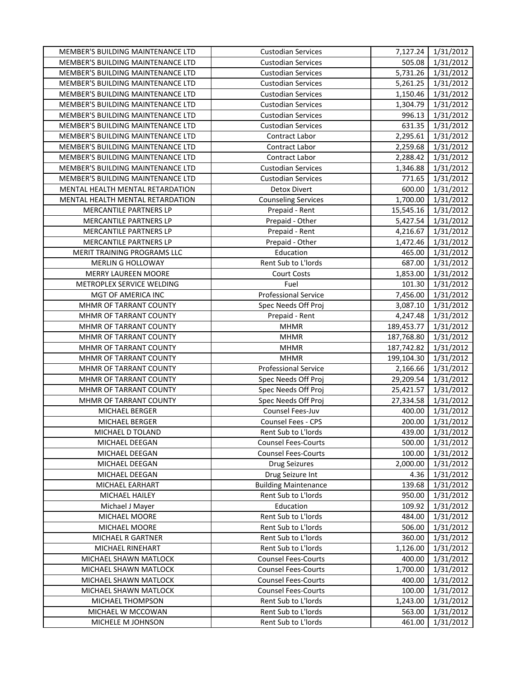| MEMBER'S BUILDING MAINTENANCE LTD  | <b>Custodian Services</b>   |            | 7,127.24 1/31/2012 |
|------------------------------------|-----------------------------|------------|--------------------|
| MEMBER'S BUILDING MAINTENANCE LTD  | <b>Custodian Services</b>   | 505.08     | 1/31/2012          |
| MEMBER'S BUILDING MAINTENANCE LTD  | <b>Custodian Services</b>   | 5,731.26   | 1/31/2012          |
| MEMBER'S BUILDING MAINTENANCE LTD  | <b>Custodian Services</b>   | 5,261.25   | 1/31/2012          |
| MEMBER'S BUILDING MAINTENANCE LTD  | <b>Custodian Services</b>   | 1,150.46   | 1/31/2012          |
| MEMBER'S BUILDING MAINTENANCE LTD  | <b>Custodian Services</b>   | 1,304.79   | 1/31/2012          |
| MEMBER'S BUILDING MAINTENANCE LTD  | <b>Custodian Services</b>   | 996.13     | 1/31/2012          |
| MEMBER'S BUILDING MAINTENANCE LTD  | <b>Custodian Services</b>   | 631.35     | 1/31/2012          |
| MEMBER'S BUILDING MAINTENANCE LTD  | Contract Labor              | 2,295.61   | 1/31/2012          |
| MEMBER'S BUILDING MAINTENANCE LTD  | Contract Labor              | 2,259.68   | 1/31/2012          |
| MEMBER'S BUILDING MAINTENANCE LTD  | Contract Labor              | 2,288.42   | 1/31/2012          |
| MEMBER'S BUILDING MAINTENANCE LTD  | <b>Custodian Services</b>   | 1,346.88   | 1/31/2012          |
| MEMBER'S BUILDING MAINTENANCE LTD  | <b>Custodian Services</b>   | 771.65     | 1/31/2012          |
| MENTAL HEALTH MENTAL RETARDATION   | <b>Detox Divert</b>         | 600.00     | 1/31/2012          |
| MENTAL HEALTH MENTAL RETARDATION   | <b>Counseling Services</b>  | 1,700.00   | 1/31/2012          |
| MERCANTILE PARTNERS LP             | Prepaid - Rent              | 15,545.16  | 1/31/2012          |
| MERCANTILE PARTNERS LP             | Prepaid - Other             | 5,427.54   | 1/31/2012          |
| MERCANTILE PARTNERS LP             | Prepaid - Rent              | 4,216.67   | 1/31/2012          |
| MERCANTILE PARTNERS LP             | Prepaid - Other             | 1,472.46   | 1/31/2012          |
| <b>MERIT TRAINING PROGRAMS LLC</b> | Education                   | 465.00     | 1/31/2012          |
| MERLIN G HOLLOWAY                  | Rent Sub to L'Iords         | 687.00     | 1/31/2012          |
| MERRY LAUREEN MOORE                | <b>Court Costs</b>          | 1,853.00   | 1/31/2012          |
| METROPLEX SERVICE WELDING          | Fuel                        | 101.30     | 1/31/2012          |
| MGT OF AMERICA INC                 | <b>Professional Service</b> | 7,456.00   | 1/31/2012          |
| MHMR OF TARRANT COUNTY             | Spec Needs Off Proj         | 3,087.10   | 1/31/2012          |
| MHMR OF TARRANT COUNTY             | Prepaid - Rent              | 4,247.48   | 1/31/2012          |
| MHMR OF TARRANT COUNTY             | <b>MHMR</b>                 | 189,453.77 | 1/31/2012          |
| MHMR OF TARRANT COUNTY             | <b>MHMR</b>                 | 187,768.80 | 1/31/2012          |
| MHMR OF TARRANT COUNTY             | <b>MHMR</b>                 | 187,742.82 | 1/31/2012          |
| MHMR OF TARRANT COUNTY             | <b>MHMR</b>                 | 199,104.30 | 1/31/2012          |
| MHMR OF TARRANT COUNTY             | <b>Professional Service</b> | 2,166.66   | 1/31/2012          |
| MHMR OF TARRANT COUNTY             | Spec Needs Off Proj         | 29,209.54  | 1/31/2012          |
| MHMR OF TARRANT COUNTY             | Spec Needs Off Proj         | 25,421.57  | 1/31/2012          |
| MHMR OF TARRANT COUNTY             | Spec Needs Off Proj         | 27,334.58  | 1/31/2012          |
| MICHAEL BERGER                     | Counsel Fees-Juv            | 400.00     | 1/31/2012          |
| MICHAEL BERGER                     | Counsel Fees - CPS          | 200.00     | 1/31/2012          |
| MICHAEL D TOLAND                   | Rent Sub to L'Iords         | 439.00     | 1/31/2012          |
| MICHAEL DEEGAN                     | <b>Counsel Fees-Courts</b>  | 500.00     | 1/31/2012          |
| MICHAEL DEEGAN                     | <b>Counsel Fees-Courts</b>  | 100.00     | 1/31/2012          |
| MICHAEL DEEGAN                     | <b>Drug Seizures</b>        | 2,000.00   | 1/31/2012          |
| MICHAEL DEEGAN                     | Drug Seizure Int            | 4.36       | 1/31/2012          |
| MICHAEL EARHART                    | <b>Building Maintenance</b> | 139.68     | 1/31/2012          |
| MICHAEL HAILEY                     | Rent Sub to L'Iords         | 950.00     | 1/31/2012          |
| Michael J Mayer                    | Education                   | 109.92     | 1/31/2012          |
| MICHAEL MOORE                      | Rent Sub to L'Iords         | 484.00     | 1/31/2012          |
| MICHAEL MOORE                      | Rent Sub to L'Iords         | 506.00     | 1/31/2012          |
| <b>MICHAEL R GARTNER</b>           | Rent Sub to L'Iords         | 360.00     | 1/31/2012          |
| MICHAEL RINEHART                   | Rent Sub to L'Iords         | 1,126.00   | 1/31/2012          |
| MICHAEL SHAWN MATLOCK              | <b>Counsel Fees-Courts</b>  | 400.00     | 1/31/2012          |
| MICHAEL SHAWN MATLOCK              | <b>Counsel Fees-Courts</b>  | 1,700.00   | 1/31/2012          |
| MICHAEL SHAWN MATLOCK              | <b>Counsel Fees-Courts</b>  | 400.00     | 1/31/2012          |
| MICHAEL SHAWN MATLOCK              | <b>Counsel Fees-Courts</b>  | 100.00     | 1/31/2012          |
| MICHAEL THOMPSON                   | Rent Sub to L'Iords         | 1,243.00   | 1/31/2012          |
| MICHAEL W MCCOWAN                  | Rent Sub to L'Iords         | 563.00     | 1/31/2012          |
| MICHELE M JOHNSON                  | Rent Sub to L'Iords         | 461.00     | 1/31/2012          |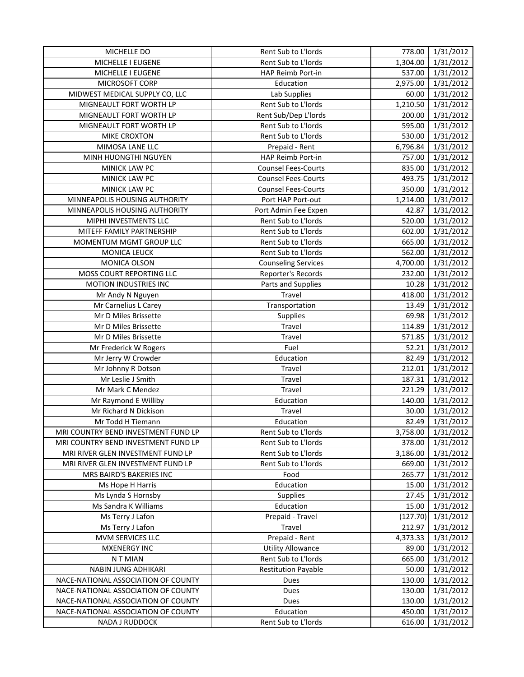| MICHELLE DO                         | Rent Sub to L'Iords        | 778.00   | 1/31/2012 |
|-------------------------------------|----------------------------|----------|-----------|
| MICHELLE I EUGENE                   | Rent Sub to L'Iords        | 1,304.00 | 1/31/2012 |
| MICHELLE I EUGENE                   | HAP Reimb Port-in          | 537.00   | 1/31/2012 |
| MICROSOFT CORP                      | Education                  | 2,975.00 | 1/31/2012 |
| MIDWEST MEDICAL SUPPLY CO, LLC      | Lab Supplies               | 60.00    | 1/31/2012 |
| MIGNEAULT FORT WORTH LP             | Rent Sub to L'Iords        | 1,210.50 | 1/31/2012 |
| MIGNEAULT FORT WORTH LP             | Rent Sub/Dep L'Iords       | 200.00   | 1/31/2012 |
| MIGNEAULT FORT WORTH LP             | Rent Sub to L'Iords        | 595.00   | 1/31/2012 |
| <b>MIKE CROXTON</b>                 | Rent Sub to L'Iords        | 530.00   | 1/31/2012 |
| MIMOSA LANE LLC                     | Prepaid - Rent             | 6,796.84 | 1/31/2012 |
| MINH HUONGTHI NGUYEN                | HAP Reimb Port-in          | 757.00   | 1/31/2012 |
| MINICK LAW PC                       | <b>Counsel Fees-Courts</b> | 835.00   | 1/31/2012 |
| MINICK LAW PC                       | <b>Counsel Fees-Courts</b> | 493.75   | 1/31/2012 |
| MINICK LAW PC                       | <b>Counsel Fees-Courts</b> | 350.00   | 1/31/2012 |
| MINNEAPOLIS HOUSING AUTHORITY       | Port HAP Port-out          | 1,214.00 | 1/31/2012 |
| MINNEAPOLIS HOUSING AUTHORITY       | Port Admin Fee Expen       | 42.87    | 1/31/2012 |
| MIPHI INVESTMENTS LLC               | Rent Sub to L'Iords        | 520.00   | 1/31/2012 |
| MITEFF FAMILY PARTNERSHIP           | Rent Sub to L'Iords        | 602.00   | 1/31/2012 |
| MOMENTUM MGMT GROUP LLC             | Rent Sub to L'Iords        | 665.00   | 1/31/2012 |
| <b>MONICA LEUCK</b>                 | Rent Sub to L'Iords        | 562.00   | 1/31/2012 |
| MONICA OLSON                        | <b>Counseling Services</b> | 4,700.00 | 1/31/2012 |
| MOSS COURT REPORTING LLC            | Reporter's Records         | 232.00   | 1/31/2012 |
| MOTION INDUSTRIES INC               | Parts and Supplies         | 10.28    | 1/31/2012 |
| Mr Andy N Nguyen                    | Travel                     | 418.00   | 1/31/2012 |
| Mr Carnelius L Carey                | Transportation             | 13.49    | 1/31/2012 |
| Mr D Miles Brissette                | <b>Supplies</b>            | 69.98    | 1/31/2012 |
| Mr D Miles Brissette                | Travel                     | 114.89   | 1/31/2012 |
| Mr D Miles Brissette                | Travel                     | 571.85   | 1/31/2012 |
| Mr Frederick W Rogers               | Fuel                       | 52.21    | 1/31/2012 |
| Mr Jerry W Crowder                  | Education                  | 82.49    | 1/31/2012 |
| Mr Johnny R Dotson                  | Travel                     | 212.01   | 1/31/2012 |
| Mr Leslie J Smith                   | Travel                     | 187.31   | 1/31/2012 |
| Mr Mark C Mendez                    | Travel                     | 221.29   | 1/31/2012 |
| Mr Raymond E Williby                | Education                  | 140.00   | 1/31/2012 |
| Mr Richard N Dickison               | Travel                     | 30.00    | 1/31/2012 |
| Mr Todd H Tiemann                   | Education                  | 82.49    | 1/31/2012 |
| MRI COUNTRY BEND INVESTMENT FUND LP | Rent Sub to L'Iords        | 3,758.00 | 1/31/2012 |
| MRI COUNTRY BEND INVESTMENT FUND LP | Rent Sub to L'Iords        | 378.00   | 1/31/2012 |
| MRI RIVER GLEN INVESTMENT FUND LP   | Rent Sub to L'Iords        | 3,186.00 | 1/31/2012 |
| MRI RIVER GLEN INVESTMENT FUND LP   | Rent Sub to L'Iords        | 669.00   | 1/31/2012 |
| MRS BAIRD'S BAKERIES INC            | Food                       | 265.77   | 1/31/2012 |
| Ms Hope H Harris                    | Education                  | 15.00    | 1/31/2012 |
| Ms Lynda S Hornsby                  | <b>Supplies</b>            | 27.45    | 1/31/2012 |
| Ms Sandra K Williams                | Education                  | 15.00    | 1/31/2012 |
| Ms Terry J Lafon                    | Prepaid - Travel           | (127.70) | 1/31/2012 |
| Ms Terry J Lafon                    | Travel                     | 212.97   | 1/31/2012 |
| MVM SERVICES LLC                    | Prepaid - Rent             | 4,373.33 | 1/31/2012 |
| <b>MXENERGY INC</b>                 | <b>Utility Allowance</b>   | 89.00    | 1/31/2012 |
| N T MIAN                            | Rent Sub to L'Iords        | 665.00   | 1/31/2012 |
| NABIN JUNG ADHIKARI                 | <b>Restitution Payable</b> | 50.00    | 1/31/2012 |
| NACE-NATIONAL ASSOCIATION OF COUNTY | Dues                       | 130.00   | 1/31/2012 |
| NACE-NATIONAL ASSOCIATION OF COUNTY | Dues                       | 130.00   | 1/31/2012 |
| NACE-NATIONAL ASSOCIATION OF COUNTY | Dues                       | 130.00   | 1/31/2012 |
| NACE-NATIONAL ASSOCIATION OF COUNTY | Education                  | 450.00   | 1/31/2012 |
| NADA J RUDDOCK                      | Rent Sub to L'Iords        | 616.00   | 1/31/2012 |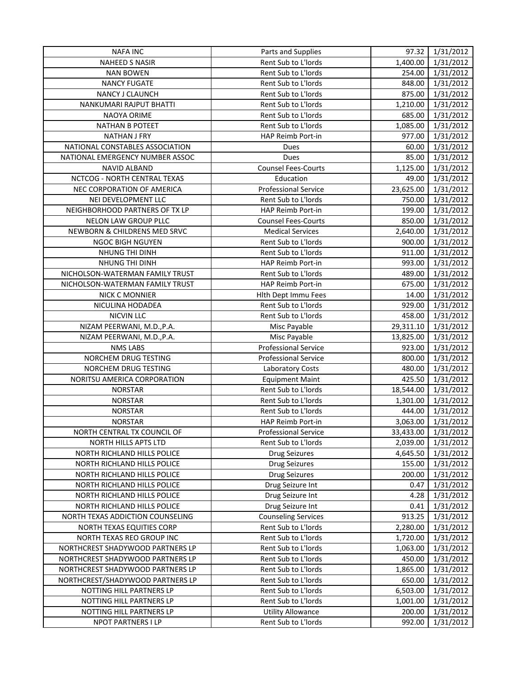| <b>NAFA INC</b>                  | Parts and Supplies          | 97.32     | 1/31/2012 |
|----------------------------------|-----------------------------|-----------|-----------|
| <b>NAHEED S NASIR</b>            | Rent Sub to L'Iords         | 1,400.00  | 1/31/2012 |
| <b>NAN BOWEN</b>                 | Rent Sub to L'Iords         | 254.00    | 1/31/2012 |
| <b>NANCY FUGATE</b>              | Rent Sub to L'Iords         | 848.00    | 1/31/2012 |
| NANCY J CLAUNCH                  | Rent Sub to L'Iords         | 875.00    | 1/31/2012 |
| NANKUMARI RAJPUT BHATTI          | Rent Sub to L'Iords         | 1,210.00  | 1/31/2012 |
| NAOYA ORIME                      | Rent Sub to L'Iords         | 685.00    | 1/31/2012 |
| <b>NATHAN B POTEET</b>           | Rent Sub to L'Iords         | 1,085.00  | 1/31/2012 |
| <b>NATHAN J FRY</b>              | HAP Reimb Port-in           | 977.00    | 1/31/2012 |
| NATIONAL CONSTABLES ASSOCIATION  | Dues                        | 60.00     | 1/31/2012 |
| NATIONAL EMERGENCY NUMBER ASSOC  | Dues                        | 85.00     | 1/31/2012 |
| NAVID ALBAND                     | <b>Counsel Fees-Courts</b>  | 1,125.00  | 1/31/2012 |
| NCTCOG - NORTH CENTRAL TEXAS     | Education                   | 49.00     | 1/31/2012 |
| NEC CORPORATION OF AMERICA       | <b>Professional Service</b> | 23,625.00 | 1/31/2012 |
| NEI DEVELOPMENT LLC              | Rent Sub to L'Iords         | 750.00    | 1/31/2012 |
| NEIGHBORHOOD PARTNERS OF TX LP   | HAP Reimb Port-in           | 199.00    | 1/31/2012 |
| NELON LAW GROUP PLLC             | <b>Counsel Fees-Courts</b>  | 850.00    | 1/31/2012 |
| NEWBORN & CHILDRENS MED SRVC     | <b>Medical Services</b>     | 2,640.00  | 1/31/2012 |
| <b>NGOC BIGH NGUYEN</b>          | Rent Sub to L'Iords         | 900.00    | 1/31/2012 |
| NHUNG THI DINH                   | Rent Sub to L'Iords         | 911.00    | 1/31/2012 |
| NHUNG THI DINH                   | <b>HAP Reimb Port-in</b>    | 993.00    | 1/31/2012 |
| NICHOLSON-WATERMAN FAMILY TRUST  | Rent Sub to L'Iords         | 489.00    | 1/31/2012 |
| NICHOLSON-WATERMAN FAMILY TRUST  | HAP Reimb Port-in           | 675.00    | 1/31/2012 |
| <b>NICK C MONNIER</b>            | Hlth Dept Immu Fees         | 14.00     | 1/31/2012 |
| NICULINA HODADEA                 | Rent Sub to L'Iords         | 929.00    | 1/31/2012 |
| <b>NICVIN LLC</b>                | Rent Sub to L'Iords         | 458.00    | 1/31/2012 |
| NIZAM PEERWANI, M.D., P.A.       | Misc Payable                | 29,311.10 | 1/31/2012 |
| NIZAM PEERWANI, M.D., P.A.       | Misc Payable                | 13,825.00 | 1/31/2012 |
| <b>NMS LABS</b>                  | <b>Professional Service</b> | 923.00    | 1/31/2012 |
| NORCHEM DRUG TESTING             | <b>Professional Service</b> | 800.00    | 1/31/2012 |
| NORCHEM DRUG TESTING             | Laboratory Costs            | 480.00    | 1/31/2012 |
| NORITSU AMERICA CORPORATION      | <b>Equipment Maint</b>      | 425.50    | 1/31/2012 |
| <b>NORSTAR</b>                   | Rent Sub to L'Iords         | 18,544.00 | 1/31/2012 |
| <b>NORSTAR</b>                   | Rent Sub to L'Iords         | 1,301.00  | 1/31/2012 |
| <b>NORSTAR</b>                   | Rent Sub to L'Iords         | 444.00    | 1/31/2012 |
| <b>NORSTAR</b>                   | HAP Reimb Port-in           | 3,063.00  | 1/31/2012 |
| NORTH CENTRAL TX COUNCIL OF      | <b>Professional Service</b> | 33,433.00 | 1/31/2012 |
| NORTH HILLS APTS LTD             | Rent Sub to L'Iords         | 2,039.00  | 1/31/2012 |
| NORTH RICHLAND HILLS POLICE      | Drug Seizures               | 4,645.50  | 1/31/2012 |
| NORTH RICHLAND HILLS POLICE      | Drug Seizures               | 155.00    | 1/31/2012 |
| NORTH RICHLAND HILLS POLICE      | Drug Seizures               | 200.00    | 1/31/2012 |
| NORTH RICHLAND HILLS POLICE      | Drug Seizure Int            | 0.47      | 1/31/2012 |
| NORTH RICHLAND HILLS POLICE      | Drug Seizure Int            | 4.28      | 1/31/2012 |
| NORTH RICHLAND HILLS POLICE      | Drug Seizure Int            | 0.41      | 1/31/2012 |
| NORTH TEXAS ADDICTION COUNSELING | <b>Counseling Services</b>  | 913.25    | 1/31/2012 |
| NORTH TEXAS EQUITIES CORP        | Rent Sub to L'Iords         | 2,280.00  | 1/31/2012 |
| NORTH TEXAS REO GROUP INC        | Rent Sub to L'Iords         | 1,720.00  | 1/31/2012 |
| NORTHCREST SHADYWOOD PARTNERS LP | Rent Sub to L'Iords         | 1,063.00  | 1/31/2012 |
| NORTHCREST SHADYWOOD PARTNERS LP | Rent Sub to L'Iords         | 450.00    | 1/31/2012 |
| NORTHCREST SHADYWOOD PARTNERS LP | Rent Sub to L'Iords         | 1,865.00  | 1/31/2012 |
| NORTHCREST/SHADYWOOD PARTNERS LP | Rent Sub to L'Iords         | 650.00    | 1/31/2012 |
| NOTTING HILL PARTNERS LP         | Rent Sub to L'Iords         | 6,503.00  | 1/31/2012 |
| NOTTING HILL PARTNERS LP         | Rent Sub to L'Iords         | 1,001.00  | 1/31/2012 |
| NOTTING HILL PARTNERS LP         | <b>Utility Allowance</b>    | 200.00    | 1/31/2012 |
| NPOT PARTNERS I LP               | Rent Sub to L'Iords         | 992.00    | 1/31/2012 |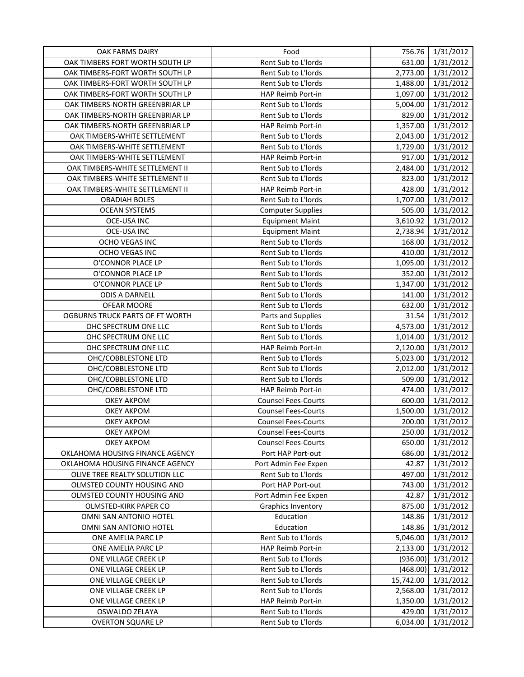| OAK FARMS DAIRY                 | Food                       | 756.76    | 1/31/2012 |
|---------------------------------|----------------------------|-----------|-----------|
| OAK TIMBERS FORT WORTH SOUTH LP | Rent Sub to L'Iords        | 631.00    | 1/31/2012 |
| OAK TIMBERS-FORT WORTH SOUTH LP | Rent Sub to L'Iords        | 2,773.00  | 1/31/2012 |
| OAK TIMBERS-FORT WORTH SOUTH LP | Rent Sub to L'Iords        | 1,488.00  | 1/31/2012 |
| OAK TIMBERS-FORT WORTH SOUTH LP | HAP Reimb Port-in          | 1,097.00  | 1/31/2012 |
| OAK TIMBERS-NORTH GREENBRIAR LP | Rent Sub to L'Iords        | 5,004.00  | 1/31/2012 |
| OAK TIMBERS-NORTH GREENBRIAR LP | Rent Sub to L'Iords        | 829.00    | 1/31/2012 |
| OAK TIMBERS-NORTH GREENBRIAR LP | HAP Reimb Port-in          | 1,357.00  | 1/31/2012 |
| OAK TIMBERS-WHITE SETTLEMENT    | Rent Sub to L'Iords        | 2,043.00  | 1/31/2012 |
| OAK TIMBERS-WHITE SETTLEMENT    | Rent Sub to L'Iords        | 1,729.00  | 1/31/2012 |
| OAK TIMBERS-WHITE SETTLEMENT    | HAP Reimb Port-in          | 917.00    | 1/31/2012 |
| OAK TIMBERS-WHITE SETTLEMENT II | Rent Sub to L'Iords        | 2,484.00  | 1/31/2012 |
| OAK TIMBERS-WHITE SETTLEMENT II | Rent Sub to L'Iords        | 823.00    | 1/31/2012 |
| OAK TIMBERS-WHITE SETTLEMENT II | HAP Reimb Port-in          | 428.00    | 1/31/2012 |
| <b>OBADIAH BOLES</b>            | Rent Sub to L'Iords        | 1,707.00  | 1/31/2012 |
| <b>OCEAN SYSTEMS</b>            | <b>Computer Supplies</b>   | 505.00    | 1/31/2012 |
| <b>OCE-USA INC</b>              | <b>Equipment Maint</b>     | 3,610.92  | 1/31/2012 |
| <b>OCE-USA INC</b>              | <b>Equipment Maint</b>     | 2,738.94  | 1/31/2012 |
| OCHO VEGAS INC                  | Rent Sub to L'Iords        | 168.00    | 1/31/2012 |
| OCHO VEGAS INC                  | Rent Sub to L'Iords        | 410.00    | 1/31/2012 |
| O'CONNOR PLACE LP               | Rent Sub to L'Iords        | 1,095.00  | 1/31/2012 |
| O'CONNOR PLACE LP               | Rent Sub to L'Iords        | 352.00    | 1/31/2012 |
| O'CONNOR PLACE LP               | Rent Sub to L'Iords        | 1,347.00  | 1/31/2012 |
| <b>ODIS A DARNELL</b>           | Rent Sub to L'Iords        | 141.00    | 1/31/2012 |
| OFEAR MOORE                     | Rent Sub to L'Iords        | 632.00    | 1/31/2012 |
| OGBURNS TRUCK PARTS OF FT WORTH | Parts and Supplies         | 31.54     | 1/31/2012 |
| OHC SPECTRUM ONE LLC            | Rent Sub to L'Iords        | 4,573.00  | 1/31/2012 |
| OHC SPECTRUM ONE LLC            | Rent Sub to L'Iords        | 1,014.00  | 1/31/2012 |
| OHC SPECTRUM ONE LLC            | HAP Reimb Port-in          | 2,120.00  | 1/31/2012 |
| OHC/COBBLESTONE LTD             | Rent Sub to L'Iords        | 5,023.00  | 1/31/2012 |
| OHC/COBBLESTONE LTD             | Rent Sub to L'Iords        | 2,012.00  | 1/31/2012 |
| OHC/COBBLESTONE LTD             | Rent Sub to L'Iords        | 509.00    | 1/31/2012 |
| OHC/COBBLESTONE LTD             | HAP Reimb Port-in          | 474.00    | 1/31/2012 |
| OKEY AKPOM                      | <b>Counsel Fees-Courts</b> | 600.00    | 1/31/2012 |
| OKEY AKPOM                      | <b>Counsel Fees-Courts</b> | 1,500.00  | 1/31/2012 |
| <b>OKEY AKPOM</b>               | <b>Counsel Fees-Courts</b> | 200.00    | 1/31/2012 |
| <b>OKEY AKPOM</b>               | <b>Counsel Fees-Courts</b> | 250.00    | 1/31/2012 |
| <b>OKEY AKPOM</b>               | <b>Counsel Fees-Courts</b> | 650.00    | 1/31/2012 |
| OKLAHOMA HOUSING FINANCE AGENCY | Port HAP Port-out          | 686.00    | 1/31/2012 |
| OKLAHOMA HOUSING FINANCE AGENCY | Port Admin Fee Expen       | 42.87     | 1/31/2012 |
| OLIVE TREE REALTY SOLUTION LLC  | Rent Sub to L'Iords        | 497.00    | 1/31/2012 |
| OLMSTED COUNTY HOUSING AND      | Port HAP Port-out          | 743.00    | 1/31/2012 |
| OLMSTED COUNTY HOUSING AND      | Port Admin Fee Expen       | 42.87     | 1/31/2012 |
| OLMSTED-KIRK PAPER CO           | <b>Graphics Inventory</b>  | 875.00    | 1/31/2012 |
| OMNI SAN ANTONIO HOTEL          | Education                  | 148.86    | 1/31/2012 |
| OMNI SAN ANTONIO HOTEL          | Education                  | 148.86    | 1/31/2012 |
| ONE AMELIA PARC LP              | Rent Sub to L'Iords        | 5,046.00  | 1/31/2012 |
| ONE AMELIA PARC LP              | HAP Reimb Port-in          | 2,133.00  | 1/31/2012 |
| ONE VILLAGE CREEK LP            | Rent Sub to L'Iords        | (936.00)  | 1/31/2012 |
| ONE VILLAGE CREEK LP            | Rent Sub to L'Iords        | (468.00)  | 1/31/2012 |
| ONE VILLAGE CREEK LP            | Rent Sub to L'Iords        | 15,742.00 | 1/31/2012 |
| ONE VILLAGE CREEK LP            | Rent Sub to L'Iords        | 2,568.00  | 1/31/2012 |
| ONE VILLAGE CREEK LP            | HAP Reimb Port-in          | 1,350.00  | 1/31/2012 |
| OSWALDO ZELAYA                  | Rent Sub to L'Iords        | 429.00    | 1/31/2012 |
| <b>OVERTON SQUARE LP</b>        | Rent Sub to L'Iords        | 6,034.00  | 1/31/2012 |
|                                 |                            |           |           |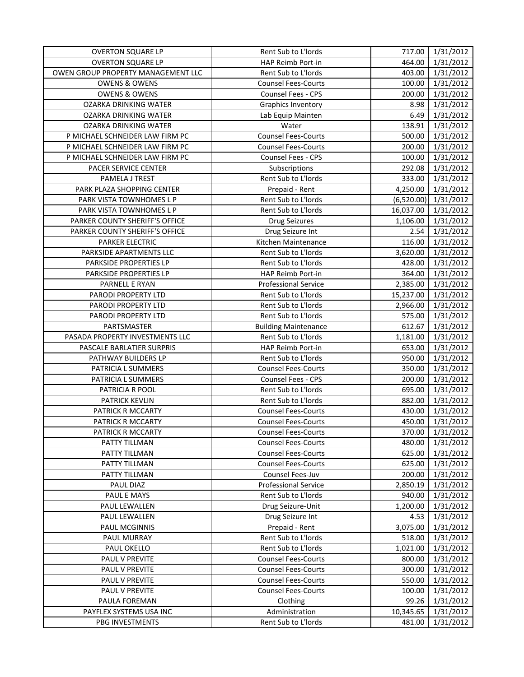| <b>OVERTON SQUARE LP</b>           | Rent Sub to L'Iords         | 717.00     | 1/31/2012 |
|------------------------------------|-----------------------------|------------|-----------|
| <b>OVERTON SQUARE LP</b>           | HAP Reimb Port-in           | 464.00     | 1/31/2012 |
| OWEN GROUP PROPERTY MANAGEMENT LLC | Rent Sub to L'Iords         | 403.00     | 1/31/2012 |
| <b>OWENS &amp; OWENS</b>           | <b>Counsel Fees-Courts</b>  | 100.00     | 1/31/2012 |
| <b>OWENS &amp; OWENS</b>           | Counsel Fees - CPS          | 200.00     | 1/31/2012 |
| <b>OZARKA DRINKING WATER</b>       | Graphics Inventory          | 8.98       | 1/31/2012 |
| OZARKA DRINKING WATER              | Lab Equip Mainten           | 6.49       | 1/31/2012 |
| OZARKA DRINKING WATER              | Water                       | 138.91     | 1/31/2012 |
| P MICHAEL SCHNEIDER LAW FIRM PC    | <b>Counsel Fees-Courts</b>  | 500.00     | 1/31/2012 |
| P MICHAEL SCHNEIDER LAW FIRM PC    | <b>Counsel Fees-Courts</b>  | 200.00     | 1/31/2012 |
| P MICHAEL SCHNEIDER LAW FIRM PC    | Counsel Fees - CPS          | 100.00     | 1/31/2012 |
| PACER SERVICE CENTER               | Subscriptions               | 292.08     | 1/31/2012 |
| PAMELA J TREST                     | Rent Sub to L'Iords         | 333.00     | 1/31/2012 |
| PARK PLAZA SHOPPING CENTER         | Prepaid - Rent              | 4,250.00   | 1/31/2012 |
| PARK VISTA TOWNHOMES L P           | Rent Sub to L'Iords         | (6,520.00) | 1/31/2012 |
| PARK VISTA TOWNHOMES L P           | Rent Sub to L'Iords         | 16,037.00  | 1/31/2012 |
| PARKER COUNTY SHERIFF'S OFFICE     | <b>Drug Seizures</b>        | 1,106.00   | 1/31/2012 |
| PARKER COUNTY SHERIFF'S OFFICE     | Drug Seizure Int            | 2.54       | 1/31/2012 |
| <b>PARKER ELECTRIC</b>             | Kitchen Maintenance         | 116.00     | 1/31/2012 |
| PARKSIDE APARTMENTS LLC            | Rent Sub to L'Iords         | 3,620.00   | 1/31/2012 |
| PARKSIDE PROPERTIES LP             | Rent Sub to L'Iords         | 428.00     | 1/31/2012 |
| PARKSIDE PROPERTIES LP             | HAP Reimb Port-in           | 364.00     | 1/31/2012 |
| PARNELL E RYAN                     | <b>Professional Service</b> | 2,385.00   | 1/31/2012 |
| PARODI PROPERTY LTD                | Rent Sub to L'Iords         | 15,237.00  | 1/31/2012 |
| PARODI PROPERTY LTD                | Rent Sub to L'Iords         | 2,966.00   | 1/31/2012 |
| PARODI PROPERTY LTD                | Rent Sub to L'Iords         | 575.00     | 1/31/2012 |
| PARTSMASTER                        | <b>Building Maintenance</b> | 612.67     | 1/31/2012 |
| PASADA PROPERTY INVESTMENTS LLC    | Rent Sub to L'Iords         | 1,181.00   | 1/31/2012 |
| PASCALE BARLATIER SURPRIS          | HAP Reimb Port-in           | 653.00     | 1/31/2012 |
| PATHWAY BUILDERS LP                | Rent Sub to L'Iords         | 950.00     | 1/31/2012 |
| PATRICIA L SUMMERS                 | <b>Counsel Fees-Courts</b>  | 350.00     | 1/31/2012 |
| PATRICIA L SUMMERS                 | Counsel Fees - CPS          | 200.00     | 1/31/2012 |
| PATRICIA R POOL                    | Rent Sub to L'Iords         | 695.00     | 1/31/2012 |
| <b>PATRICK KEVLIN</b>              | Rent Sub to L'Iords         | 882.00     | 1/31/2012 |
| PATRICK R MCCARTY                  | <b>Counsel Fees-Courts</b>  | 430.00     | 1/31/2012 |
| PATRICK R MCCARTY                  | <b>Counsel Fees-Courts</b>  | 450.00     | 1/31/2012 |
| PATRICK R MCCARTY                  | <b>Counsel Fees-Courts</b>  | 370.00     | 1/31/2012 |
| PATTY TILLMAN                      | <b>Counsel Fees-Courts</b>  | 480.00     | 1/31/2012 |
| PATTY TILLMAN                      | <b>Counsel Fees-Courts</b>  | 625.00     | 1/31/2012 |
| PATTY TILLMAN                      | <b>Counsel Fees-Courts</b>  | 625.00     | 1/31/2012 |
| PATTY TILLMAN                      | Counsel Fees-Juv            | 200.00     | 1/31/2012 |
| PAUL DIAZ                          | <b>Professional Service</b> | 2,850.19   | 1/31/2012 |
| PAUL E MAYS                        | Rent Sub to L'Iords         | 940.00     | 1/31/2012 |
| PAUL LEWALLEN                      | Drug Seizure-Unit           | 1,200.00   | 1/31/2012 |
| PAUL LEWALLEN                      | Drug Seizure Int            | 4.53       | 1/31/2012 |
| PAUL MCGINNIS                      | Prepaid - Rent              | 3,075.00   | 1/31/2012 |
| PAUL MURRAY                        | Rent Sub to L'Iords         | 518.00     | 1/31/2012 |
| PAUL OKELLO                        | Rent Sub to L'Iords         | 1,021.00   | 1/31/2012 |
| PAUL V PREVITE                     | <b>Counsel Fees-Courts</b>  | 800.00     | 1/31/2012 |
| PAUL V PREVITE                     | <b>Counsel Fees-Courts</b>  | 300.00     | 1/31/2012 |
| PAUL V PREVITE                     | <b>Counsel Fees-Courts</b>  | 550.00     | 1/31/2012 |
| PAUL V PREVITE                     | <b>Counsel Fees-Courts</b>  | 100.00     | 1/31/2012 |
| PAULA FOREMAN                      | Clothing                    | 99.26      | 1/31/2012 |
| PAYFLEX SYSTEMS USA INC            | Administration              | 10,345.65  | 1/31/2012 |
| PBG INVESTMENTS                    | Rent Sub to L'Iords         | 481.00     | 1/31/2012 |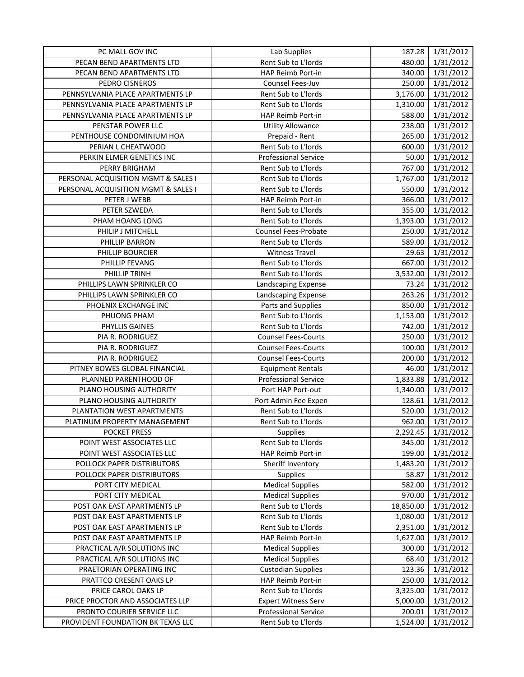| PC MALL GOV INC                     | Lab Supplies                | 187.28    | 1/31/2012 |
|-------------------------------------|-----------------------------|-----------|-----------|
| PECAN BEND APARTMENTS LTD           | Rent Sub to L'Iords         | 480.00    | 1/31/2012 |
| PECAN BEND APARTMENTS LTD           | HAP Reimb Port-in           | 340.00    | 1/31/2012 |
| PEDRO CISNEROS                      | Counsel Fees-Juv            | 250.00    | 1/31/2012 |
| PENNSYLVANIA PLACE APARTMENTS LP    | Rent Sub to L'Iords         | 3,176.00  | 1/31/2012 |
| PENNSYLVANIA PLACE APARTMENTS LP    | Rent Sub to L'Iords         | 1,310.00  | 1/31/2012 |
| PENNSYLVANIA PLACE APARTMENTS LP    | HAP Reimb Port-in           | 588.00    | 1/31/2012 |
| PENSTAR POWER LLC                   | <b>Utility Allowance</b>    | 238.00    | 1/31/2012 |
| PENTHOUSE CONDOMINIUM HOA           | Prepaid - Rent              | 265.00    | 1/31/2012 |
| PERIAN L CHEATWOOD                  | Rent Sub to L'Iords         | 600.00    | 1/31/2012 |
| PERKIN ELMER GENETICS INC           | <b>Professional Service</b> | 50.00     | 1/31/2012 |
| PERRY BRIGHAM                       | Rent Sub to L'Iords         | 767.00    | 1/31/2012 |
| PERSONAL ACQUISITION MGMT & SALES I | Rent Sub to L'Iords         | 1,767.00  | 1/31/2012 |
| PERSONAL ACQUISITION MGMT & SALES I | Rent Sub to L'Iords         | 550.00    | 1/31/2012 |
| PETER J WEBB                        | HAP Reimb Port-in           | 366.00    | 1/31/2012 |
| PETER SZWEDA                        | Rent Sub to L'Iords         | 355.00    | 1/31/2012 |
| PHAM HOANG LONG                     | Rent Sub to L'Iords         | 1,393.00  | 1/31/2012 |
| PHILIP J MITCHELL                   | <b>Counsel Fees-Probate</b> | 250.00    | 1/31/2012 |
| PHILLIP BARRON                      | Rent Sub to L'Iords         | 589.00    | 1/31/2012 |
| PHILLIP BOURCIER                    | <b>Witness Travel</b>       | 29.63     | 1/31/2012 |
| PHILLIP FEVANG                      | Rent Sub to L'Iords         | 667.00    | 1/31/2012 |
| PHILLIP TRINH                       | Rent Sub to L'Iords         | 3,532.00  | 1/31/2012 |
| PHILLIPS LAWN SPRINKLER CO          | Landscaping Expense         | 73.24     | 1/31/2012 |
| PHILLIPS LAWN SPRINKLER CO          | Landscaping Expense         | 263.26    | 1/31/2012 |
| PHOENIX EXCHANGE INC                | Parts and Supplies          | 850.00    | 1/31/2012 |
| PHUONG PHAM                         | Rent Sub to L'Iords         | 1,153.00  | 1/31/2012 |
| PHYLLIS GAINES                      | Rent Sub to L'Iords         | 742.00    | 1/31/2012 |
| PIA R. RODRIGUEZ                    | <b>Counsel Fees-Courts</b>  | 250.00    | 1/31/2012 |
| PIA R. RODRIGUEZ                    | <b>Counsel Fees-Courts</b>  | 100.00    | 1/31/2012 |
| PIA R. RODRIGUEZ                    | <b>Counsel Fees-Courts</b>  | 200.00    | 1/31/2012 |
| PITNEY BOWES GLOBAL FINANCIAL       | <b>Equipment Rentals</b>    | 46.00     | 1/31/2012 |
| PLANNED PARENTHOOD OF               | <b>Professional Service</b> | 1,833.88  | 1/31/2012 |
| PLANO HOUSING AUTHORITY             | Port HAP Port-out           | 1,340.00  | 1/31/2012 |
| PLANO HOUSING AUTHORITY             | Port Admin Fee Expen        | 128.61    | 1/31/2012 |
| PLANTATION WEST APARTMENTS          | Rent Sub to L'Iords         | 520.00    | 1/31/2012 |
| PLATINUM PROPERTY MANAGEMENT        | Rent Sub to L'Iords         | 962.00    | 1/31/2012 |
| <b>POCKET PRESS</b>                 | <b>Supplies</b>             | 2,292.45  | 1/31/2012 |
| POINT WEST ASSOCIATES LLC           | Rent Sub to L'Iords         | 345.00    | 1/31/2012 |
| POINT WEST ASSOCIATES LLC           | HAP Reimb Port-in           | 199.00    | 1/31/2012 |
| POLLOCK PAPER DISTRIBUTORS          | Sheriff Inventory           | 1,483.20  | 1/31/2012 |
| POLLOCK PAPER DISTRIBUTORS          | Supplies                    | 58.87     | 1/31/2012 |
| PORT CITY MEDICAL                   | <b>Medical Supplies</b>     | 582.00    | 1/31/2012 |
| PORT CITY MEDICAL                   | <b>Medical Supplies</b>     | 970.00    | 1/31/2012 |
| POST OAK EAST APARTMENTS LP         | Rent Sub to L'Iords         | 18,850.00 | 1/31/2012 |
| POST OAK EAST APARTMENTS LP         | Rent Sub to L'Iords         | 1,080.00  | 1/31/2012 |
| POST OAK EAST APARTMENTS LP         | Rent Sub to L'Iords         | 2,351.00  | 1/31/2012 |
| POST OAK EAST APARTMENTS LP         | HAP Reimb Port-in           | 1,627.00  | 1/31/2012 |
| PRACTICAL A/R SOLUTIONS INC         | <b>Medical Supplies</b>     | 300.00    | 1/31/2012 |
| PRACTICAL A/R SOLUTIONS INC         | <b>Medical Supplies</b>     | 68.40     | 1/31/2012 |
| PRAETORIAN OPERATING INC            | <b>Custodian Supplies</b>   | 123.36    | 1/31/2012 |
| PRATTCO CRESENT OAKS LP             | HAP Reimb Port-in           | 250.00    | 1/31/2012 |
| PRICE CAROL OAKS LP                 | Rent Sub to L'Iords         | 3,325.00  | 1/31/2012 |
| PRICE PROCTOR AND ASSOCIATES LLP    | <b>Expert Witness Serv</b>  | 5,000.00  | 1/31/2012 |
| PRONTO COURIER SERVICE LLC          | <b>Professional Service</b> | 200.01    | 1/31/2012 |
| PROVIDENT FOUNDATION BK TEXAS LLC   | Rent Sub to L'Iords         | 1,524.00  | 1/31/2012 |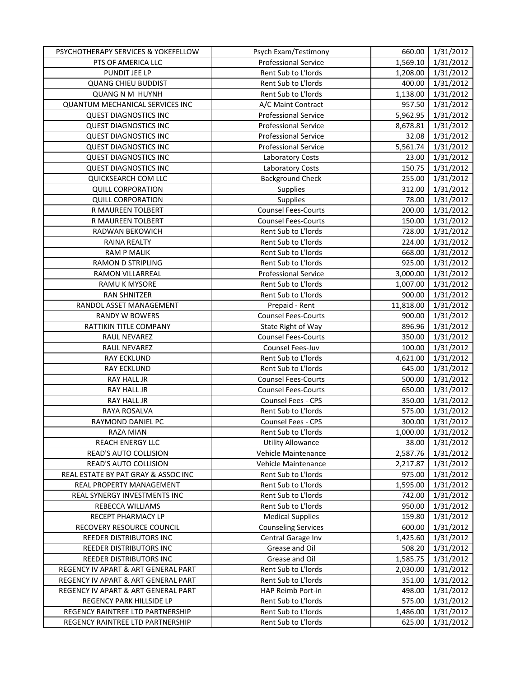| PSYCHOTHERAPY SERVICES & YOKEFELLOW    | Psych Exam/Testimony        | 660.00    | 1/31/2012 |
|----------------------------------------|-----------------------------|-----------|-----------|
| PTS OF AMERICA LLC                     | <b>Professional Service</b> | 1,569.10  | 1/31/2012 |
| PUNDIT JEE LP                          | Rent Sub to L'Iords         | 1,208.00  | 1/31/2012 |
| <b>QUANG CHIEU BUDDIST</b>             | Rent Sub to L'Iords         | 400.00    | 1/31/2012 |
| <b>QUANG N M HUYNH</b>                 | Rent Sub to L'Iords         | 1,138.00  | 1/31/2012 |
| <b>QUANTUM MECHANICAL SERVICES INC</b> | A/C Maint Contract          | 957.50    | 1/31/2012 |
| <b>QUEST DIAGNOSTICS INC</b>           | <b>Professional Service</b> | 5,962.95  | 1/31/2012 |
| <b>QUEST DIAGNOSTICS INC</b>           | <b>Professional Service</b> | 8,678.81  | 1/31/2012 |
| <b>QUEST DIAGNOSTICS INC</b>           | <b>Professional Service</b> | 32.08     | 1/31/2012 |
| <b>QUEST DIAGNOSTICS INC</b>           | <b>Professional Service</b> | 5,561.74  | 1/31/2012 |
| <b>QUEST DIAGNOSTICS INC</b>           | Laboratory Costs            | 23.00     | 1/31/2012 |
| <b>QUEST DIAGNOSTICS INC</b>           | Laboratory Costs            | 150.75    | 1/31/2012 |
| QUICKSEARCH COM LLC                    | <b>Background Check</b>     | 255.00    | 1/31/2012 |
| <b>QUILL CORPORATION</b>               | <b>Supplies</b>             | 312.00    | 1/31/2012 |
| <b>QUILL CORPORATION</b>               | Supplies                    | 78.00     | 1/31/2012 |
| R MAUREEN TOLBERT                      | <b>Counsel Fees-Courts</b>  | 200.00    | 1/31/2012 |
| R MAUREEN TOLBERT                      | <b>Counsel Fees-Courts</b>  | 150.00    | 1/31/2012 |
| RADWAN BEKOWICH                        | Rent Sub to L'Iords         | 728.00    | 1/31/2012 |
| RAINA REALTY                           | Rent Sub to L'Iords         | 224.00    | 1/31/2012 |
| <b>RAM P MALIK</b>                     | Rent Sub to L'Iords         | 668.00    | 1/31/2012 |
| <b>RAMON D STRIPLING</b>               | Rent Sub to L'Iords         | 925.00    | 1/31/2012 |
| RAMON VILLARREAL                       | <b>Professional Service</b> | 3,000.00  | 1/31/2012 |
| RAMU K MYSORE                          | Rent Sub to L'Iords         | 1,007.00  | 1/31/2012 |
| <b>RAN SHNITZER</b>                    | Rent Sub to L'Iords         | 900.00    | 1/31/2012 |
| RANDOL ASSET MANAGEMENT                | Prepaid - Rent              | 11,818.00 | 1/31/2012 |
| <b>RANDY W BOWERS</b>                  | <b>Counsel Fees-Courts</b>  | 900.00    | 1/31/2012 |
| RATTIKIN TITLE COMPANY                 | State Right of Way          | 896.96    | 1/31/2012 |
| RAUL NEVAREZ                           | <b>Counsel Fees-Courts</b>  | 350.00    | 1/31/2012 |
| RAUL NEVAREZ                           | Counsel Fees-Juv            | 100.00    | 1/31/2012 |
| <b>RAY ECKLUND</b>                     | Rent Sub to L'Iords         | 4,621.00  | 1/31/2012 |
| <b>RAY ECKLUND</b>                     | Rent Sub to L'Iords         | 645.00    | 1/31/2012 |
| RAY HALL JR                            | <b>Counsel Fees-Courts</b>  | 500.00    | 1/31/2012 |
| RAY HALL JR                            | <b>Counsel Fees-Courts</b>  | 650.00    | 1/31/2012 |
| RAY HALL JR                            | Counsel Fees - CPS          | 350.00    | 1/31/2012 |
| RAYA ROSALVA                           | Rent Sub to L'Iords         | 575.00    | 1/31/2012 |
| <b>RAYMOND DANIEL PC</b>               | Counsel Fees - CPS          | 300.00    | 1/31/2012 |
| RAZA MIAN                              | Rent Sub to L'Iords         | 1,000.00  | 1/31/2012 |
| <b>REACH ENERGY LLC</b>                | <b>Utility Allowance</b>    | 38.00     | 1/31/2012 |
| READ'S AUTO COLLISION                  | Vehicle Maintenance         | 2,587.76  | 1/31/2012 |
| READ'S AUTO COLLISION                  | Vehicle Maintenance         | 2,217.87  | 1/31/2012 |
| REAL ESTATE BY PAT GRAY & ASSOC INC    | Rent Sub to L'Iords         | 975.00    | 1/31/2012 |
| REAL PROPERTY MANAGEMENT               | Rent Sub to L'Iords         | 1,595.00  | 1/31/2012 |
| REAL SYNERGY INVESTMENTS INC           | Rent Sub to L'Iords         | 742.00    | 1/31/2012 |
| REBECCA WILLIAMS                       | Rent Sub to L'Iords         | 950.00    | 1/31/2012 |
| RECEPT PHARMACY LP                     | <b>Medical Supplies</b>     | 159.80    | 1/31/2012 |
| RECOVERY RESOURCE COUNCIL              | Counseling Services         | 600.00    | 1/31/2012 |
| REEDER DISTRIBUTORS INC                | Central Garage Inv          | 1,425.60  | 1/31/2012 |
| REEDER DISTRIBUTORS INC                | Grease and Oil              | 508.20    | 1/31/2012 |
| REEDER DISTRIBUTORS INC                | Grease and Oil              | 1,585.75  | 1/31/2012 |
| REGENCY IV APART & ART GENERAL PART    | Rent Sub to L'Iords         | 2,030.00  | 1/31/2012 |
| REGENCY IV APART & ART GENERAL PART    | Rent Sub to L'Iords         | 351.00    | 1/31/2012 |
| REGENCY IV APART & ART GENERAL PART    | HAP Reimb Port-in           | 498.00    | 1/31/2012 |
| REGENCY PARK HILLSIDE LP               | Rent Sub to L'Iords         | 575.00    | 1/31/2012 |
| REGENCY RAINTREE LTD PARTNERSHIP       | Rent Sub to L'Iords         | 1,486.00  | 1/31/2012 |
| REGENCY RAINTREE LTD PARTNERSHIP       | Rent Sub to L'Iords         | 625.00    | 1/31/2012 |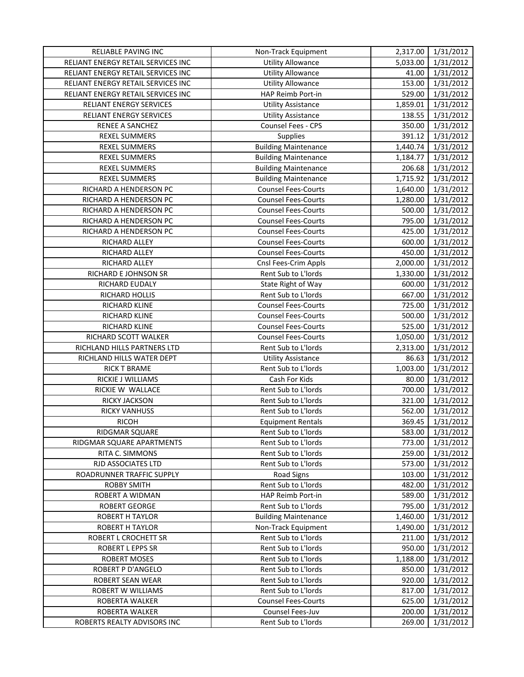| RELIABLE PAVING INC                | Non-Track Equipment         | 2,317.00 | 1/31/2012 |
|------------------------------------|-----------------------------|----------|-----------|
| RELIANT ENERGY RETAIL SERVICES INC | <b>Utility Allowance</b>    | 5,033.00 | 1/31/2012 |
| RELIANT ENERGY RETAIL SERVICES INC | <b>Utility Allowance</b>    | 41.00    | 1/31/2012 |
| RELIANT ENERGY RETAIL SERVICES INC | <b>Utility Allowance</b>    | 153.00   | 1/31/2012 |
| RELIANT ENERGY RETAIL SERVICES INC | HAP Reimb Port-in           | 529.00   | 1/31/2012 |
| <b>RELIANT ENERGY SERVICES</b>     | <b>Utility Assistance</b>   | 1,859.01 | 1/31/2012 |
| RELIANT ENERGY SERVICES            | <b>Utility Assistance</b>   | 138.55   | 1/31/2012 |
| RENEE A SANCHEZ                    | Counsel Fees - CPS          | 350.00   | 1/31/2012 |
| <b>REXEL SUMMERS</b>               | <b>Supplies</b>             | 391.12   | 1/31/2012 |
| <b>REXEL SUMMERS</b>               | <b>Building Maintenance</b> | 1,440.74 | 1/31/2012 |
| <b>REXEL SUMMERS</b>               | <b>Building Maintenance</b> | 1,184.77 | 1/31/2012 |
| <b>REXEL SUMMERS</b>               | <b>Building Maintenance</b> | 206.68   | 1/31/2012 |
| REXEL SUMMERS                      | <b>Building Maintenance</b> | 1,715.92 | 1/31/2012 |
| RICHARD A HENDERSON PC             | <b>Counsel Fees-Courts</b>  | 1,640.00 | 1/31/2012 |
| RICHARD A HENDERSON PC             | <b>Counsel Fees-Courts</b>  | 1,280.00 | 1/31/2012 |
| RICHARD A HENDERSON PC             | <b>Counsel Fees-Courts</b>  | 500.00   | 1/31/2012 |
| RICHARD A HENDERSON PC             | <b>Counsel Fees-Courts</b>  | 795.00   | 1/31/2012 |
| RICHARD A HENDERSON PC             | <b>Counsel Fees-Courts</b>  | 425.00   | 1/31/2012 |
| RICHARD ALLEY                      | <b>Counsel Fees-Courts</b>  | 600.00   | 1/31/2012 |
| RICHARD ALLEY                      | <b>Counsel Fees-Courts</b>  | 450.00   | 1/31/2012 |
| RICHARD ALLEY                      | Cnsl Fees-Crim Appls        | 2,000.00 | 1/31/2012 |
| RICHARD E JOHNSON SR               | Rent Sub to L'Iords         | 1,330.00 | 1/31/2012 |
| RICHARD EUDALY                     | State Right of Way          | 600.00   | 1/31/2012 |
| RICHARD HOLLIS                     | Rent Sub to L'Iords         | 667.00   | 1/31/2012 |
| RICHARD KLINE                      | <b>Counsel Fees-Courts</b>  | 725.00   | 1/31/2012 |
| RICHARD KLINE                      | Counsel Fees-Courts         | 500.00   | 1/31/2012 |
| RICHARD KLINE                      | <b>Counsel Fees-Courts</b>  | 525.00   | 1/31/2012 |
| RICHARD SCOTT WALKER               | <b>Counsel Fees-Courts</b>  | 1,050.00 | 1/31/2012 |
| RICHLAND HILLS PARTNERS LTD        | Rent Sub to L'Iords         | 2,313.00 | 1/31/2012 |
| RICHLAND HILLS WATER DEPT          | <b>Utility Assistance</b>   | 86.63    | 1/31/2012 |
| <b>RICK T BRAME</b>                | Rent Sub to L'Iords         | 1,003.00 | 1/31/2012 |
| RICKIE J WILLIAMS                  | Cash For Kids               | 80.00    | 1/31/2012 |
| RICKIE W WALLACE                   | Rent Sub to L'Iords         | 700.00   | 1/31/2012 |
| RICKY JACKSON                      | Rent Sub to L'Iords         | 321.00   | 1/31/2012 |
| <b>RICKY VANHUSS</b>               | Rent Sub to L'Iords         | 562.00   | 1/31/2012 |
| <b>RICOH</b>                       | <b>Equipment Rentals</b>    | 369.45   | 1/31/2012 |
| RIDGMAR SQUARE                     | Rent Sub to L'Iords         | 583.00   | 1/31/2012 |
| RIDGMAR SQUARE APARTMENTS          | Rent Sub to L'Iords         | 773.00   | 1/31/2012 |
| RITA C. SIMMONS                    | Rent Sub to L'Iords         | 259.00   | 1/31/2012 |
| RJD ASSOCIATES LTD                 | Rent Sub to L'Iords         | 573.00   | 1/31/2012 |
| ROADRUNNER TRAFFIC SUPPLY          | <b>Road Signs</b>           | 103.00   | 1/31/2012 |
| <b>ROBBY SMITH</b>                 | Rent Sub to L'Iords         | 482.00   | 1/31/2012 |
| ROBERT A WIDMAN                    | HAP Reimb Port-in           | 589.00   | 1/31/2012 |
| <b>ROBERT GEORGE</b>               | Rent Sub to L'Iords         | 795.00   | 1/31/2012 |
| <b>ROBERT H TAYLOR</b>             | <b>Building Maintenance</b> | 1,460.00 | 1/31/2012 |
| ROBERT H TAYLOR                    | Non-Track Equipment         | 1,490.00 | 1/31/2012 |
| ROBERT L CROCHETT SR               | Rent Sub to L'Iords         | 211.00   | 1/31/2012 |
| ROBERT L EPPS SR                   | Rent Sub to L'Iords         | 950.00   | 1/31/2012 |
| <b>ROBERT MOSES</b>                | Rent Sub to L'Iords         | 1,188.00 | 1/31/2012 |
| ROBERT P D'ANGELO                  | Rent Sub to L'Iords         | 850.00   | 1/31/2012 |
| ROBERT SEAN WEAR                   | Rent Sub to L'Iords         | 920.00   | 1/31/2012 |
| ROBERT W WILLIAMS                  | Rent Sub to L'Iords         | 817.00   | 1/31/2012 |
| ROBERTA WALKER                     | <b>Counsel Fees-Courts</b>  | 625.00   | 1/31/2012 |
| ROBERTA WALKER                     | Counsel Fees-Juv            | 200.00   | 1/31/2012 |
| ROBERTS REALTY ADVISORS INC        | Rent Sub to L'Iords         | 269.00   | 1/31/2012 |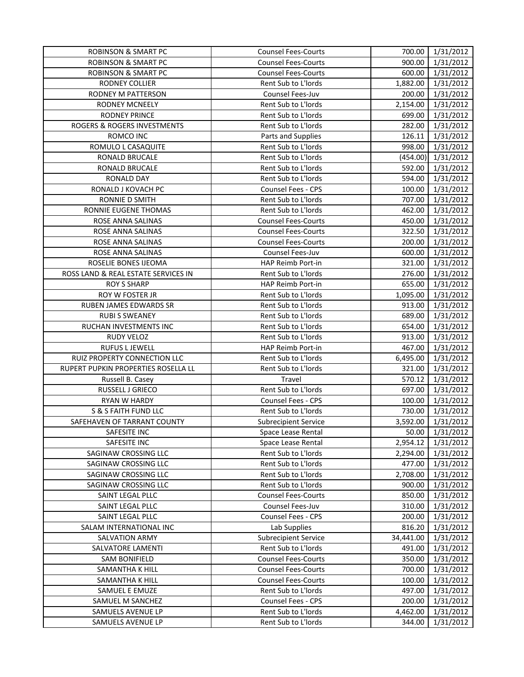| <b>ROBINSON &amp; SMART PC</b>      | <b>Counsel Fees-Courts</b>  | 700.00    | 1/31/2012 |
|-------------------------------------|-----------------------------|-----------|-----------|
| <b>ROBINSON &amp; SMART PC</b>      | <b>Counsel Fees-Courts</b>  | 900.00    | 1/31/2012 |
| <b>ROBINSON &amp; SMART PC</b>      | <b>Counsel Fees-Courts</b>  | 600.00    | 1/31/2012 |
| RODNEY COLLIER                      | Rent Sub to L'Iords         | 1,882.00  | 1/31/2012 |
| RODNEY M PATTERSON                  | Counsel Fees-Juv            | 200.00    | 1/31/2012 |
| <b>RODNEY MCNEELY</b>               | Rent Sub to L'Iords         | 2,154.00  | 1/31/2012 |
| <b>RODNEY PRINCE</b>                | Rent Sub to L'Iords         | 699.00    | 1/31/2012 |
| ROGERS & ROGERS INVESTMENTS         | Rent Sub to L'Iords         | 282.00    | 1/31/2012 |
| ROMCO INC                           | Parts and Supplies          | 126.11    | 1/31/2012 |
| ROMULO L CASAQUITE                  | Rent Sub to L'Iords         | 998.00    | 1/31/2012 |
| RONALD BRUCALE                      | Rent Sub to L'Iords         | (454.00)  | 1/31/2012 |
| <b>RONALD BRUCALE</b>               | Rent Sub to L'Iords         | 592.00    | 1/31/2012 |
| RONALD DAY                          | Rent Sub to L'Iords         | 594.00    | 1/31/2012 |
| RONALD J KOVACH PC                  | <b>Counsel Fees - CPS</b>   | 100.00    | 1/31/2012 |
| RONNIE D SMITH                      | Rent Sub to L'Iords         | 707.00    | 1/31/2012 |
| RONNIE EUGENE THOMAS                | Rent Sub to L'Iords         | 462.00    | 1/31/2012 |
| ROSE ANNA SALINAS                   | <b>Counsel Fees-Courts</b>  | 450.00    | 1/31/2012 |
| ROSE ANNA SALINAS                   | <b>Counsel Fees-Courts</b>  | 322.50    | 1/31/2012 |
| ROSE ANNA SALINAS                   | <b>Counsel Fees-Courts</b>  | 200.00    | 1/31/2012 |
| ROSE ANNA SALINAS                   | <b>Counsel Fees-Juv</b>     | 600.00    | 1/31/2012 |
| ROSELIE BONES IJEOMA                | HAP Reimb Port-in           | 321.00    | 1/31/2012 |
| ROSS LAND & REAL ESTATE SERVICES IN | Rent Sub to L'Iords         | 276.00    | 1/31/2012 |
| <b>ROY S SHARP</b>                  | HAP Reimb Port-in           | 655.00    | 1/31/2012 |
| ROY W FOSTER JR                     | Rent Sub to L'Iords         | 1,095.00  | 1/31/2012 |
| RUBEN JAMES EDWARDS SR              | Rent Sub to L'Iords         | 913.00    | 1/31/2012 |
| <b>RUBI S SWEANEY</b>               | Rent Sub to L'Iords         | 689.00    | 1/31/2012 |
| RUCHAN INVESTMENTS INC              | Rent Sub to L'Iords         | 654.00    | 1/31/2012 |
| RUDY VELOZ                          | Rent Sub to L'Iords         | 913.00    | 1/31/2012 |
| <b>RUFUS L JEWELL</b>               | HAP Reimb Port-in           | 467.00    | 1/31/2012 |
| RUIZ PROPERTY CONNECTION LLC        | Rent Sub to L'Iords         | 6,495.00  | 1/31/2012 |
| RUPERT PUPKIN PROPERTIES ROSELLA LL | Rent Sub to L'Iords         | 321.00    | 1/31/2012 |
| Russell B. Casey                    | Travel                      | 570.12    | 1/31/2012 |
| RUSSELL J GRIECO                    | Rent Sub to L'Iords         | 697.00    | 1/31/2012 |
| RYAN W HARDY                        | Counsel Fees - CPS          | 100.00    | 1/31/2012 |
| S & S FAITH FUND LLC                | Rent Sub to L'Iords         | 730.00    | 1/31/2012 |
| SAFEHAVEN OF TARRANT COUNTY         | <b>Subrecipient Service</b> | 3,592.00  | 1/31/2012 |
| SAFESITE INC                        | Space Lease Rental          | 50.00 l   | 1/31/2012 |
| SAFESITE INC                        | Space Lease Rental          | 2,954.12  | 1/31/2012 |
| SAGINAW CROSSING LLC                | Rent Sub to L'Iords         | 2,294.00  | 1/31/2012 |
| SAGINAW CROSSING LLC                | Rent Sub to L'Iords         | 477.00    | 1/31/2012 |
| SAGINAW CROSSING LLC                | Rent Sub to L'Iords         | 2,708.00  | 1/31/2012 |
| SAGINAW CROSSING LLC                | Rent Sub to L'Iords         | 900.00    | 1/31/2012 |
| SAINT LEGAL PLLC                    | <b>Counsel Fees-Courts</b>  | 850.00    | 1/31/2012 |
| SAINT LEGAL PLLC                    | <b>Counsel Fees-Juv</b>     | 310.00    | 1/31/2012 |
| SAINT LEGAL PLLC                    | <b>Counsel Fees - CPS</b>   | 200.00    | 1/31/2012 |
| SALAM INTERNATIONAL INC             | Lab Supplies                | 816.20    | 1/31/2012 |
| <b>SALVATION ARMY</b>               | <b>Subrecipient Service</b> | 34,441.00 | 1/31/2012 |
| SALVATORE LAMENTI                   | Rent Sub to L'Iords         | 491.00    | 1/31/2012 |
| <b>SAM BONIFIELD</b>                | <b>Counsel Fees-Courts</b>  | 350.00    | 1/31/2012 |
| SAMANTHA K HILL                     | <b>Counsel Fees-Courts</b>  | 700.00    | 1/31/2012 |
| SAMANTHA K HILL                     | <b>Counsel Fees-Courts</b>  | 100.00    | 1/31/2012 |
| SAMUEL E EMUZE                      | Rent Sub to L'Iords         | 497.00    | 1/31/2012 |
| SAMUEL M SANCHEZ                    | Counsel Fees - CPS          | 200.00    | 1/31/2012 |
| SAMUELS AVENUE LP                   | Rent Sub to L'Iords         | 4,462.00  | 1/31/2012 |
| SAMUELS AVENUE LP                   | Rent Sub to L'Iords         | 344.00    | 1/31/2012 |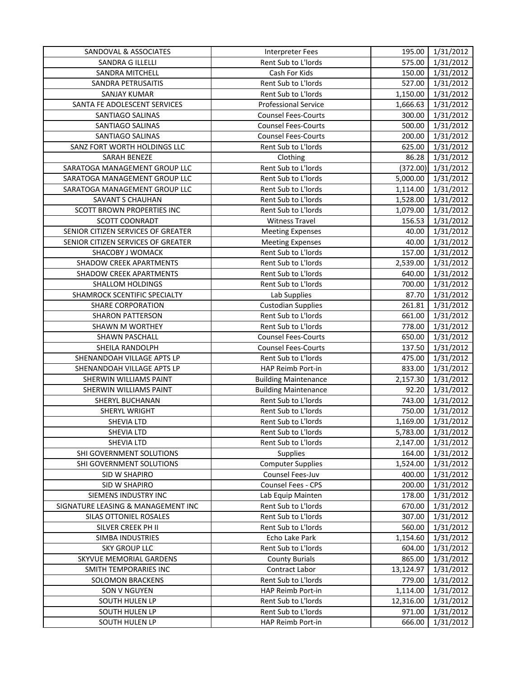| SANDOVAL & ASSOCIATES              | <b>Interpreter Fees</b>     | 195.00    | 1/31/2012 |
|------------------------------------|-----------------------------|-----------|-----------|
| SANDRA G ILLELLI                   | Rent Sub to L'Iords         | 575.00    | 1/31/2012 |
| SANDRA MITCHELL                    | Cash For Kids               | 150.00    | 1/31/2012 |
| SANDRA PETRUSAITIS                 | Rent Sub to L'Iords         | 527.00    | 1/31/2012 |
| <b>SANJAY KUMAR</b>                | Rent Sub to L'Iords         | 1,150.00  | 1/31/2012 |
| SANTA FE ADOLESCENT SERVICES       | <b>Professional Service</b> | 1,666.63  | 1/31/2012 |
| SANTIAGO SALINAS                   | <b>Counsel Fees-Courts</b>  | 300.00    | 1/31/2012 |
| SANTIAGO SALINAS                   | <b>Counsel Fees-Courts</b>  | 500.00    | 1/31/2012 |
| SANTIAGO SALINAS                   | <b>Counsel Fees-Courts</b>  | 200.00    | 1/31/2012 |
| SANZ FORT WORTH HOLDINGS LLC       | Rent Sub to L'Iords         | 625.00    | 1/31/2012 |
| SARAH BENEZE                       | Clothing                    | 86.28     | 1/31/2012 |
| SARATOGA MANAGEMENT GROUP LLC      | Rent Sub to L'Iords         | (372.00)  | 1/31/2012 |
| SARATOGA MANAGEMENT GROUP LLC      | Rent Sub to L'Iords         | 5,000.00  | 1/31/2012 |
| SARATOGA MANAGEMENT GROUP LLC      | Rent Sub to L'Iords         | 1,114.00  | 1/31/2012 |
| SAVANT S CHAUHAN                   | Rent Sub to L'Iords         | 1,528.00  | 1/31/2012 |
| SCOTT BROWN PROPERTIES INC         | Rent Sub to L'Iords         | 1,079.00  | 1/31/2012 |
| SCOTT COONRADT                     | <b>Witness Travel</b>       | 156.53    | 1/31/2012 |
| SENIOR CITIZEN SERVICES OF GREATER | <b>Meeting Expenses</b>     | 40.00     | 1/31/2012 |
| SENIOR CITIZEN SERVICES OF GREATER | <b>Meeting Expenses</b>     | 40.00     | 1/31/2012 |
| <b>SHACOBY J WOMACK</b>            | Rent Sub to L'Iords         | 157.00    | 1/31/2012 |
| SHADOW CREEK APARTMENTS            | Rent Sub to L'Iords         | 2,539.00  | 1/31/2012 |
| SHADOW CREEK APARTMENTS            | Rent Sub to L'Iords         | 640.00    | 1/31/2012 |
| SHALLOM HOLDINGS                   | Rent Sub to L'Iords         | 700.00    | 1/31/2012 |
| SHAMROCK SCENTIFIC SPECIALTY       | Lab Supplies                | 87.70     | 1/31/2012 |
| <b>SHARE CORPORATION</b>           | <b>Custodian Supplies</b>   | 261.81    | 1/31/2012 |
| <b>SHARON PATTERSON</b>            | Rent Sub to L'Iords         | 661.00    | 1/31/2012 |
| SHAWN M WORTHEY                    | Rent Sub to L'Iords         | 778.00    | 1/31/2012 |
| SHAWN PASCHALL                     | <b>Counsel Fees-Courts</b>  | 650.00    | 1/31/2012 |
| SHEILA RANDOLPH                    | <b>Counsel Fees-Courts</b>  | 137.50    | 1/31/2012 |
| SHENANDOAH VILLAGE APTS LP         | Rent Sub to L'Iords         | 475.00    | 1/31/2012 |
| SHENANDOAH VILLAGE APTS LP         | HAP Reimb Port-in           | 833.00    | 1/31/2012 |
| SHERWIN WILLIAMS PAINT             | <b>Building Maintenance</b> | 2,157.30  | 1/31/2012 |
| SHERWIN WILLIAMS PAINT             | <b>Building Maintenance</b> | 92.20     | 1/31/2012 |
| SHERYL BUCHANAN                    | Rent Sub to L'Iords         | 743.00    | 1/31/2012 |
| SHERYL WRIGHT                      | Rent Sub to L'Iords         | 750.00    | 1/31/2012 |
| <b>SHEVIA LTD</b>                  | Rent Sub to L'Iords         | 1,169.00  | 1/31/2012 |
| SHEVIA LTD                         | Rent Sub to L'Iords         | 5,783.00  | 1/31/2012 |
| <b>SHEVIA LTD</b>                  | Rent Sub to L'Iords         | 2,147.00  | 1/31/2012 |
| SHI GOVERNMENT SOLUTIONS           | <b>Supplies</b>             | 164.00    | 1/31/2012 |
| SHI GOVERNMENT SOLUTIONS           | <b>Computer Supplies</b>    | 1,524.00  | 1/31/2012 |
| SID W SHAPIRO                      | Counsel Fees-Juv            | 400.00    | 1/31/2012 |
| SID W SHAPIRO                      | Counsel Fees - CPS          | 200.00    | 1/31/2012 |
| SIEMENS INDUSTRY INC               | Lab Equip Mainten           | 178.00    | 1/31/2012 |
| SIGNATURE LEASING & MANAGEMENT INC | Rent Sub to L'Iords         | 670.00    | 1/31/2012 |
| SILAS OTTONIEL ROSALES             | Rent Sub to L'Iords         | 307.00    | 1/31/2012 |
| SILVER CREEK PH II                 | Rent Sub to L'Iords         | 560.00    | 1/31/2012 |
| <b>SIMBA INDUSTRIES</b>            | Echo Lake Park              | 1,154.60  | 1/31/2012 |
| <b>SKY GROUP LLC</b>               | Rent Sub to L'Iords         | 604.00    | 1/31/2012 |
| SKYVUE MEMORIAL GARDENS            | <b>County Burials</b>       | 865.00    | 1/31/2012 |
| SMITH TEMPORARIES INC              | Contract Labor              | 13,124.97 | 1/31/2012 |
| <b>SOLOMON BRACKENS</b>            | Rent Sub to L'Iords         | 779.00    | 1/31/2012 |
| SON V NGUYEN                       | HAP Reimb Port-in           | 1,114.00  | 1/31/2012 |
| SOUTH HULEN LP                     | Rent Sub to L'Iords         | 12,316.00 | 1/31/2012 |
| SOUTH HULEN LP                     | Rent Sub to L'Iords         | 971.00    | 1/31/2012 |
| SOUTH HULEN LP                     | HAP Reimb Port-in           | 666.00    | 1/31/2012 |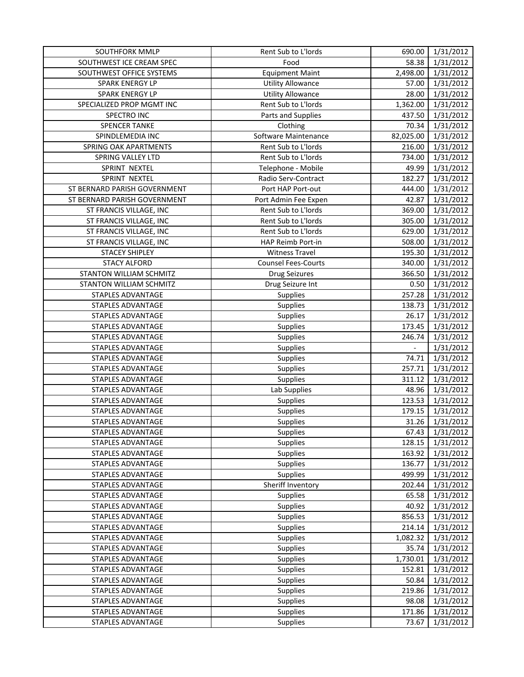| SOUTHFORK MMLP                 | Rent Sub to L'Iords        | 690.00                   | 1/31/2012 |
|--------------------------------|----------------------------|--------------------------|-----------|
| SOUTHWEST ICE CREAM SPEC       | Food                       | 58.38                    | 1/31/2012 |
| SOUTHWEST OFFICE SYSTEMS       | <b>Equipment Maint</b>     | 2,498.00                 | 1/31/2012 |
| SPARK ENERGY LP                | <b>Utility Allowance</b>   | 57.00                    | 1/31/2012 |
| SPARK ENERGY LP                | <b>Utility Allowance</b>   | 28.00                    | 1/31/2012 |
| SPECIALIZED PROP MGMT INC      | Rent Sub to L'Iords        | 1,362.00                 | 1/31/2012 |
| SPECTRO INC                    | Parts and Supplies         | 437.50                   | 1/31/2012 |
| <b>SPENCER TANKE</b>           | Clothing                   | 70.34                    | 1/31/2012 |
| SPINDLEMEDIA INC               | Software Maintenance       | 82,025.00                | 1/31/2012 |
| SPRING OAK APARTMENTS          | Rent Sub to L'Iords        | 216.00                   | 1/31/2012 |
| SPRING VALLEY LTD              | Rent Sub to L'Iords        | 734.00                   | 1/31/2012 |
| SPRINT NEXTEL                  | Telephone - Mobile         | 49.99                    | 1/31/2012 |
| SPRINT NEXTEL                  | Radio Serv-Contract        | 182.27                   | 1/31/2012 |
| ST BERNARD PARISH GOVERNMENT   | Port HAP Port-out          | 444.00                   | 1/31/2012 |
| ST BERNARD PARISH GOVERNMENT   | Port Admin Fee Expen       | 42.87                    | 1/31/2012 |
| ST FRANCIS VILLAGE, INC        | Rent Sub to L'Iords        | 369.00                   | 1/31/2012 |
| ST FRANCIS VILLAGE, INC        | Rent Sub to L'Iords        | 305.00                   | 1/31/2012 |
| ST FRANCIS VILLAGE, INC        | Rent Sub to L'Iords        | 629.00                   | 1/31/2012 |
| ST FRANCIS VILLAGE, INC        | HAP Reimb Port-in          | 508.00                   | 1/31/2012 |
| <b>STACEY SHIPLEY</b>          | <b>Witness Travel</b>      | 195.30                   | 1/31/2012 |
| <b>STACY ALFORD</b>            | <b>Counsel Fees-Courts</b> | 340.00                   | 1/31/2012 |
| STANTON WILLIAM SCHMITZ        | <b>Drug Seizures</b>       | 366.50                   | 1/31/2012 |
| <b>STANTON WILLIAM SCHMITZ</b> | Drug Seizure Int           | 0.50                     | 1/31/2012 |
| STAPLES ADVANTAGE              | Supplies                   | 257.28                   | 1/31/2012 |
| STAPLES ADVANTAGE              | Supplies                   | 138.73                   | 1/31/2012 |
| STAPLES ADVANTAGE              | Supplies                   | 26.17                    | 1/31/2012 |
| STAPLES ADVANTAGE              | Supplies                   | 173.45                   | 1/31/2012 |
| STAPLES ADVANTAGE              | Supplies                   | 246.74                   | 1/31/2012 |
| STAPLES ADVANTAGE              | Supplies                   | $\overline{\phantom{a}}$ | 1/31/2012 |
| STAPLES ADVANTAGE              | Supplies                   | 74.71                    | 1/31/2012 |
| STAPLES ADVANTAGE              | Supplies                   | 257.71                   | 1/31/2012 |
| STAPLES ADVANTAGE              | Supplies                   | 311.12                   | 1/31/2012 |
| STAPLES ADVANTAGE              | Lab Supplies               | 48.96                    | 1/31/2012 |
| STAPLES ADVANTAGE              | Supplies                   | 123.53                   | 1/31/2012 |
| STAPLES ADVANTAGE              | Supplies                   | 179.15                   | 1/31/2012 |
| STAPLES ADVANTAGE              | Supplies                   | 31.26                    | 1/31/2012 |
| STAPLES ADVANTAGE              | Supplies                   | 67.43                    | 1/31/2012 |
| STAPLES ADVANTAGE              | Supplies                   | 128.15                   | 1/31/2012 |
| STAPLES ADVANTAGE              | Supplies                   | 163.92                   | 1/31/2012 |
| <b>STAPLES ADVANTAGE</b>       | Supplies                   | 136.77                   | 1/31/2012 |
| STAPLES ADVANTAGE              | <b>Supplies</b>            | 499.99                   | 1/31/2012 |
| STAPLES ADVANTAGE              | Sheriff Inventory          | 202.44                   | 1/31/2012 |
| STAPLES ADVANTAGE              | Supplies                   | 65.58                    | 1/31/2012 |
| STAPLES ADVANTAGE              | <b>Supplies</b>            | 40.92                    | 1/31/2012 |
| STAPLES ADVANTAGE              | Supplies                   | 856.53                   | 1/31/2012 |
| STAPLES ADVANTAGE              | Supplies                   | 214.14                   | 1/31/2012 |
| STAPLES ADVANTAGE              | Supplies                   | 1,082.32                 | 1/31/2012 |
| STAPLES ADVANTAGE              | Supplies                   | 35.74                    | 1/31/2012 |
| STAPLES ADVANTAGE              | Supplies                   | 1,730.01                 | 1/31/2012 |
| STAPLES ADVANTAGE              | Supplies                   | 152.81                   | 1/31/2012 |
| STAPLES ADVANTAGE              | Supplies                   | 50.84                    | 1/31/2012 |
| STAPLES ADVANTAGE              | Supplies                   | 219.86                   | 1/31/2012 |
| STAPLES ADVANTAGE              | Supplies                   | 98.08                    | 1/31/2012 |
| STAPLES ADVANTAGE              | Supplies                   | 171.86                   | 1/31/2012 |
| STAPLES ADVANTAGE              | <b>Supplies</b>            | 73.67                    | 1/31/2012 |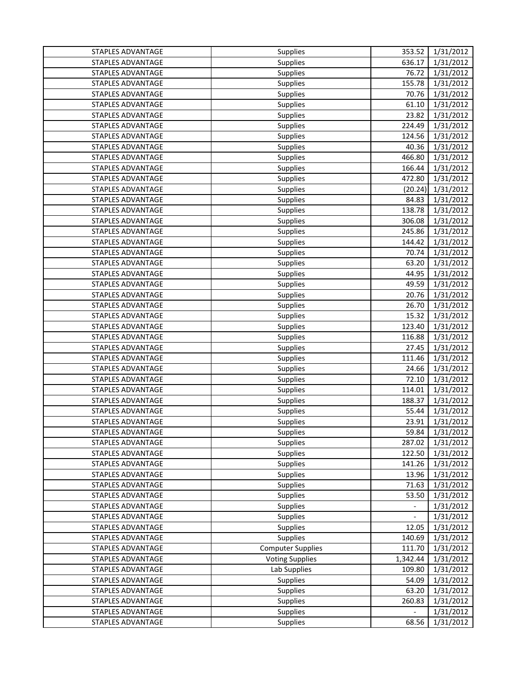| STAPLES ADVANTAGE | <b>Supplies</b>          | 353.52                   | 1/31/2012 |
|-------------------|--------------------------|--------------------------|-----------|
| STAPLES ADVANTAGE | Supplies                 | 636.17                   | 1/31/2012 |
| STAPLES ADVANTAGE | Supplies                 | 76.72                    | 1/31/2012 |
| STAPLES ADVANTAGE | <b>Supplies</b>          | 155.78                   | 1/31/2012 |
| STAPLES ADVANTAGE | Supplies                 | 70.76                    | 1/31/2012 |
| STAPLES ADVANTAGE | <b>Supplies</b>          | 61.10                    | 1/31/2012 |
| STAPLES ADVANTAGE | Supplies                 | 23.82                    | 1/31/2012 |
| STAPLES ADVANTAGE | Supplies                 | 224.49                   | 1/31/2012 |
| STAPLES ADVANTAGE | Supplies                 | 124.56                   | 1/31/2012 |
| STAPLES ADVANTAGE | <b>Supplies</b>          | 40.36                    | 1/31/2012 |
| STAPLES ADVANTAGE | Supplies                 | 466.80                   | 1/31/2012 |
| STAPLES ADVANTAGE | <b>Supplies</b>          | 166.44                   | 1/31/2012 |
| STAPLES ADVANTAGE | Supplies                 | 472.80                   | 1/31/2012 |
| STAPLES ADVANTAGE | <b>Supplies</b>          | (20.24)                  | 1/31/2012 |
| STAPLES ADVANTAGE | <b>Supplies</b>          | 84.83                    | 1/31/2012 |
| STAPLES ADVANTAGE | Supplies                 | 138.78                   | 1/31/2012 |
| STAPLES ADVANTAGE | <b>Supplies</b>          | 306.08                   | 1/31/2012 |
| STAPLES ADVANTAGE | <b>Supplies</b>          | 245.86                   | 1/31/2012 |
| STAPLES ADVANTAGE | Supplies                 | 144.42                   | 1/31/2012 |
| STAPLES ADVANTAGE | Supplies                 | 70.74                    | 1/31/2012 |
| STAPLES ADVANTAGE | Supplies                 | 63.20                    | 1/31/2012 |
| STAPLES ADVANTAGE | <b>Supplies</b>          | 44.95                    | 1/31/2012 |
| STAPLES ADVANTAGE | <b>Supplies</b>          | 49.59                    | 1/31/2012 |
| STAPLES ADVANTAGE | Supplies                 | 20.76                    | 1/31/2012 |
| STAPLES ADVANTAGE | Supplies                 | 26.70                    | 1/31/2012 |
| STAPLES ADVANTAGE | <b>Supplies</b>          | 15.32                    | 1/31/2012 |
| STAPLES ADVANTAGE | Supplies                 | 123.40                   | 1/31/2012 |
| STAPLES ADVANTAGE | Supplies                 | 116.88                   | 1/31/2012 |
| STAPLES ADVANTAGE | <b>Supplies</b>          | 27.45                    | 1/31/2012 |
| STAPLES ADVANTAGE | <b>Supplies</b>          | 111.46                   | 1/31/2012 |
| STAPLES ADVANTAGE | <b>Supplies</b>          | 24.66                    | 1/31/2012 |
| STAPLES ADVANTAGE | Supplies                 | 72.10                    | 1/31/2012 |
| STAPLES ADVANTAGE | Supplies                 | 114.01                   | 1/31/2012 |
| STAPLES ADVANTAGE | <b>Supplies</b>          | 188.37                   | 1/31/2012 |
| STAPLES ADVANTAGE | Supplies                 | 55.44                    | 1/31/2012 |
| STAPLES ADVANTAGE | <b>Supplies</b>          | 23.91                    | 1/31/2012 |
| STAPLES ADVANTAGE | <b>Supplies</b>          | 59.84                    | 1/31/2012 |
| STAPLES ADVANTAGE | Supplies                 | 287.02                   | 1/31/2012 |
| STAPLES ADVANTAGE | <b>Supplies</b>          | 122.50                   | 1/31/2012 |
| STAPLES ADVANTAGE | Supplies                 | 141.26                   | 1/31/2012 |
| STAPLES ADVANTAGE | <b>Supplies</b>          | 13.96                    | 1/31/2012 |
| STAPLES ADVANTAGE | <b>Supplies</b>          | 71.63                    | 1/31/2012 |
| STAPLES ADVANTAGE | <b>Supplies</b>          | 53.50                    | 1/31/2012 |
| STAPLES ADVANTAGE | <b>Supplies</b>          | $\overline{\phantom{a}}$ | 1/31/2012 |
| STAPLES ADVANTAGE | <b>Supplies</b>          | $\overline{\phantom{a}}$ | 1/31/2012 |
| STAPLES ADVANTAGE | Supplies                 | 12.05                    | 1/31/2012 |
| STAPLES ADVANTAGE | <b>Supplies</b>          | 140.69                   | 1/31/2012 |
| STAPLES ADVANTAGE | <b>Computer Supplies</b> | 111.70                   | 1/31/2012 |
| STAPLES ADVANTAGE | <b>Voting Supplies</b>   | 1,342.44                 | 1/31/2012 |
| STAPLES ADVANTAGE | Lab Supplies             | 109.80                   | 1/31/2012 |
| STAPLES ADVANTAGE | Supplies                 | 54.09                    | 1/31/2012 |
| STAPLES ADVANTAGE | Supplies                 | 63.20                    | 1/31/2012 |
| STAPLES ADVANTAGE | <b>Supplies</b>          | 260.83                   | 1/31/2012 |
| STAPLES ADVANTAGE | <b>Supplies</b>          |                          | 1/31/2012 |
| STAPLES ADVANTAGE | Supplies                 | 68.56                    | 1/31/2012 |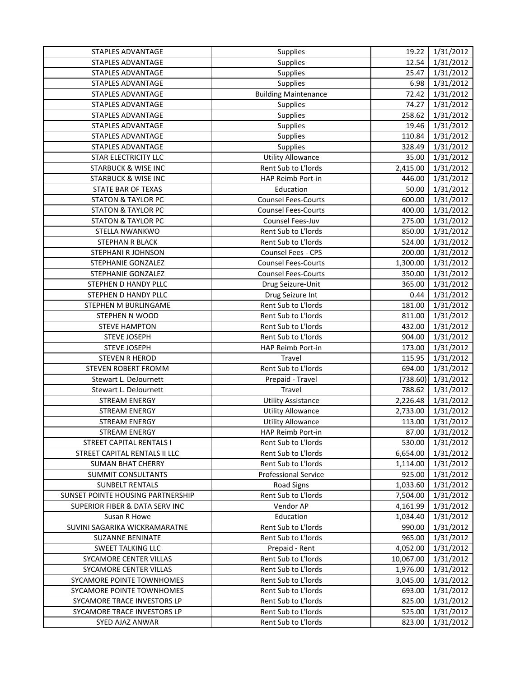| STAPLES ADVANTAGE                         | Supplies                    | 19.22     | 1/31/2012 |
|-------------------------------------------|-----------------------------|-----------|-----------|
| STAPLES ADVANTAGE                         | Supplies                    | 12.54     | 1/31/2012 |
| STAPLES ADVANTAGE                         | Supplies                    | 25.47     | 1/31/2012 |
| STAPLES ADVANTAGE                         | Supplies                    | 6.98      | 1/31/2012 |
| STAPLES ADVANTAGE                         | <b>Building Maintenance</b> | 72.42     | 1/31/2012 |
| STAPLES ADVANTAGE                         | Supplies                    | 74.27     | 1/31/2012 |
| STAPLES ADVANTAGE                         | Supplies                    | 258.62    | 1/31/2012 |
| STAPLES ADVANTAGE                         | Supplies                    | 19.46     | 1/31/2012 |
| STAPLES ADVANTAGE                         | Supplies                    | 110.84    | 1/31/2012 |
| STAPLES ADVANTAGE                         | Supplies                    | 328.49    | 1/31/2012 |
| STAR ELECTRICITY LLC                      | <b>Utility Allowance</b>    | 35.00     | 1/31/2012 |
| <b>STARBUCK &amp; WISE INC</b>            | Rent Sub to L'Iords         | 2,415.00  | 1/31/2012 |
| <b>STARBUCK &amp; WISE INC</b>            | HAP Reimb Port-in           | 446.00    | 1/31/2012 |
| STATE BAR OF TEXAS                        | Education                   | 50.00     | 1/31/2012 |
| <b>STATON &amp; TAYLOR PC</b>             | <b>Counsel Fees-Courts</b>  | 600.00    | 1/31/2012 |
| <b>STATON &amp; TAYLOR PC</b>             | <b>Counsel Fees-Courts</b>  | 400.00    | 1/31/2012 |
| <b>STATON &amp; TAYLOR PC</b>             | Counsel Fees-Juv            | 275.00    | 1/31/2012 |
| STELLA NWANKWO                            | Rent Sub to L'Iords         | 850.00    | 1/31/2012 |
| STEPHAN R BLACK                           | Rent Sub to L'Iords         | 524.00    | 1/31/2012 |
| STEPHANI R JOHNSON                        | Counsel Fees - CPS          | 200.00    | 1/31/2012 |
| STEPHANIE GONZALEZ                        | <b>Counsel Fees-Courts</b>  | 1,300.00  | 1/31/2012 |
| STEPHANIE GONZALEZ                        | <b>Counsel Fees-Courts</b>  | 350.00    | 1/31/2012 |
| STEPHEN D HANDY PLLC                      | Drug Seizure-Unit           | 365.00    | 1/31/2012 |
| STEPHEN D HANDY PLLC                      | Drug Seizure Int            | 0.44      | 1/31/2012 |
| STEPHEN M BURLINGAME                      | Rent Sub to L'Iords         | 181.00    | 1/31/2012 |
| STEPHEN N WOOD                            | Rent Sub to L'Iords         | 811.00    | 1/31/2012 |
| <b>STEVE HAMPTON</b>                      | Rent Sub to L'Iords         | 432.00    | 1/31/2012 |
| <b>STEVE JOSEPH</b>                       | Rent Sub to L'Iords         | 904.00    | 1/31/2012 |
| <b>STEVE JOSEPH</b>                       | HAP Reimb Port-in           | 173.00    | 1/31/2012 |
| <b>STEVEN R HEROD</b>                     | Travel                      | 115.95    | 1/31/2012 |
| STEVEN ROBERT FROMM                       | Rent Sub to L'Iords         | 694.00    | 1/31/2012 |
| Stewart L. DeJournett                     | Prepaid - Travel            | (738.60)  | 1/31/2012 |
| Stewart L. DeJournett                     | Travel                      | 788.62    | 1/31/2012 |
| <b>STREAM ENERGY</b>                      | <b>Utility Assistance</b>   | 2,226.48  | 1/31/2012 |
| <b>STREAM ENERGY</b>                      | <b>Utility Allowance</b>    | 2,733.00  | 1/31/2012 |
| <b>STREAM ENERGY</b>                      | <b>Utility Allowance</b>    | 113.00    | 1/31/2012 |
| <b>STREAM ENERGY</b>                      | HAP Reimb Port-in           | 87.00     | 1/31/2012 |
| <b>STREET CAPITAL RENTALS I</b>           | Rent Sub to L'Iords         | 530.00    | 1/31/2012 |
| STREET CAPITAL RENTALS II LLC             | Rent Sub to L'Iords         | 6,654.00  | 1/31/2012 |
| <b>SUMAN BHAT CHERRY</b>                  | Rent Sub to L'Iords         | 1,114.00  | 1/31/2012 |
| SUMMIT CONSULTANTS                        | <b>Professional Service</b> | 925.00    | 1/31/2012 |
| <b>SUNBELT RENTALS</b>                    | Road Signs                  | 1,033.60  | 1/31/2012 |
| SUNSET POINTE HOUSING PARTNERSHIP         | Rent Sub to L'Iords         | 7,504.00  | 1/31/2012 |
| <b>SUPERIOR FIBER &amp; DATA SERV INC</b> | Vendor AP                   | 4,161.99  | 1/31/2012 |
| Susan R Howe                              | Education                   | 1,034.40  | 1/31/2012 |
| SUVINI SAGARIKA WICKRAMARATNE             | Rent Sub to L'Iords         | 990.00    | 1/31/2012 |
| <b>SUZANNE BENINATE</b>                   | Rent Sub to L'Iords         | 965.00    | 1/31/2012 |
| <b>SWEET TALKING LLC</b>                  | Prepaid - Rent              | 4,052.00  | 1/31/2012 |
| SYCAMORE CENTER VILLAS                    | Rent Sub to L'Iords         | 10,067.00 | 1/31/2012 |
| SYCAMORE CENTER VILLAS                    | Rent Sub to L'Iords         | 1,976.00  | 1/31/2012 |
| SYCAMORE POINTE TOWNHOMES                 | Rent Sub to L'Iords         | 3,045.00  | 1/31/2012 |
| SYCAMORE POINTE TOWNHOMES                 | Rent Sub to L'Iords         | 693.00    | 1/31/2012 |
| SYCAMORE TRACE INVESTORS LP               | Rent Sub to L'Iords         | 825.00    | 1/31/2012 |
| SYCAMORE TRACE INVESTORS LP               | Rent Sub to L'Iords         | 525.00    | 1/31/2012 |
| SYED AJAZ ANWAR                           | Rent Sub to L'Iords         | 823.00    | 1/31/2012 |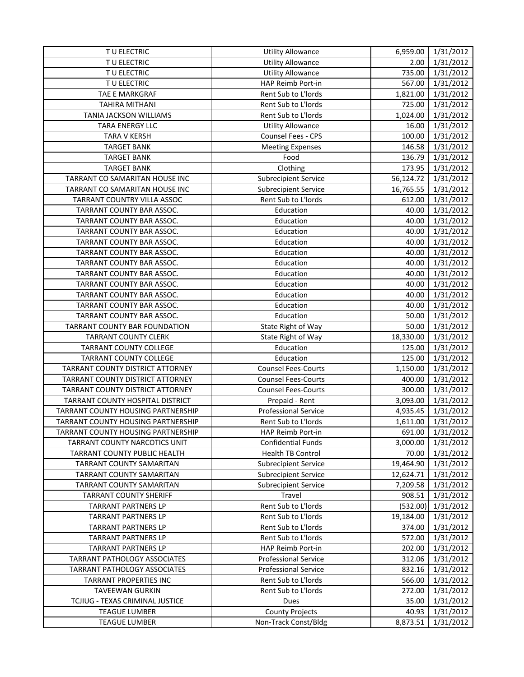| TU ELECTRIC                        | <b>Utility Allowance</b>    | 6,959.00  | 1/31/2012 |
|------------------------------------|-----------------------------|-----------|-----------|
| TU ELECTRIC                        | <b>Utility Allowance</b>    | 2.00      | 1/31/2012 |
| TU ELECTRIC                        | <b>Utility Allowance</b>    | 735.00    | 1/31/2012 |
| TU ELECTRIC                        | HAP Reimb Port-in           | 567.00    | 1/31/2012 |
| TAE E MARKGRAF                     | Rent Sub to L'Iords         | 1,821.00  | 1/31/2012 |
| <b>TAHIRA MITHANI</b>              | Rent Sub to L'Iords         | 725.00    | 1/31/2012 |
| TANIA JACKSON WILLIAMS             | Rent Sub to L'Iords         | 1,024.00  | 1/31/2012 |
| TARA ENERGY LLC                    | <b>Utility Allowance</b>    | 16.00     | 1/31/2012 |
| <b>TARA V KERSH</b>                | Counsel Fees - CPS          | 100.00    | 1/31/2012 |
| <b>TARGET BANK</b>                 | <b>Meeting Expenses</b>     | 146.58    | 1/31/2012 |
| <b>TARGET BANK</b>                 | Food                        | 136.79    | 1/31/2012 |
| <b>TARGET BANK</b>                 | Clothing                    | 173.95    | 1/31/2012 |
| TARRANT CO SAMARITAN HOUSE INC     | Subrecipient Service        | 56,124.72 | 1/31/2012 |
| TARRANT CO SAMARITAN HOUSE INC     | <b>Subrecipient Service</b> | 16,765.55 | 1/31/2012 |
| TARRANT COUNTRY VILLA ASSOC        | Rent Sub to L'Iords         | 612.00    | 1/31/2012 |
| TARRANT COUNTY BAR ASSOC.          | Education                   | 40.00     | 1/31/2012 |
| TARRANT COUNTY BAR ASSOC.          | Education                   | 40.00     | 1/31/2012 |
| TARRANT COUNTY BAR ASSOC.          | Education                   | 40.00     | 1/31/2012 |
| TARRANT COUNTY BAR ASSOC.          | Education                   | 40.00     | 1/31/2012 |
| TARRANT COUNTY BAR ASSOC.          | Education                   | 40.00     | 1/31/2012 |
| TARRANT COUNTY BAR ASSOC.          | Education                   | 40.00     | 1/31/2012 |
| TARRANT COUNTY BAR ASSOC.          | Education                   | 40.00     | 1/31/2012 |
| TARRANT COUNTY BAR ASSOC.          | Education                   | 40.00     | 1/31/2012 |
| TARRANT COUNTY BAR ASSOC.          | Education                   | 40.00     | 1/31/2012 |
| TARRANT COUNTY BAR ASSOC.          | Education                   | 40.00     | 1/31/2012 |
| TARRANT COUNTY BAR ASSOC.          | Education                   | 50.00     | 1/31/2012 |
| TARRANT COUNTY BAR FOUNDATION      | State Right of Way          | 50.00     | 1/31/2012 |
| <b>TARRANT COUNTY CLERK</b>        | State Right of Way          | 18,330.00 | 1/31/2012 |
| <b>TARRANT COUNTY COLLEGE</b>      | Education                   | 125.00    | 1/31/2012 |
| <b>TARRANT COUNTY COLLEGE</b>      | Education                   | 125.00    | 1/31/2012 |
| TARRANT COUNTY DISTRICT ATTORNEY   | <b>Counsel Fees-Courts</b>  | 1,150.00  | 1/31/2012 |
| TARRANT COUNTY DISTRICT ATTORNEY   | <b>Counsel Fees-Courts</b>  | 400.00    | 1/31/2012 |
| TARRANT COUNTY DISTRICT ATTORNEY   | <b>Counsel Fees-Courts</b>  | 300.00    | 1/31/2012 |
| TARRANT COUNTY HOSPITAL DISTRICT   | Prepaid - Rent              | 3,093.00  | 1/31/2012 |
| TARRANT COUNTY HOUSING PARTNERSHIP | <b>Professional Service</b> | 4,935.45  | 1/31/2012 |
| TARRANT COUNTY HOUSING PARTNERSHIP | Rent Sub to L'Iords         | 1,611.00  | 1/31/2012 |
| TARRANT COUNTY HOUSING PARTNERSHIP | HAP Reimb Port-in           | 691.00    | 1/31/2012 |
| TARRANT COUNTY NARCOTICS UNIT      | <b>Confidential Funds</b>   | 3,000.00  | 1/31/2012 |
| TARRANT COUNTY PUBLIC HEALTH       | Health TB Control           | 70.00     | 1/31/2012 |
| TARRANT COUNTY SAMARITAN           | <b>Subrecipient Service</b> | 19,464.90 | 1/31/2012 |
| TARRANT COUNTY SAMARITAN           | <b>Subrecipient Service</b> | 12,624.71 | 1/31/2012 |
| TARRANT COUNTY SAMARITAN           | <b>Subrecipient Service</b> | 7,209.58  | 1/31/2012 |
| <b>TARRANT COUNTY SHERIFF</b>      | Travel                      | 908.51    | 1/31/2012 |
| <b>TARRANT PARTNERS LP</b>         | Rent Sub to L'Iords         | (532.00)  | 1/31/2012 |
| <b>TARRANT PARTNERS LP</b>         | Rent Sub to L'Iords         | 19,184.00 | 1/31/2012 |
| <b>TARRANT PARTNERS LP</b>         | Rent Sub to L'Iords         | 374.00    | 1/31/2012 |
| <b>TARRANT PARTNERS LP</b>         | Rent Sub to L'Iords         | 572.00    | 1/31/2012 |
| <b>TARRANT PARTNERS LP</b>         | HAP Reimb Port-in           | 202.00    | 1/31/2012 |
| TARRANT PATHOLOGY ASSOCIATES       | <b>Professional Service</b> | 312.06    | 1/31/2012 |
| TARRANT PATHOLOGY ASSOCIATES       | <b>Professional Service</b> | 832.16    | 1/31/2012 |
| <b>TARRANT PROPERTIES INC</b>      | Rent Sub to L'Iords         | 566.00    | 1/31/2012 |
| <b>TAVEEWAN GURKIN</b>             | Rent Sub to L'Iords         | 272.00    | 1/31/2012 |
| TCJIUG - TEXAS CRIMINAL JUSTICE    | Dues                        | 35.00     | 1/31/2012 |
| <b>TEAGUE LUMBER</b>               | <b>County Projects</b>      | 40.93     | 1/31/2012 |
| <b>TEAGUE LUMBER</b>               | Non-Track Const/Bldg        | 8,873.51  | 1/31/2012 |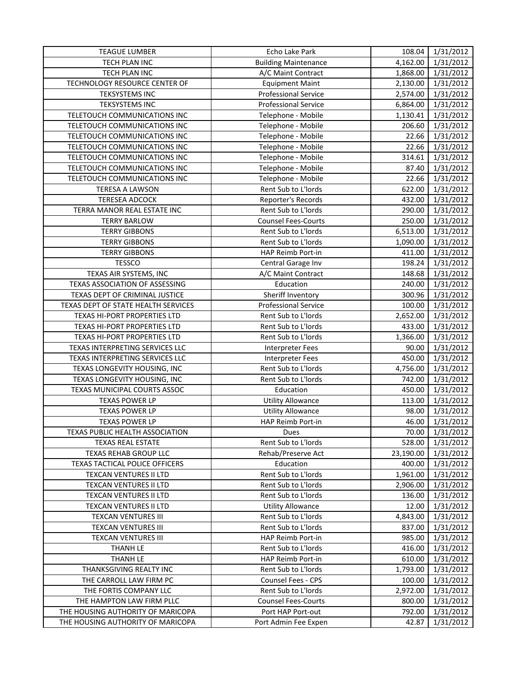| <b>TEAGUE LUMBER</b>                | Echo Lake Park              | 108.04    | 1/31/2012 |
|-------------------------------------|-----------------------------|-----------|-----------|
| TECH PLAN INC                       | <b>Building Maintenance</b> | 4,162.00  | 1/31/2012 |
| TECH PLAN INC                       | A/C Maint Contract          | 1,868.00  | 1/31/2012 |
| TECHNOLOGY RESOURCE CENTER OF       | <b>Equipment Maint</b>      | 2,130.00  | 1/31/2012 |
| <b>TEKSYSTEMS INC</b>               | <b>Professional Service</b> | 2,574.00  | 1/31/2012 |
| <b>TEKSYSTEMS INC</b>               | <b>Professional Service</b> | 6,864.00  | 1/31/2012 |
| TELETOUCH COMMUNICATIONS INC        | Telephone - Mobile          | 1,130.41  | 1/31/2012 |
| TELETOUCH COMMUNICATIONS INC        | Telephone - Mobile          | 206.60    | 1/31/2012 |
| TELETOUCH COMMUNICATIONS INC        | Telephone - Mobile          | 22.66     | 1/31/2012 |
| TELETOUCH COMMUNICATIONS INC        | Telephone - Mobile          | 22.66     | 1/31/2012 |
| TELETOUCH COMMUNICATIONS INC        | Telephone - Mobile          | 314.61    | 1/31/2012 |
| TELETOUCH COMMUNICATIONS INC        | Telephone - Mobile          | 87.40     | 1/31/2012 |
| TELETOUCH COMMUNICATIONS INC        | Telephone - Mobile          | 22.66     | 1/31/2012 |
| <b>TERESA A LAWSON</b>              | Rent Sub to L'Iords         | 622.00    | 1/31/2012 |
| <b>TERESEA ADCOCK</b>               | Reporter's Records          | 432.00    | 1/31/2012 |
| TERRA MANOR REAL ESTATE INC         | Rent Sub to L'Iords         | 290.00    | 1/31/2012 |
| <b>TERRY BARLOW</b>                 | <b>Counsel Fees-Courts</b>  | 250.00    | 1/31/2012 |
| <b>TERRY GIBBONS</b>                | Rent Sub to L'Iords         | 6,513.00  | 1/31/2012 |
| <b>TERRY GIBBONS</b>                | Rent Sub to L'Iords         | 1,090.00  | 1/31/2012 |
| <b>TERRY GIBBONS</b>                | <b>HAP Reimb Port-in</b>    | 411.00    | 1/31/2012 |
| <b>TESSCO</b>                       | Central Garage Inv          | 198.24    | 1/31/2012 |
| TEXAS AIR SYSTEMS, INC              | A/C Maint Contract          | 148.68    | 1/31/2012 |
| TEXAS ASSOCIATION OF ASSESSING      | Education                   | 240.00    | 1/31/2012 |
| TEXAS DEPT OF CRIMINAL JUSTICE      | Sheriff Inventory           | 300.96    | 1/31/2012 |
| TEXAS DEPT OF STATE HEALTH SERVICES | <b>Professional Service</b> | 100.00    | 1/31/2012 |
| TEXAS HI-PORT PROPERTIES LTD        | Rent Sub to L'Iords         | 2,652.00  | 1/31/2012 |
| TEXAS HI-PORT PROPERTIES LTD        | Rent Sub to L'Iords         | 433.00    | 1/31/2012 |
| TEXAS HI-PORT PROPERTIES LTD        | Rent Sub to L'Iords         | 1,366.00  | 1/31/2012 |
| TEXAS INTERPRETING SERVICES LLC     | Interpreter Fees            | 90.00     | 1/31/2012 |
| TEXAS INTERPRETING SERVICES LLC     | <b>Interpreter Fees</b>     | 450.00    | 1/31/2012 |
| TEXAS LONGEVITY HOUSING, INC        | Rent Sub to L'Iords         | 4,756.00  | 1/31/2012 |
| TEXAS LONGEVITY HOUSING, INC        | Rent Sub to L'Iords         | 742.00    | 1/31/2012 |
| TEXAS MUNICIPAL COURTS ASSOC        | Education                   | 450.00    | 1/31/2012 |
| <b>TEXAS POWER LP</b>               | <b>Utility Allowance</b>    | 113.00    | 1/31/2012 |
| <b>TEXAS POWER LP</b>               | <b>Utility Allowance</b>    | 98.00     | 1/31/2012 |
| <b>TEXAS POWER LP</b>               | HAP Reimb Port-in           | 46.00     | 1/31/2012 |
| TEXAS PUBLIC HEALTH ASSOCIATION     | Dues                        | 70.00     | 1/31/2012 |
| <b>TEXAS REAL ESTATE</b>            | Rent Sub to L'Iords         | 528.00    | 1/31/2012 |
| TEXAS REHAB GROUP LLC               | Rehab/Preserve Act          | 23,190.00 | 1/31/2012 |
| TEXAS TACTICAL POLICE OFFICERS      | Education                   | 400.00    | 1/31/2012 |
| TEXCAN VENTURES II LTD              | Rent Sub to L'Iords         | 1,961.00  | 1/31/2012 |
| TEXCAN VENTURES II LTD              | Rent Sub to L'Iords         | 2,906.00  | 1/31/2012 |
| TEXCAN VENTURES II LTD              | Rent Sub to L'Iords         | 136.00    | 1/31/2012 |
| TEXCAN VENTURES II LTD              | <b>Utility Allowance</b>    | 12.00     | 1/31/2012 |
| <b>TEXCAN VENTURES III</b>          | Rent Sub to L'Iords         | 4,843.00  | 1/31/2012 |
| <b>TEXCAN VENTURES III</b>          | Rent Sub to L'Iords         | 837.00    | 1/31/2012 |
| <b>TEXCAN VENTURES III</b>          | HAP Reimb Port-in           | 985.00    | 1/31/2012 |
| THANH LE                            | Rent Sub to L'Iords         | 416.00    | 1/31/2012 |
| <b>THANH LE</b>                     | HAP Reimb Port-in           | 610.00    | 1/31/2012 |
| THANKSGIVING REALTY INC             | Rent Sub to L'Iords         | 1,793.00  | 1/31/2012 |
| THE CARROLL LAW FIRM PC             | Counsel Fees - CPS          | 100.00    | 1/31/2012 |
| THE FORTIS COMPANY LLC              | Rent Sub to L'Iords         | 2,972.00  | 1/31/2012 |
| THE HAMPTON LAW FIRM PLLC           | <b>Counsel Fees-Courts</b>  | 800.00    | 1/31/2012 |
| THE HOUSING AUTHORITY OF MARICOPA   | Port HAP Port-out           | 792.00    | 1/31/2012 |
| THE HOUSING AUTHORITY OF MARICOPA   | Port Admin Fee Expen        | 42.87     | 1/31/2012 |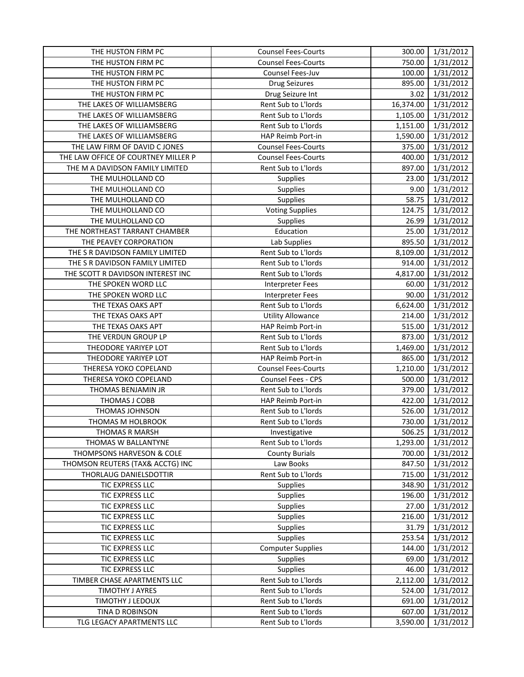| THE HUSTON FIRM PC                  | <b>Counsel Fees-Courts</b> | 300.00    | 1/31/2012 |
|-------------------------------------|----------------------------|-----------|-----------|
| THE HUSTON FIRM PC                  | <b>Counsel Fees-Courts</b> | 750.00    | 1/31/2012 |
| THE HUSTON FIRM PC                  | Counsel Fees-Juv           | 100.00    | 1/31/2012 |
| THE HUSTON FIRM PC                  | <b>Drug Seizures</b>       | 895.00    | 1/31/2012 |
| THE HUSTON FIRM PC                  | Drug Seizure Int           | 3.02      | 1/31/2012 |
| THE LAKES OF WILLIAMSBERG           | Rent Sub to L'Iords        | 16,374.00 | 1/31/2012 |
| THE LAKES OF WILLIAMSBERG           | Rent Sub to L'Iords        | 1,105.00  | 1/31/2012 |
| THE LAKES OF WILLIAMSBERG           | Rent Sub to L'Iords        | 1,151.00  | 1/31/2012 |
| THE LAKES OF WILLIAMSBERG           | HAP Reimb Port-in          | 1,590.00  | 1/31/2012 |
| THE LAW FIRM OF DAVID C JONES       | <b>Counsel Fees-Courts</b> | 375.00    | 1/31/2012 |
| THE LAW OFFICE OF COURTNEY MILLER P | <b>Counsel Fees-Courts</b> | 400.00    | 1/31/2012 |
| THE M A DAVIDSON FAMILY LIMITED     | Rent Sub to L'Iords        | 897.00    | 1/31/2012 |
| THE MULHOLLAND CO                   | <b>Supplies</b>            | 23.00     | 1/31/2012 |
| THE MULHOLLAND CO                   | Supplies                   | 9.00      | 1/31/2012 |
| THE MULHOLLAND CO                   | Supplies                   | 58.75     | 1/31/2012 |
| THE MULHOLLAND CO                   | <b>Voting Supplies</b>     | 124.75    | 1/31/2012 |
| THE MULHOLLAND CO                   | <b>Supplies</b>            | 26.99     | 1/31/2012 |
| THE NORTHEAST TARRANT CHAMBER       | Education                  | 25.00     | 1/31/2012 |
| THE PEAVEY CORPORATION              | Lab Supplies               | 895.50    | 1/31/2012 |
| THE S R DAVIDSON FAMILY LIMITED     | Rent Sub to L'Iords        | 8,109.00  | 1/31/2012 |
| THE S R DAVIDSON FAMILY LIMITED     | Rent Sub to L'Iords        | 914.00    | 1/31/2012 |
| THE SCOTT R DAVIDSON INTEREST INC   | Rent Sub to L'Iords        | 4,817.00  | 1/31/2012 |
| THE SPOKEN WORD LLC                 | <b>Interpreter Fees</b>    | 60.00     | 1/31/2012 |
| THE SPOKEN WORD LLC                 | <b>Interpreter Fees</b>    | 90.00     | 1/31/2012 |
| THE TEXAS OAKS APT                  | Rent Sub to L'Iords        | 6,624.00  | 1/31/2012 |
| THE TEXAS OAKS APT                  | <b>Utility Allowance</b>   | 214.00    | 1/31/2012 |
| THE TEXAS OAKS APT                  | HAP Reimb Port-in          | 515.00    | 1/31/2012 |
| THE VERDUN GROUP LP                 | Rent Sub to L'Iords        | 873.00    | 1/31/2012 |
| THEODORE YARIYEP LOT                | Rent Sub to L'Iords        | 1,469.00  | 1/31/2012 |
| THEODORE YARIYEP LOT                | HAP Reimb Port-in          | 865.00    | 1/31/2012 |
| THERESA YOKO COPELAND               | <b>Counsel Fees-Courts</b> | 1,210.00  | 1/31/2012 |
| THERESA YOKO COPELAND               | Counsel Fees - CPS         | 500.00    | 1/31/2012 |
| THOMAS BENJAMIN JR                  | Rent Sub to L'Iords        | 379.00    | 1/31/2012 |
| THOMAS J COBB                       | HAP Reimb Port-in          | 422.00    | 1/31/2012 |
| THOMAS JOHNSON                      | Rent Sub to L'Iords        | 526.00    | 1/31/2012 |
| THOMAS M HOLBROOK                   | Rent Sub to L'Iords        | 730.00    | 1/31/2012 |
| THOMAS R MARSH                      | Investigative              | 506.25    | 1/31/2012 |
| THOMAS W BALLANTYNE                 | Rent Sub to L'Iords        | 1,293.00  | 1/31/2012 |
| THOMPSONS HARVESON & COLE           | <b>County Burials</b>      | 700.00    | 1/31/2012 |
| THOMSON REUTERS (TAX& ACCTG) INC    | Law Books                  | 847.50    | 1/31/2012 |
| THORLAUG DANIELSDOTTIR              | Rent Sub to L'Iords        | 715.00    | 1/31/2012 |
| TIC EXPRESS LLC                     | <b>Supplies</b>            | 348.90    | 1/31/2012 |
| TIC EXPRESS LLC                     | <b>Supplies</b>            | 196.00    | 1/31/2012 |
| TIC EXPRESS LLC                     | <b>Supplies</b>            | 27.00     | 1/31/2012 |
| TIC EXPRESS LLC                     | <b>Supplies</b>            | 216.00    | 1/31/2012 |
| TIC EXPRESS LLC                     | <b>Supplies</b>            | 31.79     | 1/31/2012 |
| TIC EXPRESS LLC                     | <b>Supplies</b>            | 253.54    | 1/31/2012 |
| TIC EXPRESS LLC                     | <b>Computer Supplies</b>   | 144.00    | 1/31/2012 |
| TIC EXPRESS LLC                     | <b>Supplies</b>            | 69.00     | 1/31/2012 |
| TIC EXPRESS LLC                     | <b>Supplies</b>            | 46.00     | 1/31/2012 |
| TIMBER CHASE APARTMENTS LLC         | Rent Sub to L'Iords        | 2,112.00  | 1/31/2012 |
| TIMOTHY J AYRES                     | Rent Sub to L'Iords        | 524.00    | 1/31/2012 |
| TIMOTHY J LEDOUX                    | Rent Sub to L'Iords        | 691.00    | 1/31/2012 |
| TINA D ROBINSON                     | Rent Sub to L'Iords        | 607.00    | 1/31/2012 |
| TLG LEGACY APARTMENTS LLC           | Rent Sub to L'Iords        | 3,590.00  | 1/31/2012 |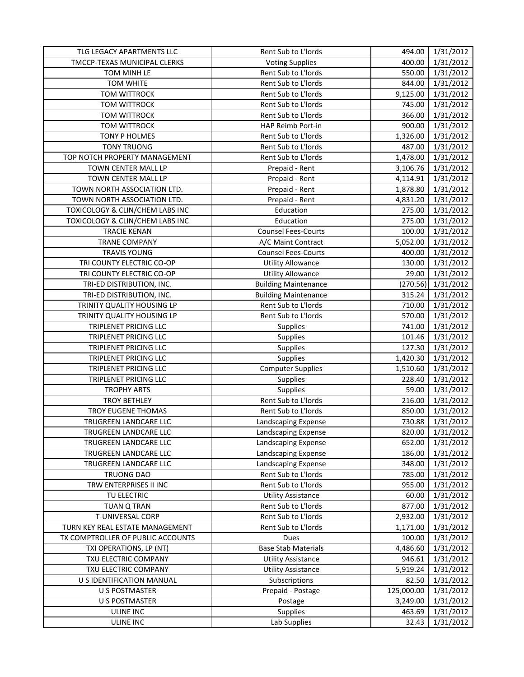| TLG LEGACY APARTMENTS LLC         | Rent Sub to L'Iords         | 494.00     | 1/31/2012 |
|-----------------------------------|-----------------------------|------------|-----------|
| TMCCP-TEXAS MUNICIPAL CLERKS      | <b>Voting Supplies</b>      | 400.00     | 1/31/2012 |
| TOM MINH LE                       | Rent Sub to L'Iords         | 550.00     | 1/31/2012 |
| <b>TOM WHITE</b>                  | Rent Sub to L'Iords         | 844.00     | 1/31/2012 |
| TOM WITTROCK                      | Rent Sub to L'Iords         | 9,125.00   | 1/31/2012 |
| TOM WITTROCK                      | Rent Sub to L'Iords         | 745.00     | 1/31/2012 |
| TOM WITTROCK                      | Rent Sub to L'Iords         | 366.00     | 1/31/2012 |
| <b>TOM WITTROCK</b>               | HAP Reimb Port-in           | 900.00     | 1/31/2012 |
| TONY P HOLMES                     | Rent Sub to L'Iords         | 1,326.00   | 1/31/2012 |
| <b>TONY TRUONG</b>                | Rent Sub to L'Iords         | 487.00     | 1/31/2012 |
| TOP NOTCH PROPERTY MANAGEMENT     | Rent Sub to L'Iords         | 1,478.00   | 1/31/2012 |
| TOWN CENTER MALL LP               | Prepaid - Rent              | 3,106.76   | 1/31/2012 |
| TOWN CENTER MALL LP               | Prepaid - Rent              | 4,114.91   | 1/31/2012 |
| TOWN NORTH ASSOCIATION LTD.       | Prepaid - Rent              | 1,878.80   | 1/31/2012 |
| TOWN NORTH ASSOCIATION LTD.       | Prepaid - Rent              | 4,831.20   | 1/31/2012 |
| TOXICOLOGY & CLIN/CHEM LABS INC   | Education                   | 275.00     | 1/31/2012 |
| TOXICOLOGY & CLIN/CHEM LABS INC   | Education                   | 275.00     | 1/31/2012 |
| <b>TRACIE KENAN</b>               | <b>Counsel Fees-Courts</b>  | 100.00     | 1/31/2012 |
| <b>TRANE COMPANY</b>              | A/C Maint Contract          | 5,052.00   | 1/31/2012 |
| <b>TRAVIS YOUNG</b>               | <b>Counsel Fees-Courts</b>  | 400.00     | 1/31/2012 |
| TRI COUNTY ELECTRIC CO-OP         | <b>Utility Allowance</b>    | 130.00     | 1/31/2012 |
| TRI COUNTY ELECTRIC CO-OP         | <b>Utility Allowance</b>    | 29.00      | 1/31/2012 |
| TRI-ED DISTRIBUTION, INC.         | <b>Building Maintenance</b> | (270.56)   | 1/31/2012 |
| TRI-ED DISTRIBUTION, INC.         | <b>Building Maintenance</b> | 315.24     | 1/31/2012 |
| TRINITY QUALITY HOUSING LP        | Rent Sub to L'Iords         | 710.00     | 1/31/2012 |
| TRINITY QUALITY HOUSING LP        | Rent Sub to L'Iords         | 570.00     | 1/31/2012 |
| TRIPLENET PRICING LLC             | <b>Supplies</b>             | 741.00     | 1/31/2012 |
| TRIPLENET PRICING LLC             | Supplies                    | 101.46     | 1/31/2012 |
| TRIPLENET PRICING LLC             | Supplies                    | 127.30     | 1/31/2012 |
| TRIPLENET PRICING LLC             | <b>Supplies</b>             | 1,420.30   | 1/31/2012 |
| TRIPLENET PRICING LLC             | <b>Computer Supplies</b>    | 1,510.60   | 1/31/2012 |
| TRIPLENET PRICING LLC             | <b>Supplies</b>             | 228.40     | 1/31/2012 |
| <b>TROPHY ARTS</b>                | Supplies                    | 59.00      | 1/31/2012 |
| <b>TROY BETHLEY</b>               | Rent Sub to L'Iords         | 216.00     | 1/31/2012 |
| TROY EUGENE THOMAS                | Rent Sub to L'Iords         | 850.00     | 1/31/2012 |
| TRUGREEN LANDCARE LLC             | Landscaping Expense         | 730.88     | 1/31/2012 |
| TRUGREEN LANDCARE LLC             | Landscaping Expense         | 820.00     | 1/31/2012 |
| TRUGREEN LANDCARE LLC             | Landscaping Expense         | 652.00     | 1/31/2012 |
| TRUGREEN LANDCARE LLC             | Landscaping Expense         | 186.00     | 1/31/2012 |
| TRUGREEN LANDCARE LLC             | Landscaping Expense         | 348.00     | 1/31/2012 |
| <b>TRUONG DAO</b>                 | Rent Sub to L'Iords         | 785.00     | 1/31/2012 |
| TRW ENTERPRISES II INC            | Rent Sub to L'Iords         | 955.00     | 1/31/2012 |
| TU ELECTRIC                       | <b>Utility Assistance</b>   | 60.00      | 1/31/2012 |
| <b>TUAN Q TRAN</b>                | Rent Sub to L'Iords         | 877.00     | 1/31/2012 |
| T-UNIVERSAL CORP                  | Rent Sub to L'Iords         | 2,932.00   | 1/31/2012 |
| TURN KEY REAL ESTATE MANAGEMENT   | Rent Sub to L'Iords         | 1,171.00   | 1/31/2012 |
| TX COMPTROLLER OF PUBLIC ACCOUNTS | Dues                        | 100.00     | 1/31/2012 |
| TXI OPERATIONS, LP (NT)           | <b>Base Stab Materials</b>  | 4,486.60   | 1/31/2012 |
| TXU ELECTRIC COMPANY              | <b>Utility Assistance</b>   | 946.61     | 1/31/2012 |
| TXU ELECTRIC COMPANY              | <b>Utility Assistance</b>   | 5,919.24   | 1/31/2012 |
| U S IDENTIFICATION MANUAL         | Subscriptions               | 82.50      | 1/31/2012 |
| <b>U S POSTMASTER</b>             | Prepaid - Postage           | 125,000.00 | 1/31/2012 |
| <b>U S POSTMASTER</b>             | Postage                     | 3,249.00   | 1/31/2012 |
| ULINE INC                         | <b>Supplies</b>             | 463.69     | 1/31/2012 |
| ULINE INC                         | Lab Supplies                | 32.43      | 1/31/2012 |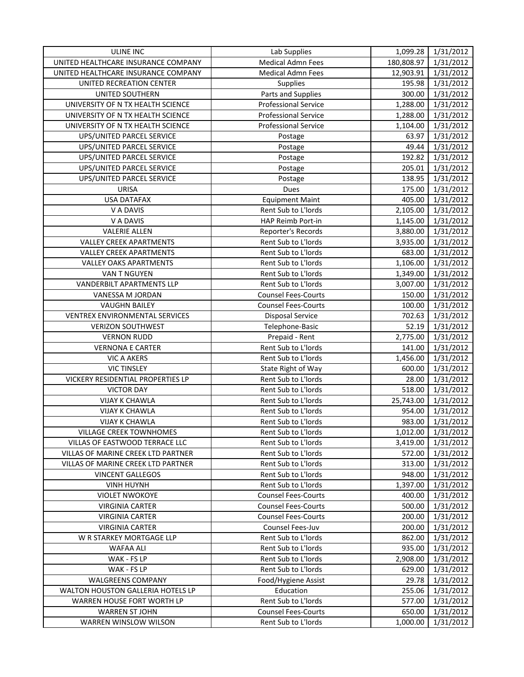| <b>ULINE INC</b>                    | Lab Supplies                | 1,099.28   | 1/31/2012 |
|-------------------------------------|-----------------------------|------------|-----------|
| UNITED HEALTHCARE INSURANCE COMPANY | <b>Medical Admn Fees</b>    | 180,808.97 | 1/31/2012 |
| UNITED HEALTHCARE INSURANCE COMPANY | <b>Medical Admn Fees</b>    | 12,903.91  | 1/31/2012 |
| UNITED RECREATION CENTER            | Supplies                    | 195.98     | 1/31/2012 |
| UNITED SOUTHERN                     | Parts and Supplies          | 300.00     | 1/31/2012 |
| UNIVERSITY OF N TX HEALTH SCIENCE   | <b>Professional Service</b> | 1,288.00   | 1/31/2012 |
| UNIVERSITY OF N TX HEALTH SCIENCE   | <b>Professional Service</b> | 1,288.00   | 1/31/2012 |
| UNIVERSITY OF N TX HEALTH SCIENCE   | <b>Professional Service</b> | 1,104.00   | 1/31/2012 |
| UPS/UNITED PARCEL SERVICE           | Postage                     | 63.97      | 1/31/2012 |
| UPS/UNITED PARCEL SERVICE           | Postage                     | 49.44      | 1/31/2012 |
| UPS/UNITED PARCEL SERVICE           | Postage                     | 192.82     | 1/31/2012 |
| UPS/UNITED PARCEL SERVICE           | Postage                     | 205.01     | 1/31/2012 |
| UPS/UNITED PARCEL SERVICE           | Postage                     | 138.95     | 1/31/2012 |
| URISA                               | Dues                        | 175.00     | 1/31/2012 |
| <b>USA DATAFAX</b>                  | <b>Equipment Maint</b>      | 405.00     | 1/31/2012 |
| V A DAVIS                           | Rent Sub to L'Iords         | 2,105.00   | 1/31/2012 |
| V A DAVIS                           | HAP Reimb Port-in           | 1,145.00   | 1/31/2012 |
| <b>VALERIE ALLEN</b>                | Reporter's Records          | 3,880.00   | 1/31/2012 |
| <b>VALLEY CREEK APARTMENTS</b>      | Rent Sub to L'Iords         | 3,935.00   | 1/31/2012 |
| <b>VALLEY CREEK APARTMENTS</b>      | Rent Sub to L'Iords         | 683.00     | 1/31/2012 |
| <b>VALLEY OAKS APARTMENTS</b>       | Rent Sub to L'Iords         | 1,106.00   | 1/31/2012 |
| VAN T NGUYEN                        | Rent Sub to L'Iords         | 1,349.00   | 1/31/2012 |
| <b>VANDERBILT APARTMENTS LLP</b>    | Rent Sub to L'Iords         | 3,007.00   | 1/31/2012 |
| VANESSA M JORDAN                    | <b>Counsel Fees-Courts</b>  | 150.00     | 1/31/2012 |
| <b>VAUGHN BAILEY</b>                | Counsel Fees-Courts         | 100.00     | 1/31/2012 |
| VENTREX ENVIRONMENTAL SERVICES      | <b>Disposal Service</b>     | 702.63     | 1/31/2012 |
| <b>VERIZON SOUTHWEST</b>            | Telephone-Basic             | 52.19      | 1/31/2012 |
| <b>VERNON RUDD</b>                  | Prepaid - Rent              | 2,775.00   | 1/31/2012 |
| <b>VERNONA E CARTER</b>             | Rent Sub to L'Iords         | 141.00     | 1/31/2012 |
| <b>VIC A AKERS</b>                  | Rent Sub to L'Iords         | 1,456.00   | 1/31/2012 |
| <b>VIC TINSLEY</b>                  | State Right of Way          | 600.00     | 1/31/2012 |
| VICKERY RESIDENTIAL PROPERTIES LP   | Rent Sub to L'Iords         | 28.00      | 1/31/2012 |
| <b>VICTOR DAY</b>                   | Rent Sub to L'Iords         | 518.00     | 1/31/2012 |
| <b>VIJAY K CHAWLA</b>               | Rent Sub to L'Iords         | 25,743.00  | 1/31/2012 |
| <b>VIJAY K CHAWLA</b>               | Rent Sub to L'Iords         | 954.00     | 1/31/2012 |
| <b>VIJAY K CHAWLA</b>               | Rent Sub to L'Iords         | 983.00     | 1/31/2012 |
| <b>VILLAGE CREEK TOWNHOMES</b>      | Rent Sub to L'Iords         | 1,012.00   | 1/31/2012 |
| VILLAS OF EASTWOOD TERRACE LLC      | Rent Sub to L'Iords         | 3,419.00   | 1/31/2012 |
| VILLAS OF MARINE CREEK LTD PARTNER  | Rent Sub to L'Iords         | 572.00     | 1/31/2012 |
| VILLAS OF MARINE CREEK LTD PARTNER  | Rent Sub to L'Iords         | 313.00     | 1/31/2012 |
| <b>VINCENT GALLEGOS</b>             | Rent Sub to L'Iords         | 948.00     | 1/31/2012 |
| <b>VINH HUYNH</b>                   | Rent Sub to L'Iords         | 1,397.00   | 1/31/2012 |
| <b>VIOLET NWOKOYE</b>               | <b>Counsel Fees-Courts</b>  | 400.00     | 1/31/2012 |
| <b>VIRGINIA CARTER</b>              | <b>Counsel Fees-Courts</b>  | 500.00     | 1/31/2012 |
| <b>VIRGINIA CARTER</b>              | <b>Counsel Fees-Courts</b>  | 200.00     | 1/31/2012 |
| <b>VIRGINIA CARTER</b>              | Counsel Fees-Juv            | 200.00     | 1/31/2012 |
| W R STARKEY MORTGAGE LLP            | Rent Sub to L'Iords         | 862.00     | 1/31/2012 |
| <b>WAFAA ALI</b>                    | Rent Sub to L'Iords         | 935.00     | 1/31/2012 |
| WAK - FS LP                         | Rent Sub to L'Iords         | 2,908.00   | 1/31/2012 |
| WAK - FS LP                         | Rent Sub to L'Iords         | 629.00     | 1/31/2012 |
| <b>WALGREENS COMPANY</b>            | Food/Hygiene Assist         | 29.78      | 1/31/2012 |
| WALTON HOUSTON GALLERIA HOTELS LP   | Education                   | 255.06     | 1/31/2012 |
| WARREN HOUSE FORT WORTH LP          | Rent Sub to L'Iords         | 577.00     | 1/31/2012 |
| <b>WARREN ST JOHN</b>               | <b>Counsel Fees-Courts</b>  | 650.00     | 1/31/2012 |
| WARREN WINSLOW WILSON               | Rent Sub to L'Iords         | 1,000.00   | 1/31/2012 |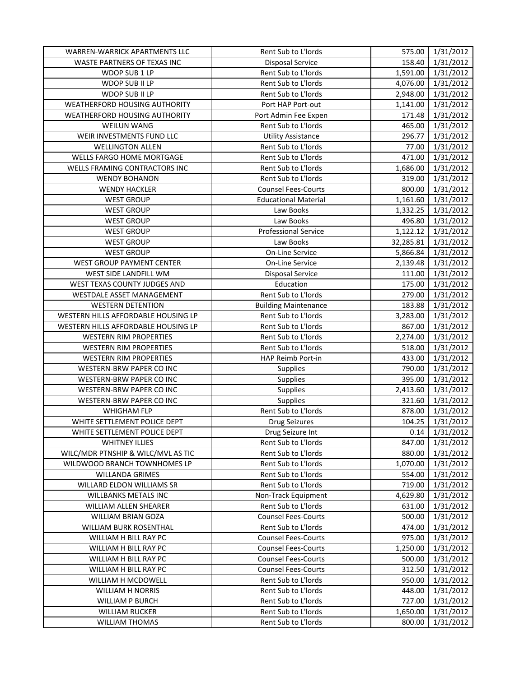| WARREN-WARRICK APARTMENTS LLC       | Rent Sub to L'Iords         | 575.00    | 1/31/2012 |
|-------------------------------------|-----------------------------|-----------|-----------|
| <b>WASTE PARTNERS OF TEXAS INC</b>  | <b>Disposal Service</b>     | 158.40    | 1/31/2012 |
| WDOP SUB 1 LP                       | Rent Sub to L'Iords         | 1,591.00  | 1/31/2012 |
| WDOP SUB II LP                      | Rent Sub to L'Iords         | 4,076.00  | 1/31/2012 |
| WDOP SUB II LP                      | Rent Sub to L'Iords         | 2,948.00  | 1/31/2012 |
| WEATHERFORD HOUSING AUTHORITY       | Port HAP Port-out           | 1,141.00  | 1/31/2012 |
| WEATHERFORD HOUSING AUTHORITY       | Port Admin Fee Expen        | 171.48    | 1/31/2012 |
| WEILUN WANG                         | Rent Sub to L'Iords         | 465.00    | 1/31/2012 |
| WEIR INVESTMENTS FUND LLC           | <b>Utility Assistance</b>   | 296.77    | 1/31/2012 |
| <b>WELLINGTON ALLEN</b>             | Rent Sub to L'Iords         | 77.00     | 1/31/2012 |
| WELLS FARGO HOME MORTGAGE           | Rent Sub to L'Iords         | 471.00    | 1/31/2012 |
| WELLS FRAMING CONTRACTORS INC       | Rent Sub to L'Iords         | 1,686.00  | 1/31/2012 |
| <b>WENDY BOHANON</b>                | Rent Sub to L'Iords         | 319.00    | 1/31/2012 |
| <b>WENDY HACKLER</b>                | <b>Counsel Fees-Courts</b>  | 800.00    | 1/31/2012 |
| <b>WEST GROUP</b>                   | <b>Educational Material</b> | 1,161.60  | 1/31/2012 |
| <b>WEST GROUP</b>                   | Law Books                   | 1,332.25  | 1/31/2012 |
| <b>WEST GROUP</b>                   | Law Books                   | 496.80    | 1/31/2012 |
| <b>WEST GROUP</b>                   | <b>Professional Service</b> | 1,122.12  | 1/31/2012 |
| <b>WEST GROUP</b>                   | Law Books                   | 32,285.81 | 1/31/2012 |
| <b>WEST GROUP</b>                   | On-Line Service             | 5,866.84  | 1/31/2012 |
| WEST GROUP PAYMENT CENTER           | On-Line Service             | 2,139.48  | 1/31/2012 |
| WEST SIDE LANDFILL WM               | Disposal Service            | 111.00    | 1/31/2012 |
| WEST TEXAS COUNTY JUDGES AND        | Education                   | 175.00    | 1/31/2012 |
| WESTDALE ASSET MANAGEMENT           | Rent Sub to L'Iords         | 279.00    | 1/31/2012 |
| <b>WESTERN DETENTION</b>            | <b>Building Maintenance</b> | 183.88    | 1/31/2012 |
| WESTERN HILLS AFFORDABLE HOUSING LP | Rent Sub to L'Iords         | 3,283.00  | 1/31/2012 |
| WESTERN HILLS AFFORDABLE HOUSING LP | Rent Sub to L'Iords         | 867.00    | 1/31/2012 |
| <b>WESTERN RIM PROPERTIES</b>       | Rent Sub to L'Iords         | 2,274.00  | 1/31/2012 |
| <b>WESTERN RIM PROPERTIES</b>       | Rent Sub to L'Iords         | 518.00    | 1/31/2012 |
| <b>WESTERN RIM PROPERTIES</b>       | HAP Reimb Port-in           | 433.00    | 1/31/2012 |
| WESTERN-BRW PAPER CO INC            | Supplies                    | 790.00    | 1/31/2012 |
| WESTERN-BRW PAPER CO INC            | Supplies                    | 395.00    | 1/31/2012 |
| WESTERN-BRW PAPER CO INC            | Supplies                    | 2,413.60  | 1/31/2012 |
| WESTERN-BRW PAPER CO INC            | Supplies                    | 321.60    | 1/31/2012 |
| <b>WHIGHAM FLP</b>                  | Rent Sub to L'Iords         | 878.00    | 1/31/2012 |
| WHITE SETTLEMENT POLICE DEPT        | <b>Drug Seizures</b>        | 104.25    | 1/31/2012 |
| WHITE SETTLEMENT POLICE DEPT        | Drug Seizure Int            | 0.14      | 1/31/2012 |
| <b>WHITNEY ILLIES</b>               | Rent Sub to L'Iords         | 847.00    | 1/31/2012 |
| WILC/MDR PTNSHIP & WILC/MVL AS TIC  | Rent Sub to L'Iords         | 880.00    | 1/31/2012 |
| WILDWOOD BRANCH TOWNHOMES LP        | Rent Sub to L'Iords         | 1,070.00  | 1/31/2012 |
| WILLANDA GRIMES                     | Rent Sub to L'Iords         | 554.00    | 1/31/2012 |
| WILLARD ELDON WILLIAMS SR           | Rent Sub to L'Iords         | 719.00    | 1/31/2012 |
| WILLBANKS METALS INC                | Non-Track Equipment         | 4,629.80  | 1/31/2012 |
| <b>WILLIAM ALLEN SHEARER</b>        | Rent Sub to L'Iords         | 631.00    | 1/31/2012 |
| <b>WILLIAM BRIAN GOZA</b>           | <b>Counsel Fees-Courts</b>  | 500.00    | 1/31/2012 |
| WILLIAM BURK ROSENTHAL              | Rent Sub to L'Iords         | 474.00    | 1/31/2012 |
| WILLIAM H BILL RAY PC               | <b>Counsel Fees-Courts</b>  | 975.00    | 1/31/2012 |
| WILLIAM H BILL RAY PC               | <b>Counsel Fees-Courts</b>  | 1,250.00  | 1/31/2012 |
| WILLIAM H BILL RAY PC               | <b>Counsel Fees-Courts</b>  | 500.00    | 1/31/2012 |
| WILLIAM H BILL RAY PC               | <b>Counsel Fees-Courts</b>  | 312.50    | 1/31/2012 |
| WILLIAM H MCDOWELL                  | Rent Sub to L'Iords         | 950.00    | 1/31/2012 |
| <b>WILLIAM H NORRIS</b>             | Rent Sub to L'Iords         | 448.00    | 1/31/2012 |
| <b>WILLIAM P BURCH</b>              | Rent Sub to L'Iords         | 727.00    | 1/31/2012 |
| <b>WILLIAM RUCKER</b>               | Rent Sub to L'Iords         | 1,650.00  | 1/31/2012 |
| <b>WILLIAM THOMAS</b>               | Rent Sub to L'Iords         | 800.00    | 1/31/2012 |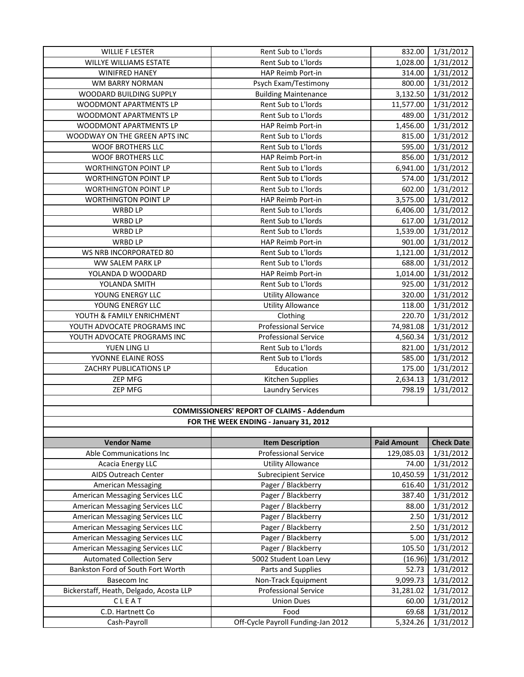| <b>WILLIE F LESTER</b>                            | Rent Sub to L'Iords         | 832.00             | 1/31/2012         |  |  |  |
|---------------------------------------------------|-----------------------------|--------------------|-------------------|--|--|--|
| <b>WILLYE WILLIAMS ESTATE</b>                     | Rent Sub to L'Iords         | 1,028.00           | 1/31/2012         |  |  |  |
| <b>WINIFRED HANEY</b>                             | HAP Reimb Port-in           | 314.00             | 1/31/2012         |  |  |  |
| WM BARRY NORMAN                                   | Psych Exam/Testimony        | 800.00             | 1/31/2012         |  |  |  |
| WOODARD BUILDING SUPPLY                           | <b>Building Maintenance</b> | 3,132.50           | 1/31/2012         |  |  |  |
| WOODMONT APARTMENTS LP                            | Rent Sub to L'Iords         | 11,577.00          | 1/31/2012         |  |  |  |
| WOODMONT APARTMENTS LP                            | Rent Sub to L'Iords         | 489.00             | 1/31/2012         |  |  |  |
| WOODMONT APARTMENTS LP                            | HAP Reimb Port-in           | 1,456.00           | 1/31/2012         |  |  |  |
| WOODWAY ON THE GREEN APTS INC                     | Rent Sub to L'Iords         | 815.00             | 1/31/2012         |  |  |  |
| WOOF BROTHERS LLC                                 | Rent Sub to L'Iords         | 595.00             | 1/31/2012         |  |  |  |
| <b>WOOF BROTHERS LLC</b>                          | HAP Reimb Port-in           | 856.00             | 1/31/2012         |  |  |  |
| <b>WORTHINGTON POINT LP</b>                       | Rent Sub to L'Iords         | 6,941.00           | 1/31/2012         |  |  |  |
| <b>WORTHINGTON POINT LP</b>                       | Rent Sub to L'Iords         | 574.00             | 1/31/2012         |  |  |  |
| <b>WORTHINGTON POINT LP</b>                       | Rent Sub to L'Iords         | 602.00             | 1/31/2012         |  |  |  |
| <b>WORTHINGTON POINT LP</b>                       | HAP Reimb Port-in           | 3,575.00           | 1/31/2012         |  |  |  |
| WRBD LP                                           | Rent Sub to L'Iords         | 6,406.00           | 1/31/2012         |  |  |  |
| WRBD LP                                           | Rent Sub to L'Iords         | 617.00             | 1/31/2012         |  |  |  |
| WRBD LP                                           | Rent Sub to L'Iords         | 1,539.00           | 1/31/2012         |  |  |  |
| WRBD LP                                           | HAP Reimb Port-in           | 901.00             | 1/31/2012         |  |  |  |
| WS NRB INCORPORATED 80                            | Rent Sub to L'Iords         | 1,121.00           | 1/31/2012         |  |  |  |
| WW SALEM PARK LP                                  | Rent Sub to L'Iords         | 688.00             | 1/31/2012         |  |  |  |
| YOLANDA D WOODARD                                 | HAP Reimb Port-in           | 1,014.00           | 1/31/2012         |  |  |  |
| YOLANDA SMITH                                     | Rent Sub to L'Iords         | 925.00             | 1/31/2012         |  |  |  |
| YOUNG ENERGY LLC                                  | <b>Utility Allowance</b>    | 320.00             | 1/31/2012         |  |  |  |
| YOUNG ENERGY LLC                                  | <b>Utility Allowance</b>    | 118.00             | 1/31/2012         |  |  |  |
| YOUTH & FAMILY ENRICHMENT                         | Clothing                    | 220.70             | 1/31/2012         |  |  |  |
| YOUTH ADVOCATE PROGRAMS INC                       | <b>Professional Service</b> | 74,981.08          | 1/31/2012         |  |  |  |
| YOUTH ADVOCATE PROGRAMS INC                       | Professional Service        | 4,560.34           | 1/31/2012         |  |  |  |
| YUEN LING LI                                      | Rent Sub to L'Iords         | 821.00             | 1/31/2012         |  |  |  |
| YVONNE ELAINE ROSS                                | Rent Sub to L'Iords         | 585.00             | 1/31/2012         |  |  |  |
| ZACHRY PUBLICATIONS LP                            | Education                   | 175.00             | 1/31/2012         |  |  |  |
| ZEP MFG                                           | Kitchen Supplies            | 2,634.13           | 1/31/2012         |  |  |  |
| ZEP MFG                                           | <b>Laundry Services</b>     | 798.19             | 1/31/2012         |  |  |  |
|                                                   |                             |                    |                   |  |  |  |
| <b>COMMISSIONERS' REPORT OF CLAIMS - Addendum</b> |                             |                    |                   |  |  |  |
| FOR THE WEEK ENDING - January 31, 2012            |                             |                    |                   |  |  |  |
|                                                   |                             |                    |                   |  |  |  |
| <b>Vendor Name</b>                                | <b>Item Description</b>     | <b>Paid Amount</b> | <b>Check Date</b> |  |  |  |
| Able Communications Inc                           | <b>Professional Service</b> | 129,085.03         | 1/31/2012         |  |  |  |
| Acacia Energy LLC                                 | <b>Utility Allowance</b>    | 74.00              | 1/31/2012         |  |  |  |
| AIDS Outreach Center                              | <b>Subrecipient Service</b> | 10,450.59          | 1/31/2012         |  |  |  |
| <b>American Messaging</b>                         | Pager / Blackberry          | 616.40             | 1/31/2012         |  |  |  |
| American Messaging Services LLC                   | Pager / Blackberry          | 387.40             | 1/31/2012         |  |  |  |
| American Messaging Services LLC                   | Pager / Blackberry          | 88.00              | 1/31/2012         |  |  |  |
| American Messaging Services LLC                   | Pager / Blackberry          | 2.50               | 1/31/2012         |  |  |  |
| American Messaging Services LLC                   |                             |                    |                   |  |  |  |
| American Messaging Services LLC                   | Pager / Blackberry          | 2.50               | 1/31/2012         |  |  |  |
|                                                   | Pager / Blackberry          | 5.00               | 1/31/2012         |  |  |  |
| <b>American Messaging Services LLC</b>            | Pager / Blackberry          | 105.50             | 1/31/2012         |  |  |  |
| <b>Automated Collection Serv</b>                  | 5002 Student Loan Levy      | (16.96)            | 1/31/2012         |  |  |  |
| Bankston Ford of South Fort Worth                 | Parts and Supplies          | 52.73              | 1/31/2012         |  |  |  |
| Basecom Inc                                       | Non-Track Equipment         | 9,099.73           | 1/31/2012         |  |  |  |
| Bickerstaff, Heath, Delgado, Acosta LLP           | <b>Professional Service</b> | 31,281.02          | 1/31/2012         |  |  |  |
| CLEAT                                             | <b>Union Dues</b>           | 60.00              | 1/31/2012         |  |  |  |
| C.D. Hartnett Co                                  | Food                        | 69.68              | 1/31/2012         |  |  |  |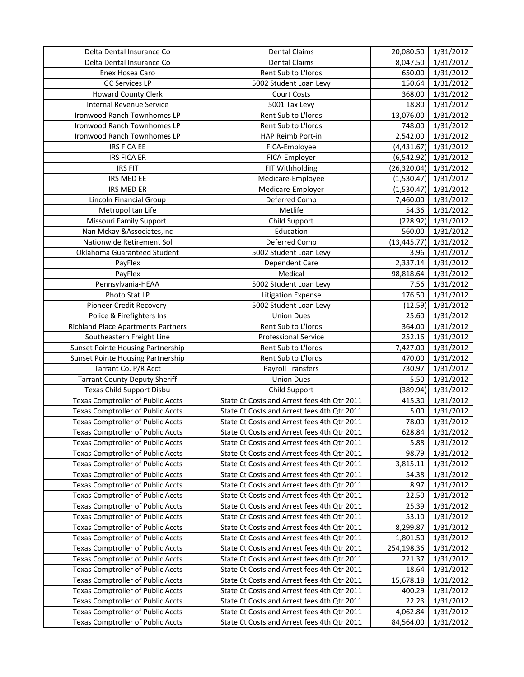| <b>Dental Claims</b><br>Delta Dental Insurance Co<br>8,047.50<br>1/31/2012<br>Rent Sub to L'Iords<br>1/31/2012<br>Enex Hosea Caro<br>650.00<br><b>GC Services LP</b><br>150.64<br>1/31/2012<br>5002 Student Loan Levy<br>368.00<br>1/31/2012<br><b>Howard County Clerk</b><br>Court Costs<br><b>Internal Revenue Service</b><br>5001 Tax Levy<br>18.80<br>1/31/2012<br>Ironwood Ranch Townhomes LP<br>Rent Sub to L'Iords<br>13,076.00<br>1/31/2012<br>Ironwood Ranch Townhomes LP<br>Rent Sub to L'Iords<br>748.00<br>1/31/2012<br>Ironwood Ranch Townhomes LP<br>HAP Reimb Port-in<br>2,542.00<br>1/31/2012<br><b>IRS FICA EE</b><br>1/31/2012<br>FICA-Employee<br>(4,431.67)<br>1/31/2012<br><b>IRS FICA ER</b><br>(6, 542.92)<br>FICA-Employer<br><b>IRS FIT</b><br>FIT Withholding<br>(26, 320.04)<br>1/31/2012<br>IRS MED EE<br>Medicare-Employee<br>1/31/2012<br>(1,530.47)<br>IRS MED ER<br>Medicare-Employer<br>(1,530.47)<br>1/31/2012<br>Lincoln Financial Group<br>Deferred Comp<br>7,460.00<br>1/31/2012<br>Metropolitan Life<br>Metlife<br>1/31/2012<br>54.36<br><b>Missouri Family Support</b><br>Child Support<br>1/31/2012<br>(228.92)<br>Education<br>Nan Mckay & Associates, Inc<br>560.00<br>1/31/2012<br>Nationwide Retirement Sol<br>Deferred Comp<br>(13, 445.77)<br>1/31/2012<br>Oklahoma Guaranteed Student<br>5002 Student Loan Levy<br>3.96<br>1/31/2012<br>PayFlex<br>Dependent Care<br>2,337.14<br>1/31/2012<br>PayFlex<br>Medical<br>98,818.64<br>1/31/2012<br>Pennsylvania-HEAA<br>5002 Student Loan Levy<br>7.56<br>1/31/2012<br>176.50<br>Photo Stat LP<br>1/31/2012<br><b>Litigation Expense</b><br>Pioneer Credit Recovery<br>5002 Student Loan Levy<br>(12.59)<br>1/31/2012<br><b>Union Dues</b><br>25.60<br>1/31/2012<br>Police & Firefighters Ins<br>Rent Sub to L'Iords<br>364.00<br>1/31/2012<br><b>Richland Place Apartments Partners</b><br>252.16<br><b>Professional Service</b><br>1/31/2012<br>Southeastern Freight Line<br>Rent Sub to L'Iords<br>7,427.00<br>1/31/2012<br><b>Sunset Pointe Housing Partnership</b><br><b>Sunset Pointe Housing Partnership</b><br>Rent Sub to L'Iords<br>470.00<br>1/31/2012<br><b>Payroll Transfers</b><br>730.97<br>1/31/2012<br>Tarrant Co. P/R Acct<br><b>Tarrant County Deputy Sheriff</b><br><b>Union Dues</b><br>5.50<br>1/31/2012<br>Texas Child Support Disbu<br>Child Support<br>(389.94)<br>1/31/2012<br><b>Texas Comptroller of Public Accts</b><br>State Ct Costs and Arrest fees 4th Qtr 2011<br>415.30<br>1/31/2012<br><b>Texas Comptroller of Public Accts</b><br>State Ct Costs and Arrest fees 4th Qtr 2011<br>5.00<br>1/31/2012<br><b>Texas Comptroller of Public Accts</b><br>1/31/2012<br>State Ct Costs and Arrest fees 4th Qtr 2011<br>78.00<br><b>Texas Comptroller of Public Accts</b><br>State Ct Costs and Arrest fees 4th Qtr 2011<br>628.84<br>1/31/2012<br><b>Texas Comptroller of Public Accts</b><br>State Ct Costs and Arrest fees 4th Qtr 2011<br>5.88<br>1/31/2012<br><b>Texas Comptroller of Public Accts</b><br>State Ct Costs and Arrest fees 4th Qtr 2011<br>98.79<br>1/31/2012<br><b>Texas Comptroller of Public Accts</b><br>State Ct Costs and Arrest fees 4th Qtr 2011<br>1/31/2012<br>3,815.11<br><b>Texas Comptroller of Public Accts</b><br>State Ct Costs and Arrest fees 4th Qtr 2011<br>1/31/2012<br>54.38<br><b>Texas Comptroller of Public Accts</b><br>State Ct Costs and Arrest fees 4th Qtr 2011<br>1/31/2012<br>8.97<br><b>Texas Comptroller of Public Accts</b><br>State Ct Costs and Arrest fees 4th Qtr 2011<br>1/31/2012<br>22.50<br><b>Texas Comptroller of Public Accts</b><br>State Ct Costs and Arrest fees 4th Qtr 2011<br>25.39<br>1/31/2012<br><b>Texas Comptroller of Public Accts</b><br>State Ct Costs and Arrest fees 4th Qtr 2011<br>53.10<br>1/31/2012<br><b>Texas Comptroller of Public Accts</b><br>State Ct Costs and Arrest fees 4th Qtr 2011<br>8,299.87<br>1/31/2012<br>Texas Comptroller of Public Accts<br>State Ct Costs and Arrest fees 4th Qtr 2011<br>1,801.50<br>1/31/2012 | Delta Dental Insurance Co                | <b>Dental Claims</b>                        | 20,080.50  | 1/31/2012 |
|------------------------------------------------------------------------------------------------------------------------------------------------------------------------------------------------------------------------------------------------------------------------------------------------------------------------------------------------------------------------------------------------------------------------------------------------------------------------------------------------------------------------------------------------------------------------------------------------------------------------------------------------------------------------------------------------------------------------------------------------------------------------------------------------------------------------------------------------------------------------------------------------------------------------------------------------------------------------------------------------------------------------------------------------------------------------------------------------------------------------------------------------------------------------------------------------------------------------------------------------------------------------------------------------------------------------------------------------------------------------------------------------------------------------------------------------------------------------------------------------------------------------------------------------------------------------------------------------------------------------------------------------------------------------------------------------------------------------------------------------------------------------------------------------------------------------------------------------------------------------------------------------------------------------------------------------------------------------------------------------------------------------------------------------------------------------------------------------------------------------------------------------------------------------------------------------------------------------------------------------------------------------------------------------------------------------------------------------------------------------------------------------------------------------------------------------------------------------------------------------------------------------------------------------------------------------------------------------------------------------------------------------------------------------------------------------------------------------------------------------------------------------------------------------------------------------------------------------------------------------------------------------------------------------------------------------------------------------------------------------------------------------------------------------------------------------------------------------------------------------------------------------------------------------------------------------------------------------------------------------------------------------------------------------------------------------------------------------------------------------------------------------------------------------------------------------------------------------------------------------------------------------------------------------------------------------------------------------------------------------------------------------------------------------------------------------------------------------------------------------------------------------------------------------------------------------------------------------------------------------------------------------------------------------------------------------------------------------------------------------------------------------------------------------|------------------------------------------|---------------------------------------------|------------|-----------|
|                                                                                                                                                                                                                                                                                                                                                                                                                                                                                                                                                                                                                                                                                                                                                                                                                                                                                                                                                                                                                                                                                                                                                                                                                                                                                                                                                                                                                                                                                                                                                                                                                                                                                                                                                                                                                                                                                                                                                                                                                                                                                                                                                                                                                                                                                                                                                                                                                                                                                                                                                                                                                                                                                                                                                                                                                                                                                                                                                                                                                                                                                                                                                                                                                                                                                                                                                                                                                                                                                                                                                                                                                                                                                                                                                                                                                                                                                                                                                                                                                                                |                                          |                                             |            |           |
|                                                                                                                                                                                                                                                                                                                                                                                                                                                                                                                                                                                                                                                                                                                                                                                                                                                                                                                                                                                                                                                                                                                                                                                                                                                                                                                                                                                                                                                                                                                                                                                                                                                                                                                                                                                                                                                                                                                                                                                                                                                                                                                                                                                                                                                                                                                                                                                                                                                                                                                                                                                                                                                                                                                                                                                                                                                                                                                                                                                                                                                                                                                                                                                                                                                                                                                                                                                                                                                                                                                                                                                                                                                                                                                                                                                                                                                                                                                                                                                                                                                |                                          |                                             |            |           |
|                                                                                                                                                                                                                                                                                                                                                                                                                                                                                                                                                                                                                                                                                                                                                                                                                                                                                                                                                                                                                                                                                                                                                                                                                                                                                                                                                                                                                                                                                                                                                                                                                                                                                                                                                                                                                                                                                                                                                                                                                                                                                                                                                                                                                                                                                                                                                                                                                                                                                                                                                                                                                                                                                                                                                                                                                                                                                                                                                                                                                                                                                                                                                                                                                                                                                                                                                                                                                                                                                                                                                                                                                                                                                                                                                                                                                                                                                                                                                                                                                                                |                                          |                                             |            |           |
|                                                                                                                                                                                                                                                                                                                                                                                                                                                                                                                                                                                                                                                                                                                                                                                                                                                                                                                                                                                                                                                                                                                                                                                                                                                                                                                                                                                                                                                                                                                                                                                                                                                                                                                                                                                                                                                                                                                                                                                                                                                                                                                                                                                                                                                                                                                                                                                                                                                                                                                                                                                                                                                                                                                                                                                                                                                                                                                                                                                                                                                                                                                                                                                                                                                                                                                                                                                                                                                                                                                                                                                                                                                                                                                                                                                                                                                                                                                                                                                                                                                |                                          |                                             |            |           |
|                                                                                                                                                                                                                                                                                                                                                                                                                                                                                                                                                                                                                                                                                                                                                                                                                                                                                                                                                                                                                                                                                                                                                                                                                                                                                                                                                                                                                                                                                                                                                                                                                                                                                                                                                                                                                                                                                                                                                                                                                                                                                                                                                                                                                                                                                                                                                                                                                                                                                                                                                                                                                                                                                                                                                                                                                                                                                                                                                                                                                                                                                                                                                                                                                                                                                                                                                                                                                                                                                                                                                                                                                                                                                                                                                                                                                                                                                                                                                                                                                                                |                                          |                                             |            |           |
|                                                                                                                                                                                                                                                                                                                                                                                                                                                                                                                                                                                                                                                                                                                                                                                                                                                                                                                                                                                                                                                                                                                                                                                                                                                                                                                                                                                                                                                                                                                                                                                                                                                                                                                                                                                                                                                                                                                                                                                                                                                                                                                                                                                                                                                                                                                                                                                                                                                                                                                                                                                                                                                                                                                                                                                                                                                                                                                                                                                                                                                                                                                                                                                                                                                                                                                                                                                                                                                                                                                                                                                                                                                                                                                                                                                                                                                                                                                                                                                                                                                |                                          |                                             |            |           |
|                                                                                                                                                                                                                                                                                                                                                                                                                                                                                                                                                                                                                                                                                                                                                                                                                                                                                                                                                                                                                                                                                                                                                                                                                                                                                                                                                                                                                                                                                                                                                                                                                                                                                                                                                                                                                                                                                                                                                                                                                                                                                                                                                                                                                                                                                                                                                                                                                                                                                                                                                                                                                                                                                                                                                                                                                                                                                                                                                                                                                                                                                                                                                                                                                                                                                                                                                                                                                                                                                                                                                                                                                                                                                                                                                                                                                                                                                                                                                                                                                                                |                                          |                                             |            |           |
|                                                                                                                                                                                                                                                                                                                                                                                                                                                                                                                                                                                                                                                                                                                                                                                                                                                                                                                                                                                                                                                                                                                                                                                                                                                                                                                                                                                                                                                                                                                                                                                                                                                                                                                                                                                                                                                                                                                                                                                                                                                                                                                                                                                                                                                                                                                                                                                                                                                                                                                                                                                                                                                                                                                                                                                                                                                                                                                                                                                                                                                                                                                                                                                                                                                                                                                                                                                                                                                                                                                                                                                                                                                                                                                                                                                                                                                                                                                                                                                                                                                |                                          |                                             |            |           |
|                                                                                                                                                                                                                                                                                                                                                                                                                                                                                                                                                                                                                                                                                                                                                                                                                                                                                                                                                                                                                                                                                                                                                                                                                                                                                                                                                                                                                                                                                                                                                                                                                                                                                                                                                                                                                                                                                                                                                                                                                                                                                                                                                                                                                                                                                                                                                                                                                                                                                                                                                                                                                                                                                                                                                                                                                                                                                                                                                                                                                                                                                                                                                                                                                                                                                                                                                                                                                                                                                                                                                                                                                                                                                                                                                                                                                                                                                                                                                                                                                                                |                                          |                                             |            |           |
|                                                                                                                                                                                                                                                                                                                                                                                                                                                                                                                                                                                                                                                                                                                                                                                                                                                                                                                                                                                                                                                                                                                                                                                                                                                                                                                                                                                                                                                                                                                                                                                                                                                                                                                                                                                                                                                                                                                                                                                                                                                                                                                                                                                                                                                                                                                                                                                                                                                                                                                                                                                                                                                                                                                                                                                                                                                                                                                                                                                                                                                                                                                                                                                                                                                                                                                                                                                                                                                                                                                                                                                                                                                                                                                                                                                                                                                                                                                                                                                                                                                |                                          |                                             |            |           |
|                                                                                                                                                                                                                                                                                                                                                                                                                                                                                                                                                                                                                                                                                                                                                                                                                                                                                                                                                                                                                                                                                                                                                                                                                                                                                                                                                                                                                                                                                                                                                                                                                                                                                                                                                                                                                                                                                                                                                                                                                                                                                                                                                                                                                                                                                                                                                                                                                                                                                                                                                                                                                                                                                                                                                                                                                                                                                                                                                                                                                                                                                                                                                                                                                                                                                                                                                                                                                                                                                                                                                                                                                                                                                                                                                                                                                                                                                                                                                                                                                                                |                                          |                                             |            |           |
|                                                                                                                                                                                                                                                                                                                                                                                                                                                                                                                                                                                                                                                                                                                                                                                                                                                                                                                                                                                                                                                                                                                                                                                                                                                                                                                                                                                                                                                                                                                                                                                                                                                                                                                                                                                                                                                                                                                                                                                                                                                                                                                                                                                                                                                                                                                                                                                                                                                                                                                                                                                                                                                                                                                                                                                                                                                                                                                                                                                                                                                                                                                                                                                                                                                                                                                                                                                                                                                                                                                                                                                                                                                                                                                                                                                                                                                                                                                                                                                                                                                |                                          |                                             |            |           |
|                                                                                                                                                                                                                                                                                                                                                                                                                                                                                                                                                                                                                                                                                                                                                                                                                                                                                                                                                                                                                                                                                                                                                                                                                                                                                                                                                                                                                                                                                                                                                                                                                                                                                                                                                                                                                                                                                                                                                                                                                                                                                                                                                                                                                                                                                                                                                                                                                                                                                                                                                                                                                                                                                                                                                                                                                                                                                                                                                                                                                                                                                                                                                                                                                                                                                                                                                                                                                                                                                                                                                                                                                                                                                                                                                                                                                                                                                                                                                                                                                                                |                                          |                                             |            |           |
|                                                                                                                                                                                                                                                                                                                                                                                                                                                                                                                                                                                                                                                                                                                                                                                                                                                                                                                                                                                                                                                                                                                                                                                                                                                                                                                                                                                                                                                                                                                                                                                                                                                                                                                                                                                                                                                                                                                                                                                                                                                                                                                                                                                                                                                                                                                                                                                                                                                                                                                                                                                                                                                                                                                                                                                                                                                                                                                                                                                                                                                                                                                                                                                                                                                                                                                                                                                                                                                                                                                                                                                                                                                                                                                                                                                                                                                                                                                                                                                                                                                |                                          |                                             |            |           |
|                                                                                                                                                                                                                                                                                                                                                                                                                                                                                                                                                                                                                                                                                                                                                                                                                                                                                                                                                                                                                                                                                                                                                                                                                                                                                                                                                                                                                                                                                                                                                                                                                                                                                                                                                                                                                                                                                                                                                                                                                                                                                                                                                                                                                                                                                                                                                                                                                                                                                                                                                                                                                                                                                                                                                                                                                                                                                                                                                                                                                                                                                                                                                                                                                                                                                                                                                                                                                                                                                                                                                                                                                                                                                                                                                                                                                                                                                                                                                                                                                                                |                                          |                                             |            |           |
|                                                                                                                                                                                                                                                                                                                                                                                                                                                                                                                                                                                                                                                                                                                                                                                                                                                                                                                                                                                                                                                                                                                                                                                                                                                                                                                                                                                                                                                                                                                                                                                                                                                                                                                                                                                                                                                                                                                                                                                                                                                                                                                                                                                                                                                                                                                                                                                                                                                                                                                                                                                                                                                                                                                                                                                                                                                                                                                                                                                                                                                                                                                                                                                                                                                                                                                                                                                                                                                                                                                                                                                                                                                                                                                                                                                                                                                                                                                                                                                                                                                |                                          |                                             |            |           |
|                                                                                                                                                                                                                                                                                                                                                                                                                                                                                                                                                                                                                                                                                                                                                                                                                                                                                                                                                                                                                                                                                                                                                                                                                                                                                                                                                                                                                                                                                                                                                                                                                                                                                                                                                                                                                                                                                                                                                                                                                                                                                                                                                                                                                                                                                                                                                                                                                                                                                                                                                                                                                                                                                                                                                                                                                                                                                                                                                                                                                                                                                                                                                                                                                                                                                                                                                                                                                                                                                                                                                                                                                                                                                                                                                                                                                                                                                                                                                                                                                                                |                                          |                                             |            |           |
|                                                                                                                                                                                                                                                                                                                                                                                                                                                                                                                                                                                                                                                                                                                                                                                                                                                                                                                                                                                                                                                                                                                                                                                                                                                                                                                                                                                                                                                                                                                                                                                                                                                                                                                                                                                                                                                                                                                                                                                                                                                                                                                                                                                                                                                                                                                                                                                                                                                                                                                                                                                                                                                                                                                                                                                                                                                                                                                                                                                                                                                                                                                                                                                                                                                                                                                                                                                                                                                                                                                                                                                                                                                                                                                                                                                                                                                                                                                                                                                                                                                |                                          |                                             |            |           |
|                                                                                                                                                                                                                                                                                                                                                                                                                                                                                                                                                                                                                                                                                                                                                                                                                                                                                                                                                                                                                                                                                                                                                                                                                                                                                                                                                                                                                                                                                                                                                                                                                                                                                                                                                                                                                                                                                                                                                                                                                                                                                                                                                                                                                                                                                                                                                                                                                                                                                                                                                                                                                                                                                                                                                                                                                                                                                                                                                                                                                                                                                                                                                                                                                                                                                                                                                                                                                                                                                                                                                                                                                                                                                                                                                                                                                                                                                                                                                                                                                                                |                                          |                                             |            |           |
|                                                                                                                                                                                                                                                                                                                                                                                                                                                                                                                                                                                                                                                                                                                                                                                                                                                                                                                                                                                                                                                                                                                                                                                                                                                                                                                                                                                                                                                                                                                                                                                                                                                                                                                                                                                                                                                                                                                                                                                                                                                                                                                                                                                                                                                                                                                                                                                                                                                                                                                                                                                                                                                                                                                                                                                                                                                                                                                                                                                                                                                                                                                                                                                                                                                                                                                                                                                                                                                                                                                                                                                                                                                                                                                                                                                                                                                                                                                                                                                                                                                |                                          |                                             |            |           |
|                                                                                                                                                                                                                                                                                                                                                                                                                                                                                                                                                                                                                                                                                                                                                                                                                                                                                                                                                                                                                                                                                                                                                                                                                                                                                                                                                                                                                                                                                                                                                                                                                                                                                                                                                                                                                                                                                                                                                                                                                                                                                                                                                                                                                                                                                                                                                                                                                                                                                                                                                                                                                                                                                                                                                                                                                                                                                                                                                                                                                                                                                                                                                                                                                                                                                                                                                                                                                                                                                                                                                                                                                                                                                                                                                                                                                                                                                                                                                                                                                                                |                                          |                                             |            |           |
|                                                                                                                                                                                                                                                                                                                                                                                                                                                                                                                                                                                                                                                                                                                                                                                                                                                                                                                                                                                                                                                                                                                                                                                                                                                                                                                                                                                                                                                                                                                                                                                                                                                                                                                                                                                                                                                                                                                                                                                                                                                                                                                                                                                                                                                                                                                                                                                                                                                                                                                                                                                                                                                                                                                                                                                                                                                                                                                                                                                                                                                                                                                                                                                                                                                                                                                                                                                                                                                                                                                                                                                                                                                                                                                                                                                                                                                                                                                                                                                                                                                |                                          |                                             |            |           |
|                                                                                                                                                                                                                                                                                                                                                                                                                                                                                                                                                                                                                                                                                                                                                                                                                                                                                                                                                                                                                                                                                                                                                                                                                                                                                                                                                                                                                                                                                                                                                                                                                                                                                                                                                                                                                                                                                                                                                                                                                                                                                                                                                                                                                                                                                                                                                                                                                                                                                                                                                                                                                                                                                                                                                                                                                                                                                                                                                                                                                                                                                                                                                                                                                                                                                                                                                                                                                                                                                                                                                                                                                                                                                                                                                                                                                                                                                                                                                                                                                                                |                                          |                                             |            |           |
|                                                                                                                                                                                                                                                                                                                                                                                                                                                                                                                                                                                                                                                                                                                                                                                                                                                                                                                                                                                                                                                                                                                                                                                                                                                                                                                                                                                                                                                                                                                                                                                                                                                                                                                                                                                                                                                                                                                                                                                                                                                                                                                                                                                                                                                                                                                                                                                                                                                                                                                                                                                                                                                                                                                                                                                                                                                                                                                                                                                                                                                                                                                                                                                                                                                                                                                                                                                                                                                                                                                                                                                                                                                                                                                                                                                                                                                                                                                                                                                                                                                |                                          |                                             |            |           |
|                                                                                                                                                                                                                                                                                                                                                                                                                                                                                                                                                                                                                                                                                                                                                                                                                                                                                                                                                                                                                                                                                                                                                                                                                                                                                                                                                                                                                                                                                                                                                                                                                                                                                                                                                                                                                                                                                                                                                                                                                                                                                                                                                                                                                                                                                                                                                                                                                                                                                                                                                                                                                                                                                                                                                                                                                                                                                                                                                                                                                                                                                                                                                                                                                                                                                                                                                                                                                                                                                                                                                                                                                                                                                                                                                                                                                                                                                                                                                                                                                                                |                                          |                                             |            |           |
|                                                                                                                                                                                                                                                                                                                                                                                                                                                                                                                                                                                                                                                                                                                                                                                                                                                                                                                                                                                                                                                                                                                                                                                                                                                                                                                                                                                                                                                                                                                                                                                                                                                                                                                                                                                                                                                                                                                                                                                                                                                                                                                                                                                                                                                                                                                                                                                                                                                                                                                                                                                                                                                                                                                                                                                                                                                                                                                                                                                                                                                                                                                                                                                                                                                                                                                                                                                                                                                                                                                                                                                                                                                                                                                                                                                                                                                                                                                                                                                                                                                |                                          |                                             |            |           |
|                                                                                                                                                                                                                                                                                                                                                                                                                                                                                                                                                                                                                                                                                                                                                                                                                                                                                                                                                                                                                                                                                                                                                                                                                                                                                                                                                                                                                                                                                                                                                                                                                                                                                                                                                                                                                                                                                                                                                                                                                                                                                                                                                                                                                                                                                                                                                                                                                                                                                                                                                                                                                                                                                                                                                                                                                                                                                                                                                                                                                                                                                                                                                                                                                                                                                                                                                                                                                                                                                                                                                                                                                                                                                                                                                                                                                                                                                                                                                                                                                                                |                                          |                                             |            |           |
|                                                                                                                                                                                                                                                                                                                                                                                                                                                                                                                                                                                                                                                                                                                                                                                                                                                                                                                                                                                                                                                                                                                                                                                                                                                                                                                                                                                                                                                                                                                                                                                                                                                                                                                                                                                                                                                                                                                                                                                                                                                                                                                                                                                                                                                                                                                                                                                                                                                                                                                                                                                                                                                                                                                                                                                                                                                                                                                                                                                                                                                                                                                                                                                                                                                                                                                                                                                                                                                                                                                                                                                                                                                                                                                                                                                                                                                                                                                                                                                                                                                |                                          |                                             |            |           |
|                                                                                                                                                                                                                                                                                                                                                                                                                                                                                                                                                                                                                                                                                                                                                                                                                                                                                                                                                                                                                                                                                                                                                                                                                                                                                                                                                                                                                                                                                                                                                                                                                                                                                                                                                                                                                                                                                                                                                                                                                                                                                                                                                                                                                                                                                                                                                                                                                                                                                                                                                                                                                                                                                                                                                                                                                                                                                                                                                                                                                                                                                                                                                                                                                                                                                                                                                                                                                                                                                                                                                                                                                                                                                                                                                                                                                                                                                                                                                                                                                                                |                                          |                                             |            |           |
|                                                                                                                                                                                                                                                                                                                                                                                                                                                                                                                                                                                                                                                                                                                                                                                                                                                                                                                                                                                                                                                                                                                                                                                                                                                                                                                                                                                                                                                                                                                                                                                                                                                                                                                                                                                                                                                                                                                                                                                                                                                                                                                                                                                                                                                                                                                                                                                                                                                                                                                                                                                                                                                                                                                                                                                                                                                                                                                                                                                                                                                                                                                                                                                                                                                                                                                                                                                                                                                                                                                                                                                                                                                                                                                                                                                                                                                                                                                                                                                                                                                |                                          |                                             |            |           |
|                                                                                                                                                                                                                                                                                                                                                                                                                                                                                                                                                                                                                                                                                                                                                                                                                                                                                                                                                                                                                                                                                                                                                                                                                                                                                                                                                                                                                                                                                                                                                                                                                                                                                                                                                                                                                                                                                                                                                                                                                                                                                                                                                                                                                                                                                                                                                                                                                                                                                                                                                                                                                                                                                                                                                                                                                                                                                                                                                                                                                                                                                                                                                                                                                                                                                                                                                                                                                                                                                                                                                                                                                                                                                                                                                                                                                                                                                                                                                                                                                                                |                                          |                                             |            |           |
|                                                                                                                                                                                                                                                                                                                                                                                                                                                                                                                                                                                                                                                                                                                                                                                                                                                                                                                                                                                                                                                                                                                                                                                                                                                                                                                                                                                                                                                                                                                                                                                                                                                                                                                                                                                                                                                                                                                                                                                                                                                                                                                                                                                                                                                                                                                                                                                                                                                                                                                                                                                                                                                                                                                                                                                                                                                                                                                                                                                                                                                                                                                                                                                                                                                                                                                                                                                                                                                                                                                                                                                                                                                                                                                                                                                                                                                                                                                                                                                                                                                |                                          |                                             |            |           |
|                                                                                                                                                                                                                                                                                                                                                                                                                                                                                                                                                                                                                                                                                                                                                                                                                                                                                                                                                                                                                                                                                                                                                                                                                                                                                                                                                                                                                                                                                                                                                                                                                                                                                                                                                                                                                                                                                                                                                                                                                                                                                                                                                                                                                                                                                                                                                                                                                                                                                                                                                                                                                                                                                                                                                                                                                                                                                                                                                                                                                                                                                                                                                                                                                                                                                                                                                                                                                                                                                                                                                                                                                                                                                                                                                                                                                                                                                                                                                                                                                                                |                                          |                                             |            |           |
|                                                                                                                                                                                                                                                                                                                                                                                                                                                                                                                                                                                                                                                                                                                                                                                                                                                                                                                                                                                                                                                                                                                                                                                                                                                                                                                                                                                                                                                                                                                                                                                                                                                                                                                                                                                                                                                                                                                                                                                                                                                                                                                                                                                                                                                                                                                                                                                                                                                                                                                                                                                                                                                                                                                                                                                                                                                                                                                                                                                                                                                                                                                                                                                                                                                                                                                                                                                                                                                                                                                                                                                                                                                                                                                                                                                                                                                                                                                                                                                                                                                |                                          |                                             |            |           |
|                                                                                                                                                                                                                                                                                                                                                                                                                                                                                                                                                                                                                                                                                                                                                                                                                                                                                                                                                                                                                                                                                                                                                                                                                                                                                                                                                                                                                                                                                                                                                                                                                                                                                                                                                                                                                                                                                                                                                                                                                                                                                                                                                                                                                                                                                                                                                                                                                                                                                                                                                                                                                                                                                                                                                                                                                                                                                                                                                                                                                                                                                                                                                                                                                                                                                                                                                                                                                                                                                                                                                                                                                                                                                                                                                                                                                                                                                                                                                                                                                                                |                                          |                                             |            |           |
|                                                                                                                                                                                                                                                                                                                                                                                                                                                                                                                                                                                                                                                                                                                                                                                                                                                                                                                                                                                                                                                                                                                                                                                                                                                                                                                                                                                                                                                                                                                                                                                                                                                                                                                                                                                                                                                                                                                                                                                                                                                                                                                                                                                                                                                                                                                                                                                                                                                                                                                                                                                                                                                                                                                                                                                                                                                                                                                                                                                                                                                                                                                                                                                                                                                                                                                                                                                                                                                                                                                                                                                                                                                                                                                                                                                                                                                                                                                                                                                                                                                |                                          |                                             |            |           |
|                                                                                                                                                                                                                                                                                                                                                                                                                                                                                                                                                                                                                                                                                                                                                                                                                                                                                                                                                                                                                                                                                                                                                                                                                                                                                                                                                                                                                                                                                                                                                                                                                                                                                                                                                                                                                                                                                                                                                                                                                                                                                                                                                                                                                                                                                                                                                                                                                                                                                                                                                                                                                                                                                                                                                                                                                                                                                                                                                                                                                                                                                                                                                                                                                                                                                                                                                                                                                                                                                                                                                                                                                                                                                                                                                                                                                                                                                                                                                                                                                                                |                                          |                                             |            |           |
|                                                                                                                                                                                                                                                                                                                                                                                                                                                                                                                                                                                                                                                                                                                                                                                                                                                                                                                                                                                                                                                                                                                                                                                                                                                                                                                                                                                                                                                                                                                                                                                                                                                                                                                                                                                                                                                                                                                                                                                                                                                                                                                                                                                                                                                                                                                                                                                                                                                                                                                                                                                                                                                                                                                                                                                                                                                                                                                                                                                                                                                                                                                                                                                                                                                                                                                                                                                                                                                                                                                                                                                                                                                                                                                                                                                                                                                                                                                                                                                                                                                |                                          |                                             |            |           |
|                                                                                                                                                                                                                                                                                                                                                                                                                                                                                                                                                                                                                                                                                                                                                                                                                                                                                                                                                                                                                                                                                                                                                                                                                                                                                                                                                                                                                                                                                                                                                                                                                                                                                                                                                                                                                                                                                                                                                                                                                                                                                                                                                                                                                                                                                                                                                                                                                                                                                                                                                                                                                                                                                                                                                                                                                                                                                                                                                                                                                                                                                                                                                                                                                                                                                                                                                                                                                                                                                                                                                                                                                                                                                                                                                                                                                                                                                                                                                                                                                                                |                                          |                                             |            |           |
|                                                                                                                                                                                                                                                                                                                                                                                                                                                                                                                                                                                                                                                                                                                                                                                                                                                                                                                                                                                                                                                                                                                                                                                                                                                                                                                                                                                                                                                                                                                                                                                                                                                                                                                                                                                                                                                                                                                                                                                                                                                                                                                                                                                                                                                                                                                                                                                                                                                                                                                                                                                                                                                                                                                                                                                                                                                                                                                                                                                                                                                                                                                                                                                                                                                                                                                                                                                                                                                                                                                                                                                                                                                                                                                                                                                                                                                                                                                                                                                                                                                |                                          |                                             |            |           |
|                                                                                                                                                                                                                                                                                                                                                                                                                                                                                                                                                                                                                                                                                                                                                                                                                                                                                                                                                                                                                                                                                                                                                                                                                                                                                                                                                                                                                                                                                                                                                                                                                                                                                                                                                                                                                                                                                                                                                                                                                                                                                                                                                                                                                                                                                                                                                                                                                                                                                                                                                                                                                                                                                                                                                                                                                                                                                                                                                                                                                                                                                                                                                                                                                                                                                                                                                                                                                                                                                                                                                                                                                                                                                                                                                                                                                                                                                                                                                                                                                                                |                                          |                                             |            |           |
|                                                                                                                                                                                                                                                                                                                                                                                                                                                                                                                                                                                                                                                                                                                                                                                                                                                                                                                                                                                                                                                                                                                                                                                                                                                                                                                                                                                                                                                                                                                                                                                                                                                                                                                                                                                                                                                                                                                                                                                                                                                                                                                                                                                                                                                                                                                                                                                                                                                                                                                                                                                                                                                                                                                                                                                                                                                                                                                                                                                                                                                                                                                                                                                                                                                                                                                                                                                                                                                                                                                                                                                                                                                                                                                                                                                                                                                                                                                                                                                                                                                |                                          |                                             |            |           |
|                                                                                                                                                                                                                                                                                                                                                                                                                                                                                                                                                                                                                                                                                                                                                                                                                                                                                                                                                                                                                                                                                                                                                                                                                                                                                                                                                                                                                                                                                                                                                                                                                                                                                                                                                                                                                                                                                                                                                                                                                                                                                                                                                                                                                                                                                                                                                                                                                                                                                                                                                                                                                                                                                                                                                                                                                                                                                                                                                                                                                                                                                                                                                                                                                                                                                                                                                                                                                                                                                                                                                                                                                                                                                                                                                                                                                                                                                                                                                                                                                                                |                                          |                                             |            |           |
|                                                                                                                                                                                                                                                                                                                                                                                                                                                                                                                                                                                                                                                                                                                                                                                                                                                                                                                                                                                                                                                                                                                                                                                                                                                                                                                                                                                                                                                                                                                                                                                                                                                                                                                                                                                                                                                                                                                                                                                                                                                                                                                                                                                                                                                                                                                                                                                                                                                                                                                                                                                                                                                                                                                                                                                                                                                                                                                                                                                                                                                                                                                                                                                                                                                                                                                                                                                                                                                                                                                                                                                                                                                                                                                                                                                                                                                                                                                                                                                                                                                |                                          |                                             |            |           |
|                                                                                                                                                                                                                                                                                                                                                                                                                                                                                                                                                                                                                                                                                                                                                                                                                                                                                                                                                                                                                                                                                                                                                                                                                                                                                                                                                                                                                                                                                                                                                                                                                                                                                                                                                                                                                                                                                                                                                                                                                                                                                                                                                                                                                                                                                                                                                                                                                                                                                                                                                                                                                                                                                                                                                                                                                                                                                                                                                                                                                                                                                                                                                                                                                                                                                                                                                                                                                                                                                                                                                                                                                                                                                                                                                                                                                                                                                                                                                                                                                                                |                                          |                                             |            |           |
|                                                                                                                                                                                                                                                                                                                                                                                                                                                                                                                                                                                                                                                                                                                                                                                                                                                                                                                                                                                                                                                                                                                                                                                                                                                                                                                                                                                                                                                                                                                                                                                                                                                                                                                                                                                                                                                                                                                                                                                                                                                                                                                                                                                                                                                                                                                                                                                                                                                                                                                                                                                                                                                                                                                                                                                                                                                                                                                                                                                                                                                                                                                                                                                                                                                                                                                                                                                                                                                                                                                                                                                                                                                                                                                                                                                                                                                                                                                                                                                                                                                |                                          |                                             |            |           |
|                                                                                                                                                                                                                                                                                                                                                                                                                                                                                                                                                                                                                                                                                                                                                                                                                                                                                                                                                                                                                                                                                                                                                                                                                                                                                                                                                                                                                                                                                                                                                                                                                                                                                                                                                                                                                                                                                                                                                                                                                                                                                                                                                                                                                                                                                                                                                                                                                                                                                                                                                                                                                                                                                                                                                                                                                                                                                                                                                                                                                                                                                                                                                                                                                                                                                                                                                                                                                                                                                                                                                                                                                                                                                                                                                                                                                                                                                                                                                                                                                                                | <b>Texas Comptroller of Public Accts</b> | State Ct Costs and Arrest fees 4th Qtr 2011 | 254,198.36 | 1/31/2012 |
| <b>Texas Comptroller of Public Accts</b><br>State Ct Costs and Arrest fees 4th Qtr 2011<br>221.37<br>1/31/2012                                                                                                                                                                                                                                                                                                                                                                                                                                                                                                                                                                                                                                                                                                                                                                                                                                                                                                                                                                                                                                                                                                                                                                                                                                                                                                                                                                                                                                                                                                                                                                                                                                                                                                                                                                                                                                                                                                                                                                                                                                                                                                                                                                                                                                                                                                                                                                                                                                                                                                                                                                                                                                                                                                                                                                                                                                                                                                                                                                                                                                                                                                                                                                                                                                                                                                                                                                                                                                                                                                                                                                                                                                                                                                                                                                                                                                                                                                                                 |                                          |                                             |            |           |
| <b>Texas Comptroller of Public Accts</b><br>State Ct Costs and Arrest fees 4th Qtr 2011<br>18.64<br>1/31/2012                                                                                                                                                                                                                                                                                                                                                                                                                                                                                                                                                                                                                                                                                                                                                                                                                                                                                                                                                                                                                                                                                                                                                                                                                                                                                                                                                                                                                                                                                                                                                                                                                                                                                                                                                                                                                                                                                                                                                                                                                                                                                                                                                                                                                                                                                                                                                                                                                                                                                                                                                                                                                                                                                                                                                                                                                                                                                                                                                                                                                                                                                                                                                                                                                                                                                                                                                                                                                                                                                                                                                                                                                                                                                                                                                                                                                                                                                                                                  |                                          |                                             |            |           |
| <b>Texas Comptroller of Public Accts</b><br>State Ct Costs and Arrest fees 4th Qtr 2011<br>15,678.18<br>1/31/2012                                                                                                                                                                                                                                                                                                                                                                                                                                                                                                                                                                                                                                                                                                                                                                                                                                                                                                                                                                                                                                                                                                                                                                                                                                                                                                                                                                                                                                                                                                                                                                                                                                                                                                                                                                                                                                                                                                                                                                                                                                                                                                                                                                                                                                                                                                                                                                                                                                                                                                                                                                                                                                                                                                                                                                                                                                                                                                                                                                                                                                                                                                                                                                                                                                                                                                                                                                                                                                                                                                                                                                                                                                                                                                                                                                                                                                                                                                                              |                                          |                                             |            |           |
| <b>Texas Comptroller of Public Accts</b><br>State Ct Costs and Arrest fees 4th Qtr 2011<br>1/31/2012<br>400.29                                                                                                                                                                                                                                                                                                                                                                                                                                                                                                                                                                                                                                                                                                                                                                                                                                                                                                                                                                                                                                                                                                                                                                                                                                                                                                                                                                                                                                                                                                                                                                                                                                                                                                                                                                                                                                                                                                                                                                                                                                                                                                                                                                                                                                                                                                                                                                                                                                                                                                                                                                                                                                                                                                                                                                                                                                                                                                                                                                                                                                                                                                                                                                                                                                                                                                                                                                                                                                                                                                                                                                                                                                                                                                                                                                                                                                                                                                                                 |                                          |                                             |            |           |
| <b>Texas Comptroller of Public Accts</b><br>State Ct Costs and Arrest fees 4th Qtr 2011<br>1/31/2012<br>22.23                                                                                                                                                                                                                                                                                                                                                                                                                                                                                                                                                                                                                                                                                                                                                                                                                                                                                                                                                                                                                                                                                                                                                                                                                                                                                                                                                                                                                                                                                                                                                                                                                                                                                                                                                                                                                                                                                                                                                                                                                                                                                                                                                                                                                                                                                                                                                                                                                                                                                                                                                                                                                                                                                                                                                                                                                                                                                                                                                                                                                                                                                                                                                                                                                                                                                                                                                                                                                                                                                                                                                                                                                                                                                                                                                                                                                                                                                                                                  |                                          |                                             |            |           |
| <b>Texas Comptroller of Public Accts</b><br>State Ct Costs and Arrest fees 4th Qtr 2011<br>4,062.84<br>1/31/2012                                                                                                                                                                                                                                                                                                                                                                                                                                                                                                                                                                                                                                                                                                                                                                                                                                                                                                                                                                                                                                                                                                                                                                                                                                                                                                                                                                                                                                                                                                                                                                                                                                                                                                                                                                                                                                                                                                                                                                                                                                                                                                                                                                                                                                                                                                                                                                                                                                                                                                                                                                                                                                                                                                                                                                                                                                                                                                                                                                                                                                                                                                                                                                                                                                                                                                                                                                                                                                                                                                                                                                                                                                                                                                                                                                                                                                                                                                                               |                                          |                                             |            |           |
| <b>Texas Comptroller of Public Accts</b><br>State Ct Costs and Arrest fees 4th Qtr 2011<br>84,564.00<br>1/31/2012                                                                                                                                                                                                                                                                                                                                                                                                                                                                                                                                                                                                                                                                                                                                                                                                                                                                                                                                                                                                                                                                                                                                                                                                                                                                                                                                                                                                                                                                                                                                                                                                                                                                                                                                                                                                                                                                                                                                                                                                                                                                                                                                                                                                                                                                                                                                                                                                                                                                                                                                                                                                                                                                                                                                                                                                                                                                                                                                                                                                                                                                                                                                                                                                                                                                                                                                                                                                                                                                                                                                                                                                                                                                                                                                                                                                                                                                                                                              |                                          |                                             |            |           |